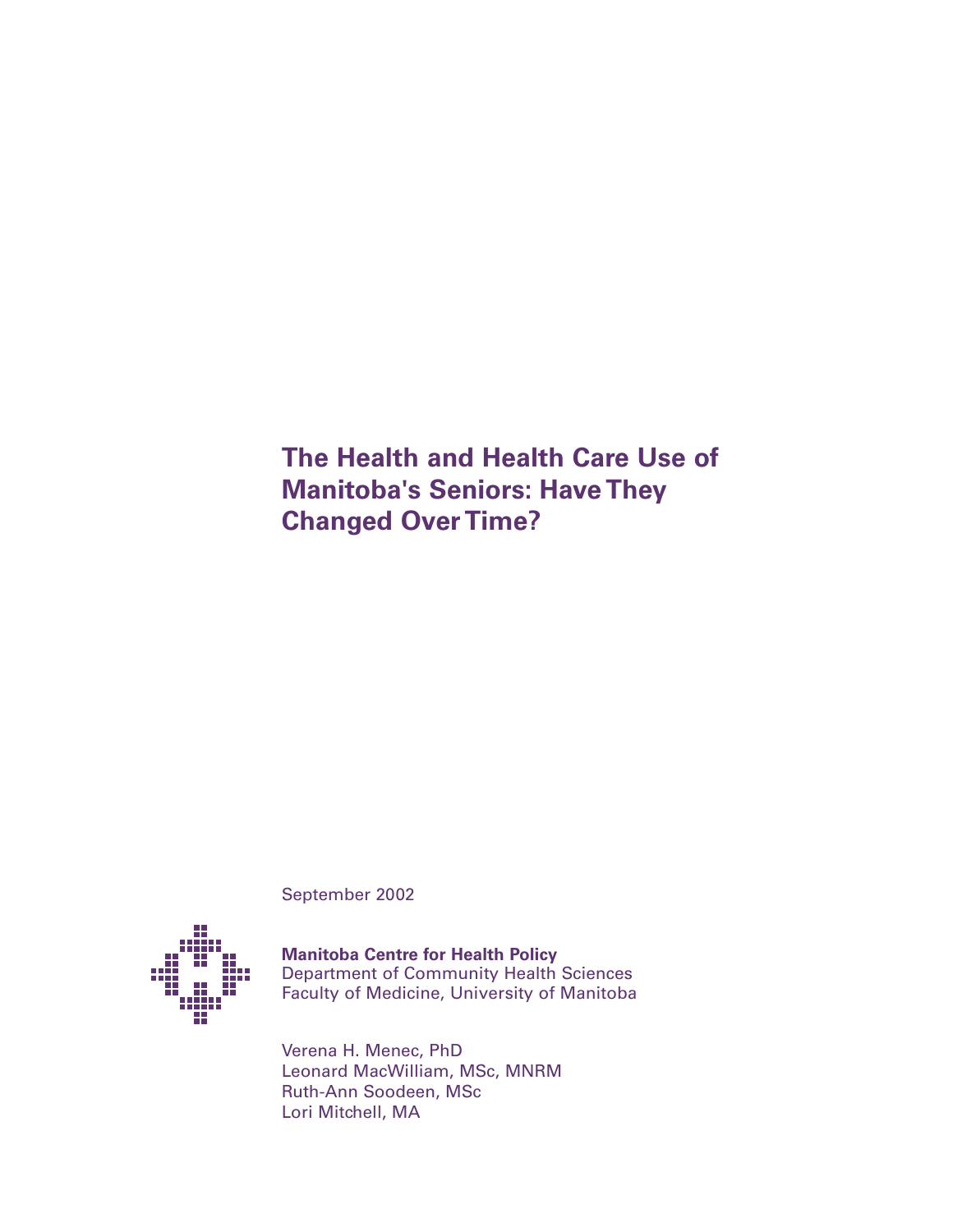**The Health and Health Care Use of Manitoba's Seniors: Have They Changed Over Time?**

September 2002



**Manitoba Centre for Health Policy** Department of Community Health Sciences Faculty of Medicine, University of Manitoba

Verena H. Menec, PhD Leonard MacWilliam, MSc, MNRM Ruth-Ann Soodeen, MSc Lori Mitchell, MA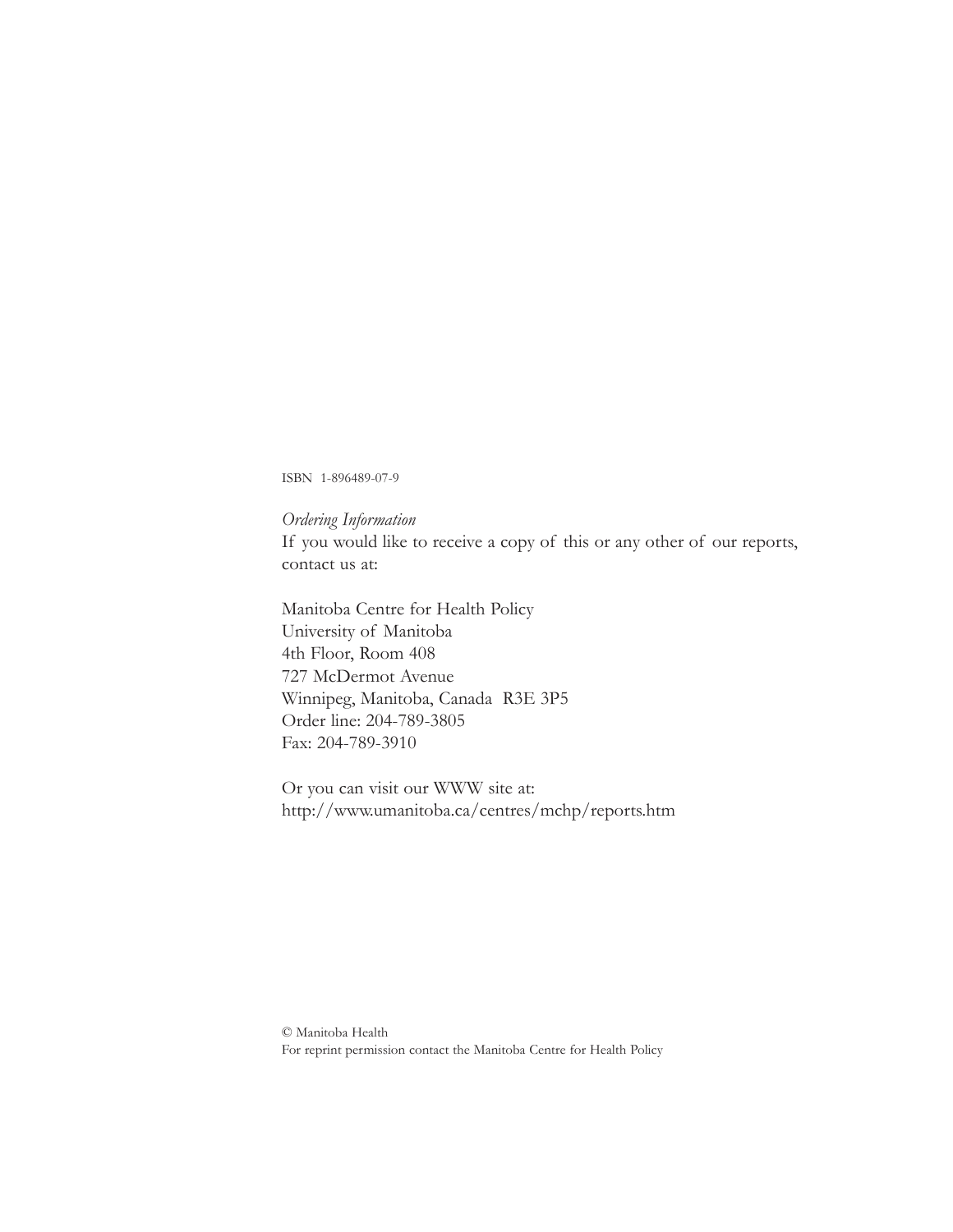ISBN 1-896489-07-9

*Ordering Information* If you would like to receive a copy of this or any other of our reports, contact us at:

Manitoba Centre for Health Policy University of Manitoba 4th Floor, Room 408 727 McDermot Avenue Winnipeg, Manitoba, Canada R3E 3P5 Order line: 204-789-3805 Fax: 204-789-3910

Or you can visit our WWW site at: http://www.umanitoba.ca/centres/mchp/reports.htm

© Manitoba Health For reprint permission contact the Manitoba Centre for Health Policy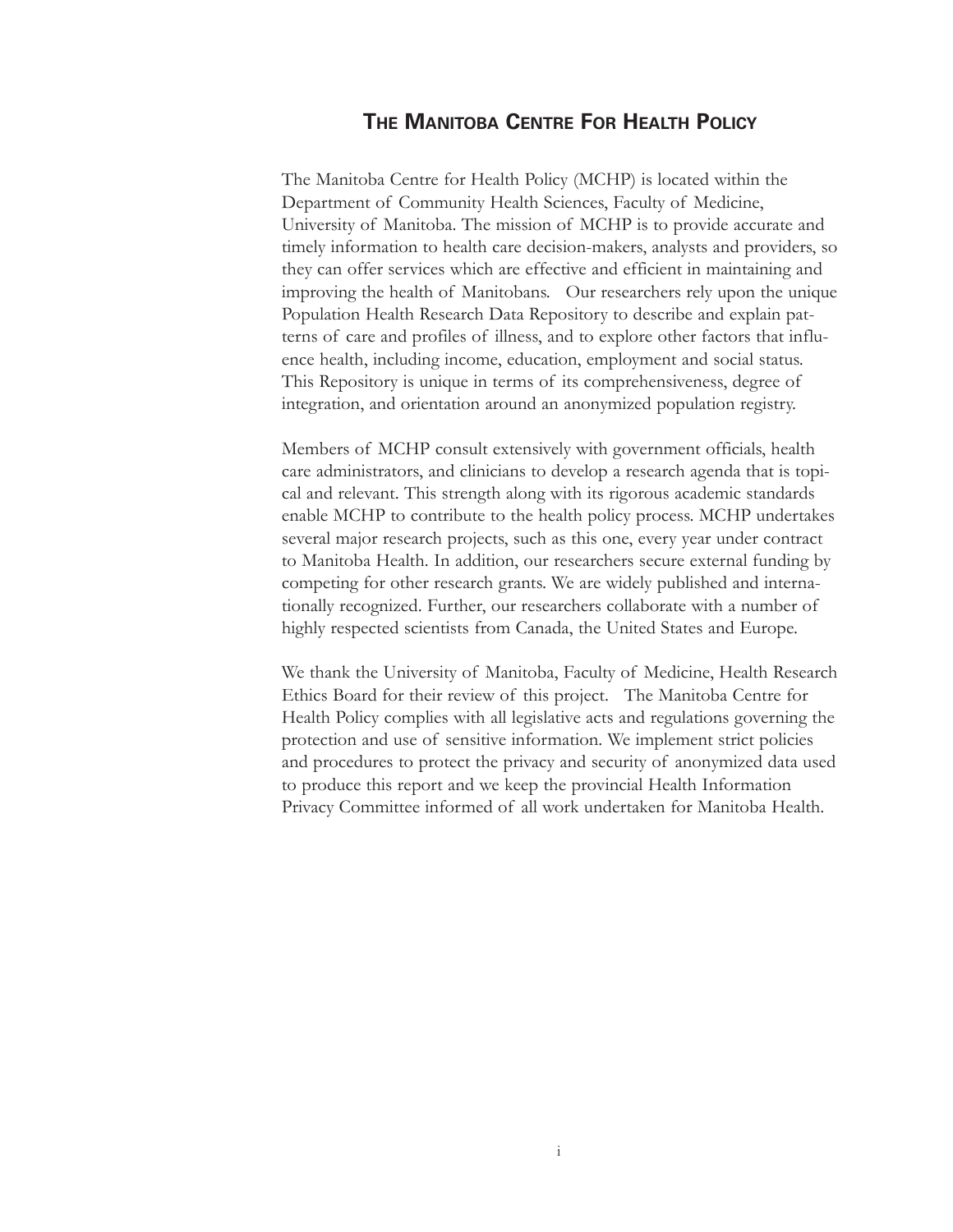### **THE MANITOBA CENTRE FOR HEALTH POLICY**

The Manitoba Centre for Health Policy (MCHP) is located within the Department of Community Health Sciences, Faculty of Medicine, University of Manitoba. The mission of MCHP is to provide accurate and timely information to health care decision-makers, analysts and providers, so they can offer services which are effective and efficient in maintaining and improving the health of Manitobans. Our researchers rely upon the unique Population Health Research Data Repository to describe and explain patterns of care and profiles of illness, and to explore other factors that influence health, including income, education, employment and social status. This Repository is unique in terms of its comprehensiveness, degree of integration, and orientation around an anonymized population registry.

Members of MCHP consult extensively with government officials, health care administrators, and clinicians to develop a research agenda that is topical and relevant. This strength along with its rigorous academic standards enable MCHP to contribute to the health policy process. MCHP undertakes several major research projects, such as this one, every year under contract to Manitoba Health. In addition, our researchers secure external funding by competing for other research grants. We are widely published and internationally recognized. Further, our researchers collaborate with a number of highly respected scientists from Canada, the United States and Europe.

We thank the University of Manitoba, Faculty of Medicine, Health Research Ethics Board for their review of this project. The Manitoba Centre for Health Policy complies with all legislative acts and regulations governing the protection and use of sensitive information. We implement strict policies and procedures to protect the privacy and security of anonymized data used to produce this report and we keep the provincial Health Information Privacy Committee informed of all work undertaken for Manitoba Health.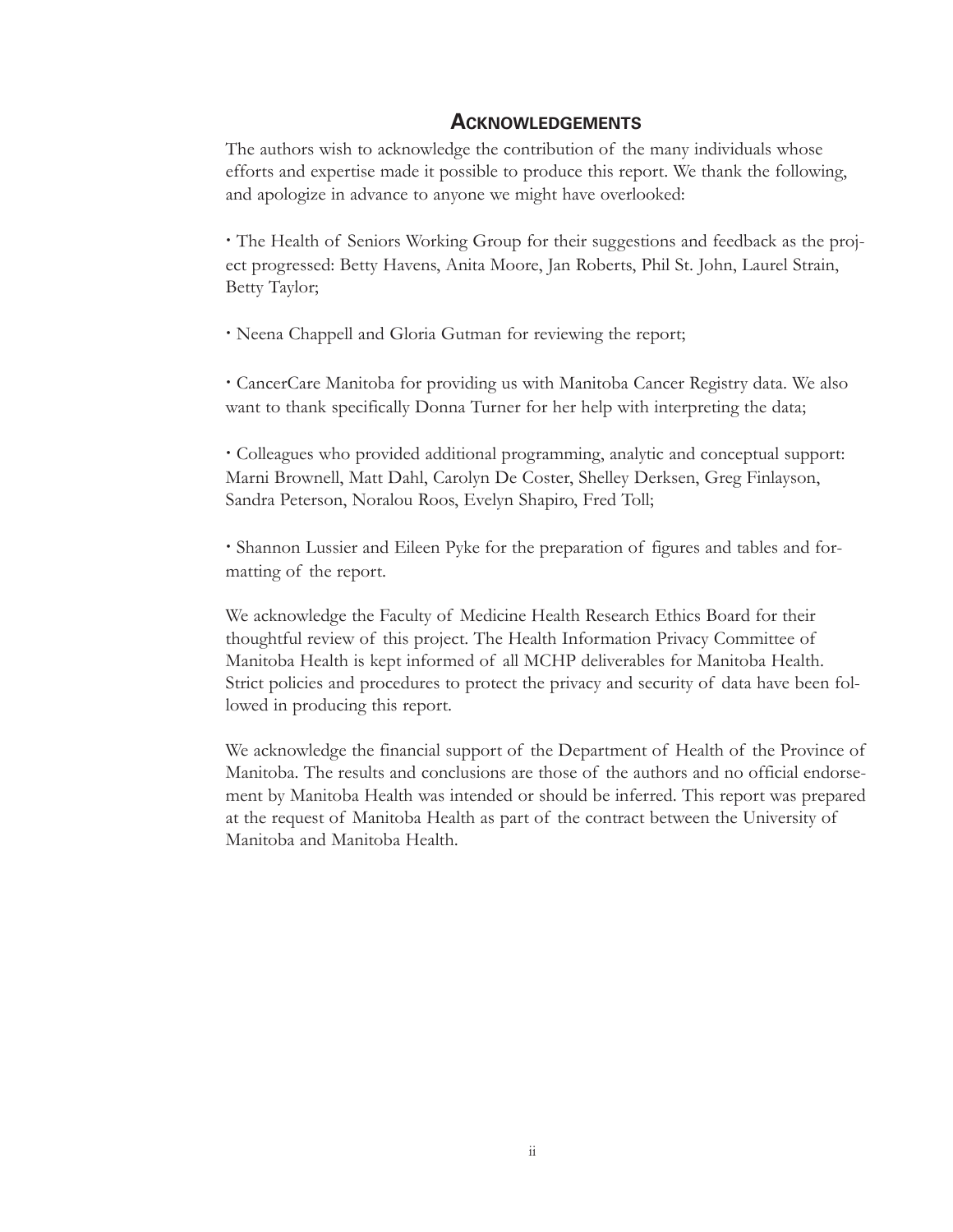#### **ACKNOWLEDGEMENTS**

The authors wish to acknowledge the contribution of the many individuals whose efforts and expertise made it possible to produce this report. We thank the following, and apologize in advance to anyone we might have overlooked:

**·** The Health of Seniors Working Group for their suggestions and feedback as the project progressed: Betty Havens, Anita Moore, Jan Roberts, Phil St. John, Laurel Strain, Betty Taylor;

**·** Neena Chappell and Gloria Gutman for reviewing the report;

**·** CancerCare Manitoba for providing us with Manitoba Cancer Registry data. We also want to thank specifically Donna Turner for her help with interpreting the data;

**·** Colleagues who provided additional programming, analytic and conceptual support: Marni Brownell, Matt Dahl, Carolyn De Coster, Shelley Derksen, Greg Finlayson, Sandra Peterson, Noralou Roos, Evelyn Shapiro, Fred Toll;

**·** Shannon Lussier and Eileen Pyke for the preparation of figures and tables and formatting of the report.

We acknowledge the Faculty of Medicine Health Research Ethics Board for their thoughtful review of this project. The Health Information Privacy Committee of Manitoba Health is kept informed of all MCHP deliverables for Manitoba Health. Strict policies and procedures to protect the privacy and security of data have been followed in producing this report.

We acknowledge the financial support of the Department of Health of the Province of Manitoba. The results and conclusions are those of the authors and no official endorsement by Manitoba Health was intended or should be inferred. This report was prepared at the request of Manitoba Health as part of the contract between the University of Manitoba and Manitoba Health.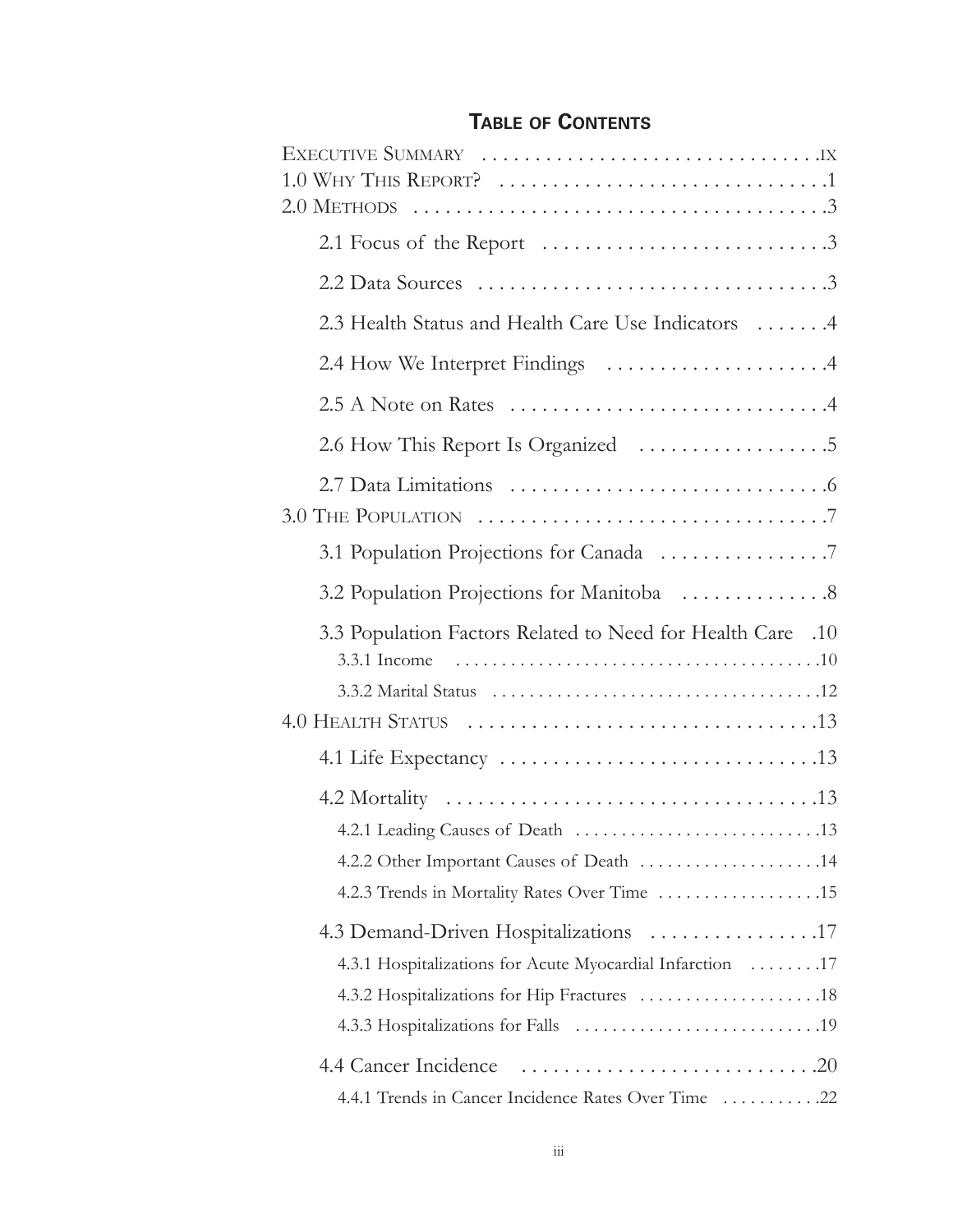## **TABLE OF CONTENTS**

| $2.0$ METHODS $\dots\dots\dots\dots\dots\dots\dots\dots\dots\dots\dots\dots\dots$                              |
|----------------------------------------------------------------------------------------------------------------|
|                                                                                                                |
|                                                                                                                |
| 2.3 Health Status and Health Care Use Indicators 4                                                             |
| 2.4 How We Interpret Findings 4                                                                                |
|                                                                                                                |
|                                                                                                                |
| $3.0$ THE POPULATION $\ldots \ldots \ldots \ldots \ldots \ldots \ldots \ldots \ldots \ldots$                   |
|                                                                                                                |
| 3.2 Population Projections for Manitoba  8                                                                     |
| 3.3 Population Factors Related to Need for Health Care .10                                                     |
| 4.0 HEALTH STATUS $\ldots \ldots \ldots \ldots \ldots \ldots \ldots \ldots \ldots \ldots \ldots \ldots \ldots$ |
|                                                                                                                |
|                                                                                                                |
| 4.2.2 Other Important Causes of Death 14                                                                       |
|                                                                                                                |
| 4.3 Demand-Driven Hospitalizations 17                                                                          |
| 4.3.1 Hospitalizations for Acute Myocardial Infarction 17                                                      |
| 4.4 Cancer Incidence                                                                                           |
| 4.4.1 Trends in Cancer Incidence Rates Over Time 22                                                            |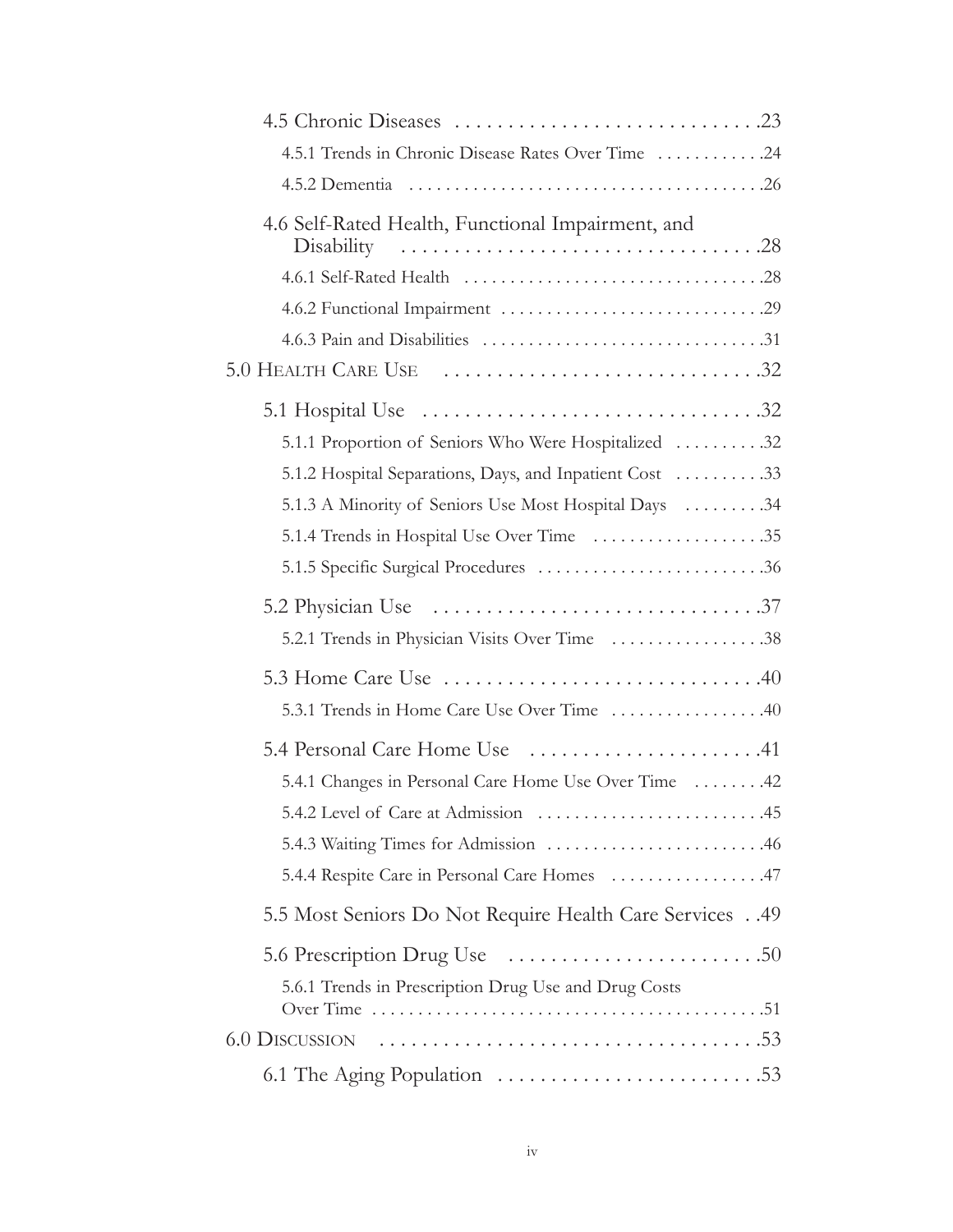| 4.5.1 Trends in Chronic Disease Rates Over Time 24                                                          |  |  |
|-------------------------------------------------------------------------------------------------------------|--|--|
|                                                                                                             |  |  |
| 4.6 Self-Rated Health, Functional Impairment, and<br>Disability                                             |  |  |
|                                                                                                             |  |  |
|                                                                                                             |  |  |
|                                                                                                             |  |  |
|                                                                                                             |  |  |
|                                                                                                             |  |  |
| 5.1.1 Proportion of Seniors Who Were Hospitalized 32                                                        |  |  |
| 5.1.2 Hospital Separations, Days, and Inpatient Cost 33                                                     |  |  |
| 5.1.3 A Minority of Seniors Use Most Hospital Days 34                                                       |  |  |
|                                                                                                             |  |  |
|                                                                                                             |  |  |
|                                                                                                             |  |  |
| 5.2.1 Trends in Physician Visits Over Time 38                                                               |  |  |
|                                                                                                             |  |  |
| 5.3.1 Trends in Home Care Use Over Time 40                                                                  |  |  |
| 5.4 Personal Care Home Use 41                                                                               |  |  |
| 5.4.1 Changes in Personal Care Home Use Over Time  42                                                       |  |  |
|                                                                                                             |  |  |
|                                                                                                             |  |  |
|                                                                                                             |  |  |
| 5.5 Most Seniors Do Not Require Health Care Services49                                                      |  |  |
|                                                                                                             |  |  |
| 5.6.1 Trends in Prescription Drug Use and Drug Costs                                                        |  |  |
| 6.0 DISCUSSION $\ldots \ldots \ldots \ldots \ldots \ldots \ldots \ldots \ldots \ldots \ldots \ldots \ldots$ |  |  |
|                                                                                                             |  |  |
|                                                                                                             |  |  |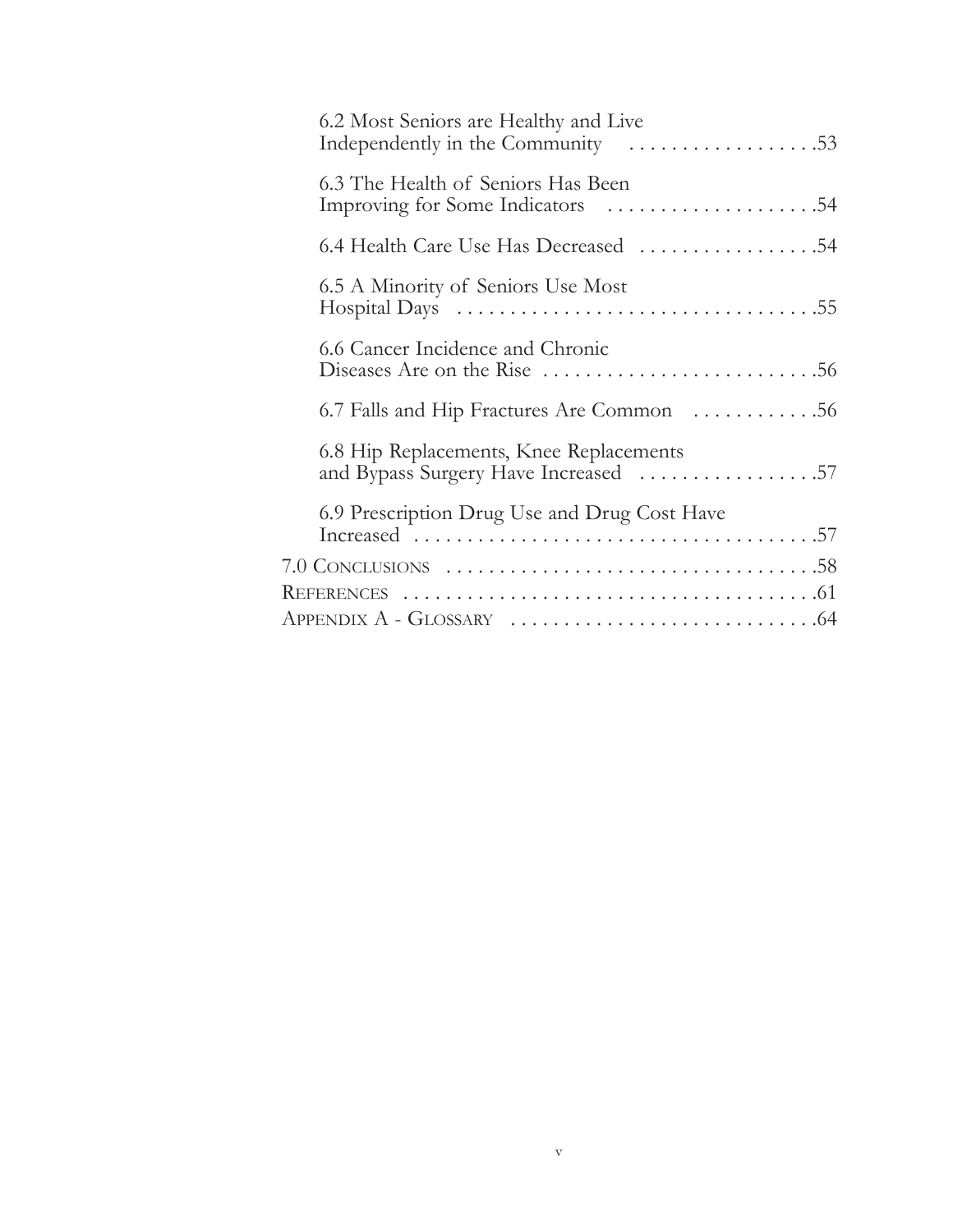|  | 6.2 Most Seniors are Healthy and Live<br>Independently in the Community 53                          |  |
|--|-----------------------------------------------------------------------------------------------------|--|
|  | 6.3 The Health of Seniors Has Been<br>Improving for Some Indicators 54                              |  |
|  | 6.4 Health Care Use Has Decreased 54                                                                |  |
|  | 6.5 A Minority of Seniors Use Most                                                                  |  |
|  | 6.6 Cancer Incidence and Chronic                                                                    |  |
|  | 6.7 Falls and Hip Fractures Are Common 56                                                           |  |
|  | 6.8 Hip Replacements, Knee Replacements<br>and Bypass Surgery Have Increased 57                     |  |
|  | 6.9 Prescription Drug Use and Drug Cost Have                                                        |  |
|  | $7.0$ Conclusions $\ldots \ldots \ldots \ldots \ldots \ldots \ldots \ldots \ldots \ldots \ldots 58$ |  |
|  |                                                                                                     |  |
|  |                                                                                                     |  |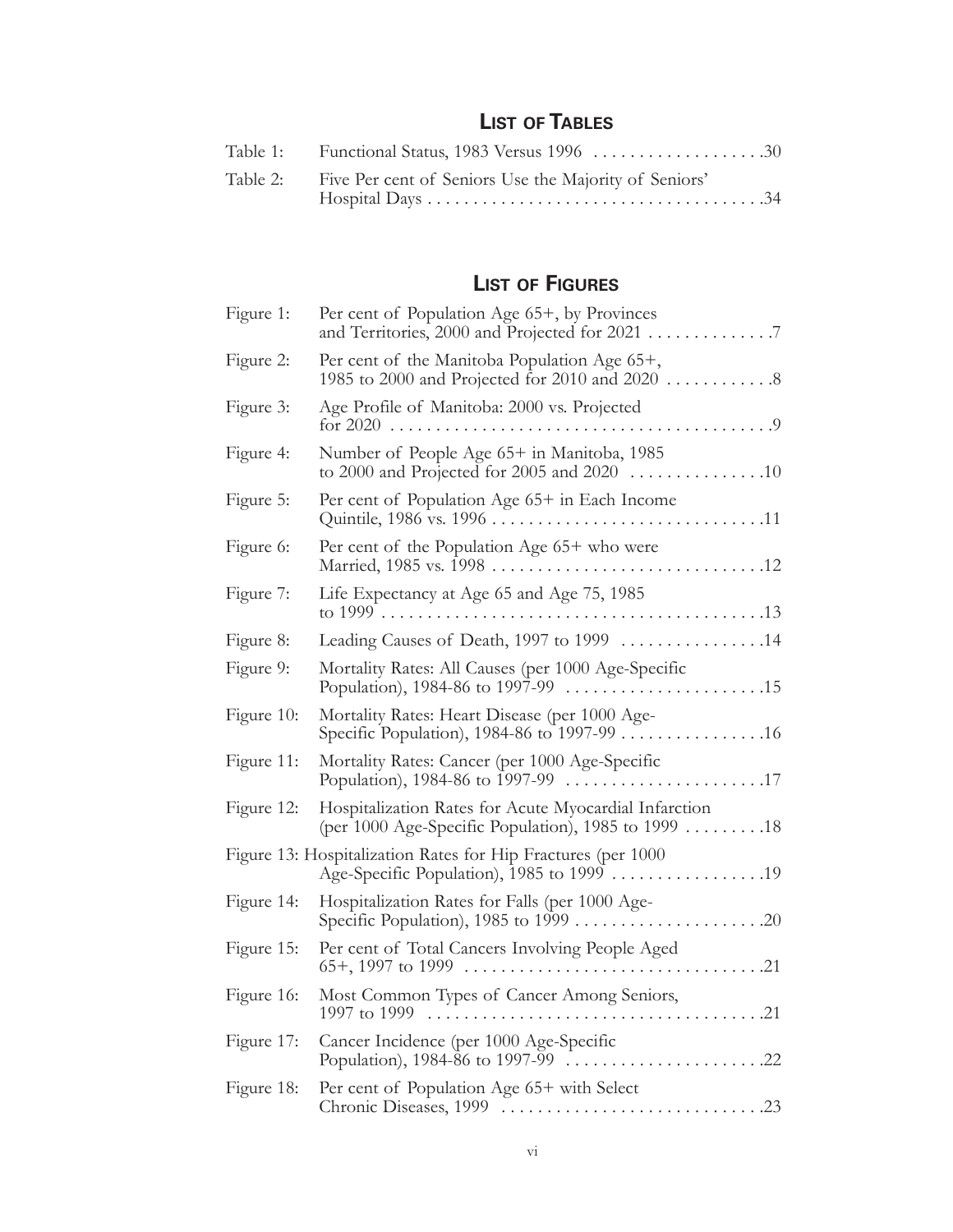# **LIST OF TABLES**

| Table 1: Functional Status, 1983 Versus 1996 30                |
|----------------------------------------------------------------|
| Table 2: Five Per cent of Seniors Use the Majority of Seniors' |
|                                                                |

#### **LIST OF FIGURES**

| Figure 1:  | Per cent of Population Age 65+, by Provinces                                                                                                   |
|------------|------------------------------------------------------------------------------------------------------------------------------------------------|
| Figure 2:  | Per cent of the Manitoba Population Age 65+,                                                                                                   |
| Figure 3:  | Age Profile of Manitoba: 2000 vs. Projected<br>. 9                                                                                             |
| Figure 4:  | Number of People Age 65+ in Manitoba, 1985                                                                                                     |
| Figure 5:  | Per cent of Population Age 65+ in Each Income                                                                                                  |
| Figure 6:  | Per cent of the Population Age 65+ who were                                                                                                    |
| Figure 7:  | Life Expectancy at Age 65 and Age 75, 1985                                                                                                     |
| Figure 8:  | Leading Causes of Death, 1997 to 1999 14                                                                                                       |
| Figure 9:  | Mortality Rates: All Causes (per 1000 Age-Specific                                                                                             |
| Figure 10: | Mortality Rates: Heart Disease (per 1000 Age-<br>Specific Population), 1984-86 to 1997-99 16                                                   |
| Figure 11: | Mortality Rates: Cancer (per 1000 Age-Specific<br>Population), 1984-86 to 1997-99 17                                                           |
| Figure 12: | Hospitalization Rates for Acute Myocardial Infarction<br>(per 1000 Age-Specific Population), 1985 to 1999 18                                   |
|            | Figure 13: Hospitalization Rates for Hip Fractures (per 1000<br>Age-Specific Population), 1985 to 1999 19                                      |
| Figure 14: | Hospitalization Rates for Falls (per 1000 Age-<br>Specific Population), 1985 to 1999 $\ldots \ldots \ldots \ldots \ldots \ldots \ldots \ldots$ |
| Figure 15: | Per cent of Total Cancers Involving People Aged                                                                                                |
| Figure 16: | Most Common Types of Cancer Among Seniors,                                                                                                     |
| Figure 17: | Cancer Incidence (per 1000 Age-Specific                                                                                                        |
| Figure 18: | Per cent of Population Age 65+ with Select                                                                                                     |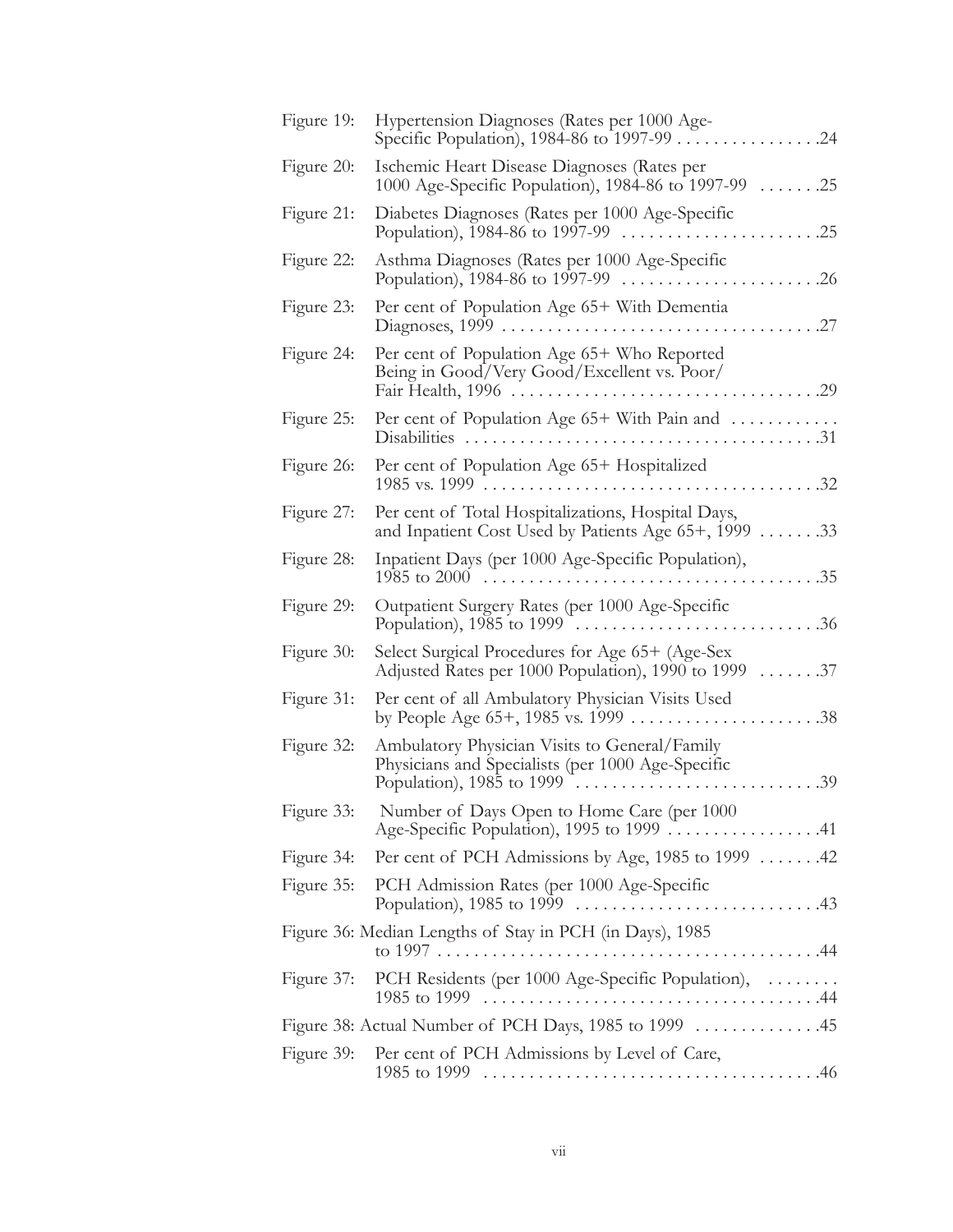| Figure 19: | Hypertension Diagnoses (Rates per 1000 Age-<br>Specific Population), 1984-86 to 1997-99<br>.24                                                           |
|------------|----------------------------------------------------------------------------------------------------------------------------------------------------------|
| Figure 20: | Ischemic Heart Disease Diagnoses (Rates per<br>1000 Age-Specific Population), 1984-86 to 1997-99<br>.25                                                  |
| Figure 21: | Diabetes Diagnoses (Rates per 1000 Age-Specific<br>Population), 1984-86 to 1997-99<br>.25<br>.                                                           |
| Figure 22: | Asthma Diagnoses (Rates per 1000 Age-Specific<br>.26<br>Population), 1984-86 to 1997-99                                                                  |
| Figure 23: | Per cent of Population Age 65+ With Dementia<br>.27                                                                                                      |
| Figure 24: | Per cent of Population Age 65+ Who Reported<br>Being in Good/Very Good/Excellent vs. Poor/<br>.29                                                        |
| Figure 25: | Per cent of Population Age 65+ With Pain and<br>Disabilities<br>. 31                                                                                     |
| Figure 26: | Per cent of Population Age 65+ Hospitalized<br>.32                                                                                                       |
| Figure 27: | Per cent of Total Hospitalizations, Hospital Days,<br>and Inpatient Cost Used by Patients Age 65+, 1999<br>.33                                           |
| Figure 28: | Inpatient Days (per 1000 Age-Specific Population),<br>.35<br>1985 to 2000 $\ldots \ldots \ldots \ldots \ldots \ldots \ldots \ldots \ldots \ldots \ldots$ |
| Figure 29: | Outpatient Surgery Rates (per 1000 Age-Specific<br>Population), $1985$ to $1999$<br>.36                                                                  |
| Figure 30: | Select Surgical Procedures for Age 65+ (Age-Sex<br>Adjusted Rates per 1000 Population), 1990 to 1999<br>.37                                              |
| Figure 31: | Per cent of all Ambulatory Physician Visits Used<br>.38                                                                                                  |
| Figure 32: | Ambulatory Physician Visits to General/Family<br>Physicians and Specialists (per 1000 Age-Specific<br>.39                                                |
| Figure 33: | Number of Days Open to Home Care (per 1000<br>Age-Specific Population), 1995 to 1999 41                                                                  |
| Figure 34: | Per cent of PCH Admissions by Age, 1985 to 1999 42                                                                                                       |
| Figure 35: | PCH Admission Rates (per 1000 Age-Specific                                                                                                               |
|            | Figure 36: Median Lengths of Stay in PCH (in Days), 1985                                                                                                 |
| Figure 37: | PCH Residents (per 1000 Age-Specific Population),                                                                                                        |
|            | Figure 38: Actual Number of PCH Days, 1985 to 1999  45                                                                                                   |
| Figure 39: | Per cent of PCH Admissions by Level of Care,                                                                                                             |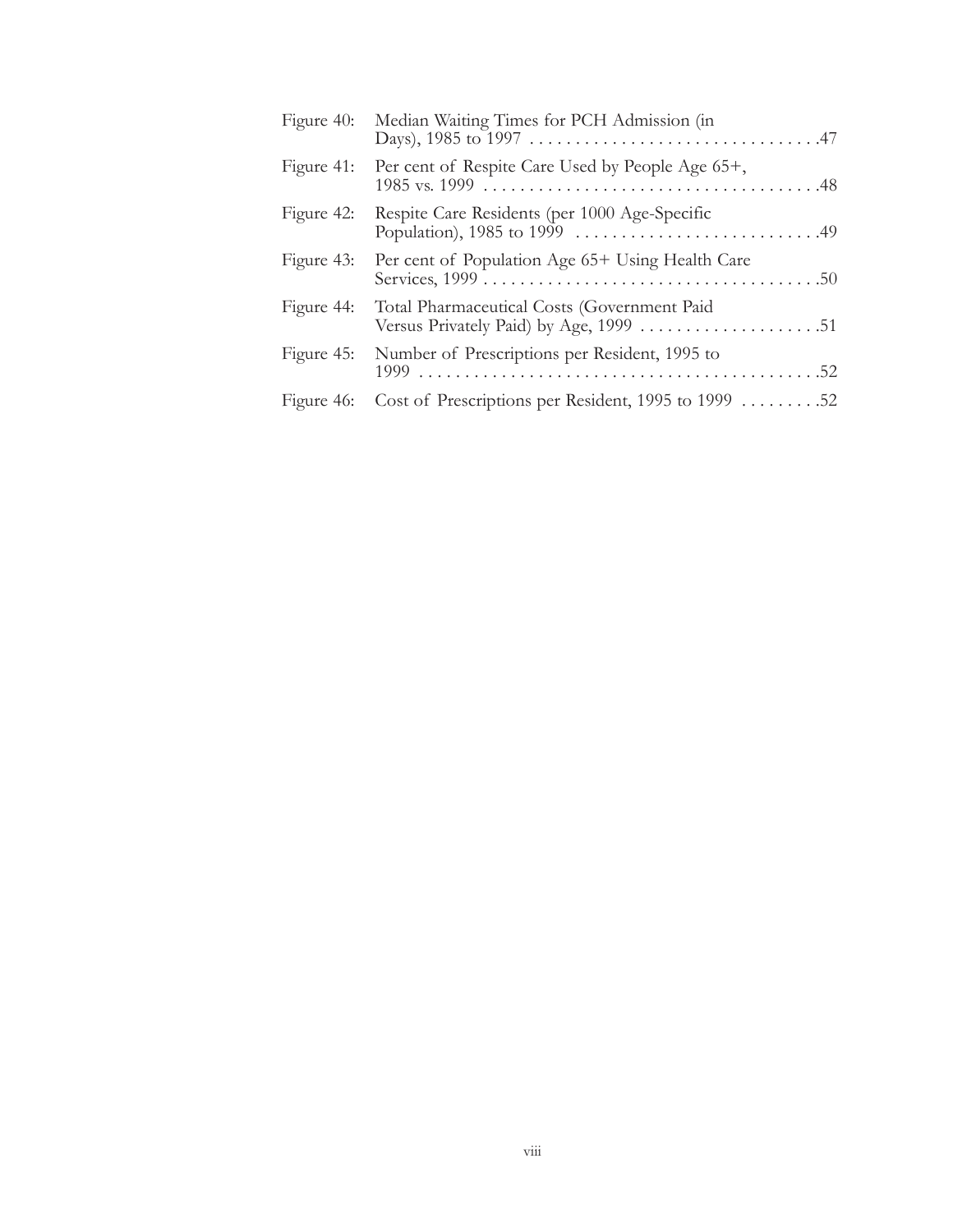| Figure 40: | Median Waiting Times for PCH Admission (in                       |
|------------|------------------------------------------------------------------|
| Figure 41: | Per cent of Respite Care Used by People Age 65+,                 |
| Figure 42: | Respite Care Residents (per 1000 Age-Specific                    |
| Figure 43: | Per cent of Population Age 65+ Using Health Care                 |
| Figure 44: | Total Pharmaceutical Costs (Government Paid                      |
|            | Figure 45: Number of Prescriptions per Resident, 1995 to<br>1999 |
|            | Figure 46: Cost of Prescriptions per Resident, 1995 to 1999 52   |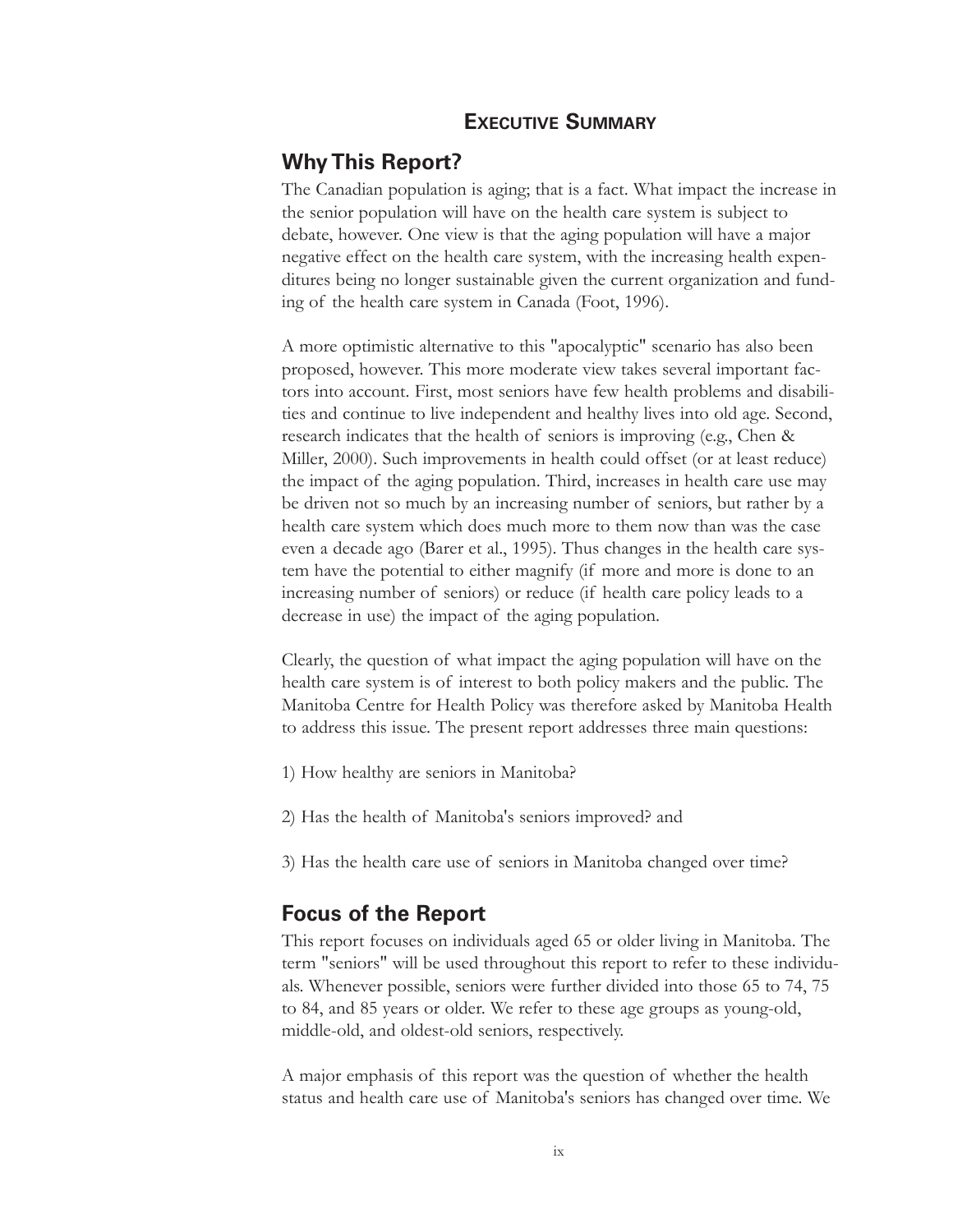### **EXECUTIVE SUMMARY**

### **Why This Report?**

The Canadian population is aging; that is a fact. What impact the increase in the senior population will have on the health care system is subject to debate, however. One view is that the aging population will have a major negative effect on the health care system, with the increasing health expenditures being no longer sustainable given the current organization and funding of the health care system in Canada (Foot, 1996).

A more optimistic alternative to this "apocalyptic" scenario has also been proposed, however. This more moderate view takes several important factors into account. First, most seniors have few health problems and disabilities and continue to live independent and healthy lives into old age. Second, research indicates that the health of seniors is improving (e.g., Chen & Miller, 2000). Such improvements in health could offset (or at least reduce) the impact of the aging population. Third, increases in health care use may be driven not so much by an increasing number of seniors, but rather by a health care system which does much more to them now than was the case even a decade ago (Barer et al., 1995). Thus changes in the health care system have the potential to either magnify (if more and more is done to an increasing number of seniors) or reduce (if health care policy leads to a decrease in use) the impact of the aging population.

Clearly, the question of what impact the aging population will have on the health care system is of interest to both policy makers and the public. The Manitoba Centre for Health Policy was therefore asked by Manitoba Health to address this issue. The present report addresses three main questions:

- 1) How healthy are seniors in Manitoba?
- 2) Has the health of Manitoba's seniors improved? and

3) Has the health care use of seniors in Manitoba changed over time?

#### **Focus of the Report**

This report focuses on individuals aged 65 or older living in Manitoba. The term "seniors" will be used throughout this report to refer to these individuals. Whenever possible, seniors were further divided into those 65 to 74, 75 to 84, and 85 years or older. We refer to these age groups as young-old, middle-old, and oldest-old seniors, respectively.

A major emphasis of this report was the question of whether the health status and health care use of Manitoba's seniors has changed over time. We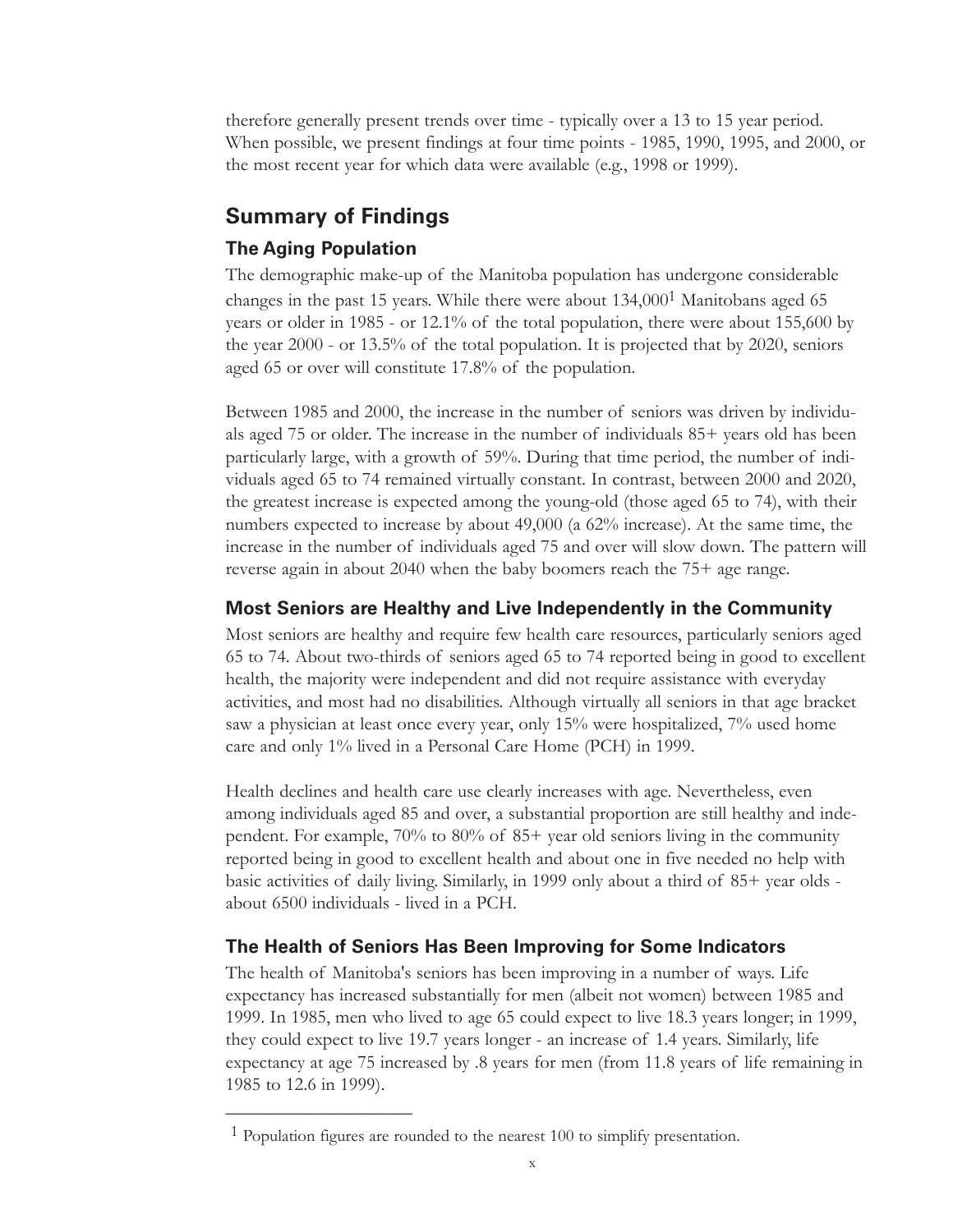therefore generally present trends over time - typically over a 13 to 15 year period. When possible, we present findings at four time points - 1985, 1990, 1995, and 2000, or the most recent year for which data were available (e.g., 1998 or 1999).

## **Summary of Findings**

## **The Aging Population**

The demographic make-up of the Manitoba population has undergone considerable changes in the past 15 years. While there were about  $134,000<sup>1</sup>$  Manitobans aged 65 years or older in 1985 - or 12.1% of the total population, there were about 155,600 by the year 2000 - or 13.5% of the total population. It is projected that by 2020, seniors aged 65 or over will constitute 17.8% of the population.

Between 1985 and 2000, the increase in the number of seniors was driven by individuals aged 75 or older. The increase in the number of individuals 85+ years old has been particularly large, with a growth of 59%. During that time period, the number of individuals aged 65 to 74 remained virtually constant. In contrast, between 2000 and 2020, the greatest increase is expected among the young-old (those aged 65 to 74), with their numbers expected to increase by about 49,000 (a 62% increase). At the same time, the increase in the number of individuals aged 75 and over will slow down. The pattern will reverse again in about 2040 when the baby boomers reach the 75+ age range.

### **Most Seniors are Healthy and Live Independently in the Community**

Most seniors are healthy and require few health care resources, particularly seniors aged 65 to 74. About two-thirds of seniors aged 65 to 74 reported being in good to excellent health, the majority were independent and did not require assistance with everyday activities, and most had no disabilities. Although virtually all seniors in that age bracket saw a physician at least once every year, only 15% were hospitalized, 7% used home care and only 1% lived in a Personal Care Home (PCH) in 1999.

Health declines and health care use clearly increases with age. Nevertheless, even among individuals aged 85 and over, a substantial proportion are still healthy and independent. For example, 70% to 80% of 85+ year old seniors living in the community reported being in good to excellent health and about one in five needed no help with basic activities of daily living. Similarly, in 1999 only about a third of 85+ year olds about 6500 individuals - lived in a PCH.

### **The Health of Seniors Has Been Improving for Some Indicators**

The health of Manitoba's seniors has been improving in a number of ways. Life expectancy has increased substantially for men (albeit not women) between 1985 and 1999. In 1985, men who lived to age 65 could expect to live 18.3 years longer; in 1999, they could expect to live 19.7 years longer - an increase of 1.4 years. Similarly, life expectancy at age 75 increased by .8 years for men (from 11.8 years of life remaining in 1985 to 12.6 in 1999).

\_\_\_\_\_\_\_\_\_\_\_\_\_\_\_\_\_\_\_\_

<sup>&</sup>lt;sup>1</sup> Population figures are rounded to the nearest 100 to simplify presentation.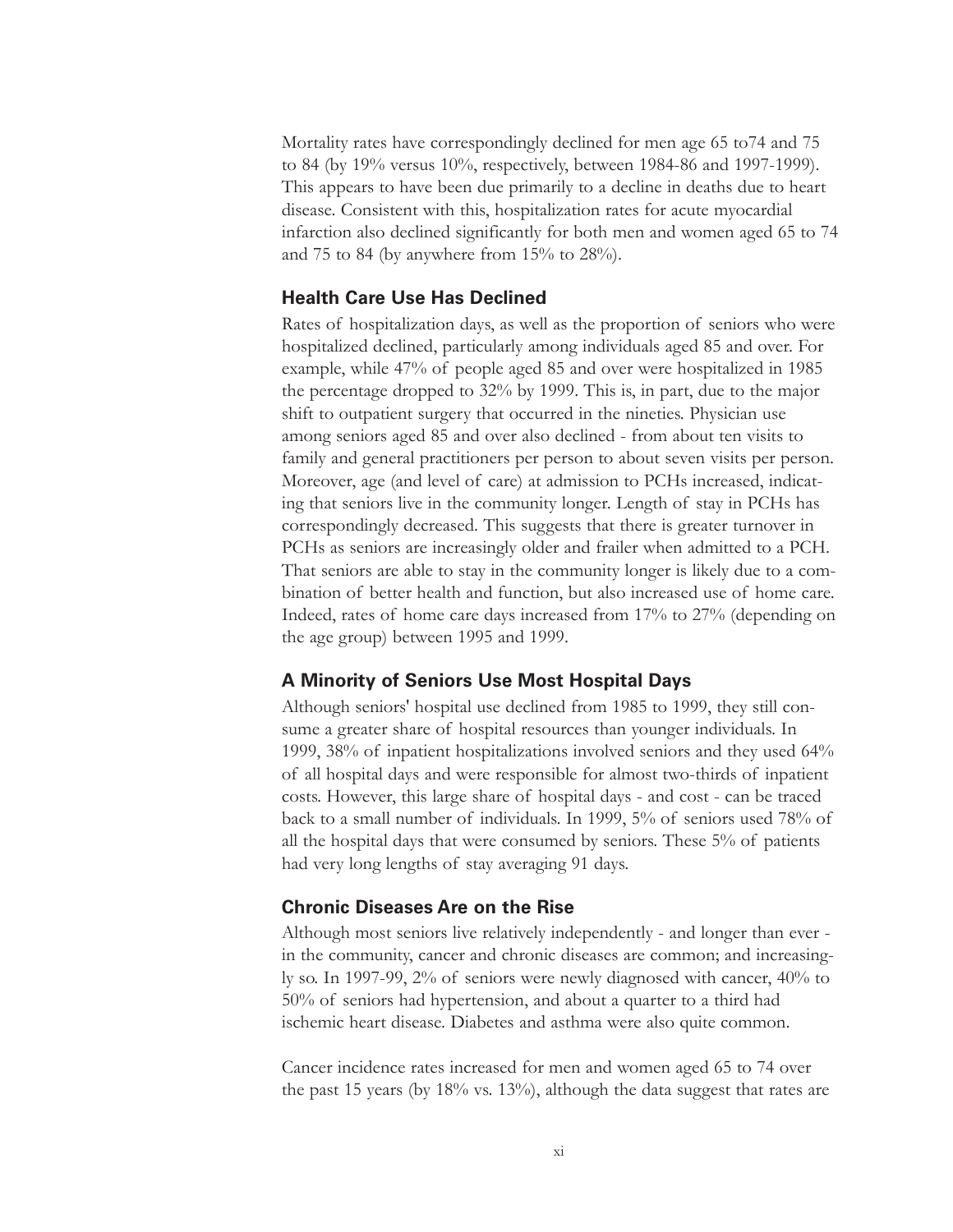Mortality rates have correspondingly declined for men age 65 to74 and 75 to 84 (by 19% versus 10%, respectively, between 1984-86 and 1997-1999). This appears to have been due primarily to a decline in deaths due to heart disease. Consistent with this, hospitalization rates for acute myocardial infarction also declined significantly for both men and women aged 65 to 74 and 75 to 84 (by anywhere from 15% to 28%).

#### **Health Care Use Has Declined**

Rates of hospitalization days, as well as the proportion of seniors who were hospitalized declined, particularly among individuals aged 85 and over. For example, while 47% of people aged 85 and over were hospitalized in 1985 the percentage dropped to 32% by 1999. This is, in part, due to the major shift to outpatient surgery that occurred in the nineties. Physician use among seniors aged 85 and over also declined - from about ten visits to family and general practitioners per person to about seven visits per person. Moreover, age (and level of care) at admission to PCHs increased, indicating that seniors live in the community longer. Length of stay in PCHs has correspondingly decreased. This suggests that there is greater turnover in PCHs as seniors are increasingly older and frailer when admitted to a PCH. That seniors are able to stay in the community longer is likely due to a combination of better health and function, but also increased use of home care. Indeed, rates of home care days increased from 17% to 27% (depending on the age group) between 1995 and 1999.

#### **A Minority of Seniors Use Most Hospital Days**

Although seniors' hospital use declined from 1985 to 1999, they still consume a greater share of hospital resources than younger individuals. In 1999, 38% of inpatient hospitalizations involved seniors and they used 64% of all hospital days and were responsible for almost two-thirds of inpatient costs. However, this large share of hospital days - and cost - can be traced back to a small number of individuals. In 1999, 5% of seniors used 78% of all the hospital days that were consumed by seniors. These 5% of patients had very long lengths of stay averaging 91 days.

#### **Chronic Diseases Are on the Rise**

Although most seniors live relatively independently - and longer than ever in the community, cancer and chronic diseases are common; and increasingly so. In 1997-99, 2% of seniors were newly diagnosed with cancer, 40% to 50% of seniors had hypertension, and about a quarter to a third had ischemic heart disease. Diabetes and asthma were also quite common.

Cancer incidence rates increased for men and women aged 65 to 74 over the past 15 years (by  $18\%$  vs.  $13\%$ ), although the data suggest that rates are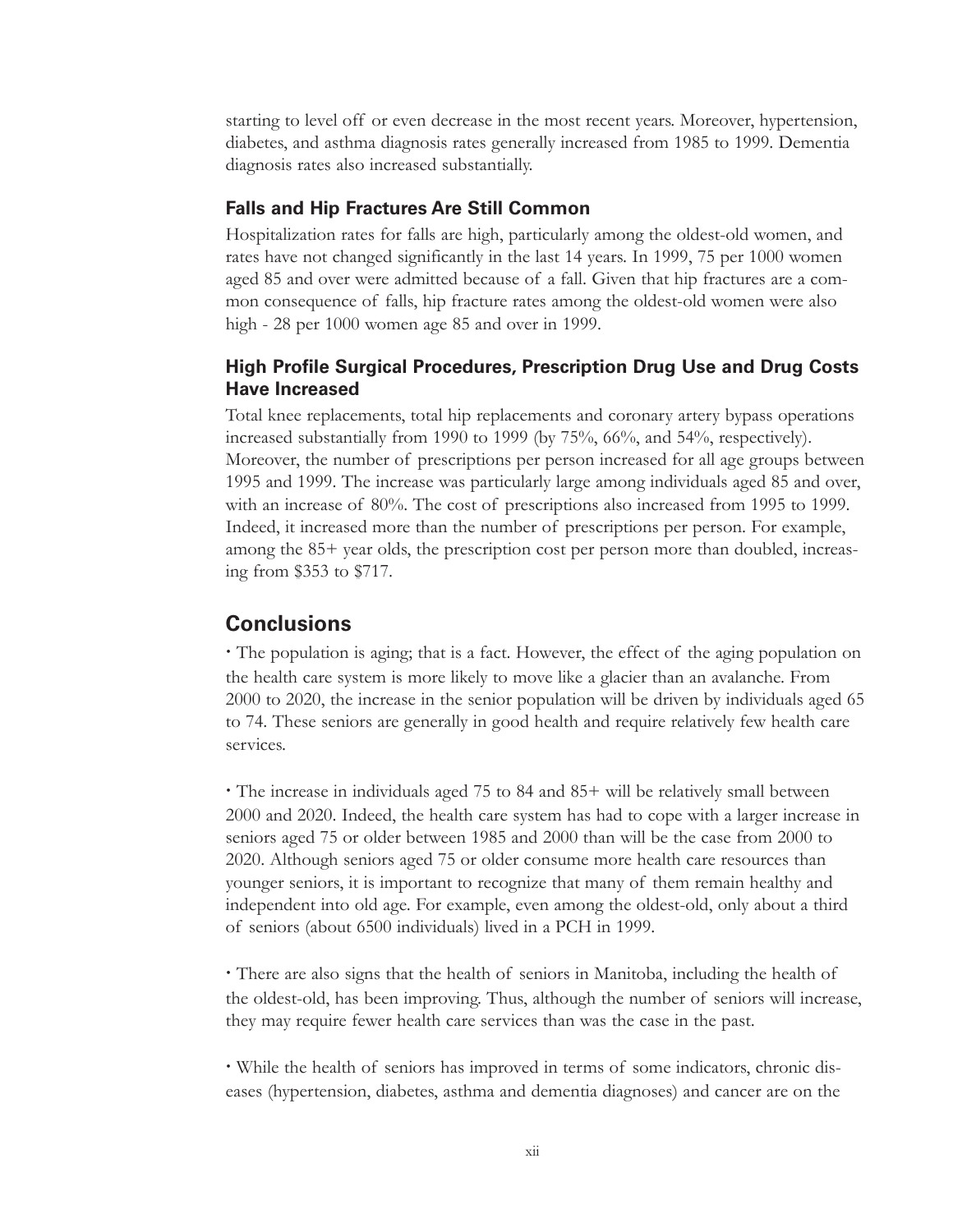starting to level off or even decrease in the most recent years. Moreover, hypertension, diabetes, and asthma diagnosis rates generally increased from 1985 to 1999. Dementia diagnosis rates also increased substantially.

#### **Falls and Hip Fractures Are Still Common**

Hospitalization rates for falls are high, particularly among the oldest-old women, and rates have not changed significantly in the last 14 years. In 1999, 75 per 1000 women aged 85 and over were admitted because of a fall. Given that hip fractures are a common consequence of falls, hip fracture rates among the oldest-old women were also high - 28 per 1000 women age 85 and over in 1999.

#### **High Profile Surgical Procedures, Prescription Drug Use and Drug Costs Have Increased**

Total knee replacements, total hip replacements and coronary artery bypass operations increased substantially from 1990 to 1999 (by 75%, 66%, and 54%, respectively). Moreover, the number of prescriptions per person increased for all age groups between 1995 and 1999. The increase was particularly large among individuals aged 85 and over, with an increase of 80%. The cost of prescriptions also increased from 1995 to 1999. Indeed, it increased more than the number of prescriptions per person. For example, among the 85+ year olds, the prescription cost per person more than doubled, increasing from \$353 to \$717.

### **Conclusions**

**·** The population is aging; that is a fact. However, the effect of the aging population on the health care system is more likely to move like a glacier than an avalanche. From 2000 to 2020, the increase in the senior population will be driven by individuals aged 65 to 74. These seniors are generally in good health and require relatively few health care services.

**·** The increase in individuals aged 75 to 84 and 85+ will be relatively small between 2000 and 2020. Indeed, the health care system has had to cope with a larger increase in seniors aged 75 or older between 1985 and 2000 than will be the case from 2000 to 2020. Although seniors aged 75 or older consume more health care resources than younger seniors, it is important to recognize that many of them remain healthy and independent into old age. For example, even among the oldest-old, only about a third of seniors (about 6500 individuals) lived in a PCH in 1999.

**·** There are also signs that the health of seniors in Manitoba, including the health of the oldest-old, has been improving. Thus, although the number of seniors will increase, they may require fewer health care services than was the case in the past.

**·** While the health of seniors has improved in terms of some indicators, chronic diseases (hypertension, diabetes, asthma and dementia diagnoses) and cancer are on the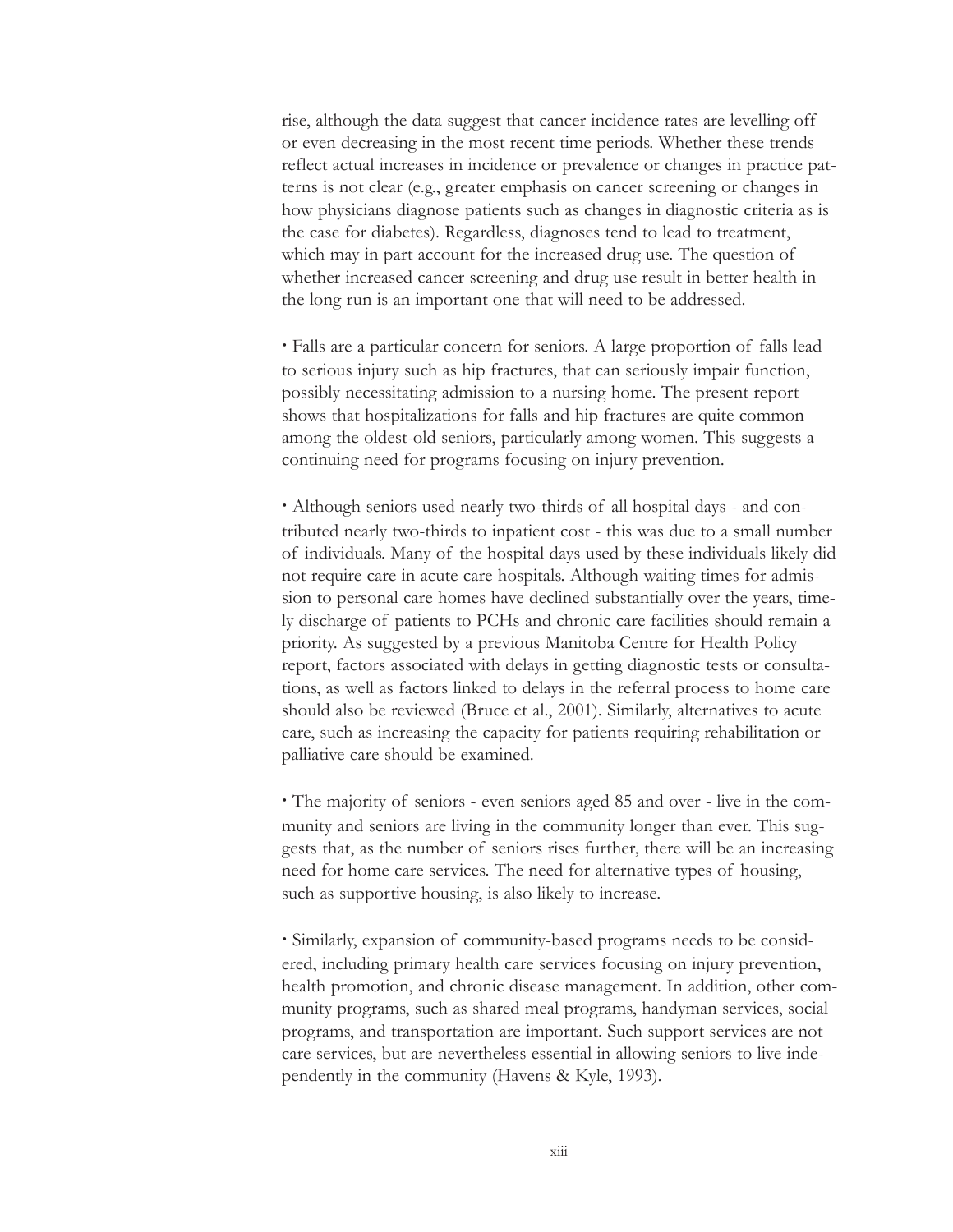rise, although the data suggest that cancer incidence rates are levelling off or even decreasing in the most recent time periods. Whether these trends reflect actual increases in incidence or prevalence or changes in practice patterns is not clear (e.g., greater emphasis on cancer screening or changes in how physicians diagnose patients such as changes in diagnostic criteria as is the case for diabetes). Regardless, diagnoses tend to lead to treatment, which may in part account for the increased drug use. The question of whether increased cancer screening and drug use result in better health in the long run is an important one that will need to be addressed.

**·** Falls are a particular concern for seniors. A large proportion of falls lead to serious injury such as hip fractures, that can seriously impair function, possibly necessitating admission to a nursing home. The present report shows that hospitalizations for falls and hip fractures are quite common among the oldest-old seniors, particularly among women. This suggests a continuing need for programs focusing on injury prevention.

**·** Although seniors used nearly two-thirds of all hospital days - and contributed nearly two-thirds to inpatient cost - this was due to a small number of individuals. Many of the hospital days used by these individuals likely did not require care in acute care hospitals. Although waiting times for admission to personal care homes have declined substantially over the years, timely discharge of patients to PCHs and chronic care facilities should remain a priority. As suggested by a previous Manitoba Centre for Health Policy report, factors associated with delays in getting diagnostic tests or consultations, as well as factors linked to delays in the referral process to home care should also be reviewed (Bruce et al., 2001). Similarly, alternatives to acute care, such as increasing the capacity for patients requiring rehabilitation or palliative care should be examined.

**·** The majority of seniors - even seniors aged 85 and over - live in the community and seniors are living in the community longer than ever. This suggests that, as the number of seniors rises further, there will be an increasing need for home care services. The need for alternative types of housing, such as supportive housing, is also likely to increase.

**·** Similarly, expansion of community-based programs needs to be considered, including primary health care services focusing on injury prevention, health promotion, and chronic disease management. In addition, other community programs, such as shared meal programs, handyman services, social programs, and transportation are important. Such support services are not care services, but are nevertheless essential in allowing seniors to live independently in the community (Havens & Kyle, 1993).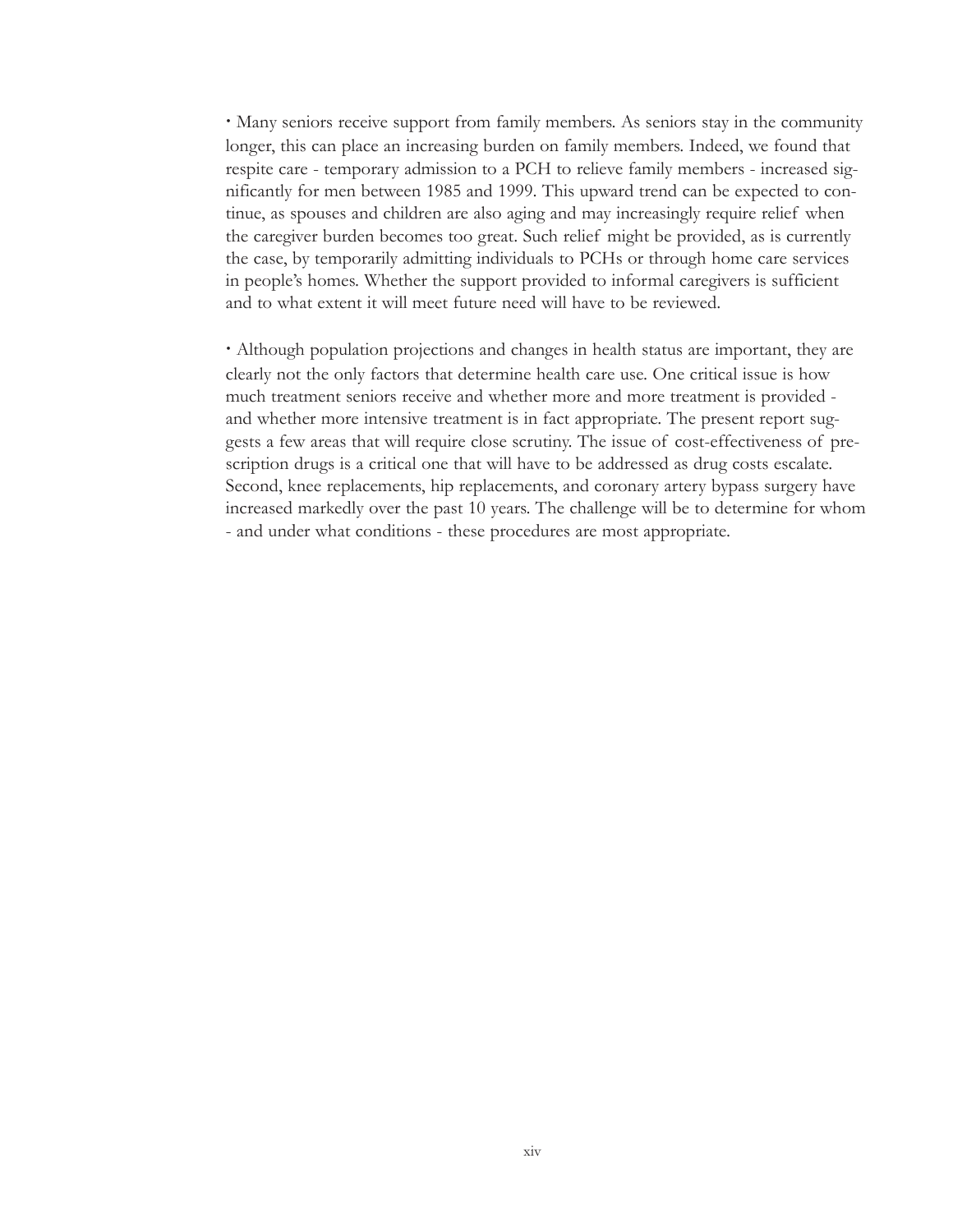**·** Many seniors receive support from family members. As seniors stay in the community longer, this can place an increasing burden on family members. Indeed, we found that respite care - temporary admission to a PCH to relieve family members - increased significantly for men between 1985 and 1999. This upward trend can be expected to continue, as spouses and children are also aging and may increasingly require relief when the caregiver burden becomes too great. Such relief might be provided, as is currently the case, by temporarily admitting individuals to PCHs or through home care services in people's homes. Whether the support provided to informal caregivers is sufficient and to what extent it will meet future need will have to be reviewed.

**·** Although population projections and changes in health status are important, they are clearly not the only factors that determine health care use. One critical issue is how much treatment seniors receive and whether more and more treatment is provided and whether more intensive treatment is in fact appropriate. The present report suggests a few areas that will require close scrutiny. The issue of cost-effectiveness of prescription drugs is a critical one that will have to be addressed as drug costs escalate. Second, knee replacements, hip replacements, and coronary artery bypass surgery have increased markedly over the past 10 years. The challenge will be to determine for whom - and under what conditions - these procedures are most appropriate.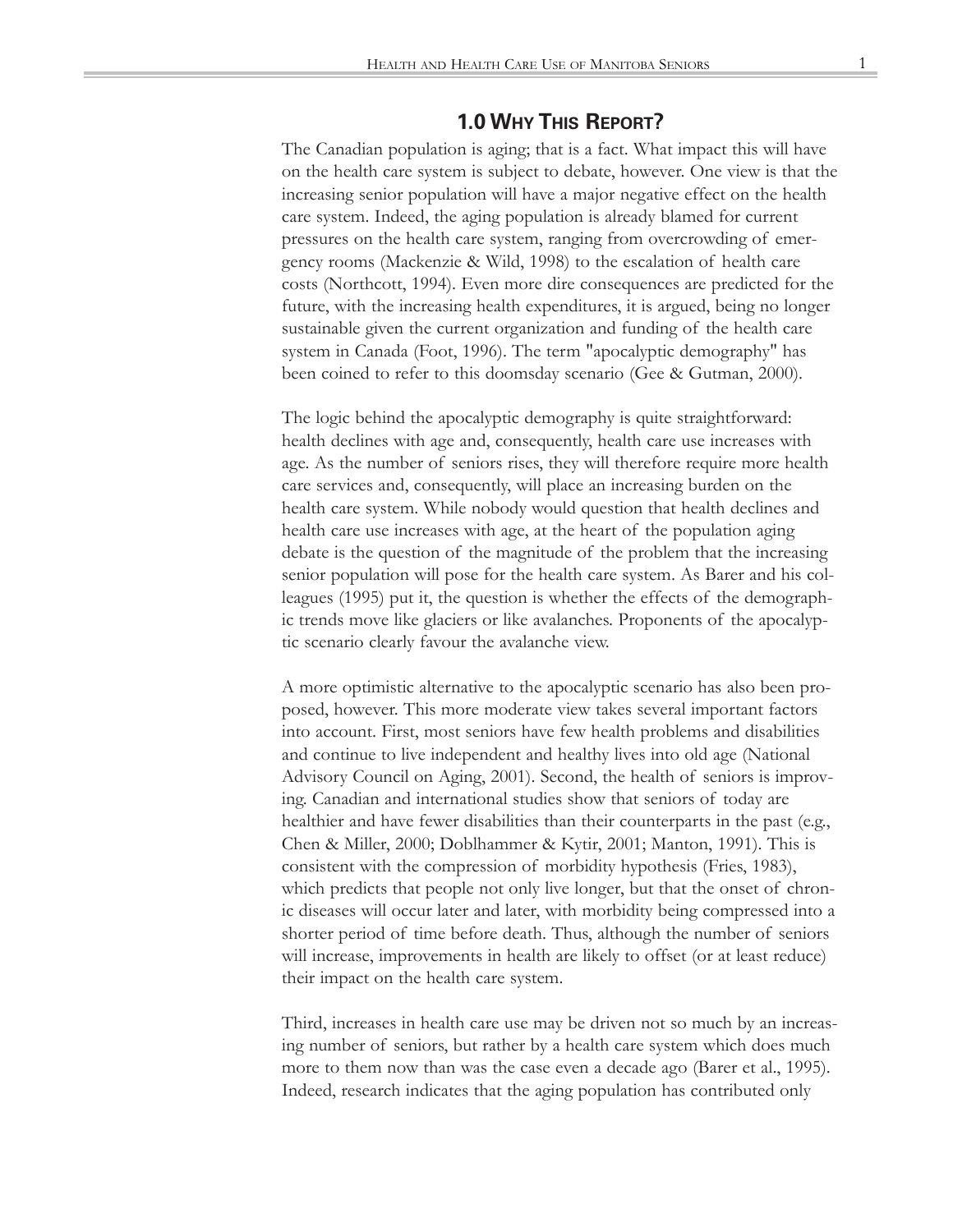The Canadian population is aging; that is a fact. What impact this will have on the health care system is subject to debate, however. One view is that the increasing senior population will have a major negative effect on the health care system. Indeed, the aging population is already blamed for current pressures on the health care system, ranging from overcrowding of emergency rooms (Mackenzie & Wild, 1998) to the escalation of health care costs (Northcott, 1994). Even more dire consequences are predicted for the future, with the increasing health expenditures, it is argued, being no longer sustainable given the current organization and funding of the health care system in Canada (Foot, 1996). The term "apocalyptic demography" has been coined to refer to this doomsday scenario (Gee & Gutman, 2000).

The logic behind the apocalyptic demography is quite straightforward: health declines with age and, consequently, health care use increases with age. As the number of seniors rises, they will therefore require more health care services and, consequently, will place an increasing burden on the health care system. While nobody would question that health declines and health care use increases with age, at the heart of the population aging debate is the question of the magnitude of the problem that the increasing senior population will pose for the health care system. As Barer and his colleagues (1995) put it, the question is whether the effects of the demographic trends move like glaciers or like avalanches. Proponents of the apocalyptic scenario clearly favour the avalanche view.

A more optimistic alternative to the apocalyptic scenario has also been proposed, however. This more moderate view takes several important factors into account. First, most seniors have few health problems and disabilities and continue to live independent and healthy lives into old age (National Advisory Council on Aging, 2001). Second, the health of seniors is improving. Canadian and international studies show that seniors of today are healthier and have fewer disabilities than their counterparts in the past (e.g., Chen & Miller, 2000; Doblhammer & Kytir, 2001; Manton, 1991). This is consistent with the compression of morbidity hypothesis (Fries, 1983), which predicts that people not only live longer, but that the onset of chronic diseases will occur later and later, with morbidity being compressed into a shorter period of time before death. Thus, although the number of seniors will increase, improvements in health are likely to offset (or at least reduce) their impact on the health care system.

Third, increases in health care use may be driven not so much by an increasing number of seniors, but rather by a health care system which does much more to them now than was the case even a decade ago (Barer et al., 1995). Indeed, research indicates that the aging population has contributed only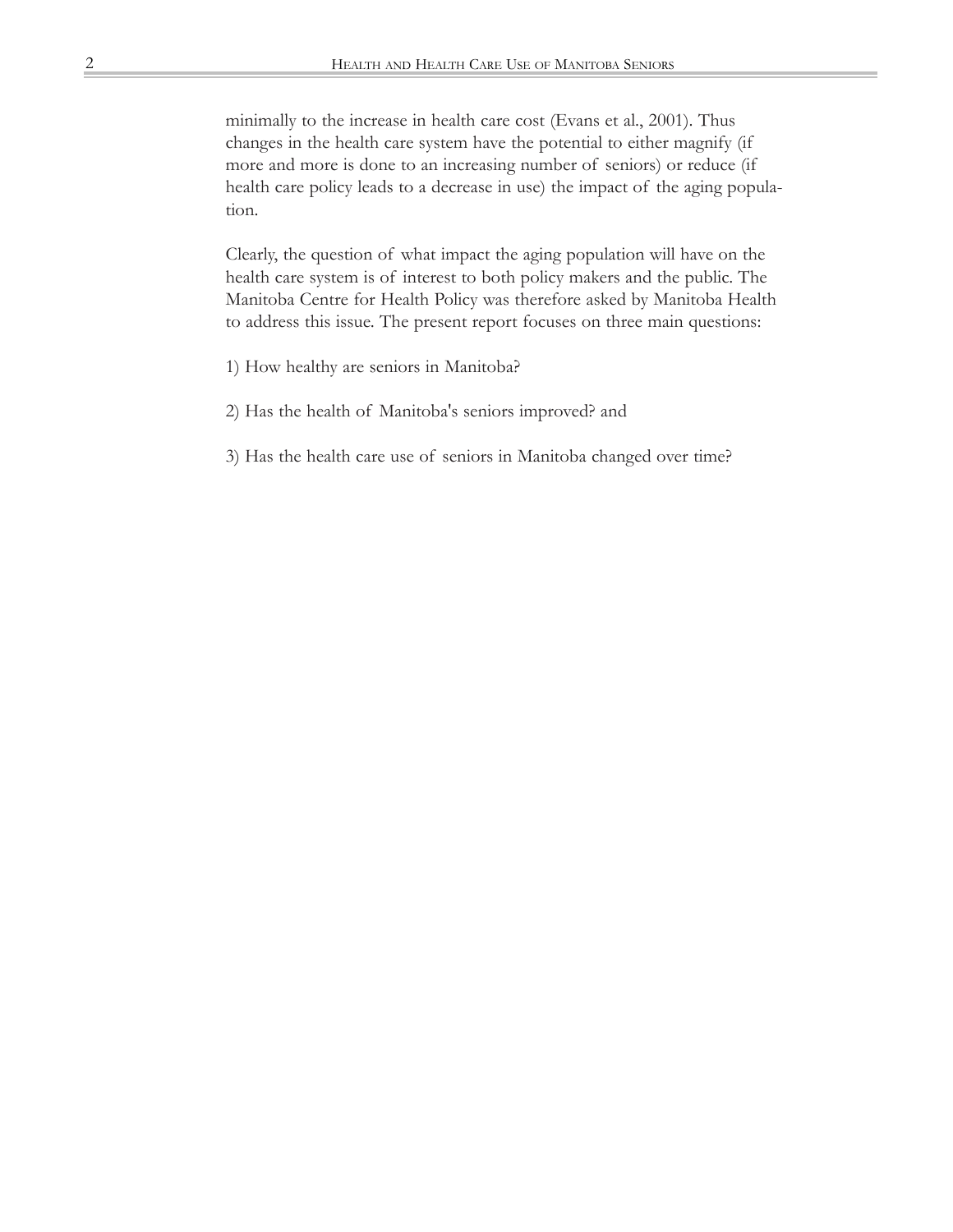minimally to the increase in health care cost (Evans et al., 2001). Thus changes in the health care system have the potential to either magnify (if more and more is done to an increasing number of seniors) or reduce (if health care policy leads to a decrease in use) the impact of the aging population.

Clearly, the question of what impact the aging population will have on the health care system is of interest to both policy makers and the public. The Manitoba Centre for Health Policy was therefore asked by Manitoba Health to address this issue. The present report focuses on three main questions:

- 1) How healthy are seniors in Manitoba?
- 2) Has the health of Manitoba's seniors improved? and
- 3) Has the health care use of seniors in Manitoba changed over time?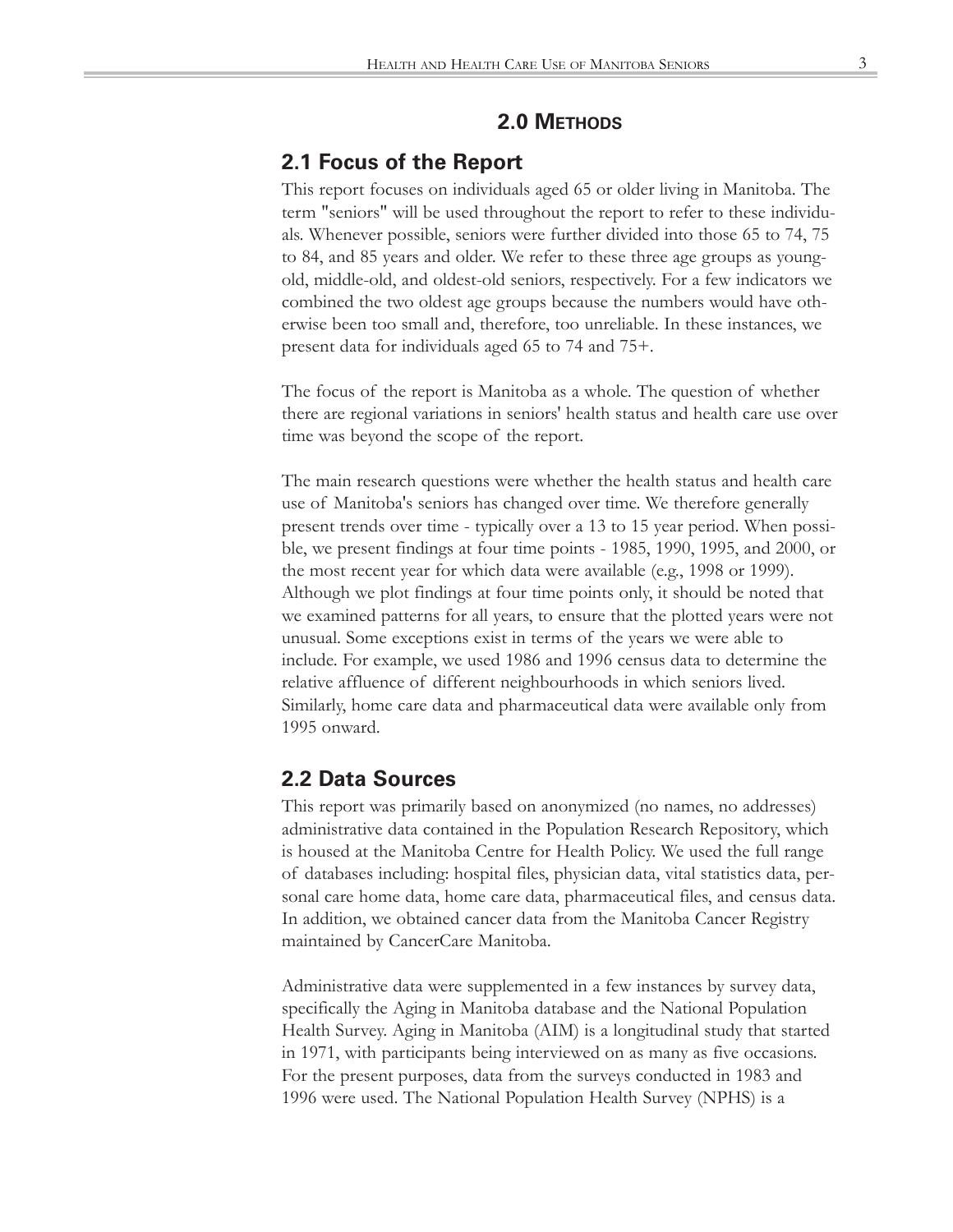### **2.1 Focus of the Report**

This report focuses on individuals aged 65 or older living in Manitoba. The term "seniors" will be used throughout the report to refer to these individuals. Whenever possible, seniors were further divided into those 65 to 74, 75 to 84, and 85 years and older. We refer to these three age groups as youngold, middle-old, and oldest-old seniors, respectively. For a few indicators we combined the two oldest age groups because the numbers would have otherwise been too small and, therefore, too unreliable. In these instances, we present data for individuals aged 65 to 74 and 75+.

The focus of the report is Manitoba as a whole. The question of whether there are regional variations in seniors' health status and health care use over time was beyond the scope of the report.

The main research questions were whether the health status and health care use of Manitoba's seniors has changed over time. We therefore generally present trends over time - typically over a 13 to 15 year period. When possible, we present findings at four time points - 1985, 1990, 1995, and 2000, or the most recent year for which data were available (e.g., 1998 or 1999). Although we plot findings at four time points only, it should be noted that we examined patterns for all years, to ensure that the plotted years were not unusual. Some exceptions exist in terms of the years we were able to include. For example, we used 1986 and 1996 census data to determine the relative affluence of different neighbourhoods in which seniors lived. Similarly, home care data and pharmaceutical data were available only from 1995 onward.

### **2.2 Data Sources**

This report was primarily based on anonymized (no names, no addresses) administrative data contained in the Population Research Repository, which is housed at the Manitoba Centre for Health Policy. We used the full range of databases including: hospital files, physician data, vital statistics data, personal care home data, home care data, pharmaceutical files, and census data. In addition, we obtained cancer data from the Manitoba Cancer Registry maintained by CancerCare Manitoba.

Administrative data were supplemented in a few instances by survey data, specifically the Aging in Manitoba database and the National Population Health Survey. Aging in Manitoba (AIM) is a longitudinal study that started in 1971, with participants being interviewed on as many as five occasions. For the present purposes, data from the surveys conducted in 1983 and 1996 were used. The National Population Health Survey (NPHS) is a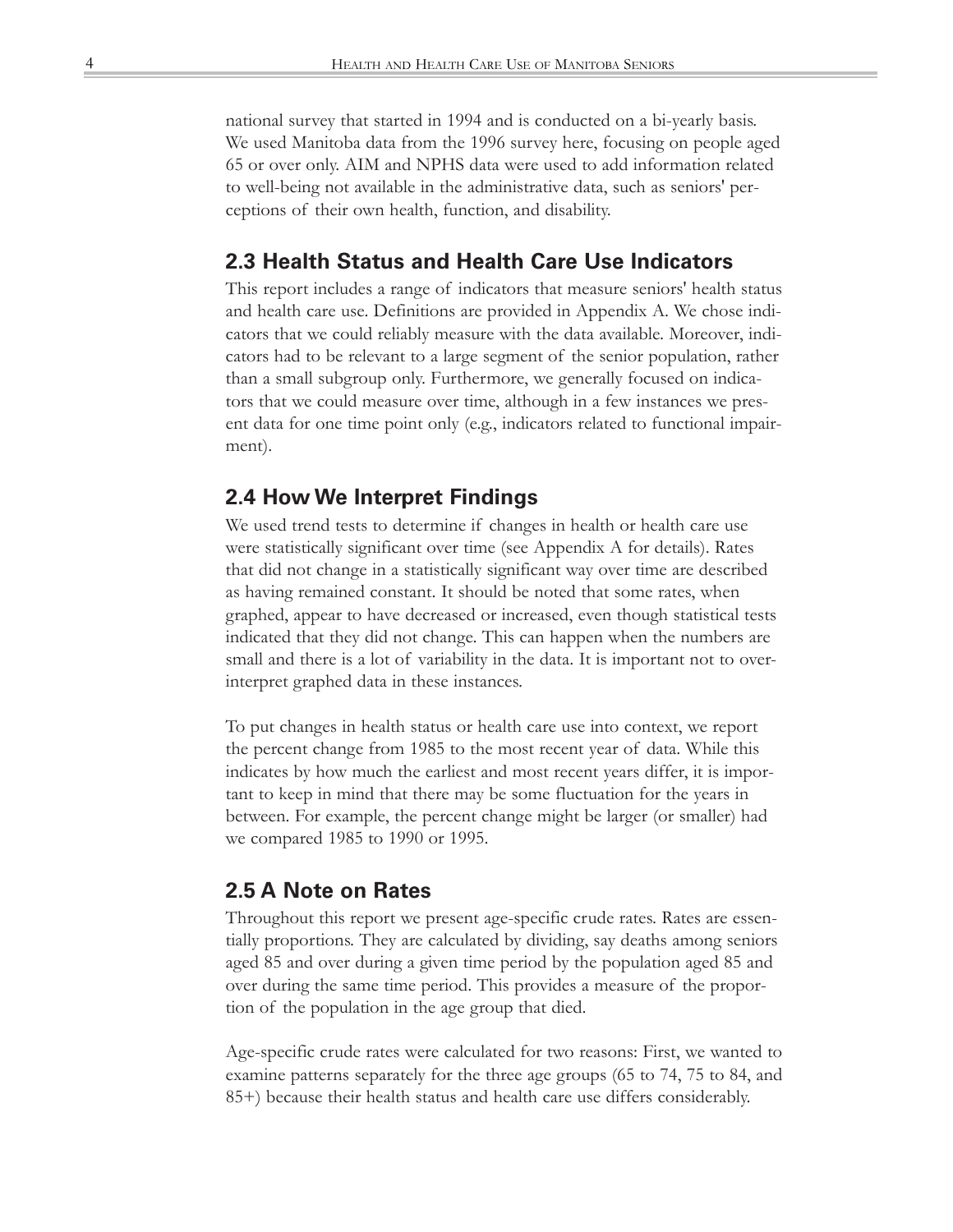national survey that started in 1994 and is conducted on a bi-yearly basis. We used Manitoba data from the 1996 survey here, focusing on people aged 65 or over only. AIM and NPHS data were used to add information related to well-being not available in the administrative data, such as seniors' perceptions of their own health, function, and disability.

#### **2.3 Health Status and Health Care Use Indicators**

This report includes a range of indicators that measure seniors' health status and health care use. Definitions are provided in Appendix A. We chose indicators that we could reliably measure with the data available. Moreover, indicators had to be relevant to a large segment of the senior population, rather than a small subgroup only. Furthermore, we generally focused on indicators that we could measure over time, although in a few instances we present data for one time point only (e.g., indicators related to functional impairment).

#### **2.4 How We Interpret Findings**

We used trend tests to determine if changes in health or health care use were statistically significant over time (see Appendix A for details). Rates that did not change in a statistically significant way over time are described as having remained constant. It should be noted that some rates, when graphed, appear to have decreased or increased, even though statistical tests indicated that they did not change. This can happen when the numbers are small and there is a lot of variability in the data. It is important not to overinterpret graphed data in these instances.

To put changes in health status or health care use into context, we report the percent change from 1985 to the most recent year of data. While this indicates by how much the earliest and most recent years differ, it is important to keep in mind that there may be some fluctuation for the years in between. For example, the percent change might be larger (or smaller) had we compared 1985 to 1990 or 1995.

#### **2.5 A Note on Rates**

Throughout this report we present age-specific crude rates. Rates are essentially proportions. They are calculated by dividing, say deaths among seniors aged 85 and over during a given time period by the population aged 85 and over during the same time period. This provides a measure of the proportion of the population in the age group that died.

Age-specific crude rates were calculated for two reasons: First, we wanted to examine patterns separately for the three age groups (65 to 74, 75 to 84, and 85+) because their health status and health care use differs considerably.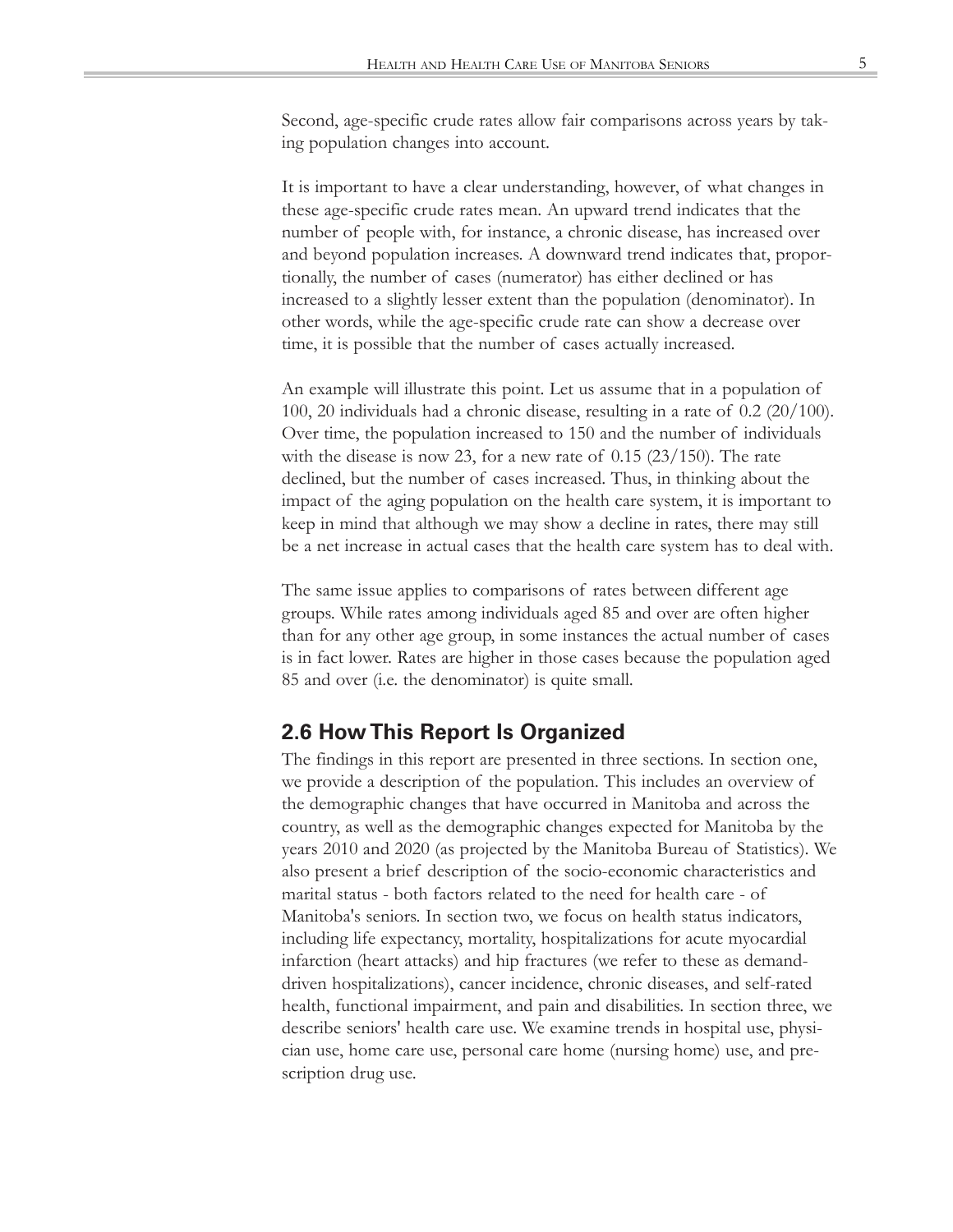Second, age-specific crude rates allow fair comparisons across years by taking population changes into account.

It is important to have a clear understanding, however, of what changes in these age-specific crude rates mean. An upward trend indicates that the number of people with, for instance, a chronic disease, has increased over and beyond population increases. A downward trend indicates that, proportionally, the number of cases (numerator) has either declined or has increased to a slightly lesser extent than the population (denominator). In other words, while the age-specific crude rate can show a decrease over time, it is possible that the number of cases actually increased.

An example will illustrate this point. Let us assume that in a population of 100, 20 individuals had a chronic disease, resulting in a rate of 0.2 (20/100). Over time, the population increased to 150 and the number of individuals with the disease is now 23, for a new rate of 0.15 (23/150). The rate declined, but the number of cases increased. Thus, in thinking about the impact of the aging population on the health care system, it is important to keep in mind that although we may show a decline in rates, there may still be a net increase in actual cases that the health care system has to deal with.

The same issue applies to comparisons of rates between different age groups. While rates among individuals aged 85 and over are often higher than for any other age group, in some instances the actual number of cases is in fact lower. Rates are higher in those cases because the population aged 85 and over (i.e. the denominator) is quite small.

### **2.6 How This Report Is Organized**

The findings in this report are presented in three sections. In section one, we provide a description of the population. This includes an overview of the demographic changes that have occurred in Manitoba and across the country, as well as the demographic changes expected for Manitoba by the years 2010 and 2020 (as projected by the Manitoba Bureau of Statistics). We also present a brief description of the socio-economic characteristics and marital status - both factors related to the need for health care - of Manitoba's seniors. In section two, we focus on health status indicators, including life expectancy, mortality, hospitalizations for acute myocardial infarction (heart attacks) and hip fractures (we refer to these as demanddriven hospitalizations), cancer incidence, chronic diseases, and self-rated health, functional impairment, and pain and disabilities. In section three, we describe seniors' health care use. We examine trends in hospital use, physician use, home care use, personal care home (nursing home) use, and prescription drug use.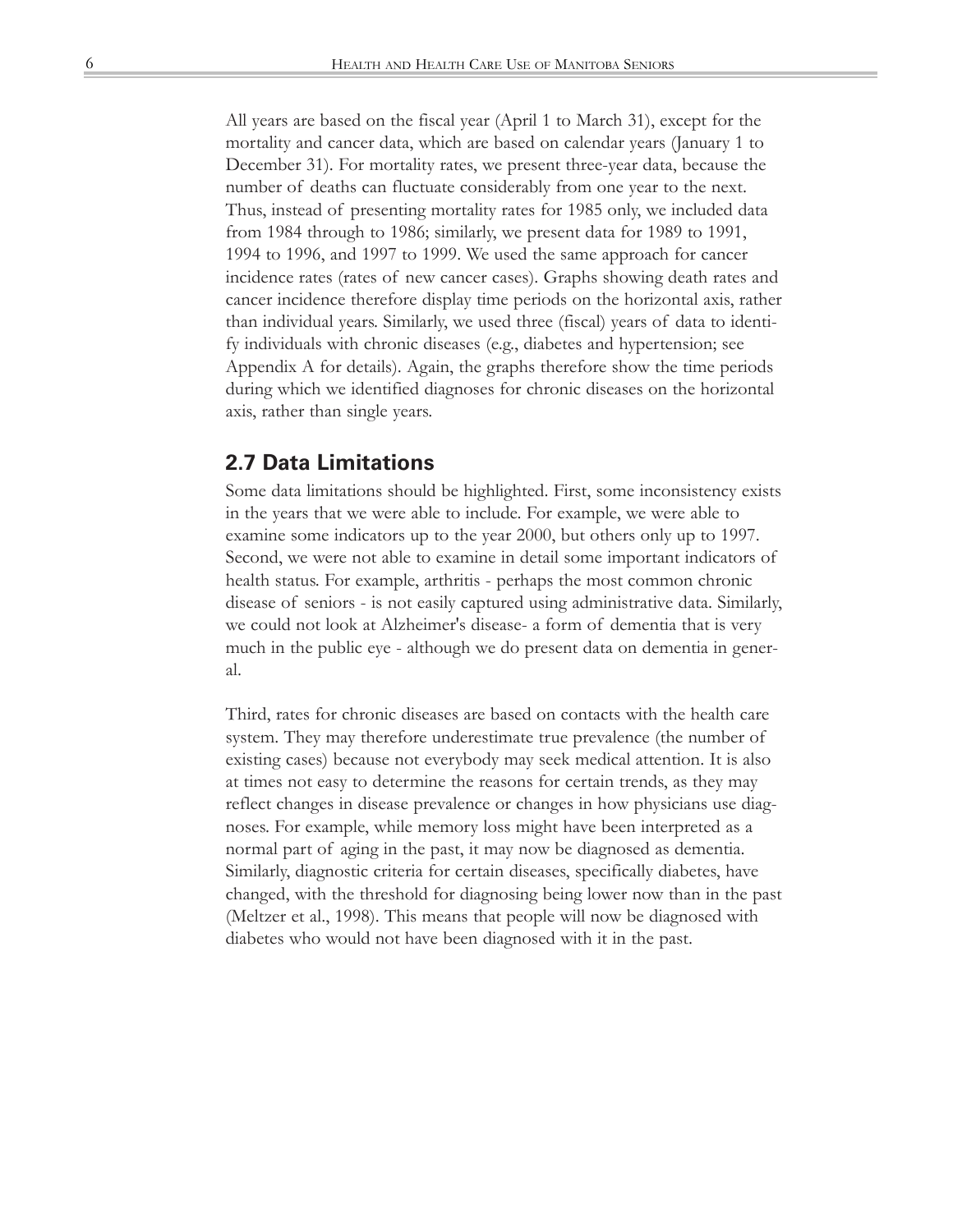All years are based on the fiscal year (April 1 to March 31), except for the mortality and cancer data, which are based on calendar years (January 1 to December 31). For mortality rates, we present three-year data, because the number of deaths can fluctuate considerably from one year to the next. Thus, instead of presenting mortality rates for 1985 only, we included data from 1984 through to 1986; similarly, we present data for 1989 to 1991, 1994 to 1996, and 1997 to 1999. We used the same approach for cancer incidence rates (rates of new cancer cases). Graphs showing death rates and cancer incidence therefore display time periods on the horizontal axis, rather than individual years. Similarly, we used three (fiscal) years of data to identify individuals with chronic diseases (e.g., diabetes and hypertension; see Appendix A for details). Again, the graphs therefore show the time periods during which we identified diagnoses for chronic diseases on the horizontal axis, rather than single years.

#### **2.7 Data Limitations**

Some data limitations should be highlighted. First, some inconsistency exists in the years that we were able to include. For example, we were able to examine some indicators up to the year 2000, but others only up to 1997. Second, we were not able to examine in detail some important indicators of health status. For example, arthritis - perhaps the most common chronic disease of seniors - is not easily captured using administrative data. Similarly, we could not look at Alzheimer's disease- a form of dementia that is very much in the public eye - although we do present data on dementia in general.

Third, rates for chronic diseases are based on contacts with the health care system. They may therefore underestimate true prevalence (the number of existing cases) because not everybody may seek medical attention. It is also at times not easy to determine the reasons for certain trends, as they may reflect changes in disease prevalence or changes in how physicians use diagnoses. For example, while memory loss might have been interpreted as a normal part of aging in the past, it may now be diagnosed as dementia. Similarly, diagnostic criteria for certain diseases, specifically diabetes, have changed, with the threshold for diagnosing being lower now than in the past (Meltzer et al., 1998). This means that people will now be diagnosed with diabetes who would not have been diagnosed with it in the past.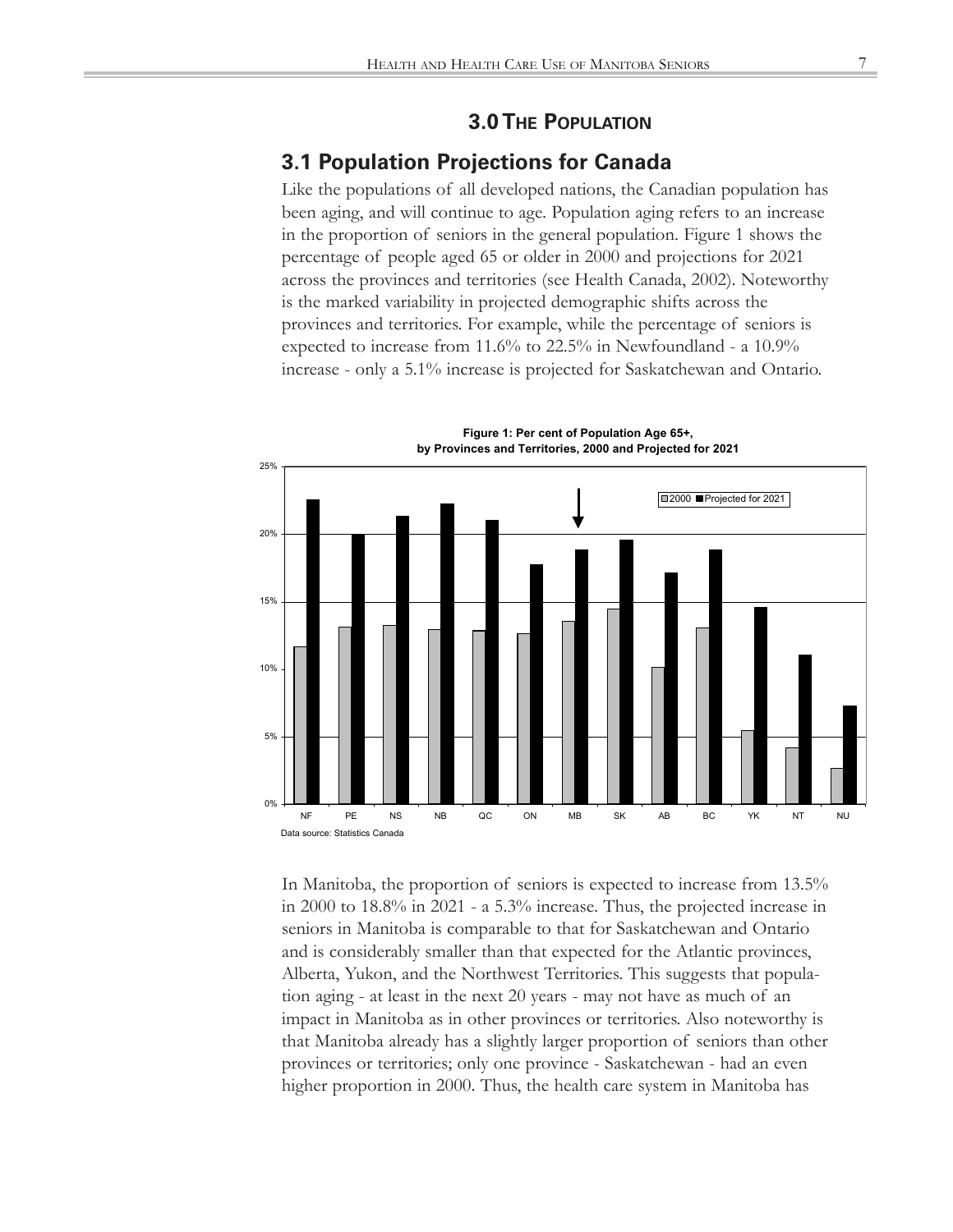#### **3.0 THE POPULATION**

#### **3.1 Population Projections for Canada**

Like the populations of all developed nations, the Canadian population has been aging, and will continue to age. Population aging refers to an increase in the proportion of seniors in the general population. Figure 1 shows the percentage of people aged 65 or older in 2000 and projections for 2021 across the provinces and territories (see Health Canada, 2002). Noteworthy is the marked variability in projected demographic shifts across the provinces and territories. For example, while the percentage of seniors is expected to increase from 11.6% to 22.5% in Newfoundland - a 10.9% increase - only a 5.1% increase is projected for Saskatchewan and Ontario.



**Figure 1: Per cent of Population Age 65+, by Provinces and Territories, 2000 and Projected for 2021**

In Manitoba, the proportion of seniors is expected to increase from 13.5% in 2000 to 18.8% in 2021 - a 5.3% increase. Thus, the projected increase in seniors in Manitoba is comparable to that for Saskatchewan and Ontario and is considerably smaller than that expected for the Atlantic provinces, Alberta, Yukon, and the Northwest Territories. This suggests that population aging - at least in the next 20 years - may not have as much of an impact in Manitoba as in other provinces or territories. Also noteworthy is that Manitoba already has a slightly larger proportion of seniors than other provinces or territories; only one province - Saskatchewan - had an even higher proportion in 2000. Thus, the health care system in Manitoba has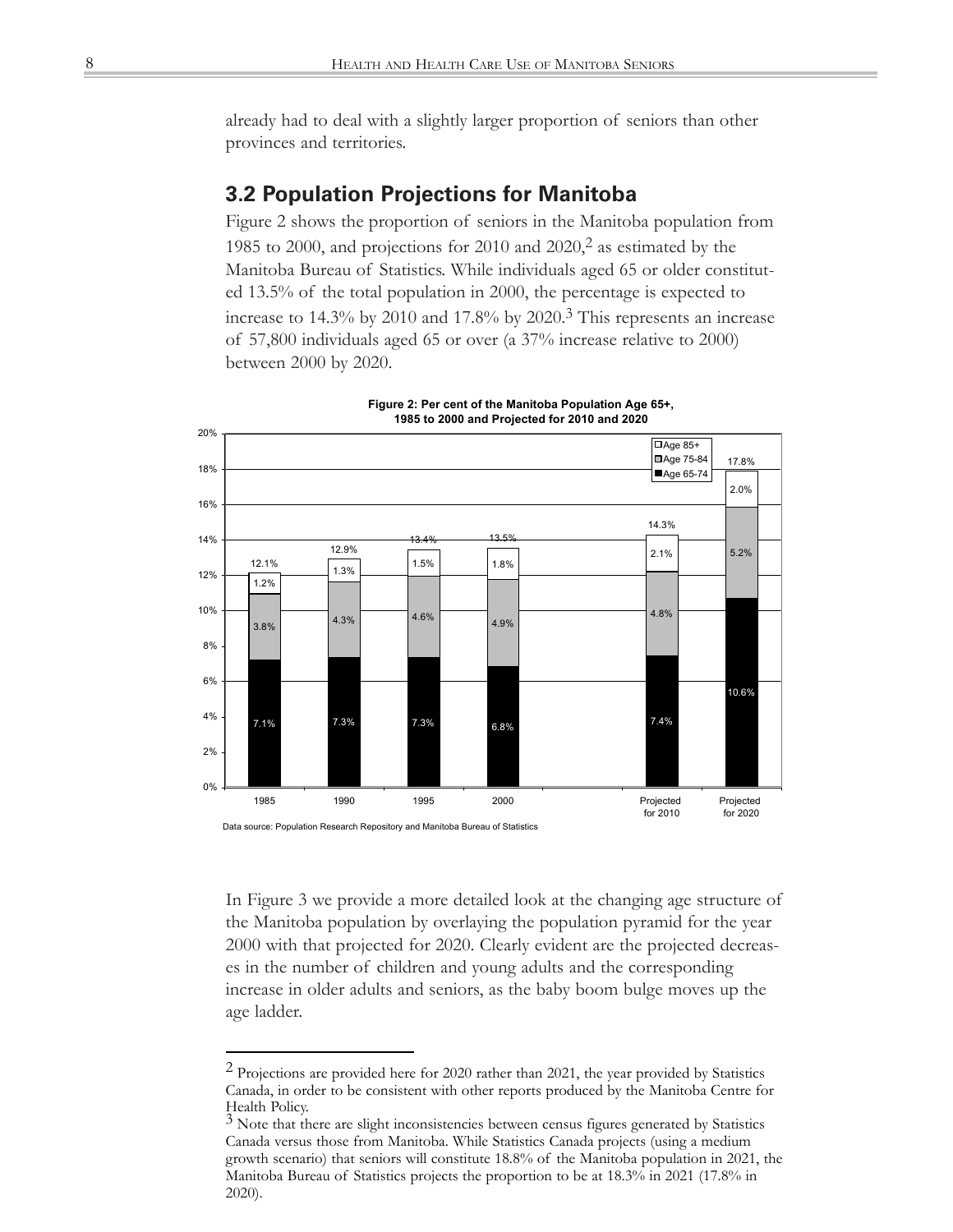already had to deal with a slightly larger proportion of seniors than other provinces and territories.

### **3.2 Population Projections for Manitoba**

Figure 2 shows the proportion of seniors in the Manitoba population from 1985 to 2000, and projections for 2010 and  $2020$ , as estimated by the Manitoba Bureau of Statistics. While individuals aged 65 or older constituted 13.5% of the total population in 2000, the percentage is expected to increase to  $14.3\%$  by 2010 and  $17.8\%$  by 2020.<sup>3</sup> This represents an increase of 57,800 individuals aged 65 or over (a 37% increase relative to 2000) between 2000 by 2020.





In Figure 3 we provide a more detailed look at the changing age structure of the Manitoba population by overlaying the population pyramid for the year 2000 with that projected for 2020. Clearly evident are the projected decreases in the number of children and young adults and the corresponding increase in older adults and seniors, as the baby boom bulge moves up the age ladder.

<sup>2</sup> Projections are provided here for 2020 rather than 2021, the year provided by Statistics Canada, in order to be consistent with other reports produced by the Manitoba Centre for Health Policy.

<sup>3</sup> Note that there are slight inconsistencies between census figures generated by Statistics Canada versus those from Manitoba. While Statistics Canada projects (using a medium growth scenario) that seniors will constitute 18.8% of the Manitoba population in 2021, the Manitoba Bureau of Statistics projects the proportion to be at 18.3% in 2021 (17.8% in 2020).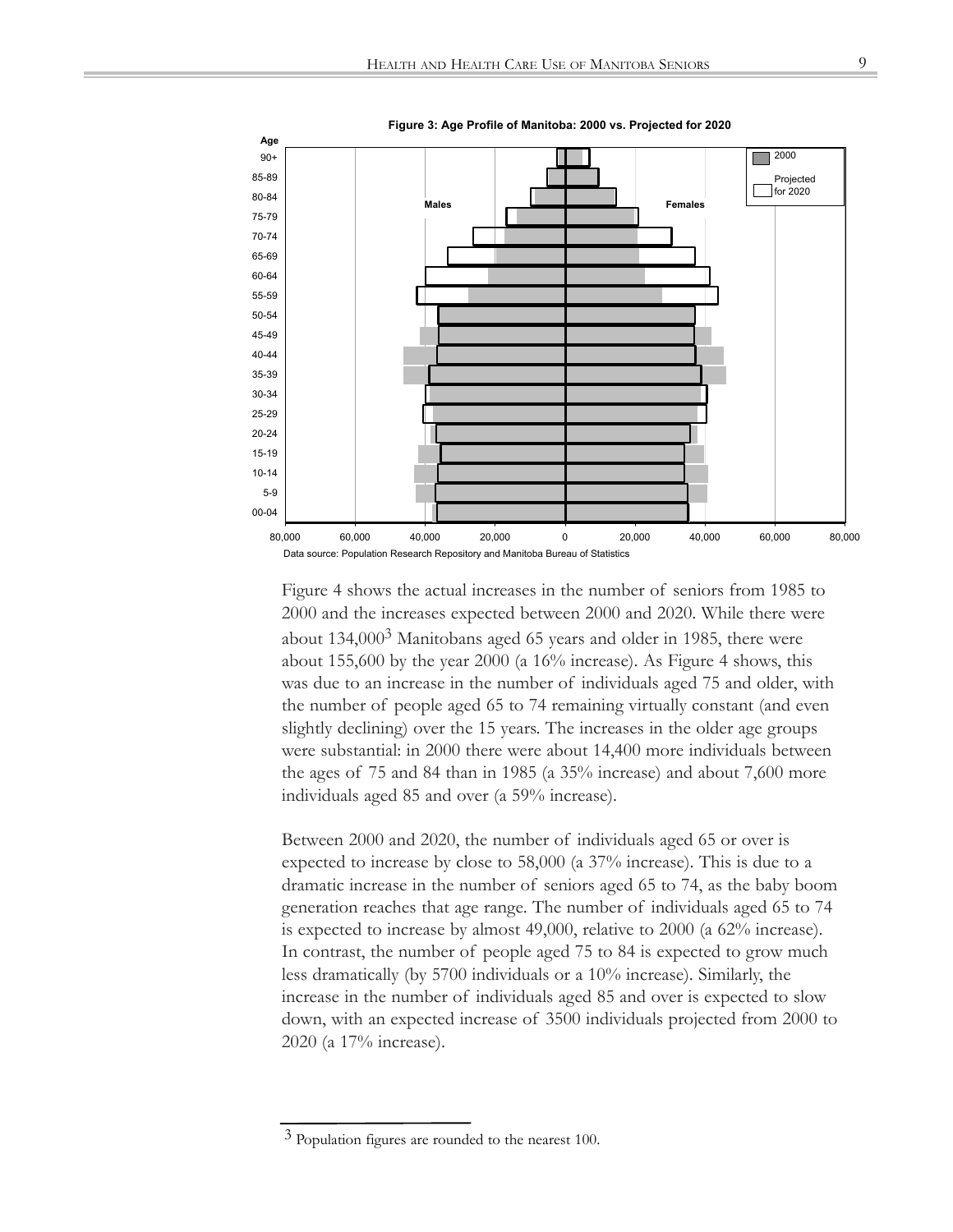

**Figure 3: Age Profile of Manitoba: 2000 vs. Projected for 2020**

Figure 4 shows the actual increases in the number of seniors from 1985 to 2000 and the increases expected between 2000 and 2020. While there were about  $134,000<sup>3</sup>$  Manitobans aged 65 years and older in 1985, there were about 155,600 by the year 2000 (a 16% increase). As Figure 4 shows, this was due to an increase in the number of individuals aged 75 and older, with the number of people aged 65 to 74 remaining virtually constant (and even slightly declining) over the 15 years. The increases in the older age groups were substantial: in 2000 there were about 14,400 more individuals between the ages of 75 and 84 than in 1985 (a 35% increase) and about 7,600 more individuals aged 85 and over (a 59% increase).

Between 2000 and 2020, the number of individuals aged 65 or over is expected to increase by close to 58,000 (a 37% increase). This is due to a dramatic increase in the number of seniors aged 65 to 74, as the baby boom generation reaches that age range. The number of individuals aged 65 to 74 is expected to increase by almost 49,000, relative to 2000 (a 62% increase). In contrast, the number of people aged 75 to 84 is expected to grow much less dramatically (by 5700 individuals or a 10% increase). Similarly, the increase in the number of individuals aged 85 and over is expected to slow down, with an expected increase of 3500 individuals projected from 2000 to 2020 (a 17% increase).

<sup>3</sup> Population figures are rounded to the nearest 100.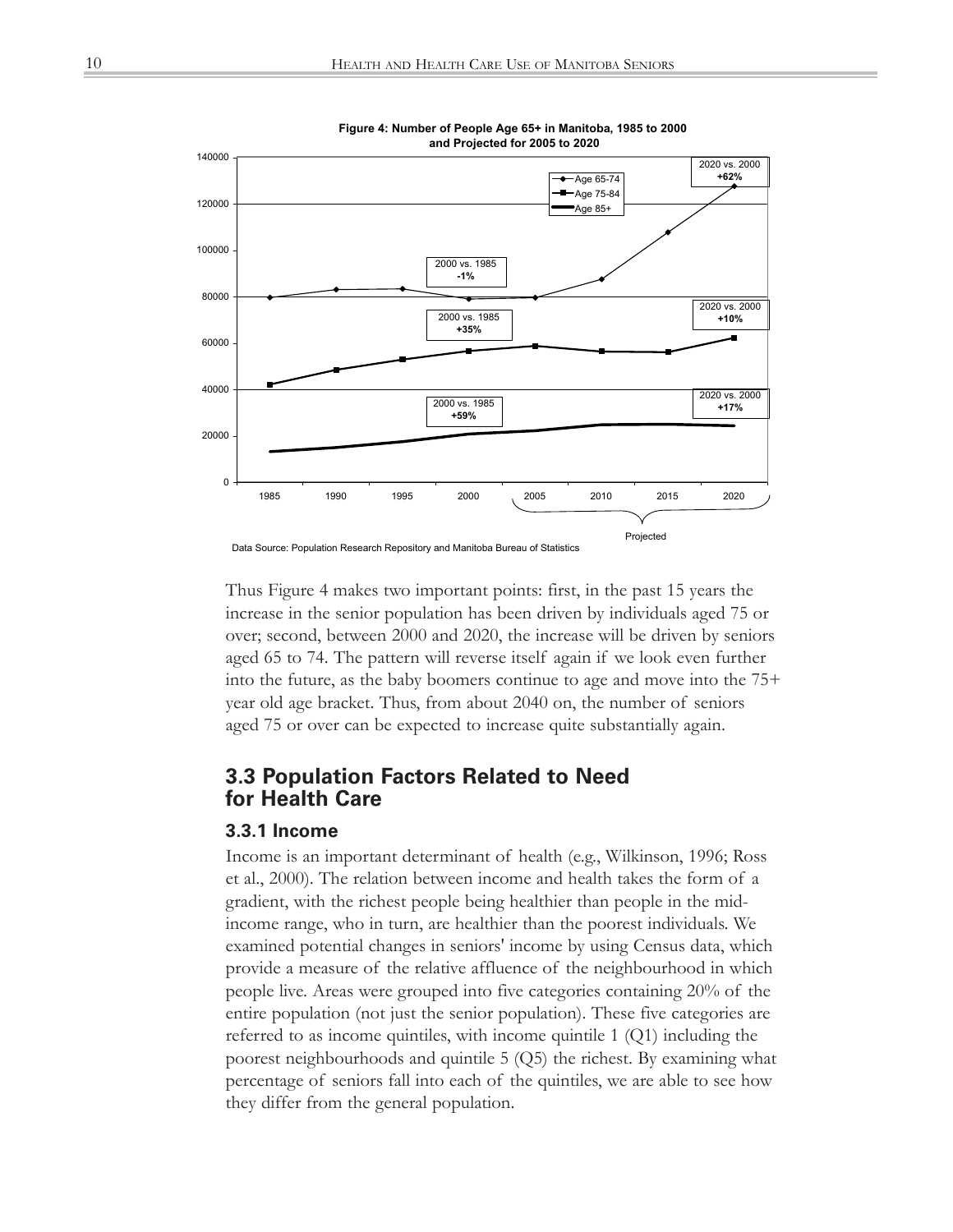

**Figure 4: Number of People Age 65+ in Manitoba, 1985 to 2000 and Projected for 2005 to 2020**

Thus Figure 4 makes two important points: first, in the past 15 years the increase in the senior population has been driven by individuals aged 75 or over; second, between 2000 and 2020, the increase will be driven by seniors aged 65 to 74. The pattern will reverse itself again if we look even further into the future, as the baby boomers continue to age and move into the 75+ year old age bracket. Thus, from about 2040 on, the number of seniors aged 75 or over can be expected to increase quite substantially again.

### **3.3 Population Factors Related to Need for Health Care**

#### **3.3.1 Income**

Income is an important determinant of health (e.g., Wilkinson, 1996; Ross et al., 2000). The relation between income and health takes the form of a gradient, with the richest people being healthier than people in the midincome range, who in turn, are healthier than the poorest individuals. We examined potential changes in seniors' income by using Census data, which provide a measure of the relative affluence of the neighbourhood in which people live. Areas were grouped into five categories containing 20% of the entire population (not just the senior population). These five categories are referred to as income quintiles, with income quintile  $1 (Q1)$  including the poorest neighbourhoods and quintile 5 (Q5) the richest. By examining what percentage of seniors fall into each of the quintiles, we are able to see how they differ from the general population.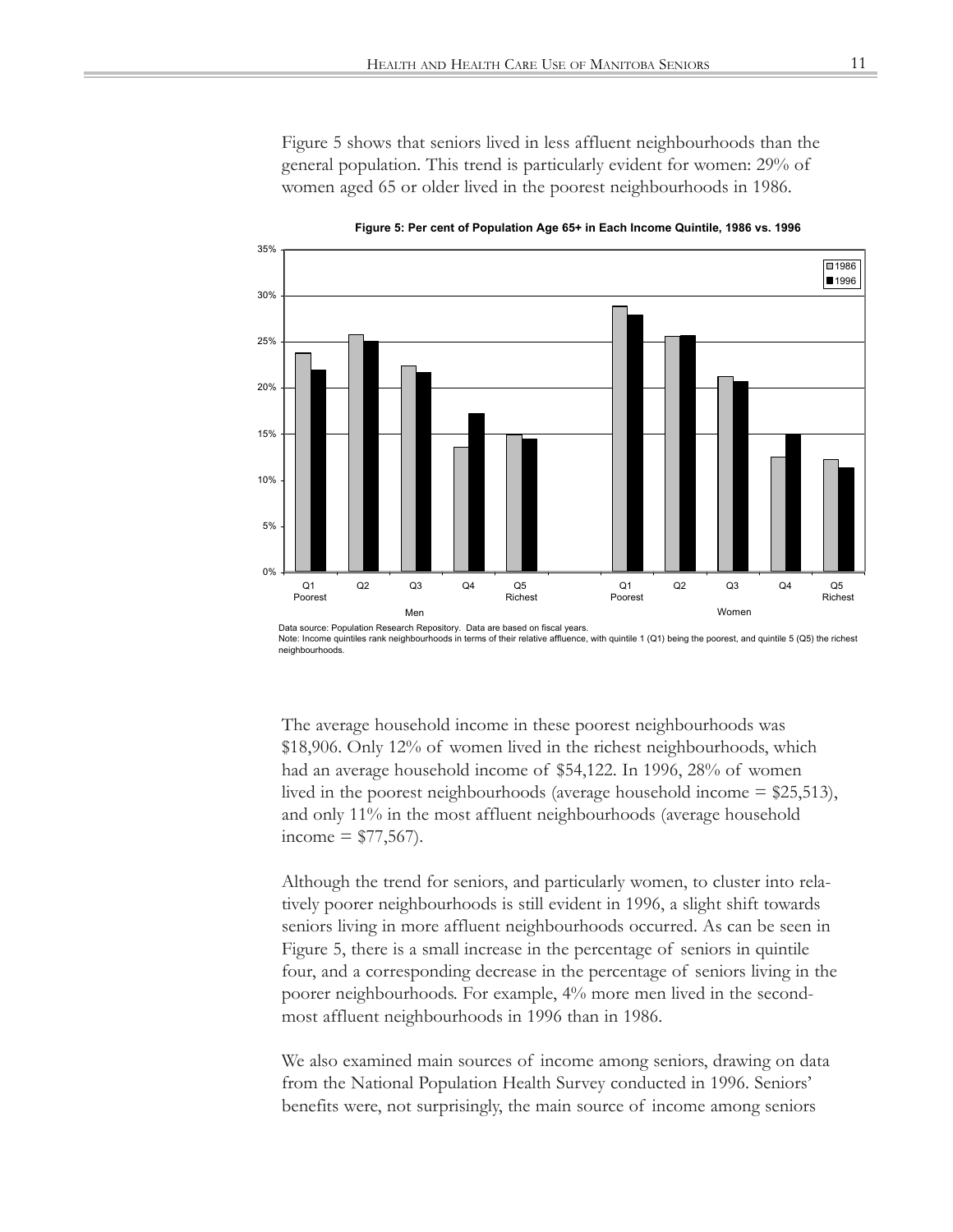Figure 5 shows that seniors lived in less affluent neighbourhoods than the general population. This trend is particularly evident for women: 29% of women aged 65 or older lived in the poorest neighbourhoods in 1986.



**Figure 5: Per cent of Population Age 65+ in Each Income Quintile, 1986 vs. 1996**

The average household income in these poorest neighbourhoods was \$18,906. Only 12% of women lived in the richest neighbourhoods, which had an average household income of \$54,122. In 1996, 28% of women lived in the poorest neighbourhoods (average household income = \$25,513), and only 11% in the most affluent neighbourhoods (average household income  $= $77,567$ .

Although the trend for seniors, and particularly women, to cluster into relatively poorer neighbourhoods is still evident in 1996, a slight shift towards seniors living in more affluent neighbourhoods occurred. As can be seen in Figure 5, there is a small increase in the percentage of seniors in quintile four, and a corresponding decrease in the percentage of seniors living in the poorer neighbourhoods. For example, 4% more men lived in the secondmost affluent neighbourhoods in 1996 than in 1986.

We also examined main sources of income among seniors, drawing on data from the National Population Health Survey conducted in 1996. Seniors' benefits were, not surprisingly, the main source of income among seniors

Data source: Population Research Repository. Data are based on fiscal years. Note: Income quintiles rank neighbourhoods in terms of their relative affluence, with quintile 1 (Q1) being the poorest, and quintile 5 (Q5) the richest neighbourhoods.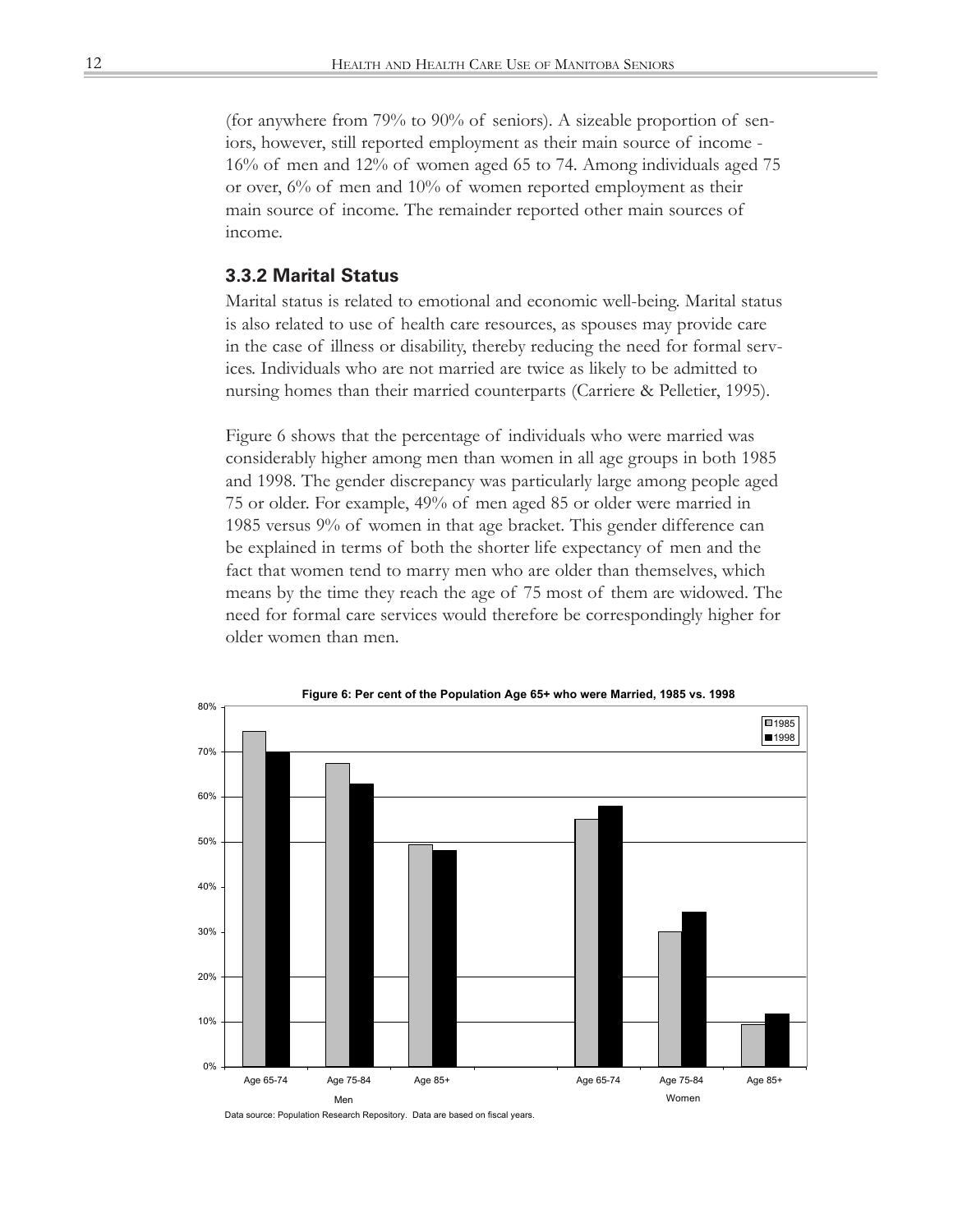(for anywhere from 79% to 90% of seniors). A sizeable proportion of seniors, however, still reported employment as their main source of income - 16% of men and 12% of women aged 65 to 74. Among individuals aged 75 or over, 6% of men and 10% of women reported employment as their main source of income. The remainder reported other main sources of income.

#### **3.3.2 Marital Status**

Marital status is related to emotional and economic well-being. Marital status is also related to use of health care resources, as spouses may provide care in the case of illness or disability, thereby reducing the need for formal services. Individuals who are not married are twice as likely to be admitted to nursing homes than their married counterparts (Carriere & Pelletier, 1995).

Figure 6 shows that the percentage of individuals who were married was considerably higher among men than women in all age groups in both 1985 and 1998. The gender discrepancy was particularly large among people aged 75 or older. For example, 49% of men aged 85 or older were married in 1985 versus 9% of women in that age bracket. This gender difference can be explained in terms of both the shorter life expectancy of men and the fact that women tend to marry men who are older than themselves, which means by the time they reach the age of 75 most of them are widowed. The need for formal care services would therefore be correspondingly higher for older women than men.



**Figure 6: Per cent of the Population Age 65+ who were Married, 1985 vs. 1998**

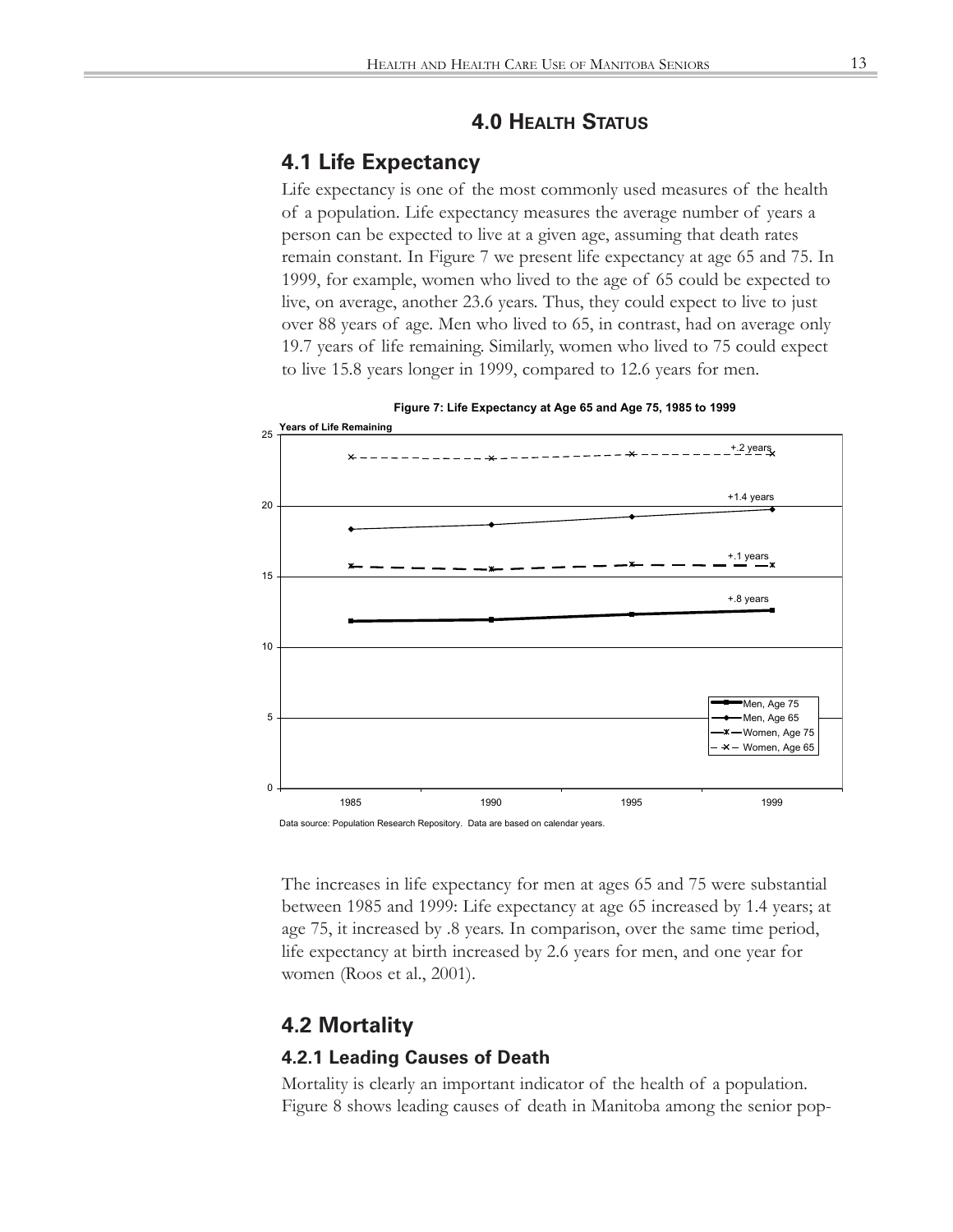### **4.0 HEALTH STATUS**

### **4.1 Life Expectancy**

Life expectancy is one of the most commonly used measures of the health of a population. Life expectancy measures the average number of years a person can be expected to live at a given age, assuming that death rates remain constant. In Figure 7 we present life expectancy at age 65 and 75. In 1999, for example, women who lived to the age of 65 could be expected to live, on average, another 23.6 years. Thus, they could expect to live to just over 88 years of age. Men who lived to 65, in contrast, had on average only 19.7 years of life remaining. Similarly, women who lived to 75 could expect to live 15.8 years longer in 1999, compared to 12.6 years for men.



**Figure 7: Life Expectancy at Age 65 and Age 75, 1985 to 1999**

The increases in life expectancy for men at ages 65 and 75 were substantial between 1985 and 1999: Life expectancy at age 65 increased by 1.4 years; at age 75, it increased by .8 years. In comparison, over the same time period, life expectancy at birth increased by 2.6 years for men, and one year for women (Roos et al., 2001).

## **4.2 Mortality**

#### **4.2.1 Leading Causes of Death**

Mortality is clearly an important indicator of the health of a population. Figure 8 shows leading causes of death in Manitoba among the senior pop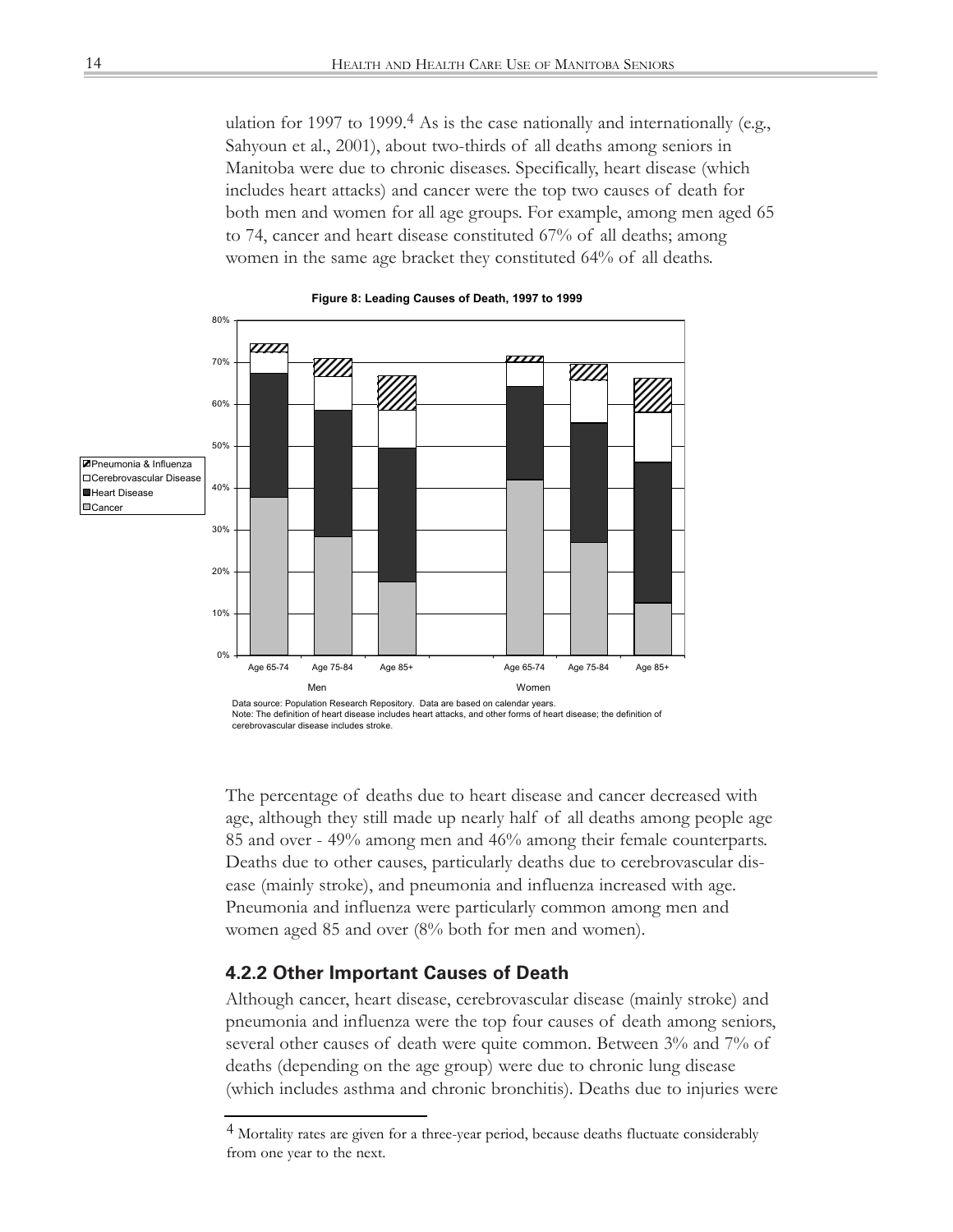ulation for 1997 to 1999.<sup>4</sup> As is the case nationally and internationally (e.g., Sahyoun et al., 2001), about two-thirds of all deaths among seniors in Manitoba were due to chronic diseases. Specifically, heart disease (which includes heart attacks) and cancer were the top two causes of death for both men and women for all age groups. For example, among men aged 65 to 74, cancer and heart disease constituted 67% of all deaths; among women in the same age bracket they constituted 64% of all deaths.



**Figure 8: Leading Causes of Death, 1997 to 1999**

cerebrovascular disease includes stroke.

The percentage of deaths due to heart disease and cancer decreased with age, although they still made up nearly half of all deaths among people age 85 and over - 49% among men and 46% among their female counterparts. Deaths due to other causes, particularly deaths due to cerebrovascular disease (mainly stroke), and pneumonia and influenza increased with age. Pneumonia and influenza were particularly common among men and women aged 85 and over (8% both for men and women).

#### **4.2.2 Other Important Causes of Death**

Although cancer, heart disease, cerebrovascular disease (mainly stroke) and pneumonia and influenza were the top four causes of death among seniors, several other causes of death were quite common. Between 3% and 7% of deaths (depending on the age group) were due to chronic lung disease (which includes asthma and chronic bronchitis). Deaths due to injuries were

<sup>4</sup> Mortality rates are given for a three-year period, because deaths fluctuate considerably from one year to the next.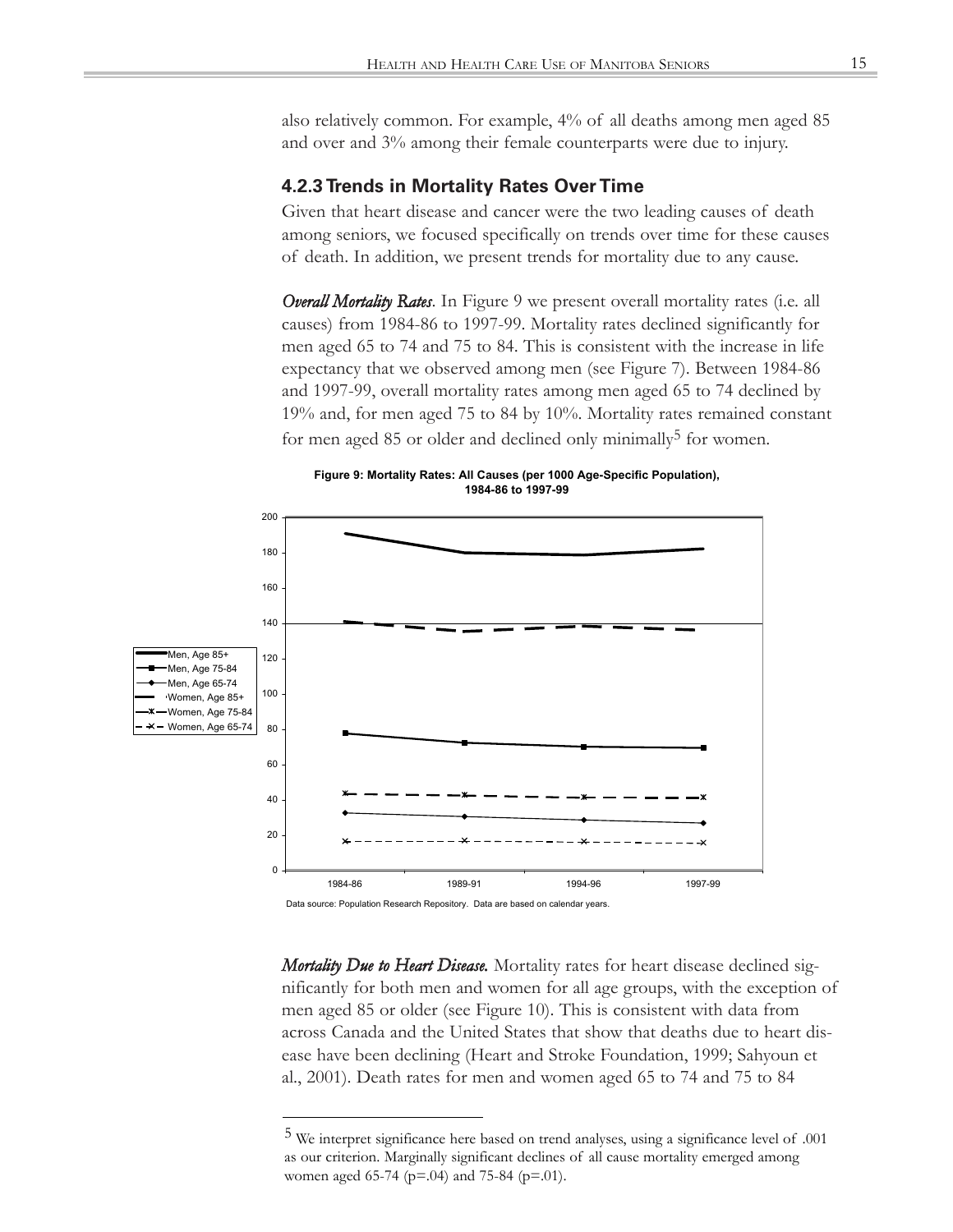also relatively common. For example, 4% of all deaths among men aged 85 and over and 3% among their female counterparts were due to injury.

#### **4.2.3 Trends in Mortality Rates Over Time**

Given that heart disease and cancer were the two leading causes of death among seniors, we focused specifically on trends over time for these causes of death. In addition, we present trends for mortality due to any cause.

*Overall Mortality Rates*. In Figure 9 we present overall mortality rates (i.e. all causes) from 1984-86 to 1997-99. Mortality rates declined significantly for men aged 65 to 74 and 75 to 84. This is consistent with the increase in life expectancy that we observed among men (see Figure 7). Between 1984-86 and 1997-99, overall mortality rates among men aged 65 to 74 declined by 19% and, for men aged 75 to 84 by 10%. Mortality rates remained constant for men aged 85 or older and declined only minimally<sup>5</sup> for women.



Data source: Population Research Repository. Data are based on calendar years.

**Figure 9: Mortality Rates: All Causes (per 1000 Age-Specific Population), 1984-86 to 1997-99**

*Mortality Due to Heart Disease.* Mortality rates for heart disease declined significantly for both men and women for all age groups, with the exception of men aged 85 or older (see Figure 10). This is consistent with data from across Canada and the United States that show that deaths due to heart disease have been declining (Heart and Stroke Foundation, 1999; Sahyoun et al., 2001). Death rates for men and women aged 65 to 74 and 75 to 84

1984-86 1989-91 1994-96 1997-99

<sup>5</sup> We interpret significance here based on trend analyses, using a significance level of .001 as our criterion. Marginally significant declines of all cause mortality emerged among women aged 65-74 (p=.04) and 75-84 (p=.01).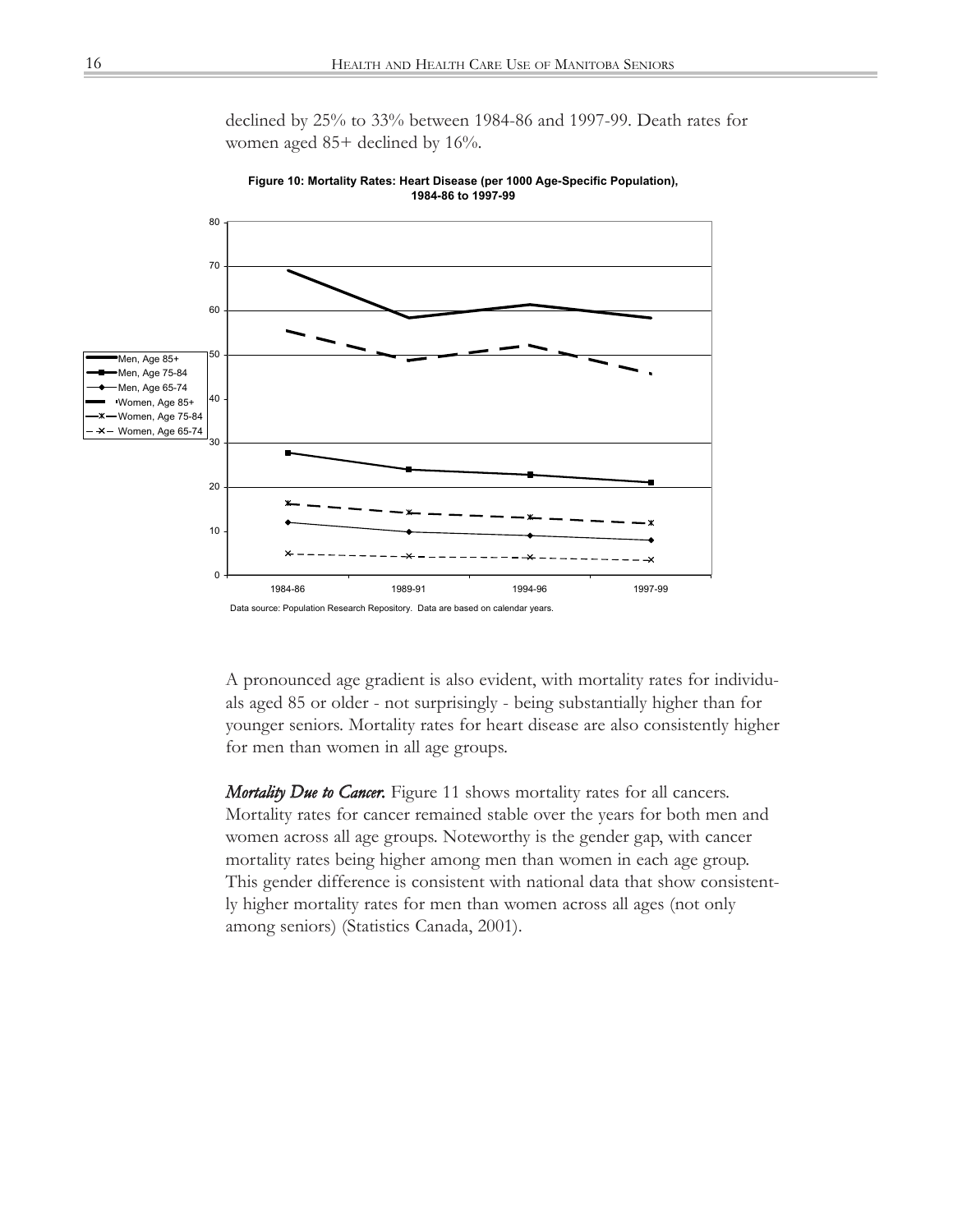declined by 25% to 33% between 1984-86 and 1997-99. Death rates for women aged 85+ declined by 16%.



**Figure 10: Mortality Rates: Heart Disease (per 1000 Age-Specific Population), 1984-86 to 1997-99**

A pronounced age gradient is also evident, with mortality rates for individuals aged 85 or older - not surprisingly - being substantially higher than for younger seniors. Mortality rates for heart disease are also consistently higher for men than women in all age groups.

*Mortality Due to Cancer.* Figure 11 shows mortality rates for all cancers. Mortality rates for cancer remained stable over the years for both men and women across all age groups. Noteworthy is the gender gap, with cancer mortality rates being higher among men than women in each age group. This gender difference is consistent with national data that show consistently higher mortality rates for men than women across all ages (not only among seniors) (Statistics Canada, 2001).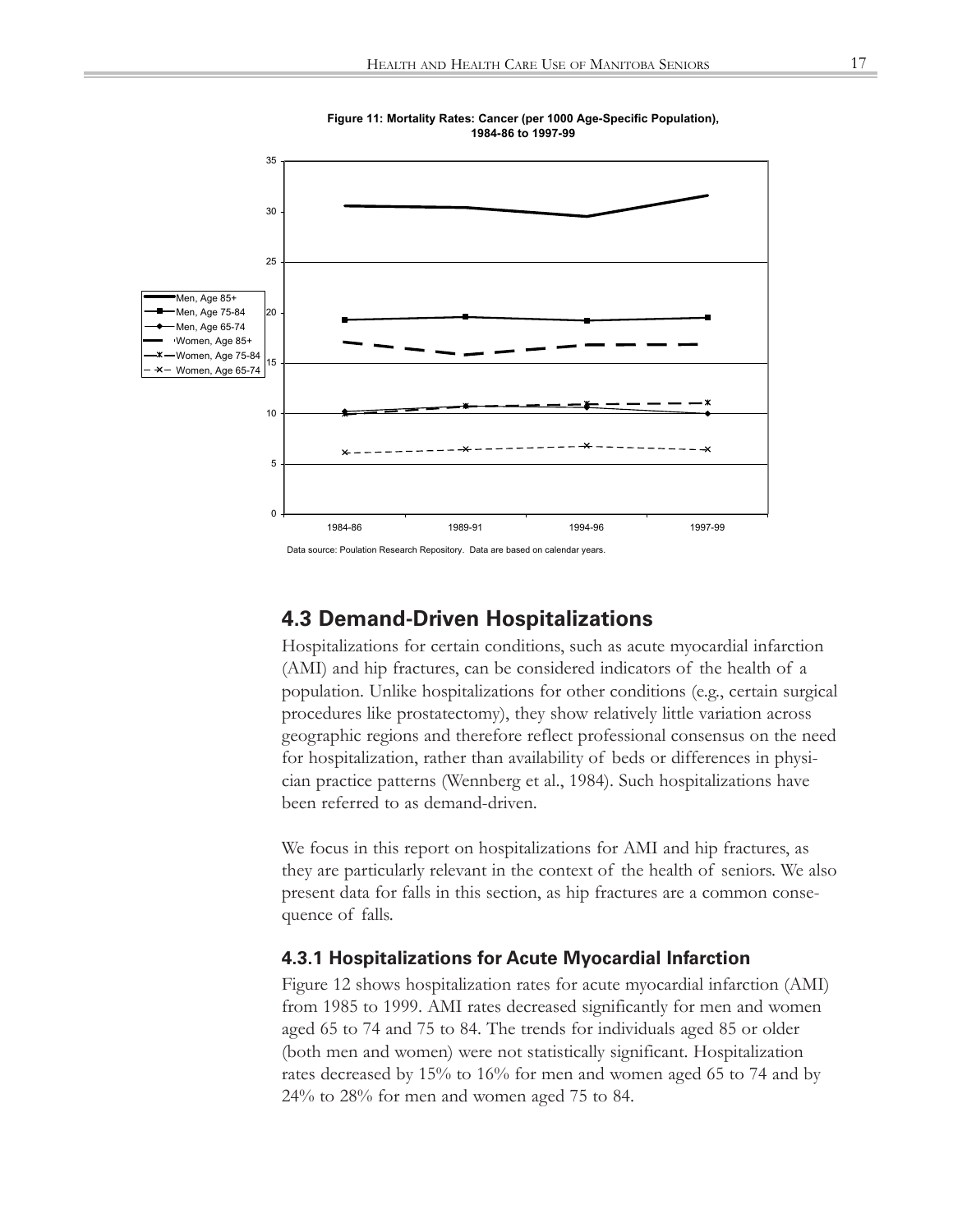

**Figure 11: Mortality Rates: Cancer (per 1000 Age-Specific Population), 1984-86 to 1997-99**

#### **4.3 Demand-Driven Hospitalizations**

Hospitalizations for certain conditions, such as acute myocardial infarction (AMI) and hip fractures, can be considered indicators of the health of a population. Unlike hospitalizations for other conditions (e.g., certain surgical procedures like prostatectomy), they show relatively little variation across geographic regions and therefore reflect professional consensus on the need for hospitalization, rather than availability of beds or differences in physician practice patterns (Wennberg et al., 1984). Such hospitalizations have been referred to as demand-driven.

We focus in this report on hospitalizations for AMI and hip fractures, as they are particularly relevant in the context of the health of seniors. We also present data for falls in this section, as hip fractures are a common consequence of falls.

#### **4.3.1 Hospitalizations for Acute Myocardial Infarction**

Figure 12 shows hospitalization rates for acute myocardial infarction (AMI) from 1985 to 1999. AMI rates decreased significantly for men and women aged 65 to 74 and 75 to 84. The trends for individuals aged 85 or older (both men and women) were not statistically significant. Hospitalization rates decreased by 15% to 16% for men and women aged 65 to 74 and by 24% to 28% for men and women aged 75 to 84.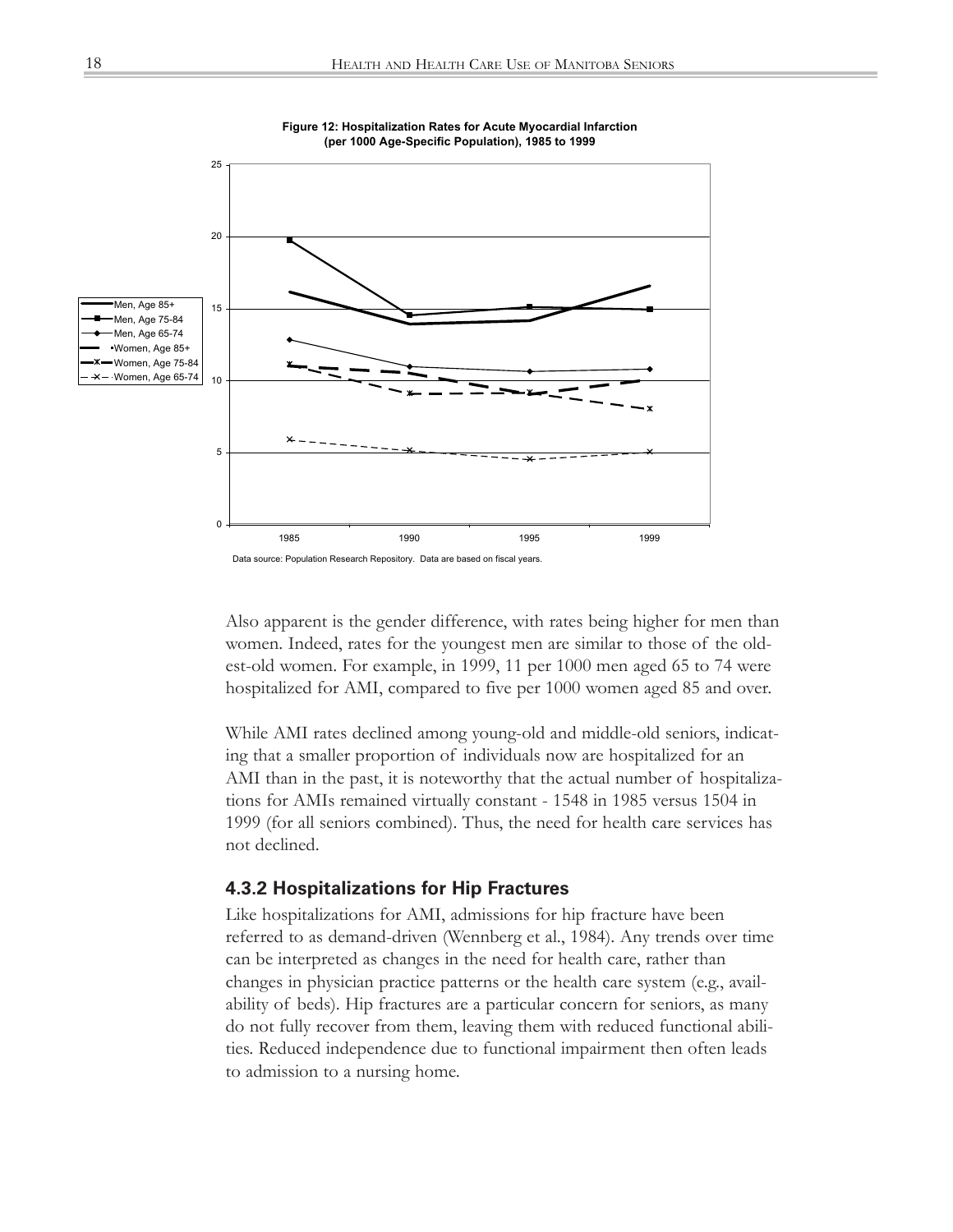

**Figure 12: Hospitalization Rates for Acute Myocardial Infarction (per 1000 Age-Specific Population), 1985 to 1999**

Also apparent is the gender difference, with rates being higher for men than women. Indeed, rates for the youngest men are similar to those of the oldest-old women. For example, in 1999, 11 per 1000 men aged 65 to 74 were hospitalized for AMI, compared to five per 1000 women aged 85 and over.

While AMI rates declined among young-old and middle-old seniors, indicating that a smaller proportion of individuals now are hospitalized for an AMI than in the past, it is noteworthy that the actual number of hospitalizations for AMIs remained virtually constant - 1548 in 1985 versus 1504 in 1999 (for all seniors combined). Thus, the need for health care services has not declined.

#### **4.3.2 Hospitalizations for Hip Fractures**

Like hospitalizations for AMI, admissions for hip fracture have been referred to as demand-driven (Wennberg et al., 1984). Any trends over time can be interpreted as changes in the need for health care, rather than changes in physician practice patterns or the health care system (e.g., availability of beds). Hip fractures are a particular concern for seniors, as many do not fully recover from them, leaving them with reduced functional abilities. Reduced independence due to functional impairment then often leads to admission to a nursing home.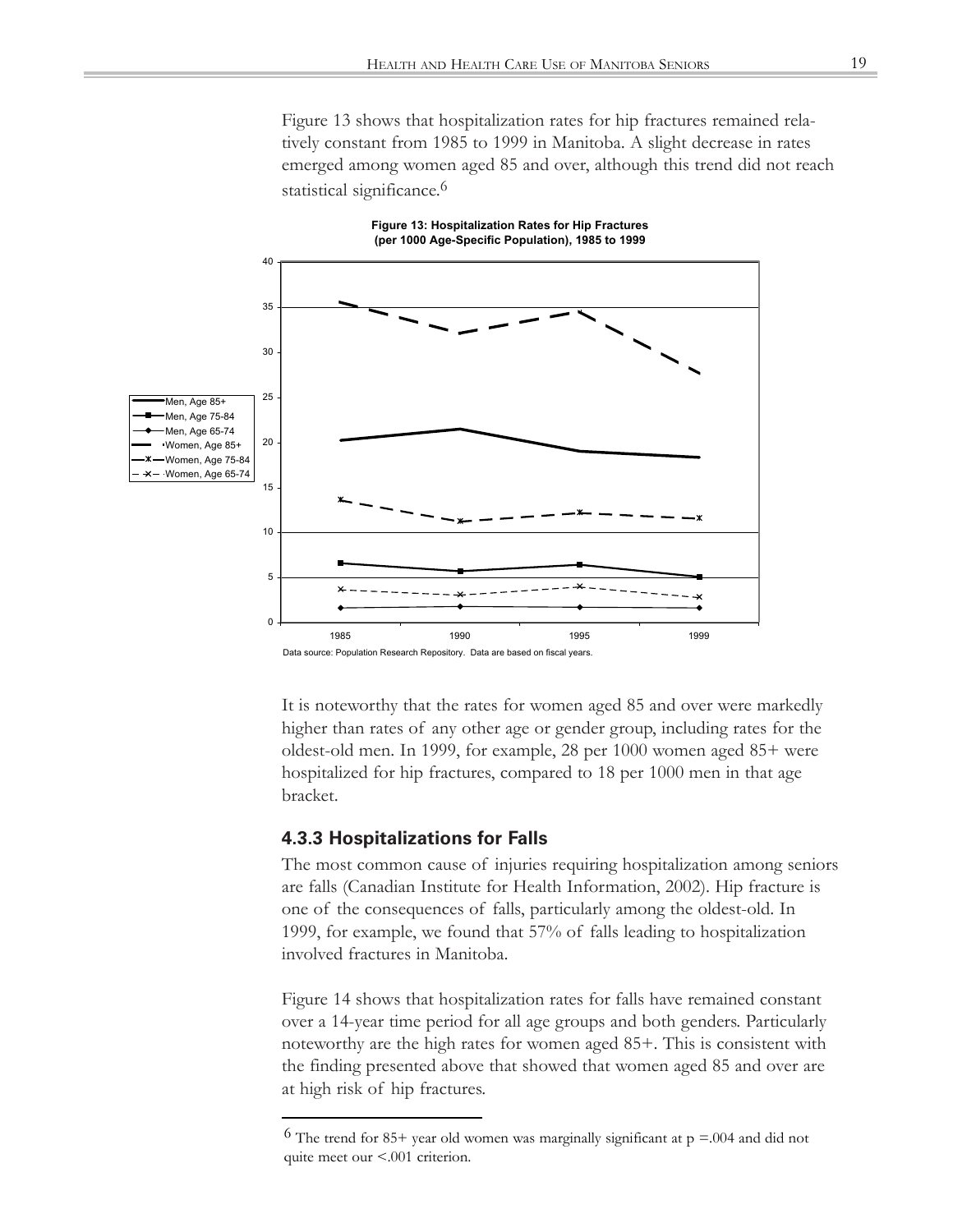Figure 13 shows that hospitalization rates for hip fractures remained relatively constant from 1985 to 1999 in Manitoba. A slight decrease in rates emerged among women aged 85 and over, although this trend did not reach statistical significance.<sup>6</sup>



It is noteworthy that the rates for women aged 85 and over were markedly higher than rates of any other age or gender group, including rates for the oldest-old men. In 1999, for example, 28 per 1000 women aged 85+ were hospitalized for hip fractures, compared to 18 per 1000 men in that age bracket.

#### **4.3.3 Hospitalizations for Falls**

The most common cause of injuries requiring hospitalization among seniors are falls (Canadian Institute for Health Information, 2002). Hip fracture is one of the consequences of falls, particularly among the oldest-old. In 1999, for example, we found that 57% of falls leading to hospitalization involved fractures in Manitoba.

Figure 14 shows that hospitalization rates for falls have remained constant over a 14-year time period for all age groups and both genders. Particularly noteworthy are the high rates for women aged 85+. This is consistent with the finding presented above that showed that women aged 85 and over are at high risk of hip fractures.

<sup>&</sup>lt;sup>6</sup> The trend for 85+ year old women was marginally significant at  $p = 0.004$  and did not quite meet our <.001 criterion.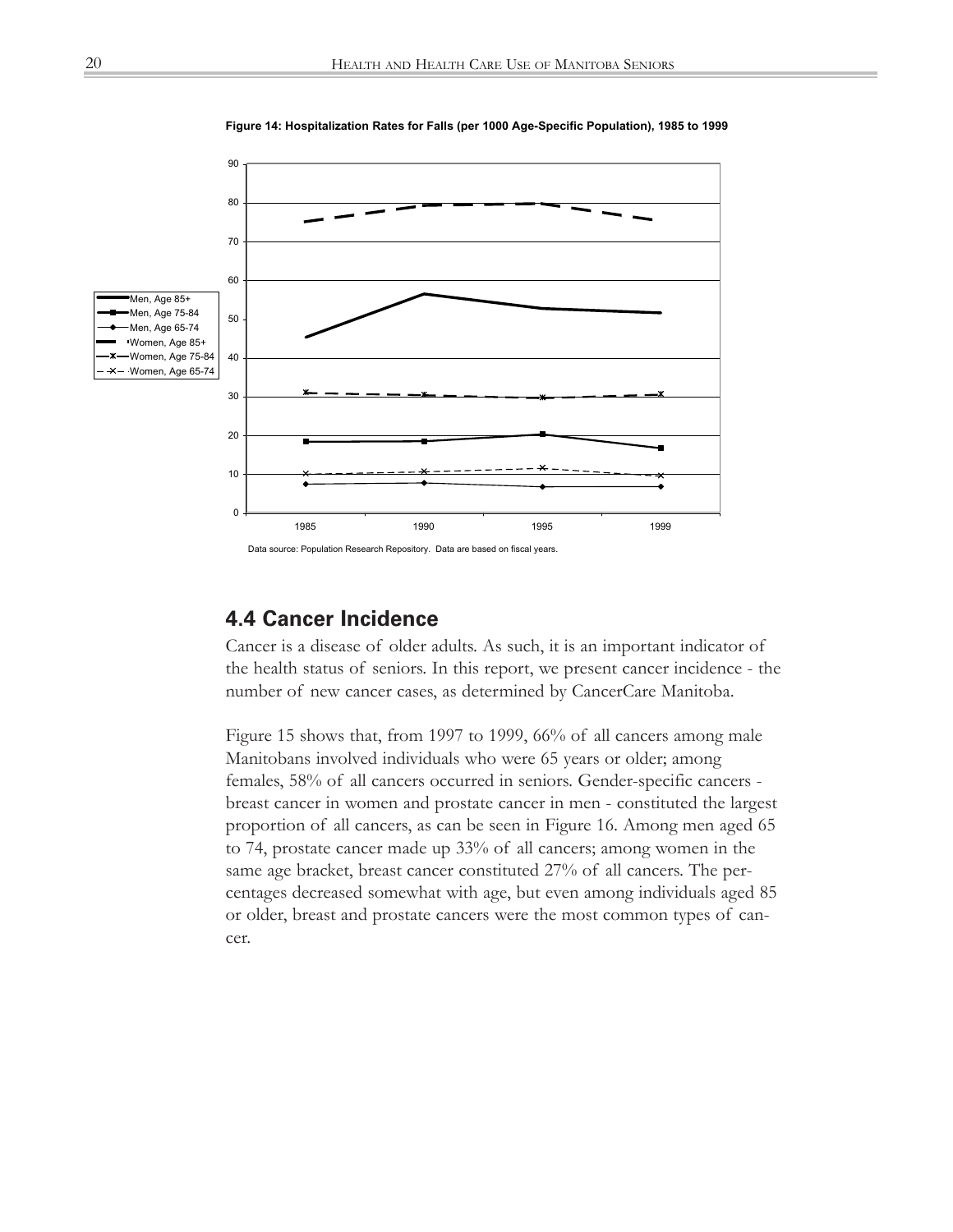

#### **Figure 14: Hospitalization Rates for Falls (per 1000 Age-Specific Population), 1985 to 1999**

#### **4.4 Cancer Incidence**

Cancer is a disease of older adults. As such, it is an important indicator of the health status of seniors. In this report, we present cancer incidence - the number of new cancer cases, as determined by CancerCare Manitoba.

Figure 15 shows that, from 1997 to 1999, 66% of all cancers among male Manitobans involved individuals who were 65 years or older; among females, 58% of all cancers occurred in seniors. Gender-specific cancers breast cancer in women and prostate cancer in men - constituted the largest proportion of all cancers, as can be seen in Figure 16. Among men aged 65 to 74, prostate cancer made up 33% of all cancers; among women in the same age bracket, breast cancer constituted 27% of all cancers. The percentages decreased somewhat with age, but even among individuals aged 85 or older, breast and prostate cancers were the most common types of cancer.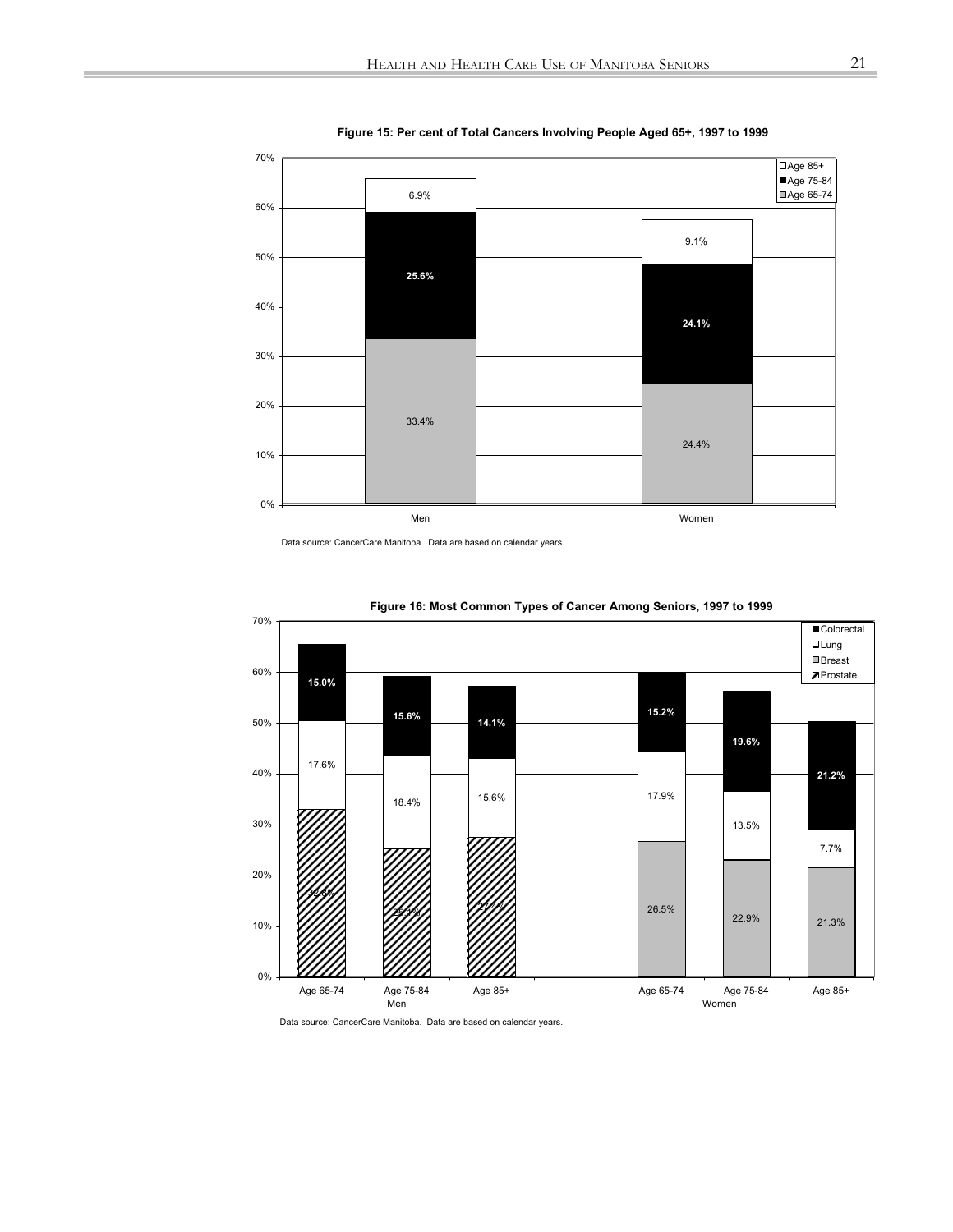

**Figure 15: Per cent of Total Cancers Involving People Aged 65+, 1997 to 1999**

Data source: CancerCare Manitoba. Data are based on calendar years.



**Figure 16: Most Common Types of Cancer Among Seniors, 1997 to 1999**

Data source: CancerCare Manitoba. Data are based on calendar years.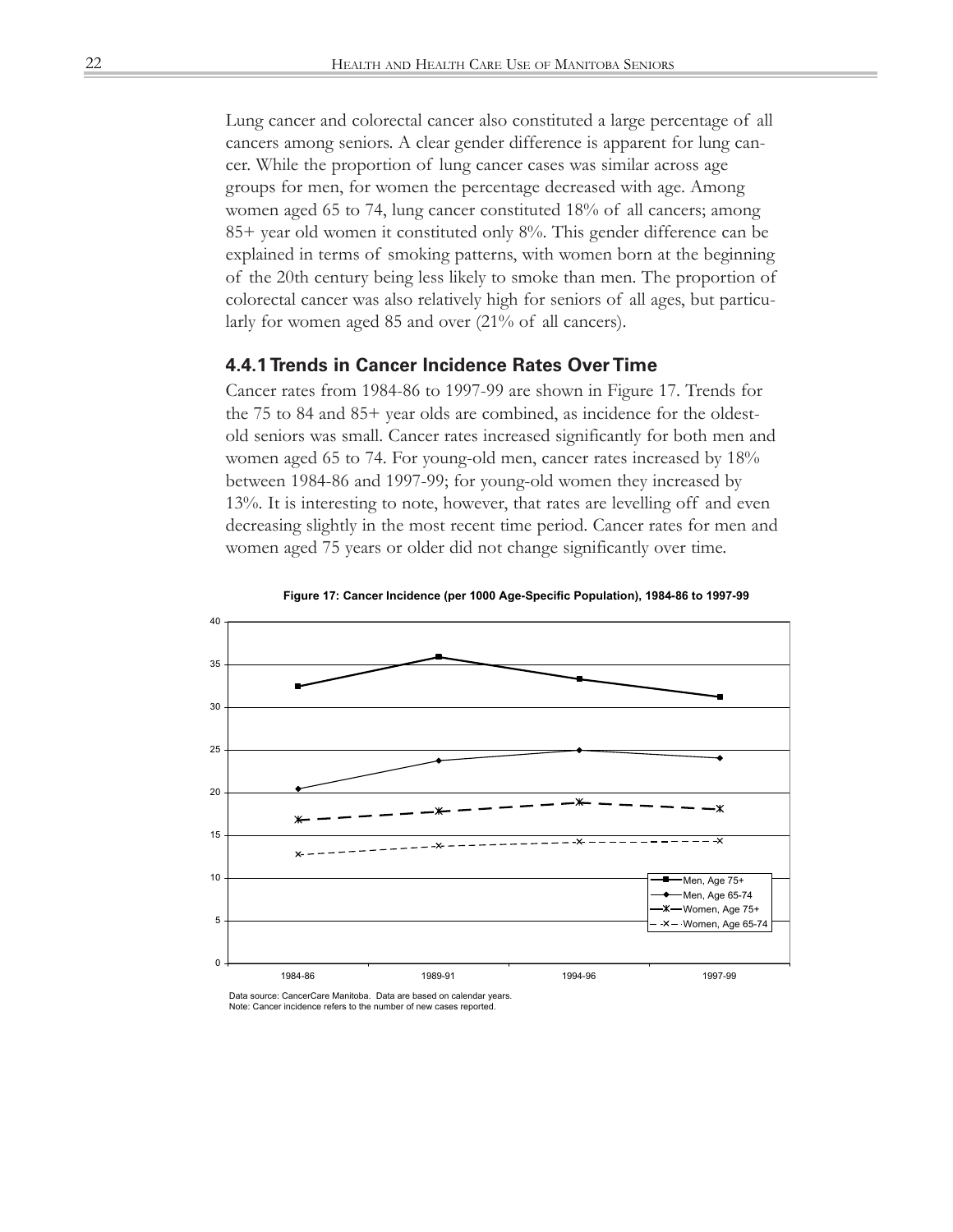Lung cancer and colorectal cancer also constituted a large percentage of all cancers among seniors. A clear gender difference is apparent for lung cancer. While the proportion of lung cancer cases was similar across age groups for men, for women the percentage decreased with age. Among women aged 65 to 74, lung cancer constituted 18% of all cancers; among 85+ year old women it constituted only 8%. This gender difference can be explained in terms of smoking patterns, with women born at the beginning of the 20th century being less likely to smoke than men. The proportion of colorectal cancer was also relatively high for seniors of all ages, but particularly for women aged 85 and over (21% of all cancers).

#### **4.4.1 Trends in Cancer Incidence Rates Over Time**

Cancer rates from 1984-86 to 1997-99 are shown in Figure 17. Trends for the 75 to 84 and 85+ year olds are combined, as incidence for the oldestold seniors was small. Cancer rates increased significantly for both men and women aged 65 to 74. For young-old men, cancer rates increased by 18% between 1984-86 and 1997-99; for young-old women they increased by 13%. It is interesting to note, however, that rates are levelling off and even decreasing slightly in the most recent time period. Cancer rates for men and women aged 75 years or older did not change significantly over time.



**Figure 17: Cancer Incidence (per 1000 Age-Specific Population), 1984-86 to 1997-99**

Data source: CancerCare Manitoba. Data are based on calendar years. Note: Cancer incidence refers to the number of new cases reported.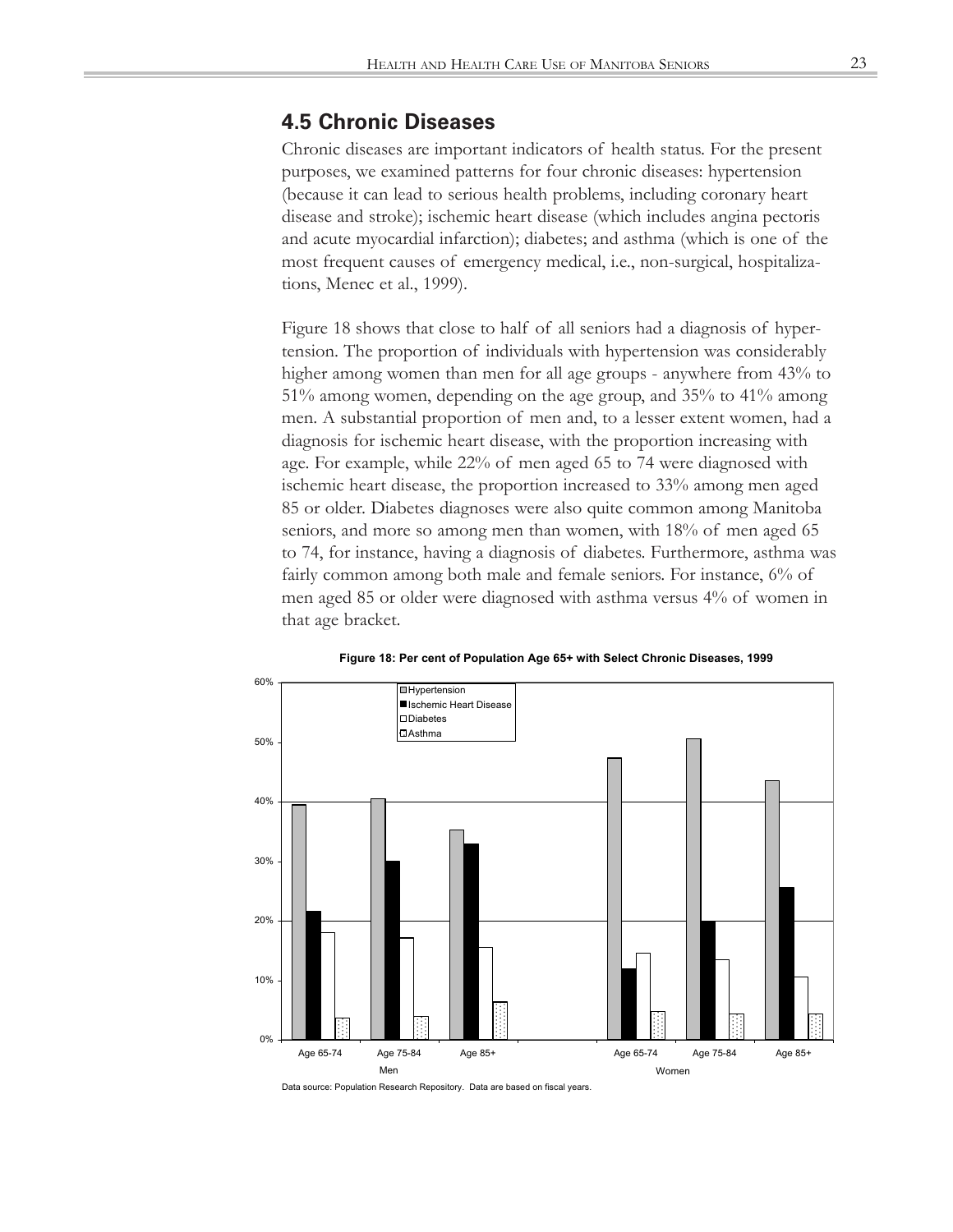# **4.5 Chronic Diseases**

Chronic diseases are important indicators of health status. For the present purposes, we examined patterns for four chronic diseases: hypertension (because it can lead to serious health problems, including coronary heart disease and stroke); ischemic heart disease (which includes angina pectoris and acute myocardial infarction); diabetes; and asthma (which is one of the most frequent causes of emergency medical, i.e., non-surgical, hospitalizations, Menec et al., 1999).

Figure 18 shows that close to half of all seniors had a diagnosis of hypertension. The proportion of individuals with hypertension was considerably higher among women than men for all age groups - anywhere from 43% to 51% among women, depending on the age group, and 35% to 41% among men. A substantial proportion of men and, to a lesser extent women, had a diagnosis for ischemic heart disease, with the proportion increasing with age. For example, while 22% of men aged 65 to 74 were diagnosed with ischemic heart disease, the proportion increased to 33% among men aged 85 or older. Diabetes diagnoses were also quite common among Manitoba seniors, and more so among men than women, with 18% of men aged 65 to 74, for instance, having a diagnosis of diabetes. Furthermore, asthma was fairly common among both male and female seniors. For instance, 6% of men aged 85 or older were diagnosed with asthma versus 4% of women in that age bracket.



**Figure 18: Per cent of Population Age 65+ with Select Chronic Diseases, 1999**

Data source: Population Research Repository. Data are based on fiscal years.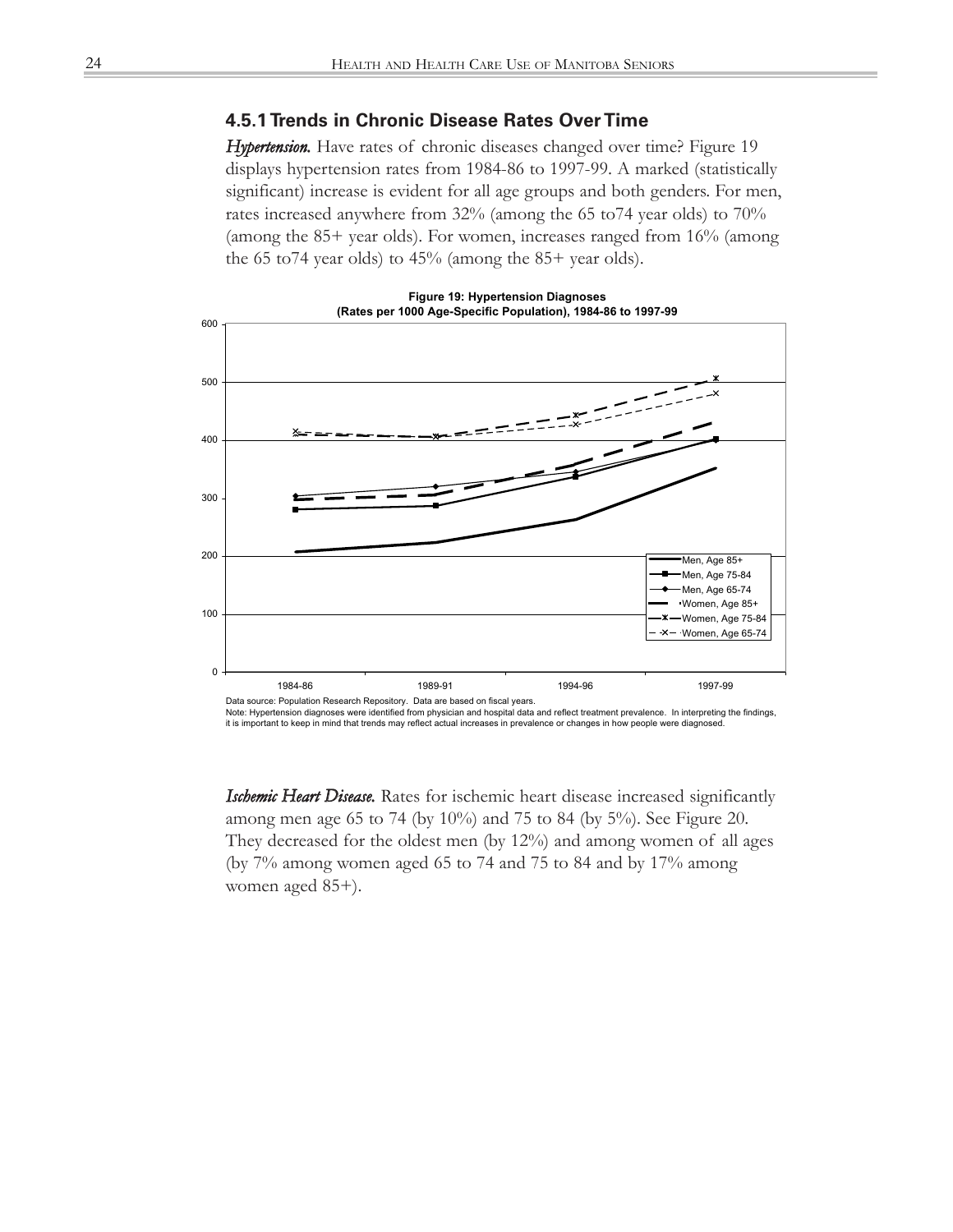### **4.5.1 Trends in Chronic Disease Rates Over Time**

*Hypertension.* Have rates of chronic diseases changed over time? Figure 19 displays hypertension rates from 1984-86 to 1997-99. A marked (statistically significant) increase is evident for all age groups and both genders. For men, rates increased anywhere from 32% (among the 65 to74 year olds) to 70% (among the 85+ year olds). For women, increases ranged from 16% (among the 65 to 74 year olds) to  $45\%$  (among the  $85+$  year olds).



Note: Hypertension diagnoses were identified from physician and hospital data and reflect treatment prevalence. In interpreting the findings, it is important to keep in mind that trends may reflect actual increases in prevalence or changes in how people were diagnosed.

*Ischemic Heart Disease.* Rates for ischemic heart disease increased significantly among men age 65 to 74 (by 10%) and 75 to 84 (by 5%). See Figure 20. They decreased for the oldest men (by 12%) and among women of all ages (by 7% among women aged 65 to 74 and 75 to 84 and by 17% among women aged 85+).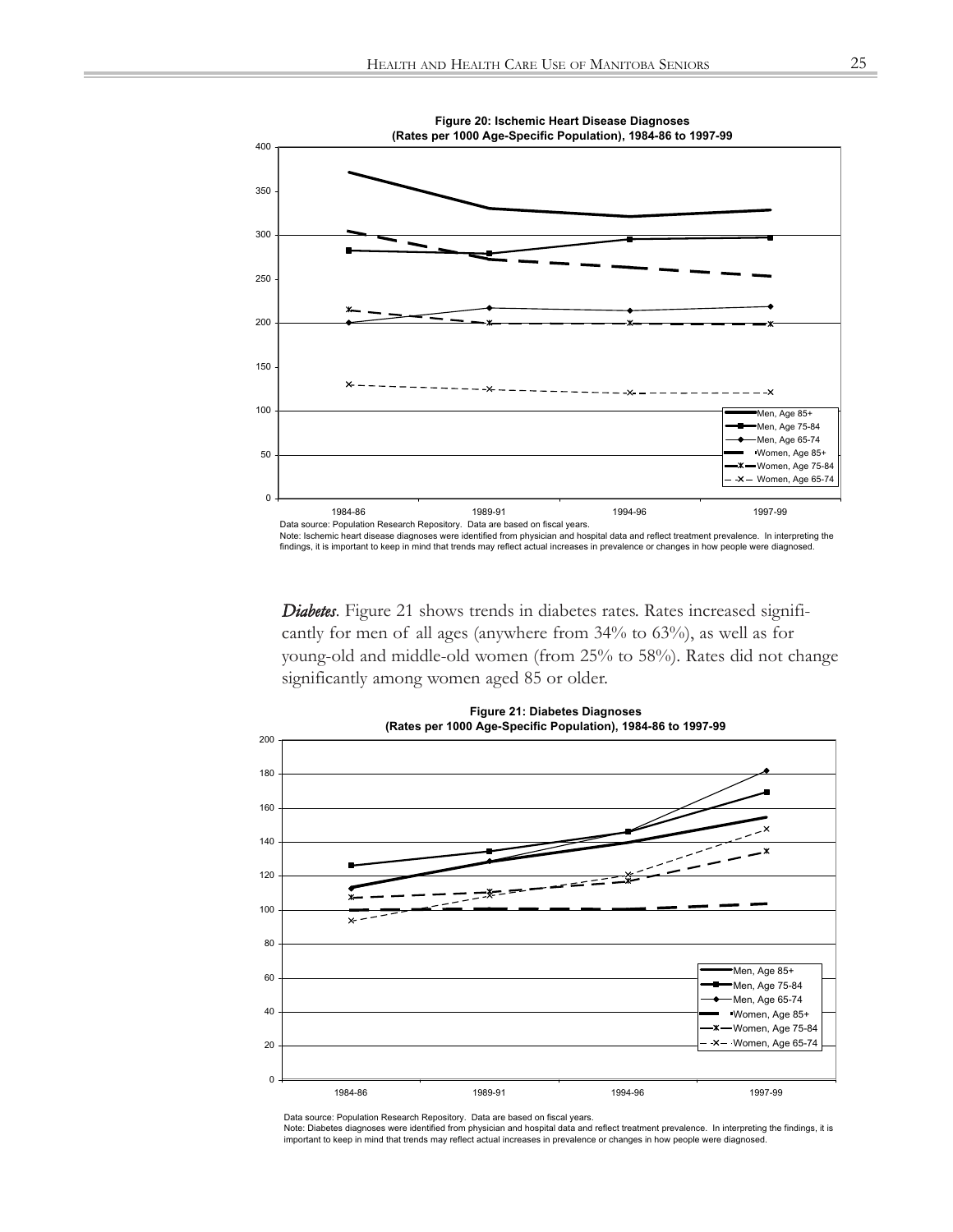

*Diabetes*. Figure 21 shows trends in diabetes rates. Rates increased significantly for men of all ages (anywhere from 34% to 63%), as well as for young-old and middle-old women (from 25% to 58%). Rates did not change significantly among women aged 85 or older.



Data source: Population Research Repository. Data are based on fiscal years.

Note: Diabetes diagnoses were identified from physician and hospital data and reflect treatment prevalence. In interpreting the findings, it is important to keep in mind that trends may reflect actual increases in prevalence or changes in how people were diagnosed.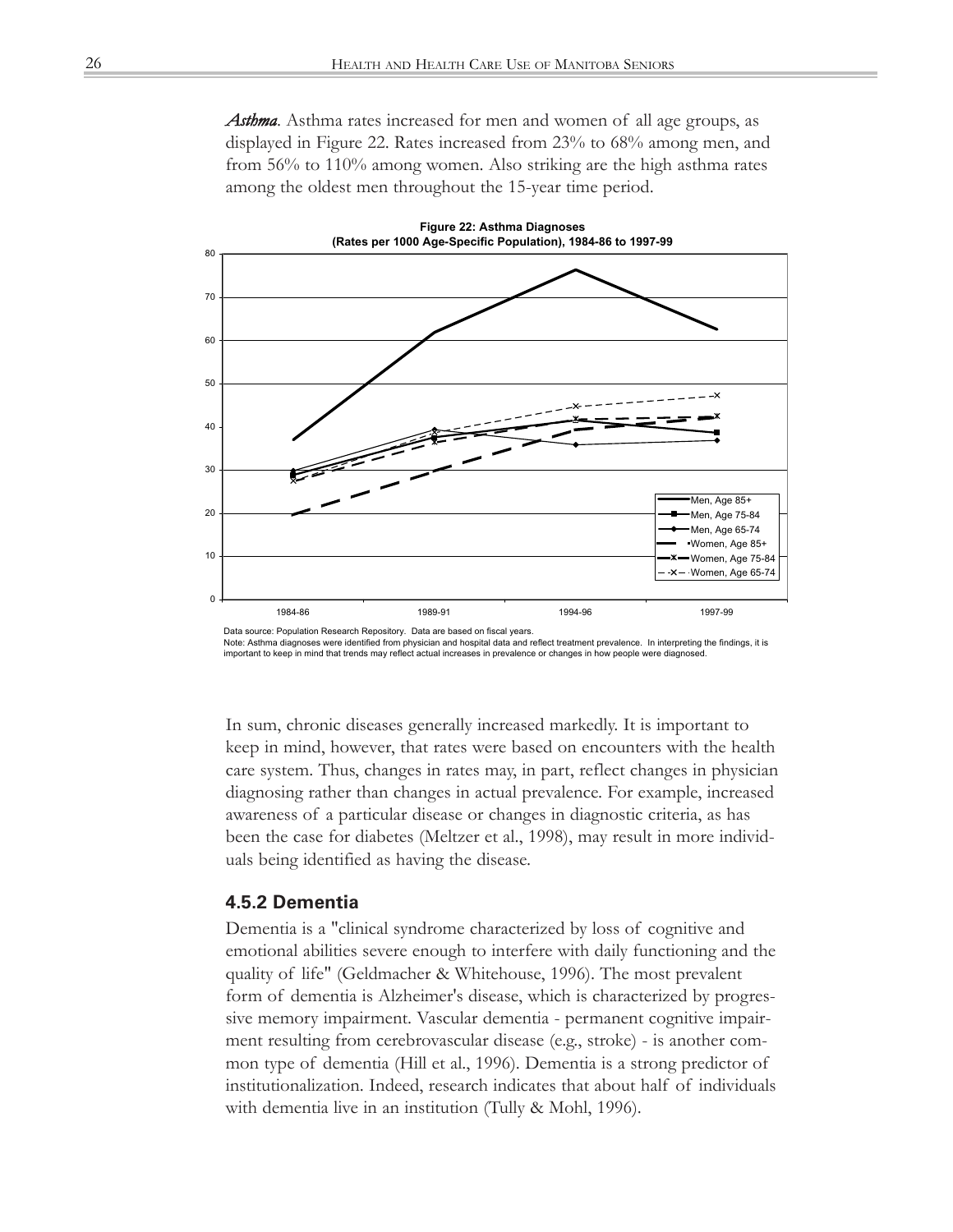*Asthma*. Asthma rates increased for men and women of all age groups, as displayed in Figure 22. Rates increased from 23% to 68% among men, and from 56% to 110% among women. Also striking are the high asthma rates among the oldest men throughout the 15-year time period.



Data source: Population Research Repository. Data are based on fiscal years. Note: Asthma diagnoses were identified from physician and hospital data and reflect treatment prevalence. In interpreting the findings, it is

important to keep in mind that trends may reflect actual increases in prevalence or changes in how people were diagnosed.

In sum, chronic diseases generally increased markedly. It is important to keep in mind, however, that rates were based on encounters with the health care system. Thus, changes in rates may, in part, reflect changes in physician diagnosing rather than changes in actual prevalence. For example, increased awareness of a particular disease or changes in diagnostic criteria, as has been the case for diabetes (Meltzer et al., 1998), may result in more individuals being identified as having the disease.

#### **4.5.2 Dementia**

Dementia is a "clinical syndrome characterized by loss of cognitive and emotional abilities severe enough to interfere with daily functioning and the quality of life" (Geldmacher & Whitehouse, 1996). The most prevalent form of dementia is Alzheimer's disease, which is characterized by progressive memory impairment. Vascular dementia - permanent cognitive impairment resulting from cerebrovascular disease (e.g., stroke) - is another common type of dementia (Hill et al., 1996). Dementia is a strong predictor of institutionalization. Indeed, research indicates that about half of individuals with dementia live in an institution (Tully & Mohl, 1996).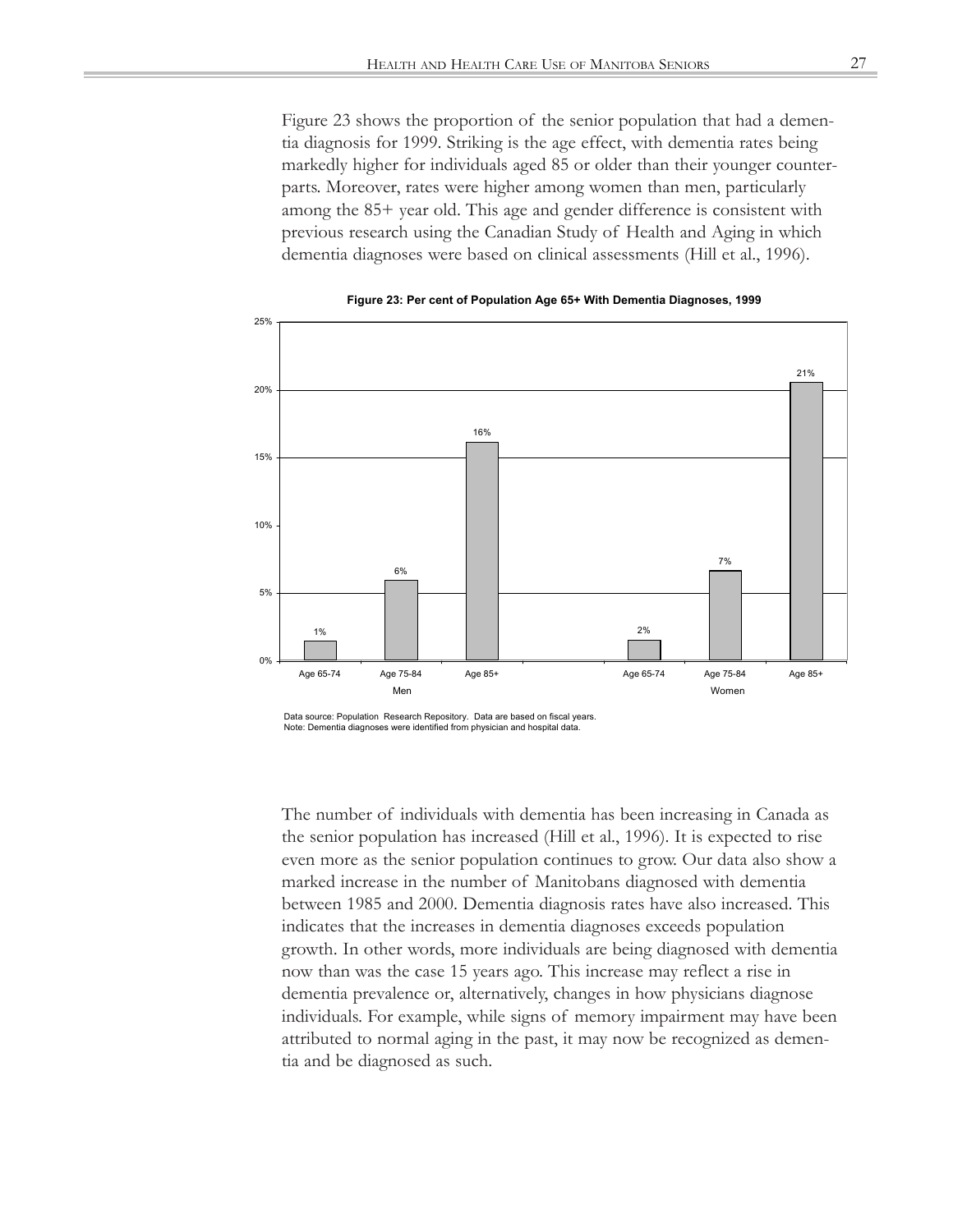Figure 23 shows the proportion of the senior population that had a dementia diagnosis for 1999. Striking is the age effect, with dementia rates being markedly higher for individuals aged 85 or older than their younger counterparts. Moreover, rates were higher among women than men, particularly among the 85+ year old. This age and gender difference is consistent with previous research using the Canadian Study of Health and Aging in which dementia diagnoses were based on clinical assessments (Hill et al., 1996).



**Figure 23: Per cent of Population Age 65+ With Dementia Diagnoses, 1999**

The number of individuals with dementia has been increasing in Canada as the senior population has increased (Hill et al., 1996). It is expected to rise even more as the senior population continues to grow. Our data also show a marked increase in the number of Manitobans diagnosed with dementia between 1985 and 2000. Dementia diagnosis rates have also increased. This indicates that the increases in dementia diagnoses exceeds population growth. In other words, more individuals are being diagnosed with dementia now than was the case 15 years ago. This increase may reflect a rise in dementia prevalence or, alternatively, changes in how physicians diagnose individuals. For example, while signs of memory impairment may have been attributed to normal aging in the past, it may now be recognized as dementia and be diagnosed as such.

Data source: Population Research Repository. Data are based on fiscal years. Note: Dementia diagnoses were identified from physician and hospital data.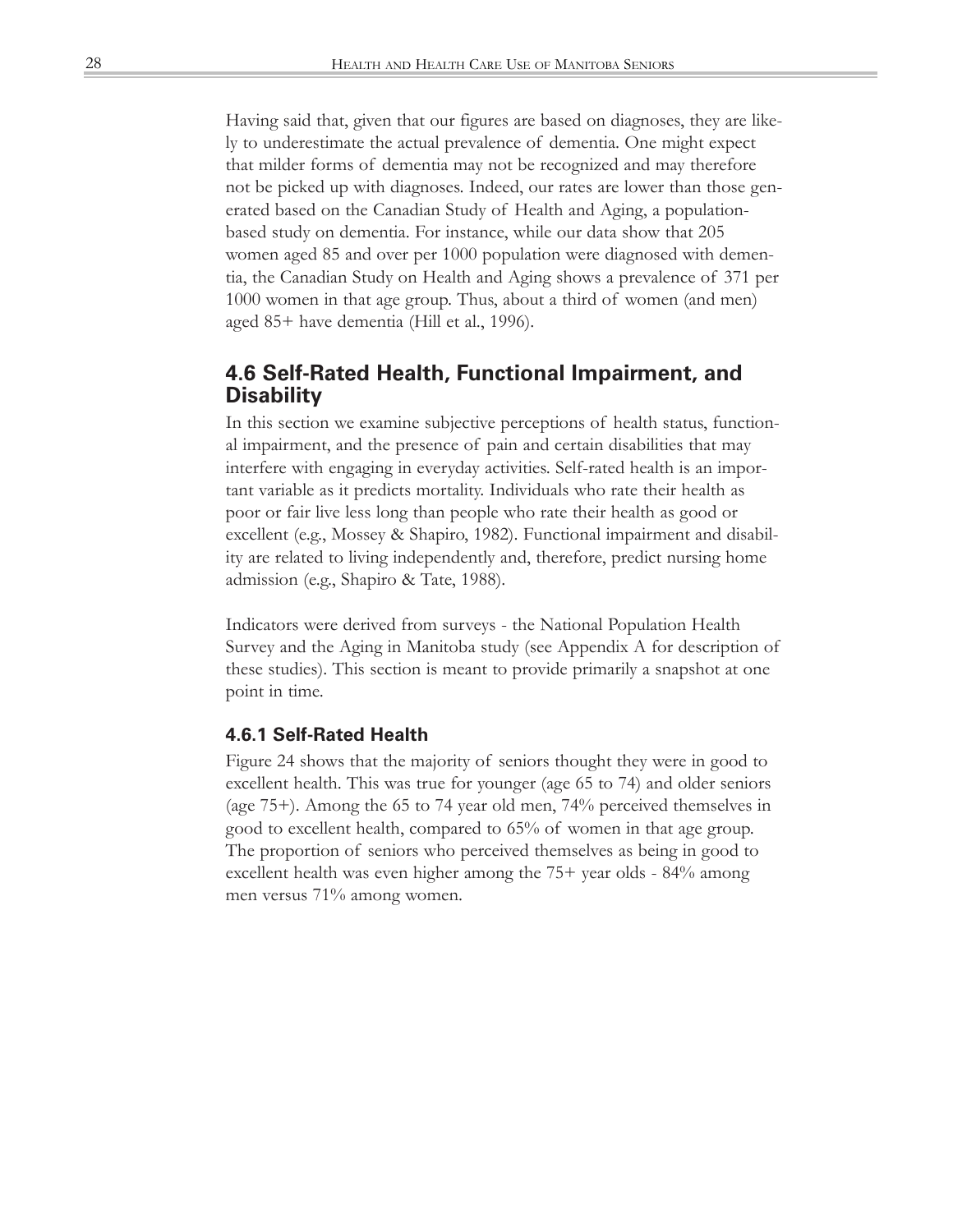Having said that, given that our figures are based on diagnoses, they are likely to underestimate the actual prevalence of dementia. One might expect that milder forms of dementia may not be recognized and may therefore not be picked up with diagnoses. Indeed, our rates are lower than those generated based on the Canadian Study of Health and Aging, a populationbased study on dementia. For instance, while our data show that 205 women aged 85 and over per 1000 population were diagnosed with dementia, the Canadian Study on Health and Aging shows a prevalence of 371 per 1000 women in that age group. Thus, about a third of women (and men) aged 85+ have dementia (Hill et al., 1996).

### **4.6 Self-Rated Health, Functional Impairment, and Disability**

In this section we examine subjective perceptions of health status, functional impairment, and the presence of pain and certain disabilities that may interfere with engaging in everyday activities. Self-rated health is an important variable as it predicts mortality. Individuals who rate their health as poor or fair live less long than people who rate their health as good or excellent (e.g., Mossey & Shapiro, 1982). Functional impairment and disability are related to living independently and, therefore, predict nursing home admission (e.g., Shapiro & Tate, 1988).

Indicators were derived from surveys - the National Population Health Survey and the Aging in Manitoba study (see Appendix A for description of these studies). This section is meant to provide primarily a snapshot at one point in time.

#### **4.6.1 Self-Rated Health**

Figure 24 shows that the majority of seniors thought they were in good to excellent health. This was true for younger (age 65 to 74) and older seniors (age 75+). Among the 65 to 74 year old men, 74% perceived themselves in good to excellent health, compared to 65% of women in that age group. The proportion of seniors who perceived themselves as being in good to excellent health was even higher among the 75+ year olds - 84% among men versus 71% among women.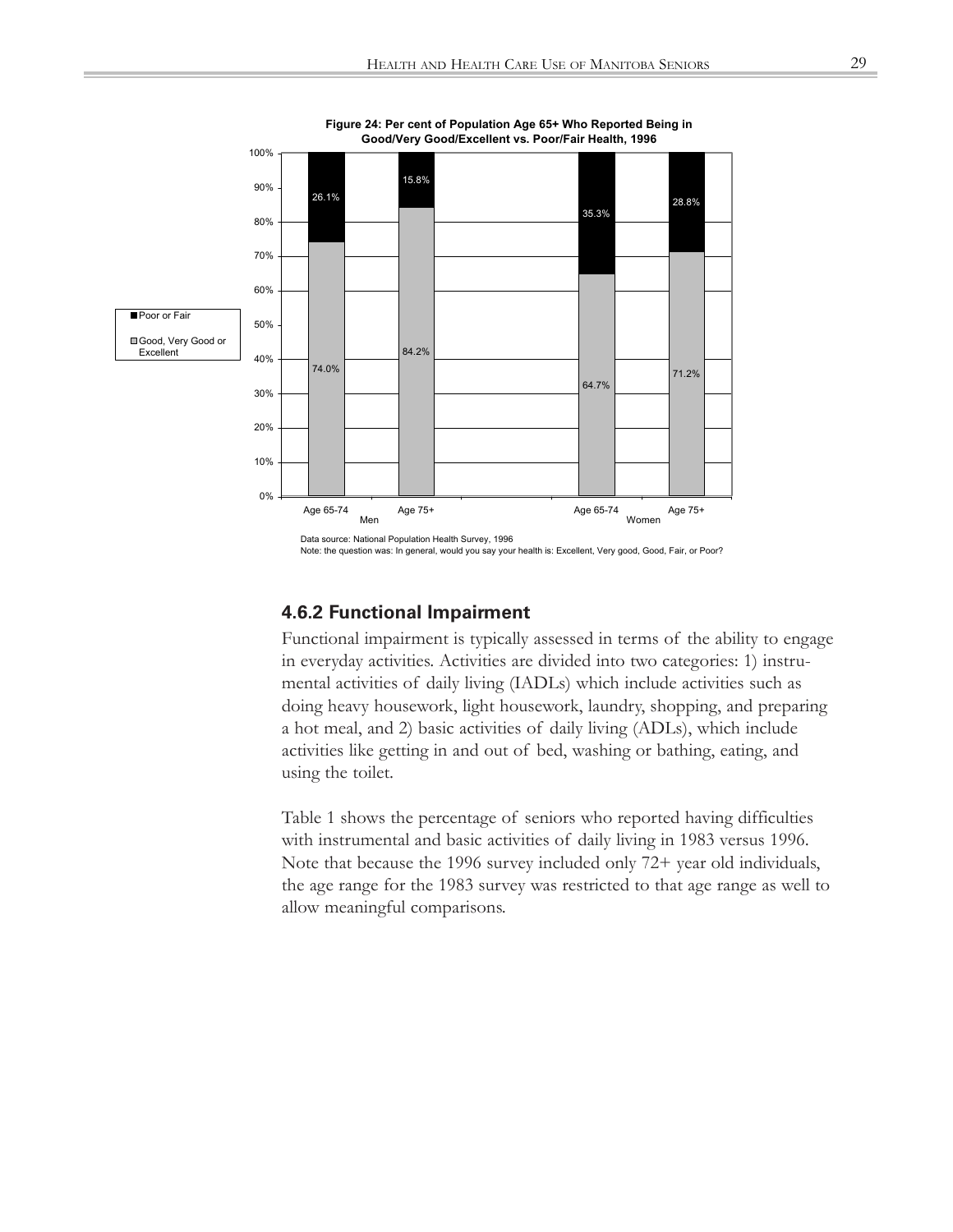

**Figure 24: Per cent of Population Age 65+ Who Reported Being in**

#### **4.6.2 Functional Impairment**

Functional impairment is typically assessed in terms of the ability to engage in everyday activities. Activities are divided into two categories: 1) instrumental activities of daily living (IADLs) which include activities such as doing heavy housework, light housework, laundry, shopping, and preparing a hot meal, and 2) basic activities of daily living (ADLs), which include activities like getting in and out of bed, washing or bathing, eating, and using the toilet.

Table 1 shows the percentage of seniors who reported having difficulties with instrumental and basic activities of daily living in 1983 versus 1996. Note that because the 1996 survey included only 72+ year old individuals, the age range for the 1983 survey was restricted to that age range as well to allow meaningful comparisons.

Note: the question was: In general, would you say your health is: Excellent, Very good, Good, Fair, or Poor?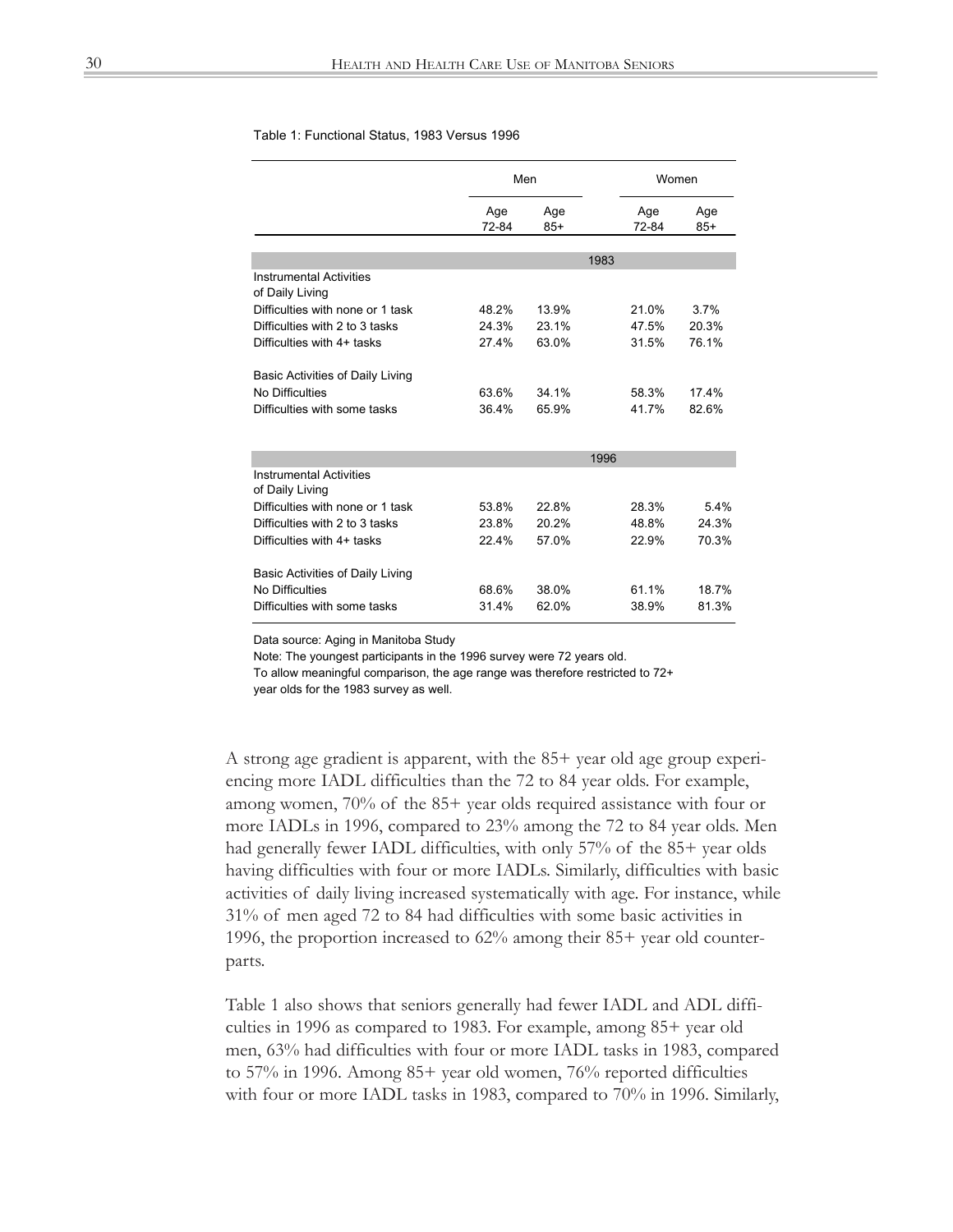#### Table 1: Functional Status, 1983 Versus 1996

|                                                   | Men          |              |      | Women        |              |
|---------------------------------------------------|--------------|--------------|------|--------------|--------------|
|                                                   | Age<br>72-84 | Age<br>$85+$ |      | Age<br>72-84 | Age<br>$85+$ |
|                                                   |              |              |      |              |              |
|                                                   |              |              | 1983 |              |              |
| <b>Instrumental Activities</b><br>of Daily Living |              |              |      |              |              |
| Difficulties with none or 1 task                  | 48.2%        | 13.9%        |      | 21.0%        | 3.7%         |
| Difficulties with 2 to 3 tasks                    | 24.3%        | 23.1%        |      | 47.5%        | 20.3%        |
| Difficulties with 4+ tasks                        | 27.4%        | 63.0%        |      | 31.5%        | 76.1%        |
| Basic Activities of Daily Living                  |              |              |      |              |              |
| No Difficulties                                   | 63.6%        | 34.1%        |      | 58.3%        | 17.4%        |
| Difficulties with some tasks                      | 36.4%        | 65.9%        |      | 41.7%        | 82.6%        |
|                                                   |              |              |      |              |              |
|                                                   |              |              | 1996 |              |              |
| <b>Instrumental Activities</b><br>of Daily Living |              |              |      |              |              |
| Difficulties with none or 1 task                  | 53.8%        | 22.8%        |      | 28.3%        | 5.4%         |
| Difficulties with 2 to 3 tasks                    | 23.8%        | 20.2%        |      | 48.8%        | 24.3%        |
| Difficulties with 4+ tasks                        | 22.4%        | 57.0%        |      | 22.9%        | 70.3%        |
| Basic Activities of Daily Living                  |              |              |      |              |              |
| No Difficulties                                   | 68.6%        | 38.0%        |      | 61.1%        | 18.7%        |
| Difficulties with some tasks                      | 31.4%        | 62.0%        |      | 38.9%        | 81.3%        |

Data source: Aging in Manitoba Study

Note: The youngest participants in the 1996 survey were 72 years old.

To allow meaningful comparison, the age range was therefore restricted to 72+ year olds for the 1983 survey as well.

A strong age gradient is apparent, with the 85+ year old age group experiencing more IADL difficulties than the 72 to 84 year olds. For example, among women, 70% of the 85+ year olds required assistance with four or more IADLs in 1996, compared to 23% among the 72 to 84 year olds. Men had generally fewer IADL difficulties, with only 57% of the 85+ year olds having difficulties with four or more IADLs. Similarly, difficulties with basic activities of daily living increased systematically with age. For instance, while 31% of men aged 72 to 84 had difficulties with some basic activities in 1996, the proportion increased to 62% among their 85+ year old counterparts.

Table 1 also shows that seniors generally had fewer IADL and ADL difficulties in 1996 as compared to 1983. For example, among 85+ year old men, 63% had difficulties with four or more IADL tasks in 1983, compared to 57% in 1996. Among 85+ year old women, 76% reported difficulties with four or more IADL tasks in 1983, compared to 70% in 1996. Similarly,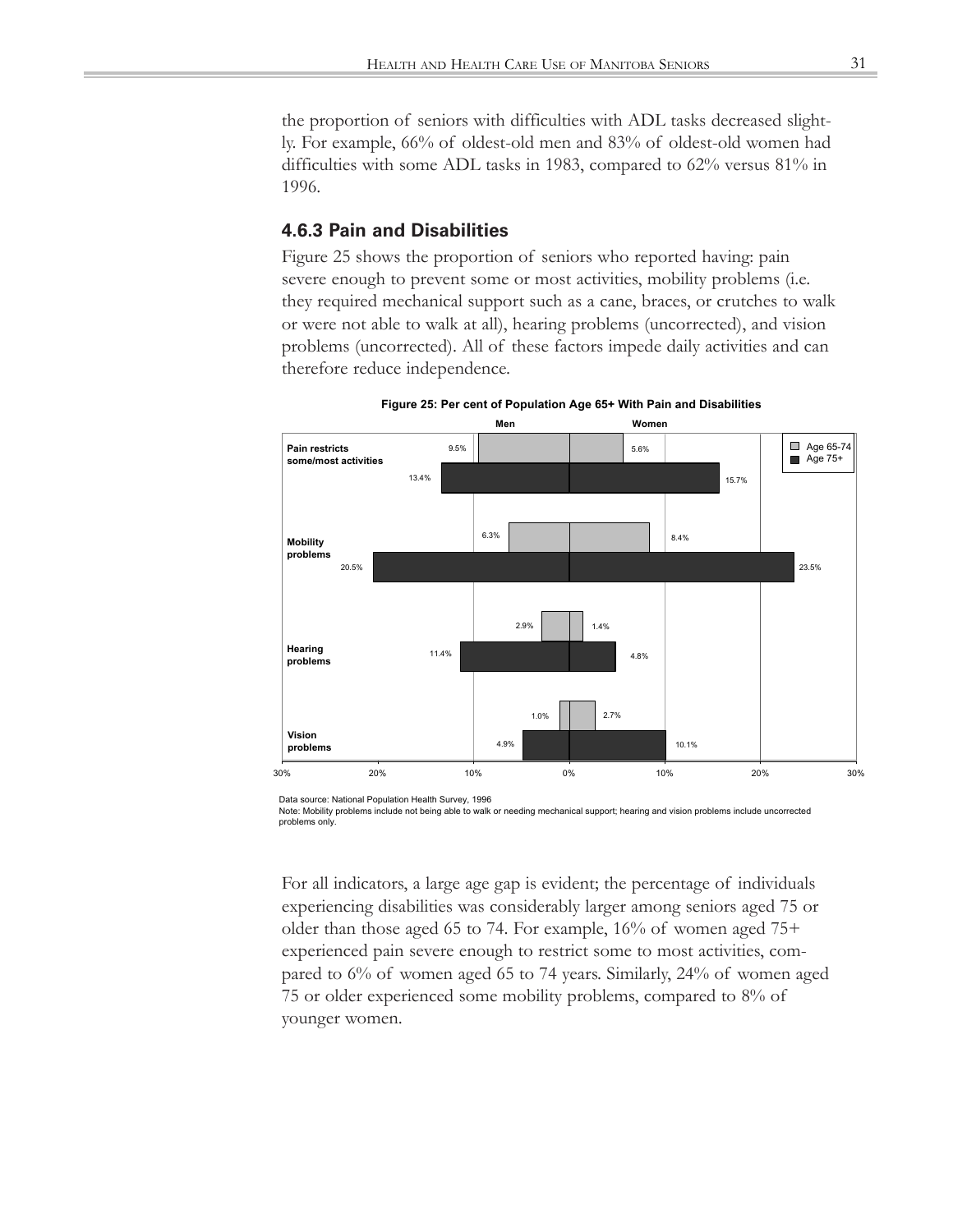the proportion of seniors with difficulties with ADL tasks decreased slightly. For example, 66% of oldest-old men and 83% of oldest-old women had difficulties with some ADL tasks in 1983, compared to 62% versus 81% in 1996.

#### **4.6.3 Pain and Disabilities**

Figure 25 shows the proportion of seniors who reported having: pain severe enough to prevent some or most activities, mobility problems (i.e. they required mechanical support such as a cane, braces, or crutches to walk or were not able to walk at all), hearing problems (uncorrected), and vision problems (uncorrected). All of these factors impede daily activities and can therefore reduce independence.



**Figure 25: Per cent of Population Age 65+ With Pain and Disabilities**

Data source: National Population Health Survey, 1996

Note: Mobility problems include not being able to walk or needing mechanical support; hearing and vision problems include uncorrected problems only.

For all indicators, a large age gap is evident; the percentage of individuals experiencing disabilities was considerably larger among seniors aged 75 or older than those aged 65 to 74. For example, 16% of women aged 75+ experienced pain severe enough to restrict some to most activities, compared to 6% of women aged 65 to 74 years. Similarly, 24% of women aged 75 or older experienced some mobility problems, compared to 8% of younger women.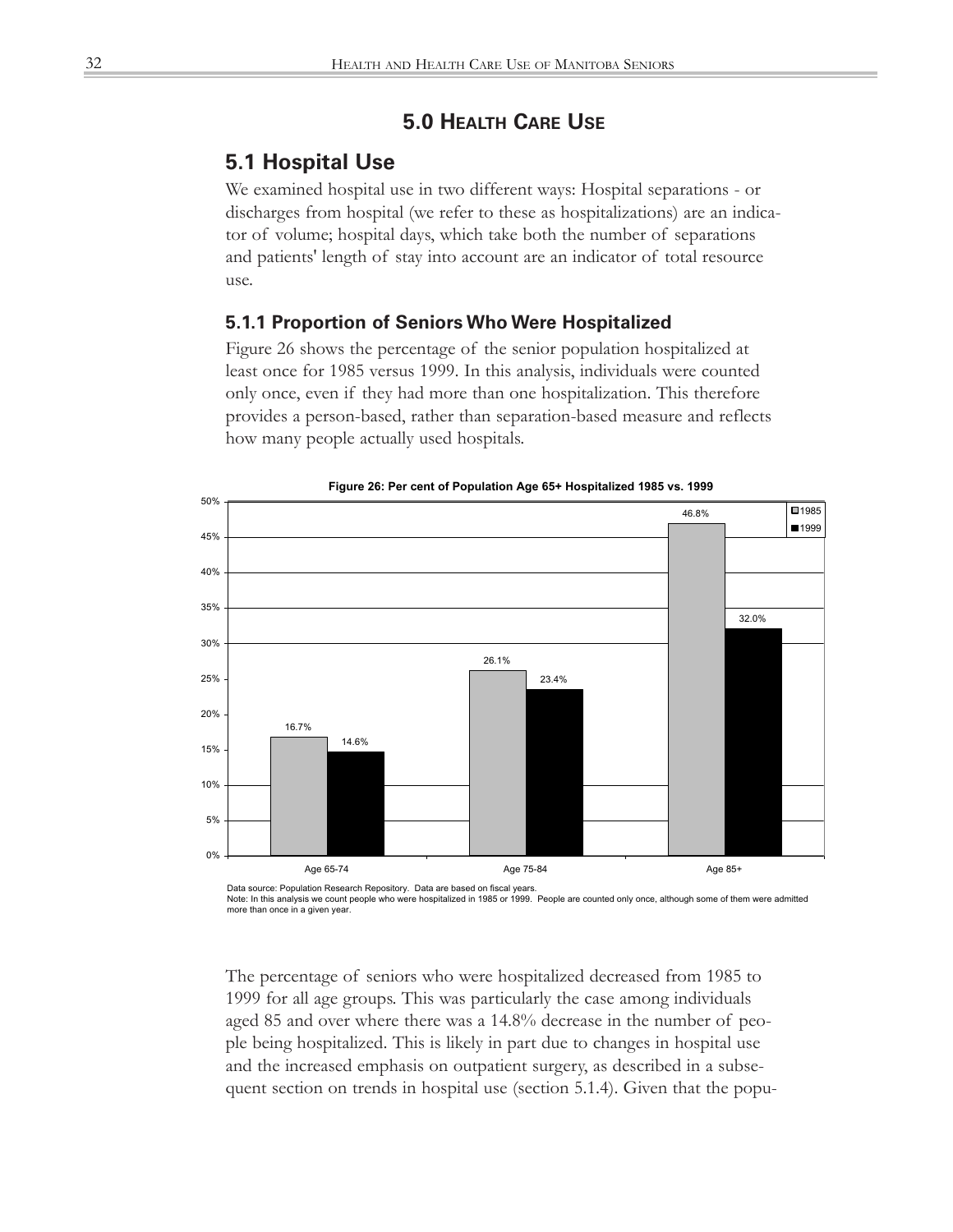# **5.0 HEALTH CARE USE**

## **5.1 Hospital Use**

We examined hospital use in two different ways: Hospital separations - or discharges from hospital (we refer to these as hospitalizations) are an indicator of volume; hospital days, which take both the number of separations and patients' length of stay into account are an indicator of total resource use.

### **5.1.1 Proportion of Seniors Who Were Hospitalized**

Figure 26 shows the percentage of the senior population hospitalized at least once for 1985 versus 1999. In this analysis, individuals were counted only once, even if they had more than one hospitalization. This therefore provides a person-based, rather than separation-based measure and reflects how many people actually used hospitals.



**Figure 26: Per cent of Population Age 65+ Hospitalized 1985 vs. 1999**

Data source: Population Research Repository. Data are based on fiscal years. Note: In this analysis we count people who were hospitalized in 1985 or 1999. People are counted only once, although some of them were admitted more than once in a given year.

The percentage of seniors who were hospitalized decreased from 1985 to 1999 for all age groups. This was particularly the case among individuals aged 85 and over where there was a 14.8% decrease in the number of people being hospitalized. This is likely in part due to changes in hospital use and the increased emphasis on outpatient surgery, as described in a subsequent section on trends in hospital use (section 5.1.4). Given that the popu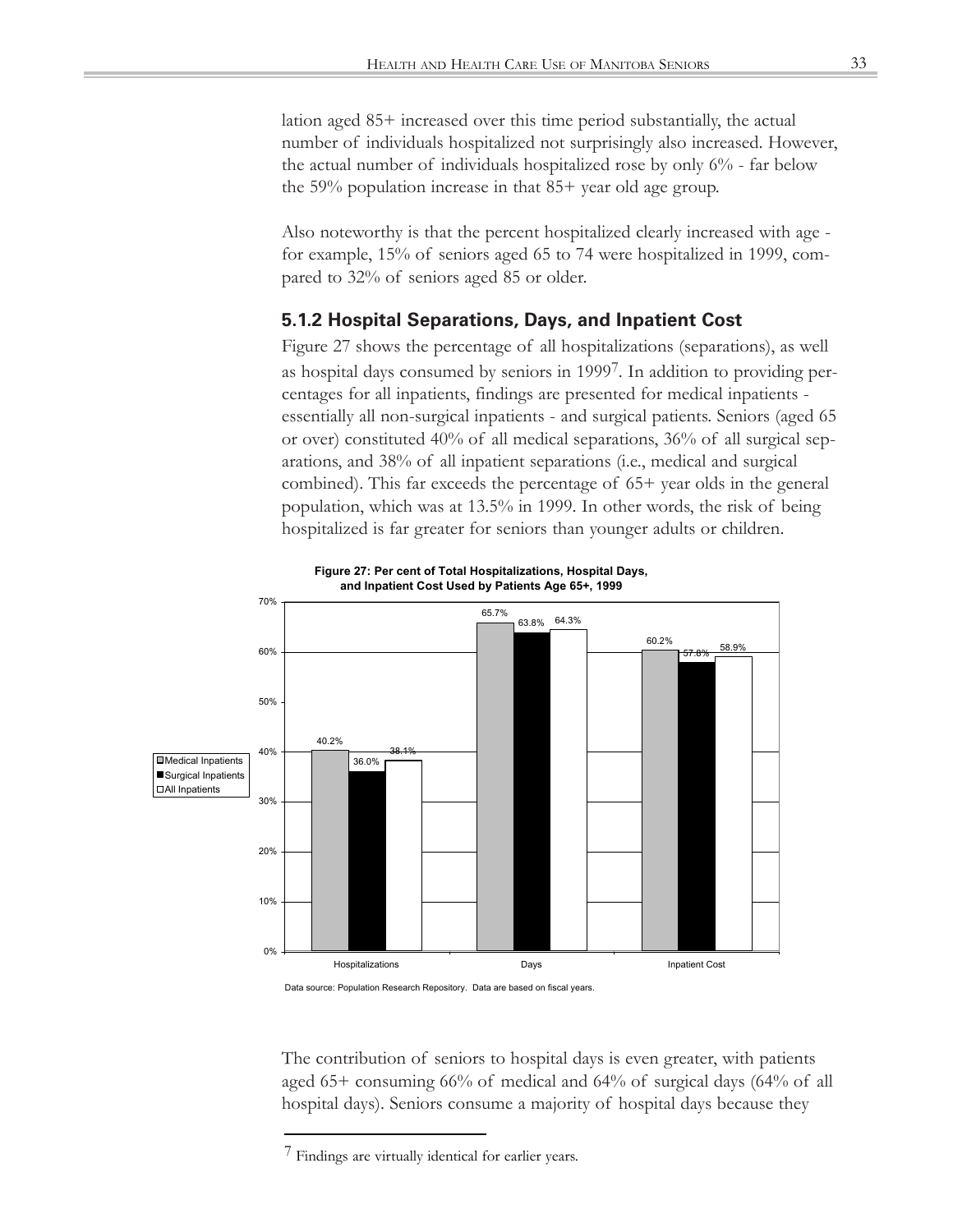lation aged 85+ increased over this time period substantially, the actual number of individuals hospitalized not surprisingly also increased. However, the actual number of individuals hospitalized rose by only 6% - far below the 59% population increase in that 85+ year old age group.

Also noteworthy is that the percent hospitalized clearly increased with age for example, 15% of seniors aged 65 to 74 were hospitalized in 1999, compared to 32% of seniors aged 85 or older.

### **5.1.2 Hospital Separations, Days, and Inpatient Cost**

Figure 27 shows the percentage of all hospitalizations (separations), as well as hospital days consumed by seniors in 19997. In addition to providing percentages for all inpatients, findings are presented for medical inpatients essentially all non-surgical inpatients - and surgical patients. Seniors (aged 65 or over) constituted 40% of all medical separations, 36% of all surgical separations, and 38% of all inpatient separations (i.e., medical and surgical combined). This far exceeds the percentage of 65+ year olds in the general population, which was at 13.5% in 1999. In other words, the risk of being hospitalized is far greater for seniors than younger adults or children.





Data source: Population Research Repository. Data are based on fiscal years.

The contribution of seniors to hospital days is even greater, with patients aged 65+ consuming 66% of medical and 64% of surgical days (64% of all hospital days). Seniors consume a majority of hospital days because they

<sup>7</sup> Findings are virtually identical for earlier years.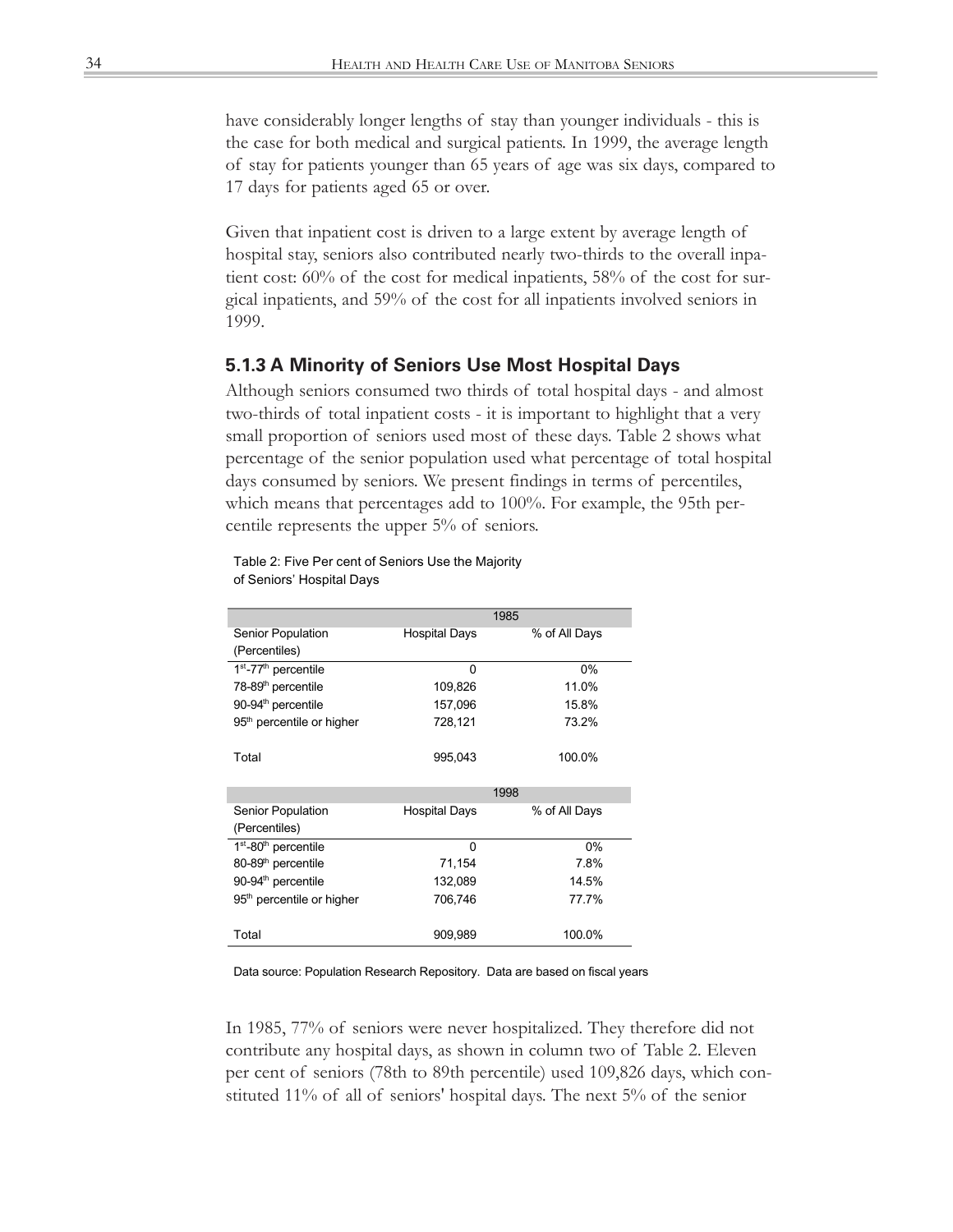have considerably longer lengths of stay than younger individuals - this is the case for both medical and surgical patients. In 1999, the average length of stay for patients younger than 65 years of age was six days, compared to 17 days for patients aged 65 or over.

Given that inpatient cost is driven to a large extent by average length of hospital stay, seniors also contributed nearly two-thirds to the overall inpatient cost: 60% of the cost for medical inpatients, 58% of the cost for surgical inpatients, and 59% of the cost for all inpatients involved seniors in 1999.

#### **5.1.3 A Minority of Seniors Use Most Hospital Days**

Although seniors consumed two thirds of total hospital days - and almost two-thirds of total inpatient costs - it is important to highlight that a very small proportion of seniors used most of these days. Table 2 shows what percentage of the senior population used what percentage of total hospital days consumed by seniors. We present findings in terms of percentiles, which means that percentages add to 100%. For example, the 95th percentile represents the upper 5% of seniors.

|                                              | 1985                 |               |  |  |
|----------------------------------------------|----------------------|---------------|--|--|
| <b>Senior Population</b>                     | <b>Hospital Days</b> | % of All Days |  |  |
| (Percentiles)                                |                      |               |  |  |
| 1 <sup>st</sup> -77 <sup>th</sup> percentile | 0                    | 0%            |  |  |
| 78-89 <sup>th</sup> percentile               | 109,826              | 11.0%         |  |  |
| 90-94 <sup>th</sup> percentile               | 157,096              | 15.8%         |  |  |
| 95 <sup>th</sup> percentile or higher        | 728,121              | 73.2%         |  |  |
| Total                                        | 995,043              | 100.0%        |  |  |
|                                              | 1998                 |               |  |  |
| <b>Senior Population</b>                     | <b>Hospital Days</b> | % of All Days |  |  |
| (Percentiles)                                |                      |               |  |  |
| $1st$ -80 <sup>th</sup> percentile           | $\Omega$             | 0%            |  |  |
| 80-89 <sup>th</sup> percentile               | 71,154               | 7.8%          |  |  |
| 90-94 <sup>th</sup> percentile               | 132,089              | 14.5%         |  |  |
| 95 <sup>th</sup> percentile or higher        | 706,746              | 77.7%         |  |  |
| Total                                        | 909,989              | 100.0%        |  |  |

Table 2: Five Per cent of Seniors Use the Majority of Seniors' Hospital Days

#### Data source: Population Research Repository. Data are based on fiscal years.

In 1985, 77% of seniors were never hospitalized. They therefore did not contribute any hospital days, as shown in column two of Table 2. Eleven per cent of seniors (78th to 89th percentile) used 109,826 days, which constituted 11% of all of seniors' hospital days. The next 5% of the senior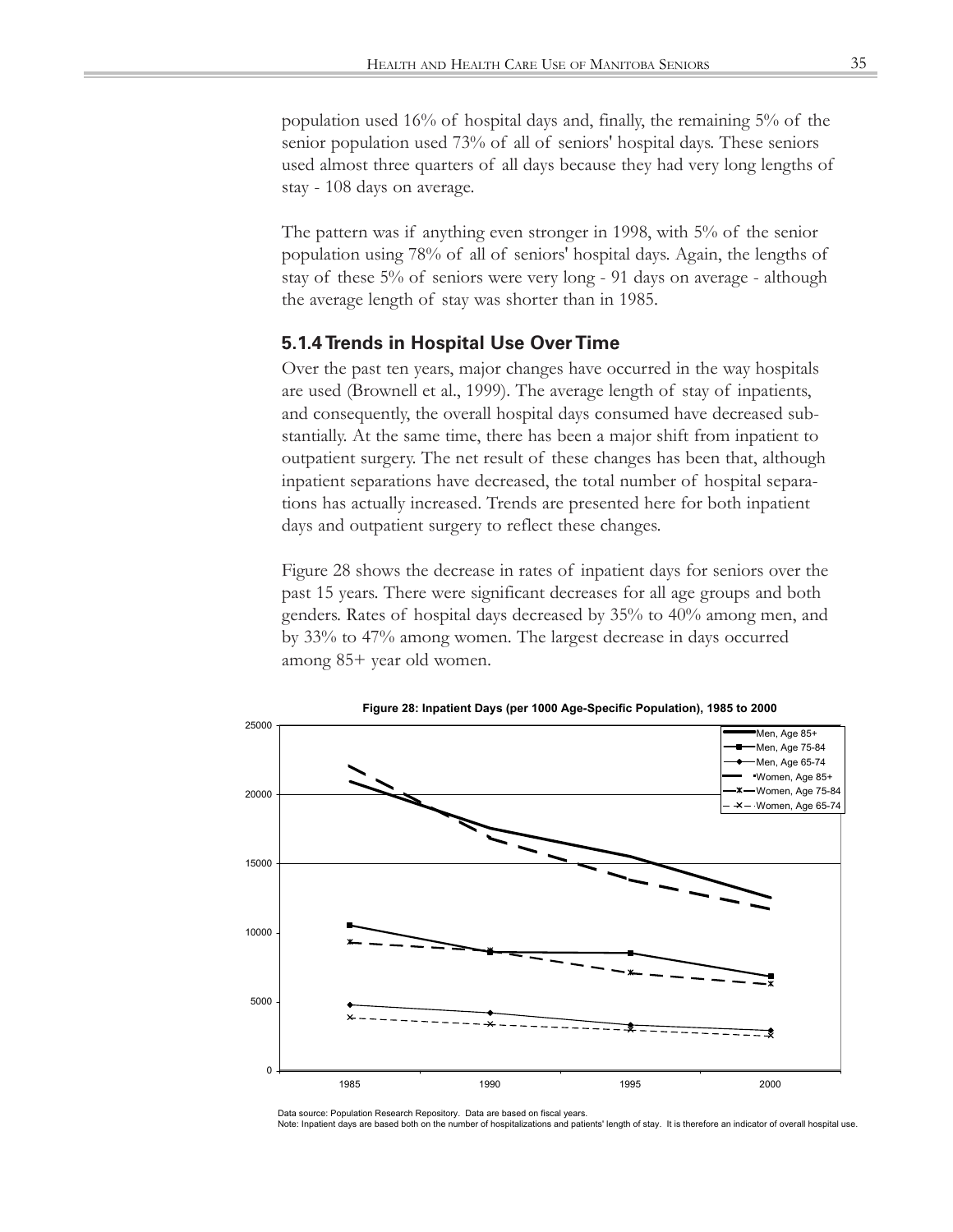population used 16% of hospital days and, finally, the remaining 5% of the senior population used 73% of all of seniors' hospital days. These seniors used almost three quarters of all days because they had very long lengths of stay - 108 days on average.

The pattern was if anything even stronger in 1998, with 5% of the senior population using 78% of all of seniors' hospital days. Again, the lengths of stay of these 5% of seniors were very long - 91 days on average - although the average length of stay was shorter than in 1985.

#### **5.1.4 Trends in Hospital Use Over Time**

Over the past ten years, major changes have occurred in the way hospitals are used (Brownell et al., 1999). The average length of stay of inpatients, and consequently, the overall hospital days consumed have decreased substantially. At the same time, there has been a major shift from inpatient to outpatient surgery. The net result of these changes has been that, although inpatient separations have decreased, the total number of hospital separations has actually increased. Trends are presented here for both inpatient days and outpatient surgery to reflect these changes.

Figure 28 shows the decrease in rates of inpatient days for seniors over the past 15 years. There were significant decreases for all age groups and both genders. Rates of hospital days decreased by 35% to 40% among men, and by 33% to 47% among women. The largest decrease in days occurred among 85+ year old women.



Data source: Population Research Repository. Data are based on fiscal years.

Note: Inpatient days are based both on the number of hospitalizations and patients' length of stay. It is therefore an indicator of overall hospital use.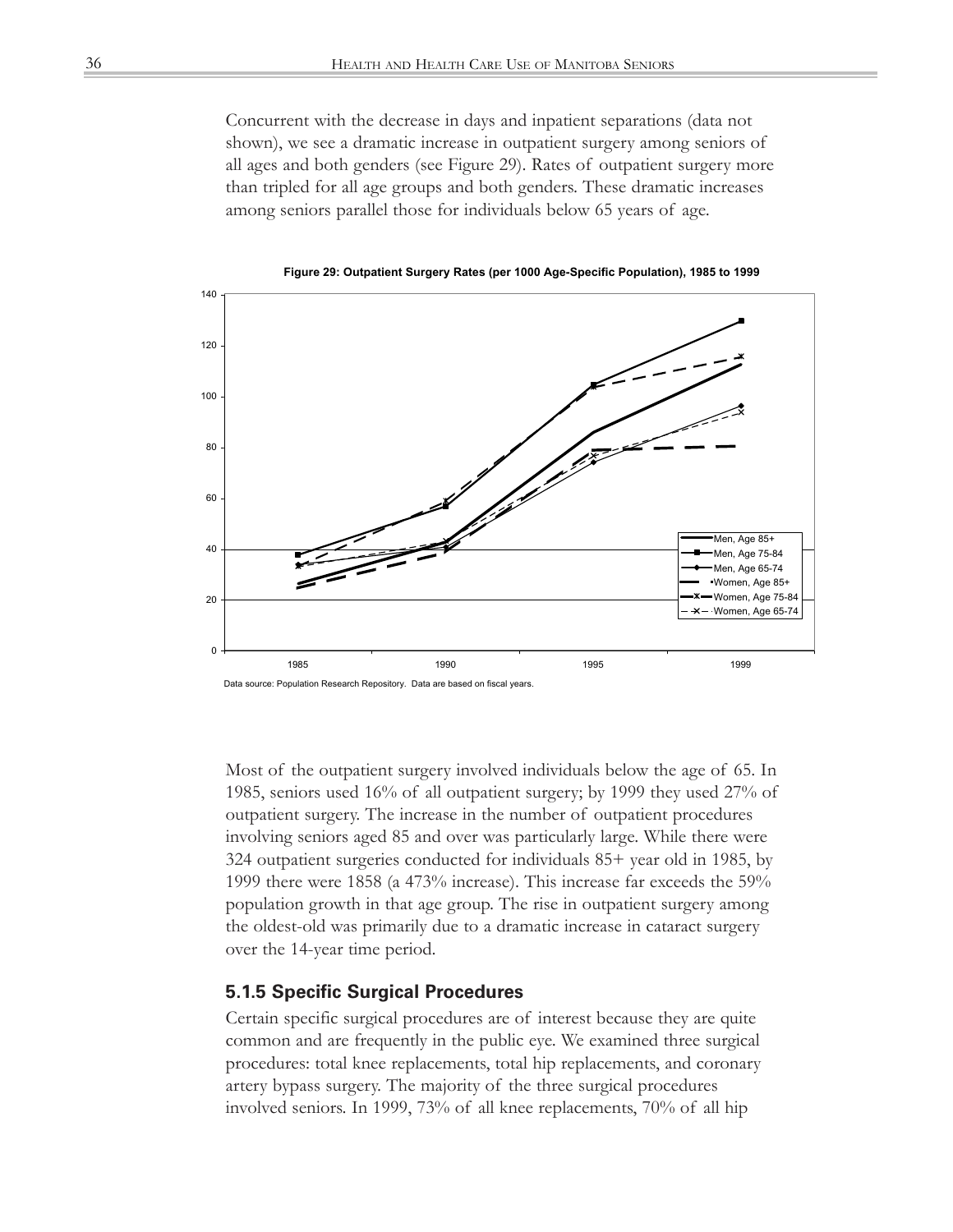Concurrent with the decrease in days and inpatient separations (data not shown), we see a dramatic increase in outpatient surgery among seniors of all ages and both genders (see Figure 29). Rates of outpatient surgery more than tripled for all age groups and both genders. These dramatic increases among seniors parallel those for individuals below 65 years of age.



**Figure 29: Outpatient Surgery Rates (per 1000 Age-Specific Population), 1985 to 1999**

Data source: Population Research Repository. Data are based on fiscal years.

Most of the outpatient surgery involved individuals below the age of 65. In 1985, seniors used 16% of all outpatient surgery; by 1999 they used 27% of outpatient surgery. The increase in the number of outpatient procedures involving seniors aged 85 and over was particularly large. While there were 324 outpatient surgeries conducted for individuals 85+ year old in 1985, by 1999 there were 1858 (a 473% increase). This increase far exceeds the 59% population growth in that age group. The rise in outpatient surgery among the oldest-old was primarily due to a dramatic increase in cataract surgery over the 14-year time period.

#### **5.1.5 Specific Surgical Procedures**

Certain specific surgical procedures are of interest because they are quite common and are frequently in the public eye. We examined three surgical procedures: total knee replacements, total hip replacements, and coronary artery bypass surgery. The majority of the three surgical procedures involved seniors. In 1999, 73% of all knee replacements, 70% of all hip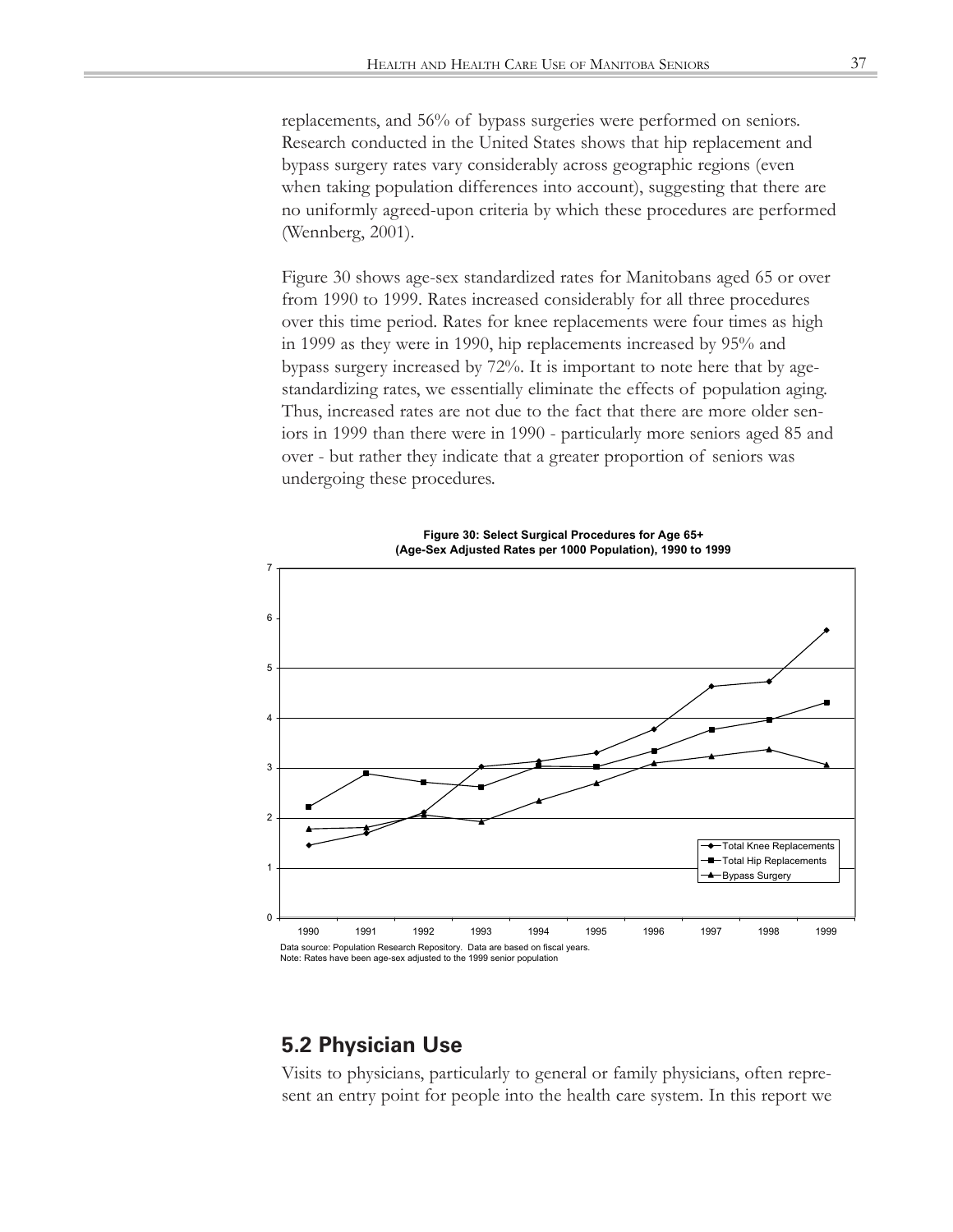replacements, and 56% of bypass surgeries were performed on seniors. Research conducted in the United States shows that hip replacement and bypass surgery rates vary considerably across geographic regions (even when taking population differences into account), suggesting that there are no uniformly agreed-upon criteria by which these procedures are performed (Wennberg, 2001).

Figure 30 shows age-sex standardized rates for Manitobans aged 65 or over from 1990 to 1999. Rates increased considerably for all three procedures over this time period. Rates for knee replacements were four times as high in 1999 as they were in 1990, hip replacements increased by 95% and bypass surgery increased by 72%. It is important to note here that by agestandardizing rates, we essentially eliminate the effects of population aging. Thus, increased rates are not due to the fact that there are more older seniors in 1999 than there were in 1990 - particularly more seniors aged 85 and over - but rather they indicate that a greater proportion of seniors was undergoing these procedures.



**Figure 30: Select Surgical Procedures for Age 65+ (Age-Sex Adjusted Rates per 1000 Population), 1990 to 1999**

# **5.2 Physician Use**

Visits to physicians, particularly to general or family physicians, often represent an entry point for people into the health care system. In this report we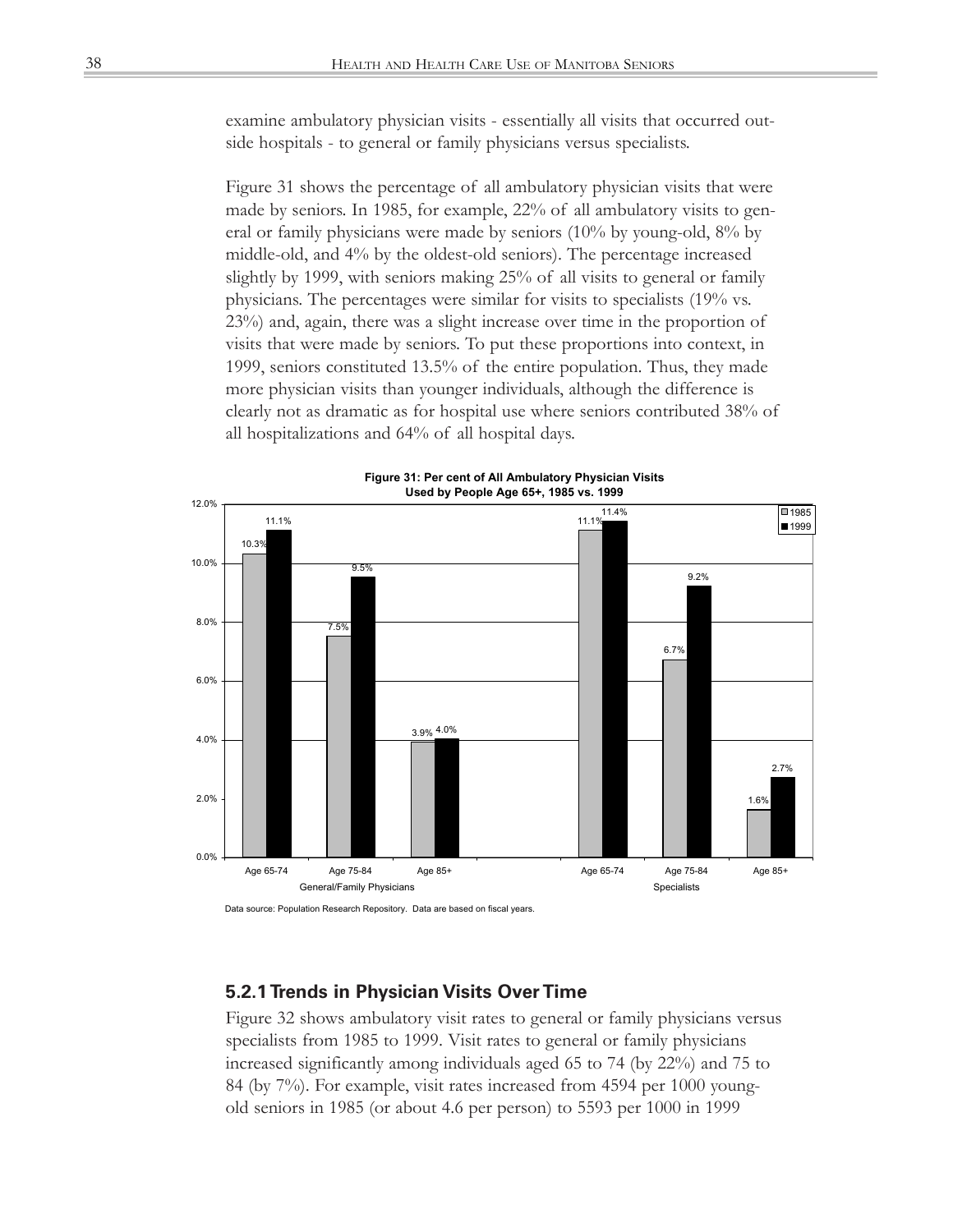examine ambulatory physician visits - essentially all visits that occurred outside hospitals - to general or family physicians versus specialists.

Figure 31 shows the percentage of all ambulatory physician visits that were made by seniors. In 1985, for example, 22% of all ambulatory visits to general or family physicians were made by seniors (10% by young-old, 8% by middle-old, and 4% by the oldest-old seniors). The percentage increased slightly by 1999, with seniors making 25% of all visits to general or family physicians. The percentages were similar for visits to specialists (19% vs. 23%) and, again, there was a slight increase over time in the proportion of visits that were made by seniors. To put these proportions into context, in 1999, seniors constituted 13.5% of the entire population. Thus, they made more physician visits than younger individuals, although the difference is clearly not as dramatic as for hospital use where seniors contributed 38% of all hospitalizations and 64% of all hospital days.



Data source: Population Research Repository. Data are based on fiscal years.

### **5.2.1 Trends in Physician Visits Over Time**

Figure 32 shows ambulatory visit rates to general or family physicians versus specialists from 1985 to 1999. Visit rates to general or family physicians increased significantly among individuals aged 65 to 74 (by 22%) and 75 to 84 (by 7%). For example, visit rates increased from 4594 per 1000 youngold seniors in 1985 (or about 4.6 per person) to 5593 per 1000 in 1999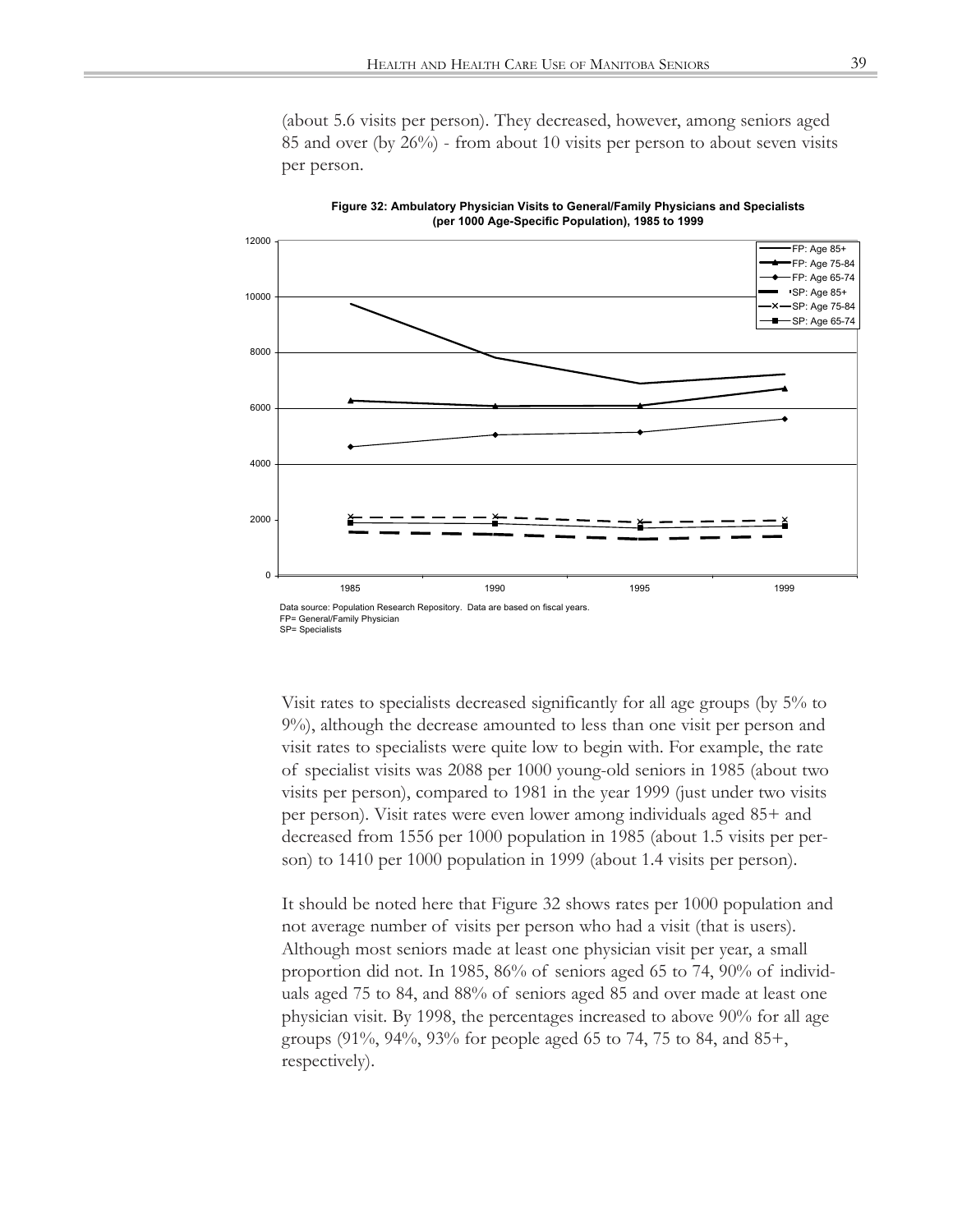(about 5.6 visits per person). They decreased, however, among seniors aged 85 and over (by 26%) - from about 10 visits per person to about seven visits per person.



**Figure 32: Ambulatory Physician Visits to General/Family Physicians and Specialists (per 1000 Age-Specific Population), 1985 to 1999**

Visit rates to specialists decreased significantly for all age groups (by 5% to 9%), although the decrease amounted to less than one visit per person and visit rates to specialists were quite low to begin with. For example, the rate of specialist visits was 2088 per 1000 young-old seniors in 1985 (about two visits per person), compared to 1981 in the year 1999 (just under two visits per person). Visit rates were even lower among individuals aged 85+ and decreased from 1556 per 1000 population in 1985 (about 1.5 visits per per-

son) to 1410 per 1000 population in 1999 (about 1.4 visits per person).

It should be noted here that Figure 32 shows rates per 1000 population and not average number of visits per person who had a visit (that is users). Although most seniors made at least one physician visit per year, a small proportion did not. In 1985, 86% of seniors aged 65 to 74, 90% of individuals aged 75 to 84, and 88% of seniors aged 85 and over made at least one physician visit. By 1998, the percentages increased to above 90% for all age groups (91%, 94%, 93% for people aged 65 to 74, 75 to 84, and 85+, respectively).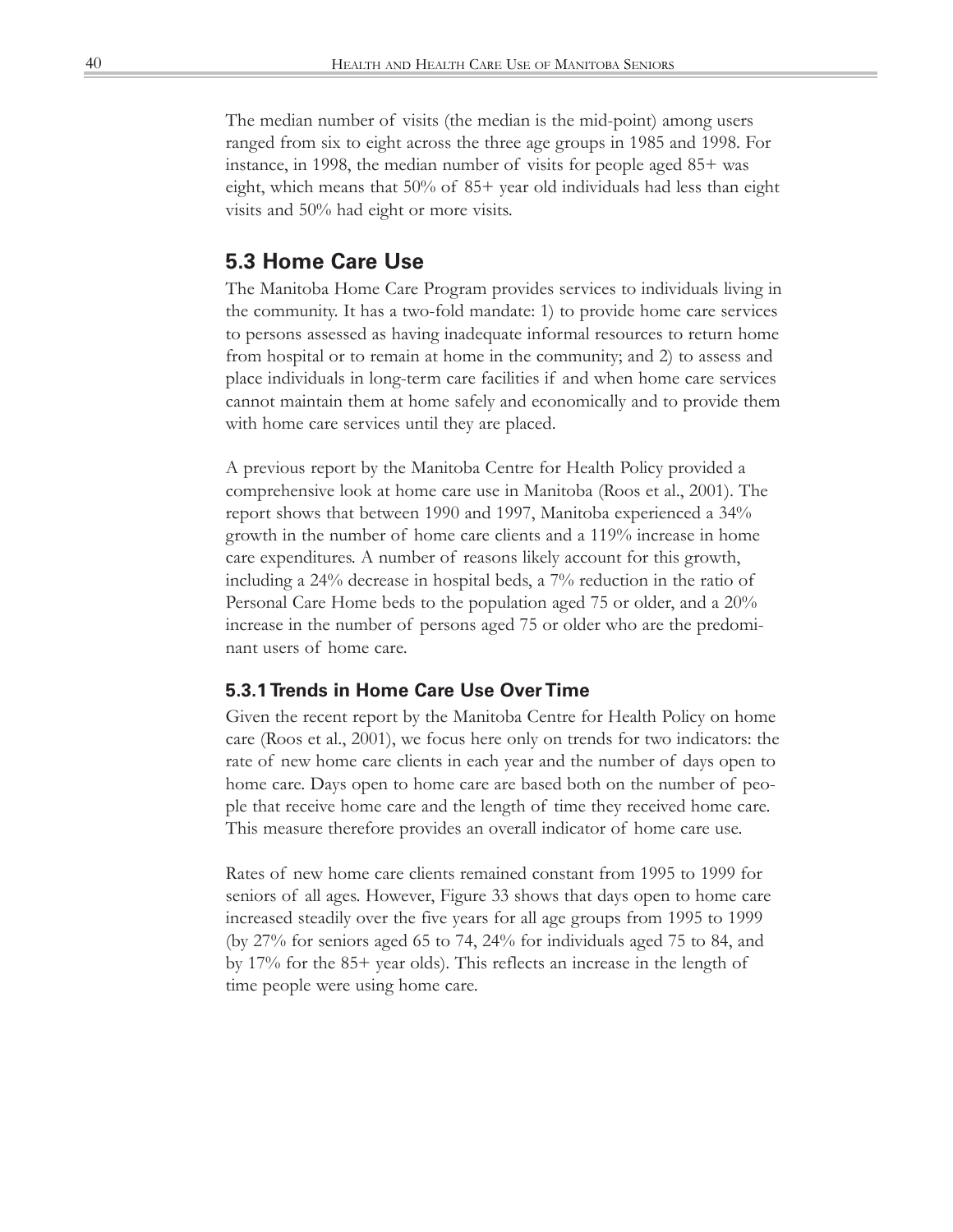The median number of visits (the median is the mid-point) among users ranged from six to eight across the three age groups in 1985 and 1998. For instance, in 1998, the median number of visits for people aged 85+ was eight, which means that 50% of 85+ year old individuals had less than eight visits and 50% had eight or more visits.

### **5.3 Home Care Use**

The Manitoba Home Care Program provides services to individuals living in the community. It has a two-fold mandate: 1) to provide home care services to persons assessed as having inadequate informal resources to return home from hospital or to remain at home in the community; and 2) to assess and place individuals in long-term care facilities if and when home care services cannot maintain them at home safely and economically and to provide them with home care services until they are placed.

A previous report by the Manitoba Centre for Health Policy provided a comprehensive look at home care use in Manitoba (Roos et al., 2001). The report shows that between 1990 and 1997, Manitoba experienced a 34% growth in the number of home care clients and a 119% increase in home care expenditures. A number of reasons likely account for this growth, including a 24% decrease in hospital beds, a 7% reduction in the ratio of Personal Care Home beds to the population aged 75 or older, and a 20% increase in the number of persons aged 75 or older who are the predominant users of home care.

#### **5.3.1 Trends in Home Care Use Over Time**

Given the recent report by the Manitoba Centre for Health Policy on home care (Roos et al., 2001), we focus here only on trends for two indicators: the rate of new home care clients in each year and the number of days open to home care. Days open to home care are based both on the number of people that receive home care and the length of time they received home care. This measure therefore provides an overall indicator of home care use.

Rates of new home care clients remained constant from 1995 to 1999 for seniors of all ages. However, Figure 33 shows that days open to home care increased steadily over the five years for all age groups from 1995 to 1999 (by 27% for seniors aged 65 to 74, 24% for individuals aged 75 to 84, and by 17% for the 85+ year olds). This reflects an increase in the length of time people were using home care.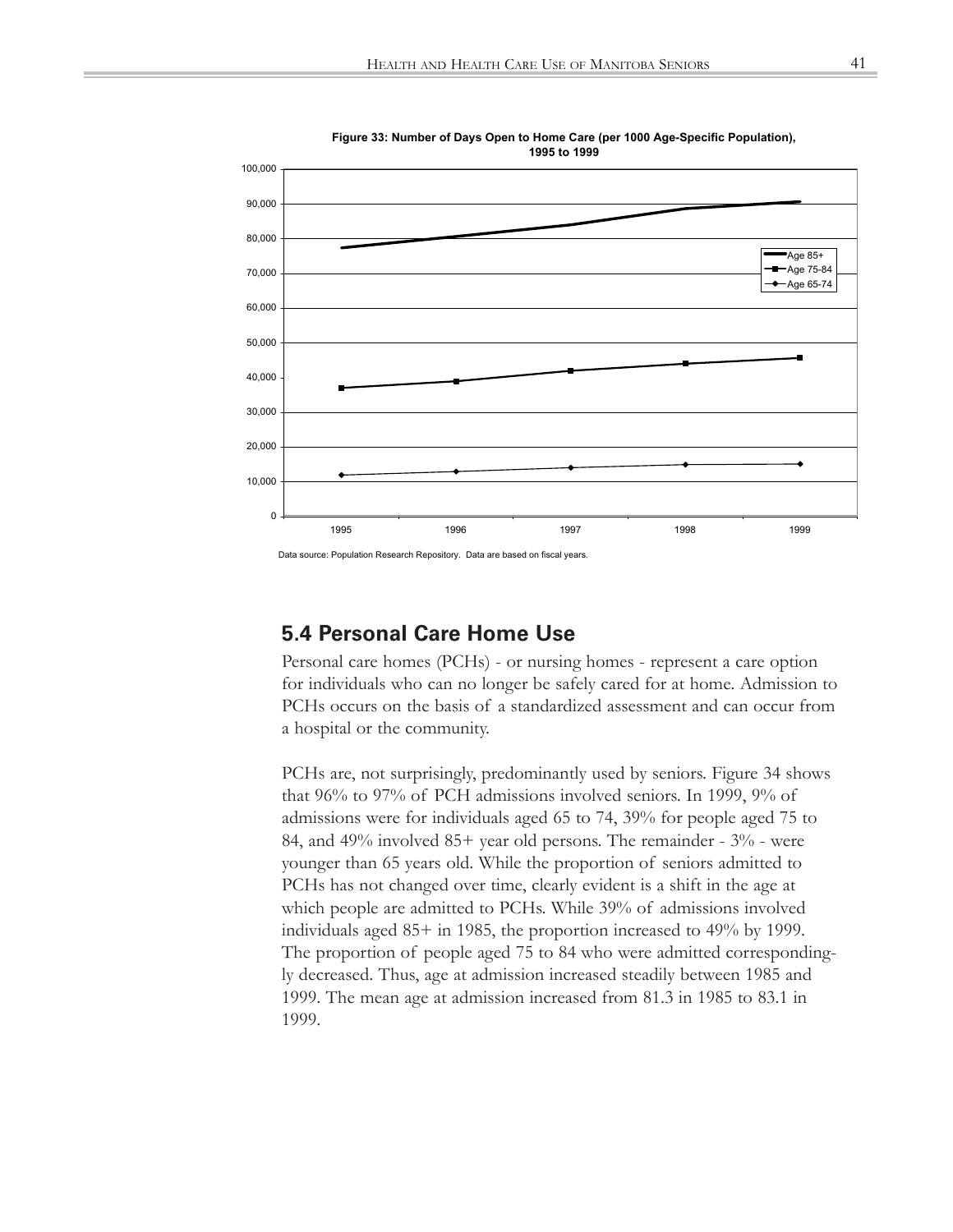

**Figure 33: Number of Days Open to Home Care (per 1000 Age-Specific Population), 1995 to 1999**

Data source: Population Research Repository. Data are based on fiscal years.

### **5.4 Personal Care Home Use**

Personal care homes (PCHs) - or nursing homes - represent a care option for individuals who can no longer be safely cared for at home. Admission to PCHs occurs on the basis of a standardized assessment and can occur from a hospital or the community.

PCHs are, not surprisingly, predominantly used by seniors. Figure 34 shows that 96% to 97% of PCH admissions involved seniors. In 1999, 9% of admissions were for individuals aged 65 to 74, 39% for people aged 75 to 84, and 49% involved 85+ year old persons. The remainder - 3% - were younger than 65 years old. While the proportion of seniors admitted to PCHs has not changed over time, clearly evident is a shift in the age at which people are admitted to PCHs. While 39% of admissions involved individuals aged 85+ in 1985, the proportion increased to 49% by 1999. The proportion of people aged 75 to 84 who were admitted correspondingly decreased. Thus, age at admission increased steadily between 1985 and 1999. The mean age at admission increased from 81.3 in 1985 to 83.1 in 1999.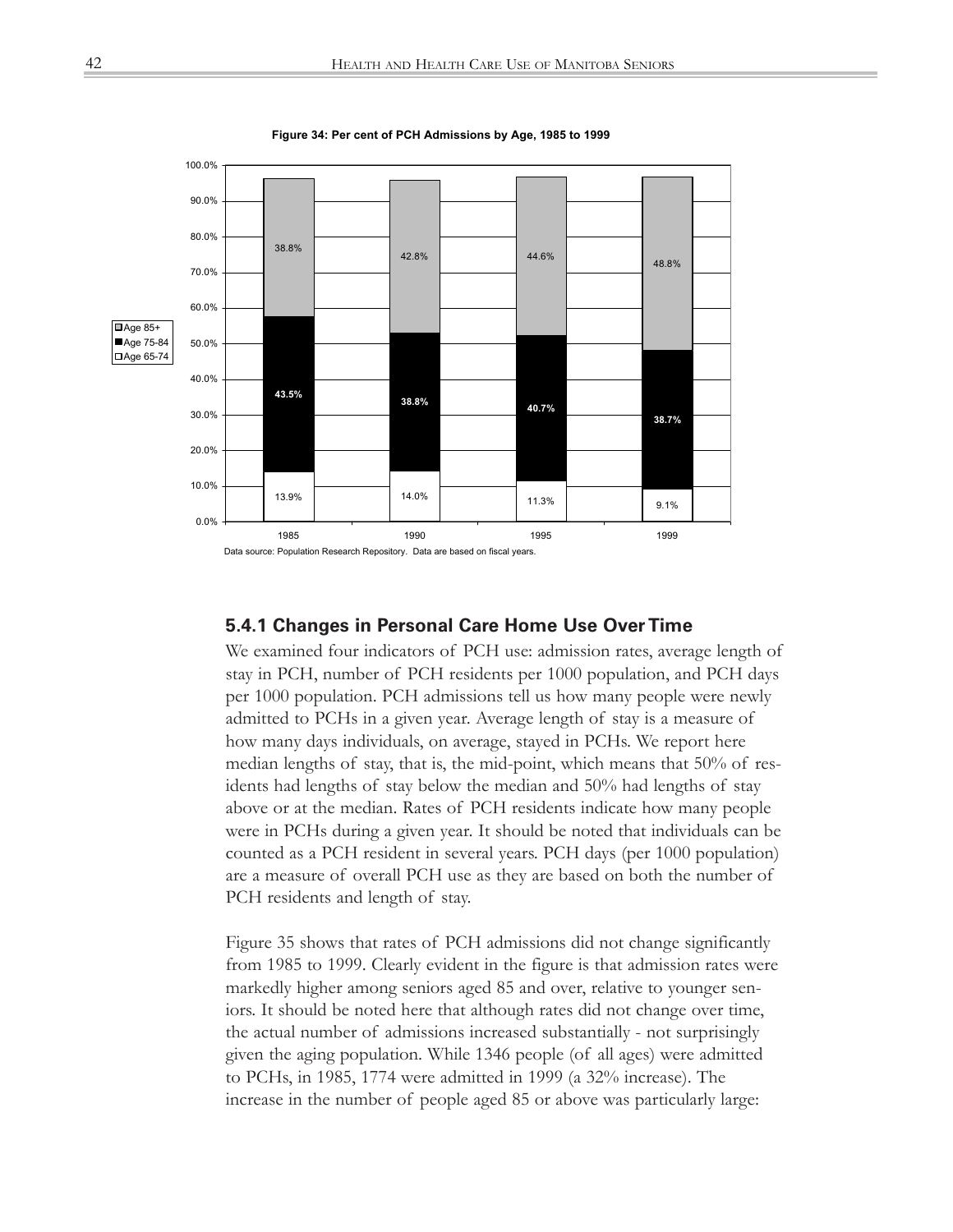

**Figure 34: Per cent of PCH Admissions by Age, 1985 to 1999**

#### **5.4.1 Changes in Personal Care Home Use Over Time**

We examined four indicators of PCH use: admission rates, average length of stay in PCH, number of PCH residents per 1000 population, and PCH days per 1000 population. PCH admissions tell us how many people were newly admitted to PCHs in a given year. Average length of stay is a measure of how many days individuals, on average, stayed in PCHs. We report here median lengths of stay, that is, the mid-point, which means that 50% of residents had lengths of stay below the median and 50% had lengths of stay above or at the median. Rates of PCH residents indicate how many people were in PCHs during a given year. It should be noted that individuals can be counted as a PCH resident in several years. PCH days (per 1000 population) are a measure of overall PCH use as they are based on both the number of PCH residents and length of stay.

Figure 35 shows that rates of PCH admissions did not change significantly from 1985 to 1999. Clearly evident in the figure is that admission rates were markedly higher among seniors aged 85 and over, relative to younger seniors. It should be noted here that although rates did not change over time, the actual number of admissions increased substantially - not surprisingly given the aging population. While 1346 people (of all ages) were admitted to PCHs, in 1985, 1774 were admitted in 1999 (a 32% increase). The increase in the number of people aged 85 or above was particularly large: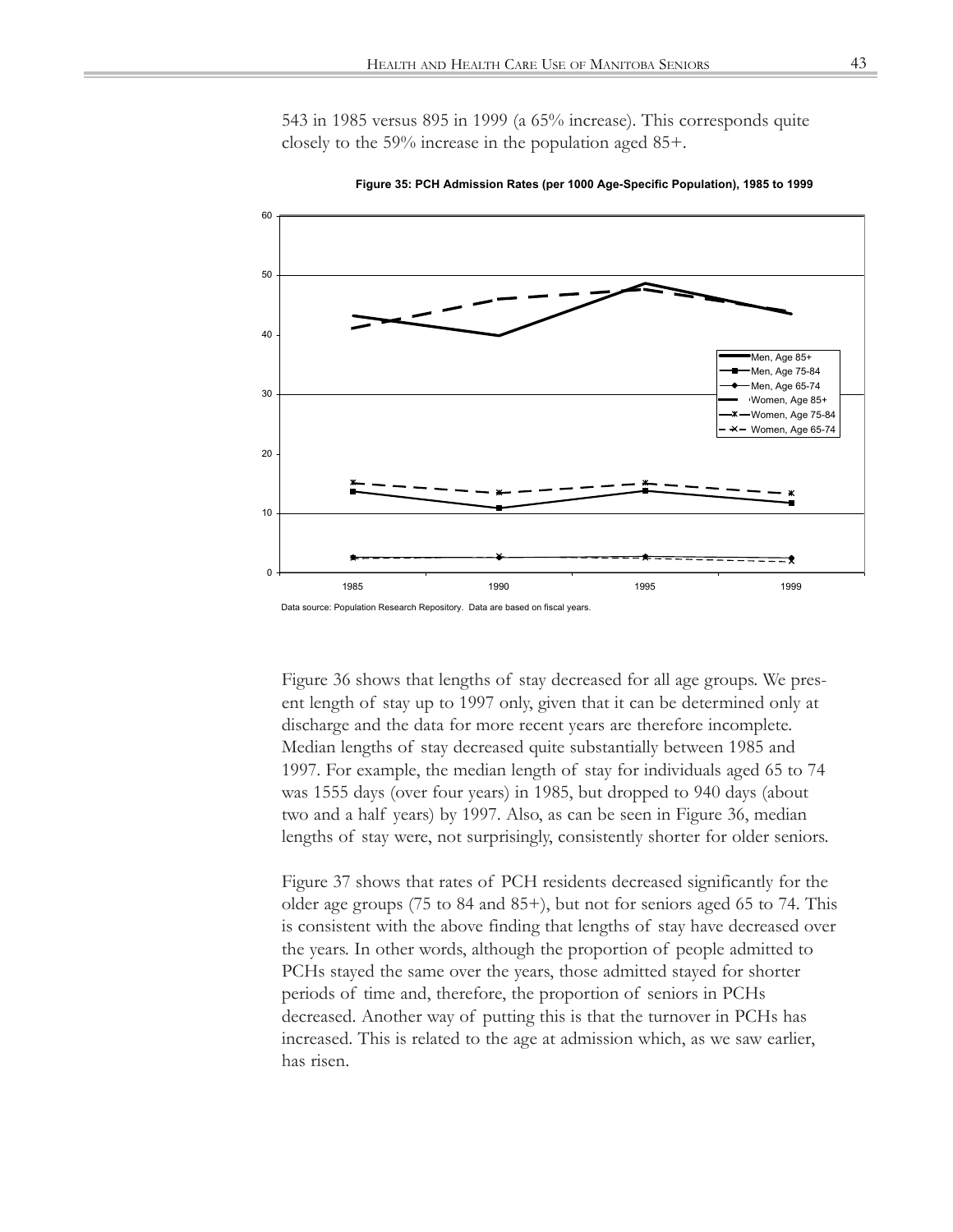543 in 1985 versus 895 in 1999 (a 65% increase). This corresponds quite closely to the 59% increase in the population aged 85+.



**Figure 35: PCH Admission Rates (per 1000 Age-Specific Population), 1985 to 1999**

Figure 36 shows that lengths of stay decreased for all age groups. We present length of stay up to 1997 only, given that it can be determined only at discharge and the data for more recent years are therefore incomplete. Median lengths of stay decreased quite substantially between 1985 and 1997. For example, the median length of stay for individuals aged 65 to 74 was 1555 days (over four years) in 1985, but dropped to 940 days (about two and a half years) by 1997. Also, as can be seen in Figure 36, median lengths of stay were, not surprisingly, consistently shorter for older seniors.

Figure 37 shows that rates of PCH residents decreased significantly for the older age groups (75 to 84 and 85+), but not for seniors aged 65 to 74. This is consistent with the above finding that lengths of stay have decreased over the years. In other words, although the proportion of people admitted to PCHs stayed the same over the years, those admitted stayed for shorter periods of time and, therefore, the proportion of seniors in PCHs decreased. Another way of putting this is that the turnover in PCHs has increased. This is related to the age at admission which, as we saw earlier, has risen.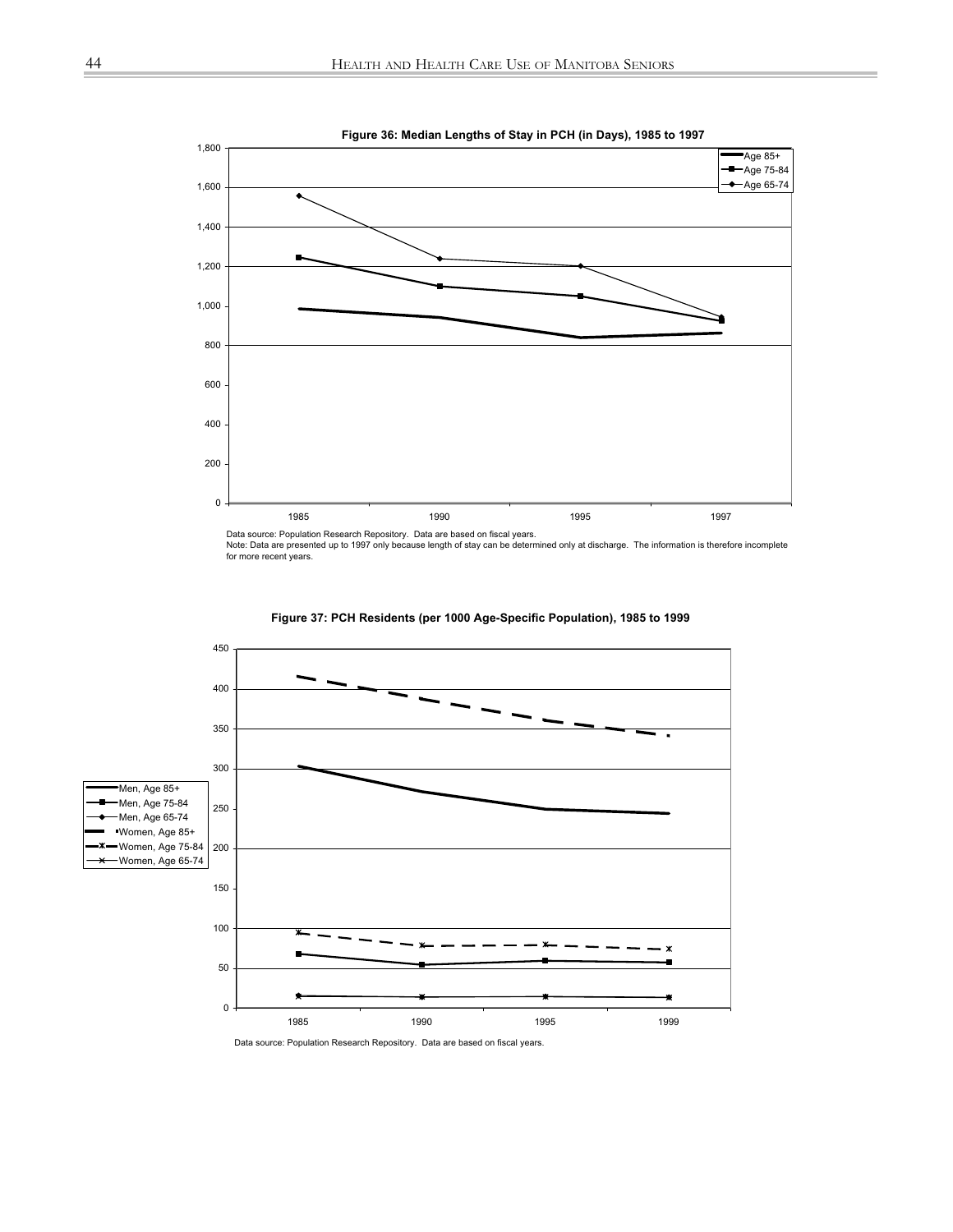

Data source: Population Research Repository. Data are based on fiscal years. Note: Data are presented up to 1997 only because length of stay can be determined only at discharge. The information is therefore incomplete for more recent years.



**Figure 37: PCH Residents (per 1000 Age-Specific Population), 1985 to 1999**

Data source: Population Research Repository. Data are based on fiscal years.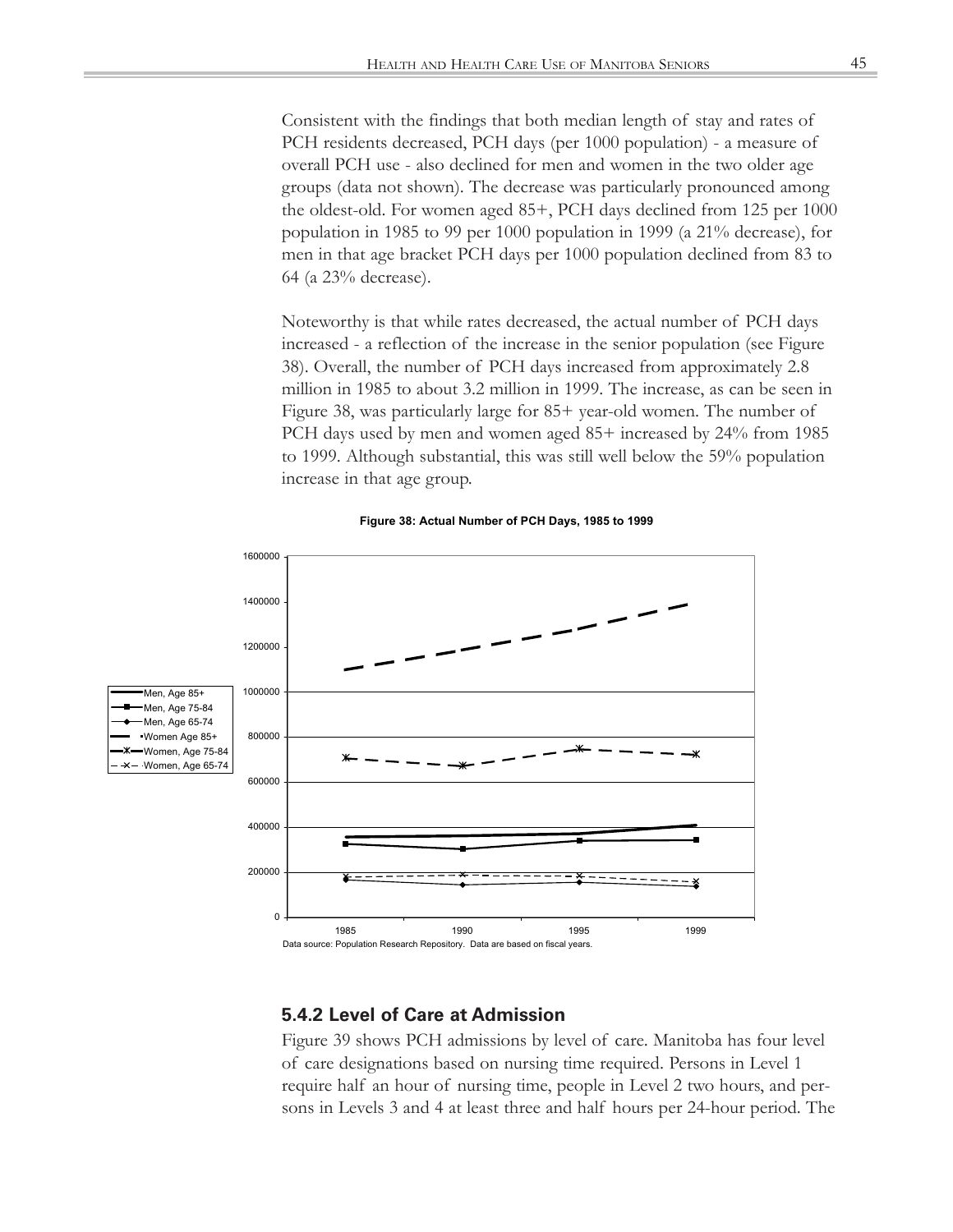Consistent with the findings that both median length of stay and rates of PCH residents decreased, PCH days (per 1000 population) - a measure of overall PCH use - also declined for men and women in the two older age groups (data not shown). The decrease was particularly pronounced among the oldest-old. For women aged 85+, PCH days declined from 125 per 1000 population in 1985 to 99 per 1000 population in 1999 (a 21% decrease), for men in that age bracket PCH days per 1000 population declined from 83 to 64 (a 23% decrease).

Noteworthy is that while rates decreased, the actual number of PCH days increased - a reflection of the increase in the senior population (see Figure 38). Overall, the number of PCH days increased from approximately 2.8 million in 1985 to about 3.2 million in 1999. The increase, as can be seen in Figure 38, was particularly large for 85+ year-old women. The number of PCH days used by men and women aged 85+ increased by 24% from 1985 to 1999. Although substantial, this was still well below the 59% population increase in that age group.



#### **Figure 38: Actual Number of PCH Days, 1985 to 1999**

#### **5.4.2 Level of Care at Admission**

Figure 39 shows PCH admissions by level of care. Manitoba has four level of care designations based on nursing time required. Persons in Level 1 require half an hour of nursing time, people in Level 2 two hours, and persons in Levels 3 and 4 at least three and half hours per 24-hour period. The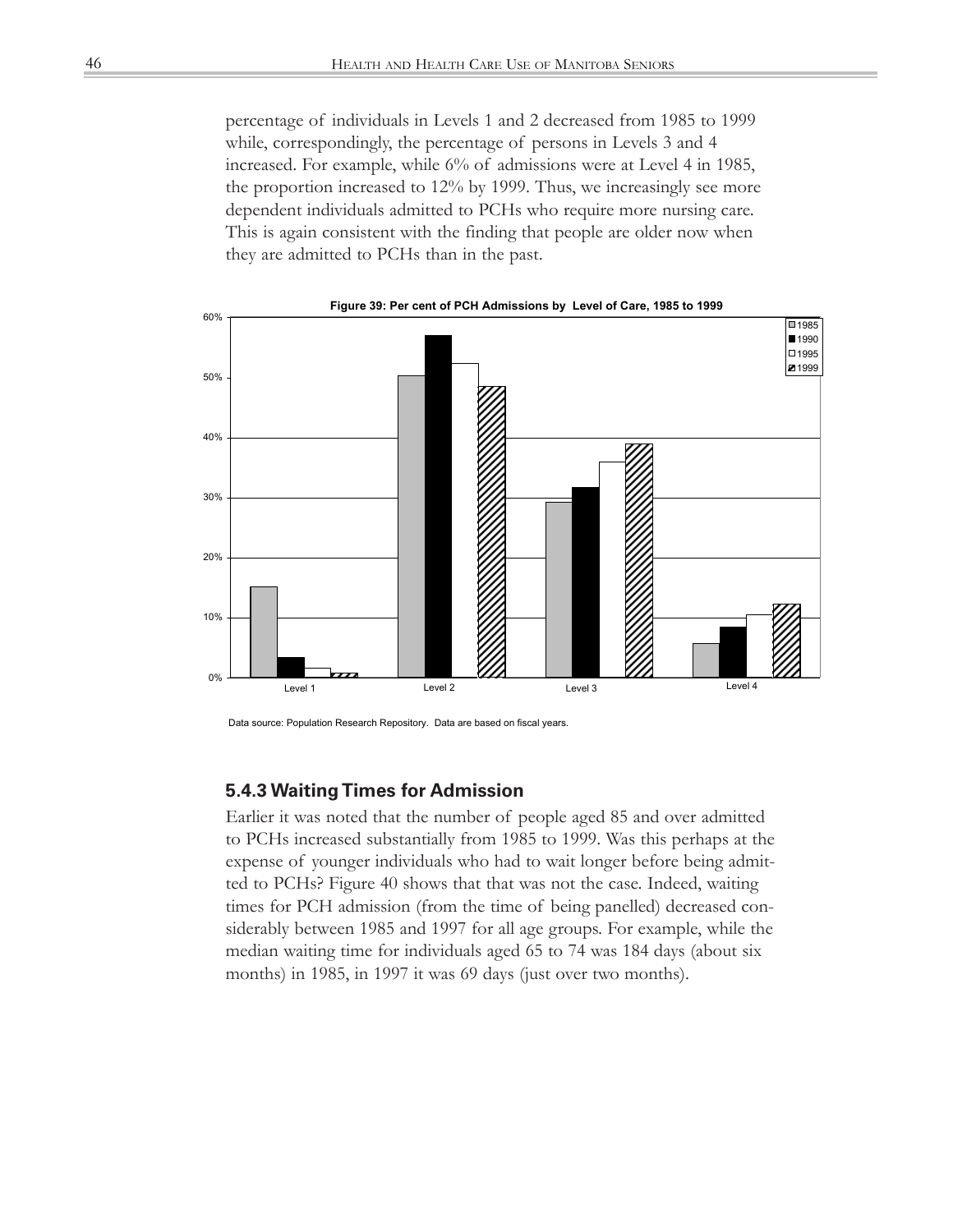percentage of individuals in Levels 1 and 2 decreased from 1985 to 1999 while, correspondingly, the percentage of persons in Levels 3 and 4 increased. For example, while 6% of admissions were at Level 4 in 1985, the proportion increased to 12% by 1999. Thus, we increasingly see more dependent individuals admitted to PCHs who require more nursing care. This is again consistent with the finding that people are older now when they are admitted to PCHs than in the past.



**Figure 39: Per cent of PCH Admissions by Level of Care, 1985 to 1999**

Data source: Population Research Repository. Data are based on fiscal years.

#### **5.4.3 Waiting Times for Admission**

Earlier it was noted that the number of people aged 85 and over admitted to PCHs increased substantially from 1985 to 1999. Was this perhaps at the expense of younger individuals who had to wait longer before being admitted to PCHs? Figure 40 shows that that was not the case. Indeed, waiting times for PCH admission (from the time of being panelled) decreased considerably between 1985 and 1997 for all age groups. For example, while the median waiting time for individuals aged 65 to 74 was 184 days (about six months) in 1985, in 1997 it was 69 days (just over two months).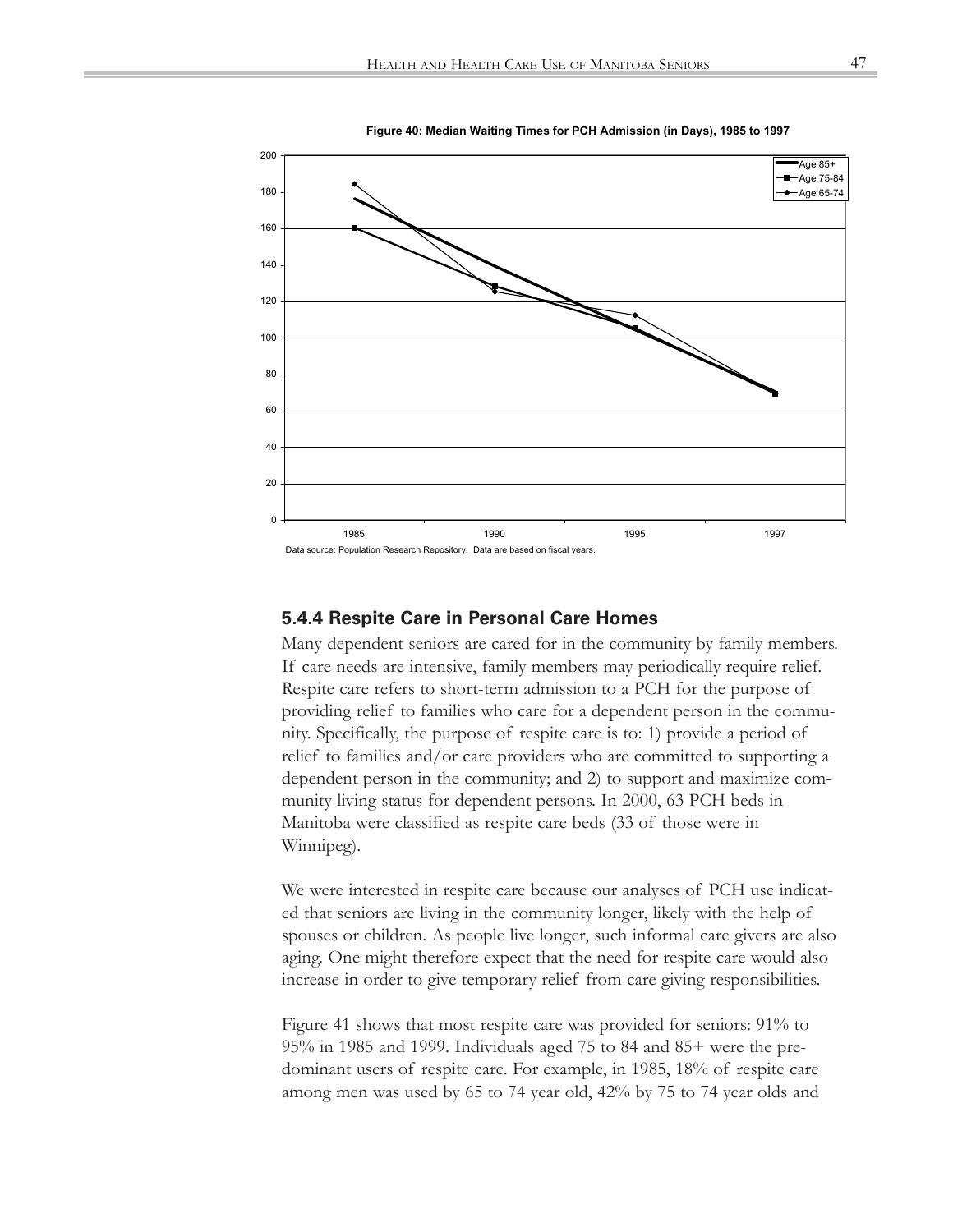

**Figure 40: Median Waiting Times for PCH Admission (in Days), 1985 to 1997**

#### **5.4.4 Respite Care in Personal Care Homes**

Many dependent seniors are cared for in the community by family members. If care needs are intensive, family members may periodically require relief. Respite care refers to short-term admission to a PCH for the purpose of providing relief to families who care for a dependent person in the community. Specifically, the purpose of respite care is to: 1) provide a period of relief to families and/or care providers who are committed to supporting a dependent person in the community; and 2) to support and maximize community living status for dependent persons. In 2000, 63 PCH beds in Manitoba were classified as respite care beds (33 of those were in Winnipeg).

We were interested in respite care because our analyses of PCH use indicated that seniors are living in the community longer, likely with the help of spouses or children. As people live longer, such informal care givers are also aging. One might therefore expect that the need for respite care would also increase in order to give temporary relief from care giving responsibilities.

Figure 41 shows that most respite care was provided for seniors: 91% to 95% in 1985 and 1999. Individuals aged 75 to 84 and 85+ were the predominant users of respite care. For example, in 1985, 18% of respite care among men was used by 65 to 74 year old, 42% by 75 to 74 year olds and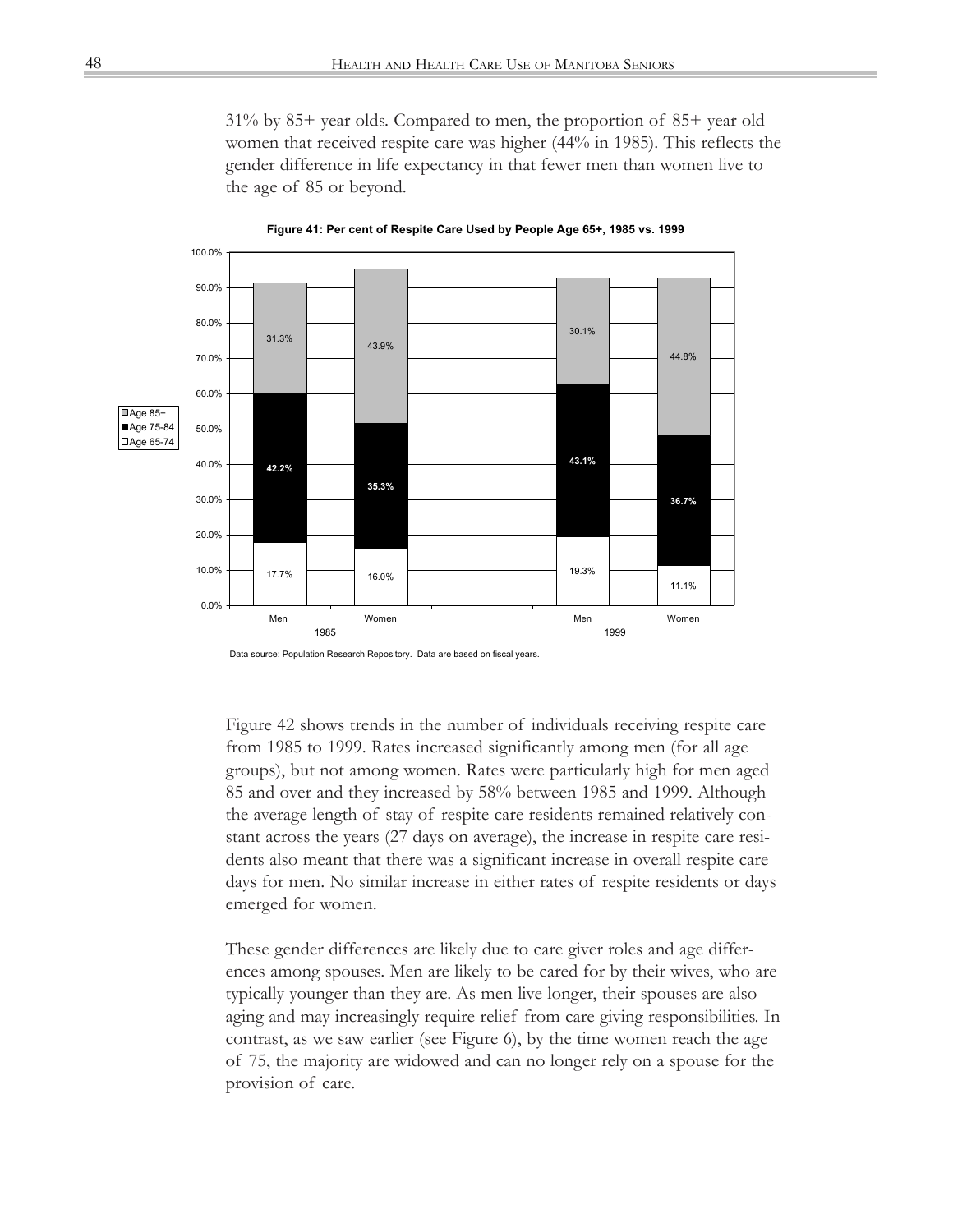31% by 85+ year olds. Compared to men, the proportion of 85+ year old women that received respite care was higher (44% in 1985). This reflects the gender difference in life expectancy in that fewer men than women live to the age of 85 or beyond.



**Figure 41: Per cent of Respite Care Used by People Age 65+, 1985 vs. 1999**

Data source: Population Research Repository. Data are based on fiscal years.

Figure 42 shows trends in the number of individuals receiving respite care from 1985 to 1999. Rates increased significantly among men (for all age groups), but not among women. Rates were particularly high for men aged 85 and over and they increased by 58% between 1985 and 1999. Although the average length of stay of respite care residents remained relatively constant across the years (27 days on average), the increase in respite care residents also meant that there was a significant increase in overall respite care days for men. No similar increase in either rates of respite residents or days emerged for women.

These gender differences are likely due to care giver roles and age differences among spouses. Men are likely to be cared for by their wives, who are typically younger than they are. As men live longer, their spouses are also aging and may increasingly require relief from care giving responsibilities. In contrast, as we saw earlier (see Figure 6), by the time women reach the age of 75, the majority are widowed and can no longer rely on a spouse for the provision of care.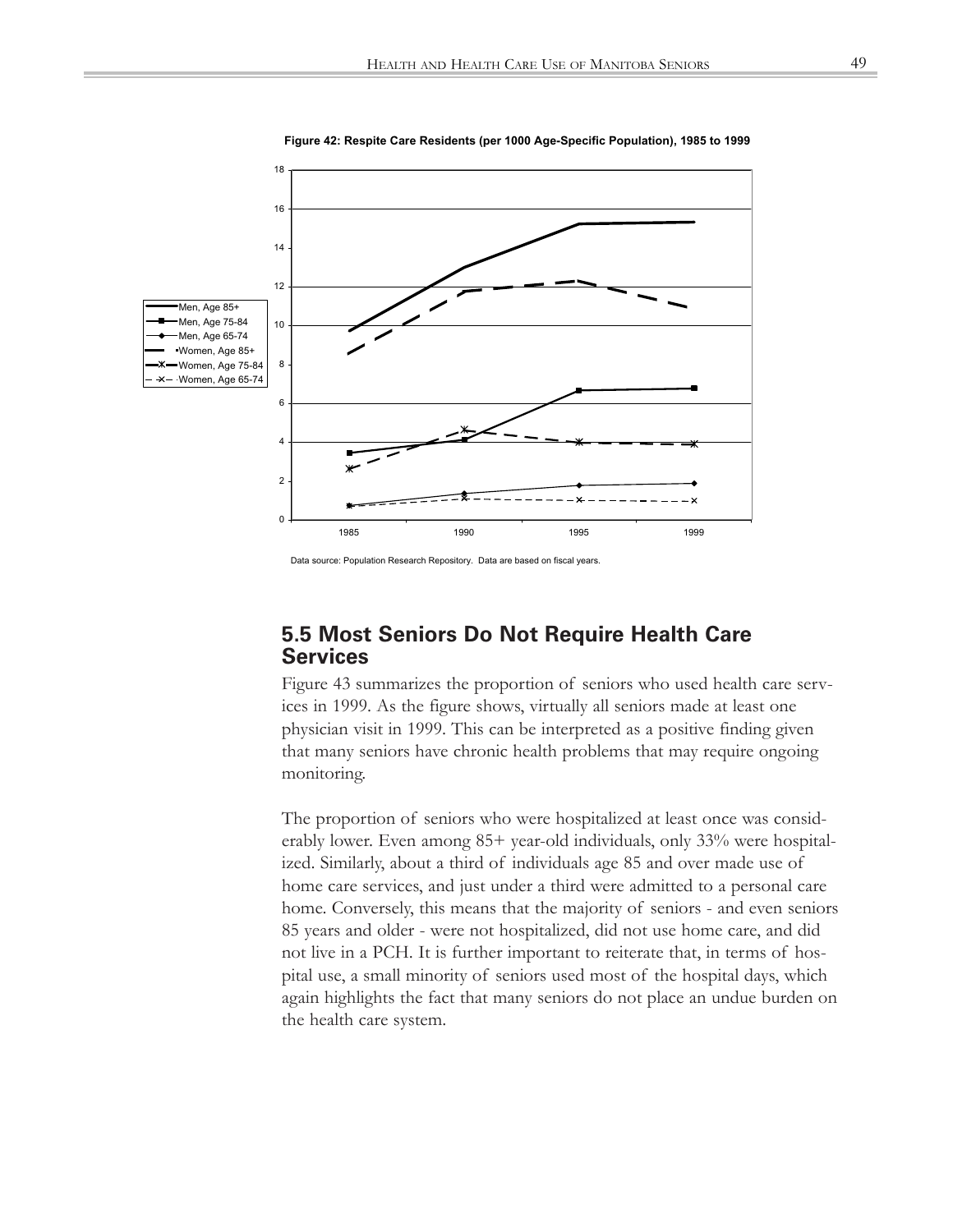

**Figure 42: Respite Care Residents (per 1000 Age-Specific Population), 1985 to 1999**

Data source: Population Research Repository. Data are based on fiscal years.

### **5.5 Most Seniors Do Not Require Health Care Services**

Figure 43 summarizes the proportion of seniors who used health care services in 1999. As the figure shows, virtually all seniors made at least one physician visit in 1999. This can be interpreted as a positive finding given that many seniors have chronic health problems that may require ongoing monitoring.

The proportion of seniors who were hospitalized at least once was considerably lower. Even among 85+ year-old individuals, only 33% were hospitalized. Similarly, about a third of individuals age 85 and over made use of home care services, and just under a third were admitted to a personal care home. Conversely, this means that the majority of seniors - and even seniors 85 years and older - were not hospitalized, did not use home care, and did not live in a PCH. It is further important to reiterate that, in terms of hospital use, a small minority of seniors used most of the hospital days, which again highlights the fact that many seniors do not place an undue burden on the health care system.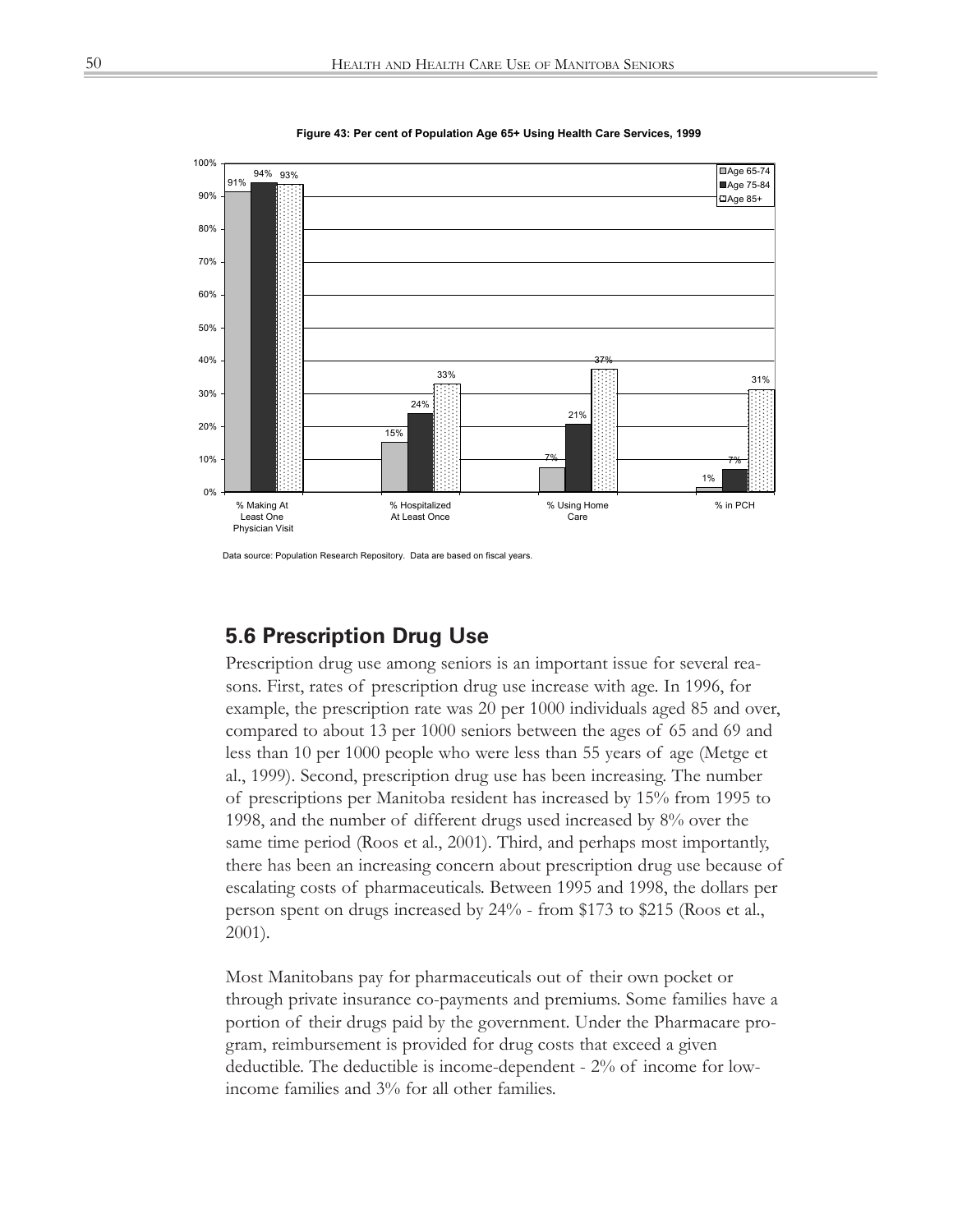

**Figure 43: Per cent of Population Age 65+ Using Health Care Services, 1999**

## **5.6 Prescription Drug Use**

Prescription drug use among seniors is an important issue for several reasons. First, rates of prescription drug use increase with age. In 1996, for example, the prescription rate was 20 per 1000 individuals aged 85 and over, compared to about 13 per 1000 seniors between the ages of 65 and 69 and less than 10 per 1000 people who were less than 55 years of age (Metge et al., 1999). Second, prescription drug use has been increasing. The number of prescriptions per Manitoba resident has increased by 15% from 1995 to 1998, and the number of different drugs used increased by 8% over the same time period (Roos et al., 2001). Third, and perhaps most importantly, there has been an increasing concern about prescription drug use because of escalating costs of pharmaceuticals. Between 1995 and 1998, the dollars per person spent on drugs increased by 24% - from \$173 to \$215 (Roos et al., 2001).

Most Manitobans pay for pharmaceuticals out of their own pocket or through private insurance co-payments and premiums. Some families have a portion of their drugs paid by the government. Under the Pharmacare program, reimbursement is provided for drug costs that exceed a given deductible. The deductible is income-dependent - 2% of income for lowincome families and 3% for all other families.

Data source: Population Research Repository. Data are based on fiscal years.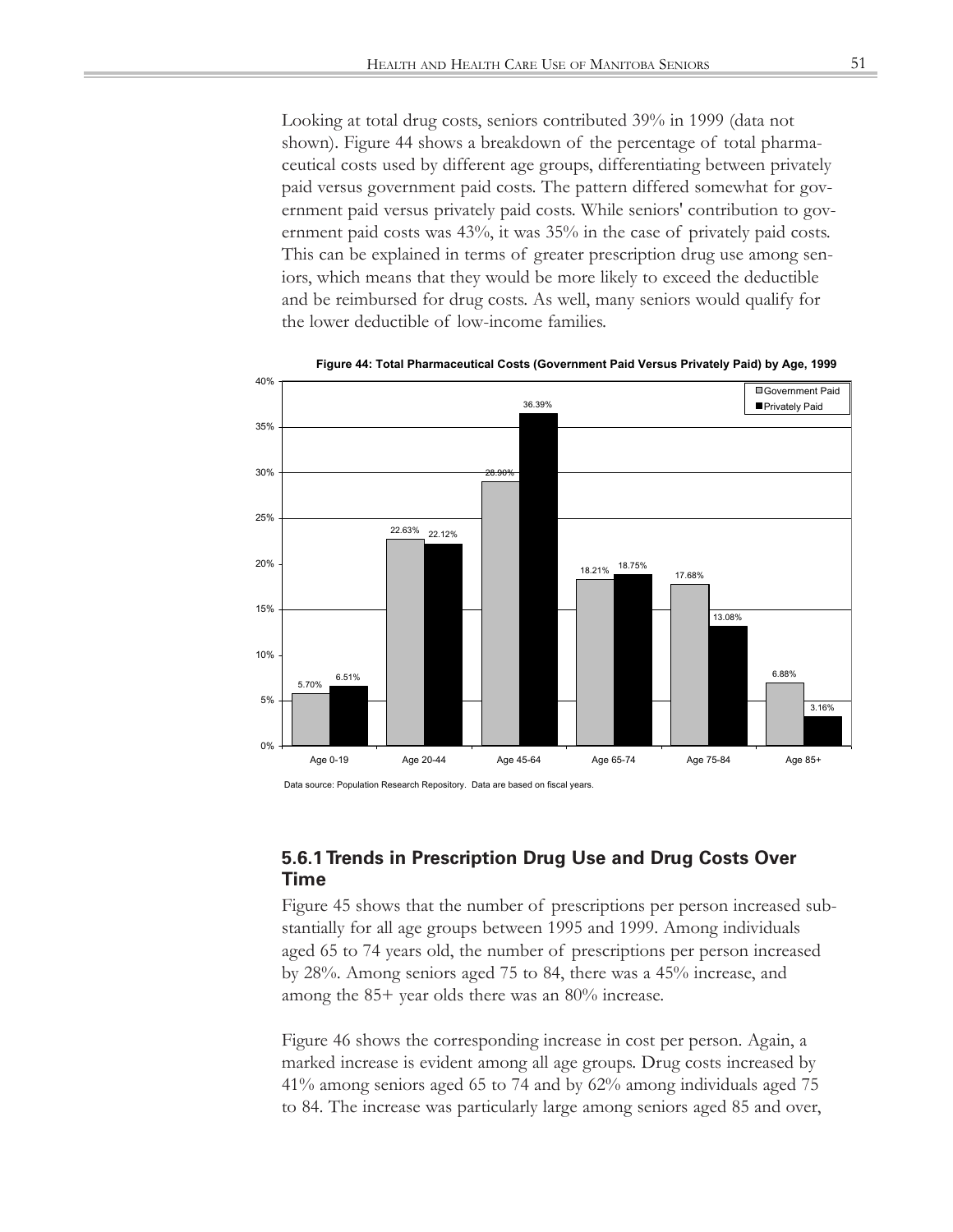Looking at total drug costs, seniors contributed 39% in 1999 (data not shown). Figure 44 shows a breakdown of the percentage of total pharmaceutical costs used by different age groups, differentiating between privately paid versus government paid costs. The pattern differed somewhat for government paid versus privately paid costs. While seniors' contribution to government paid costs was 43%, it was 35% in the case of privately paid costs. This can be explained in terms of greater prescription drug use among seniors, which means that they would be more likely to exceed the deductible and be reimbursed for drug costs. As well, many seniors would qualify for the lower deductible of low-income families.



**Figure 44: Total Pharmaceutical Costs (Government Paid Versus Privately Paid) by Age, 1999**

Data source: Population Research Repository. Data are based on fiscal years.

### **5.6.1 Trends in Prescription Drug Use and Drug Costs Over Time**

Figure 45 shows that the number of prescriptions per person increased substantially for all age groups between 1995 and 1999. Among individuals aged 65 to 74 years old, the number of prescriptions per person increased by 28%. Among seniors aged 75 to 84, there was a 45% increase, and among the 85+ year olds there was an 80% increase.

Figure 46 shows the corresponding increase in cost per person. Again, a marked increase is evident among all age groups. Drug costs increased by 41% among seniors aged 65 to 74 and by 62% among individuals aged 75 to 84. The increase was particularly large among seniors aged 85 and over,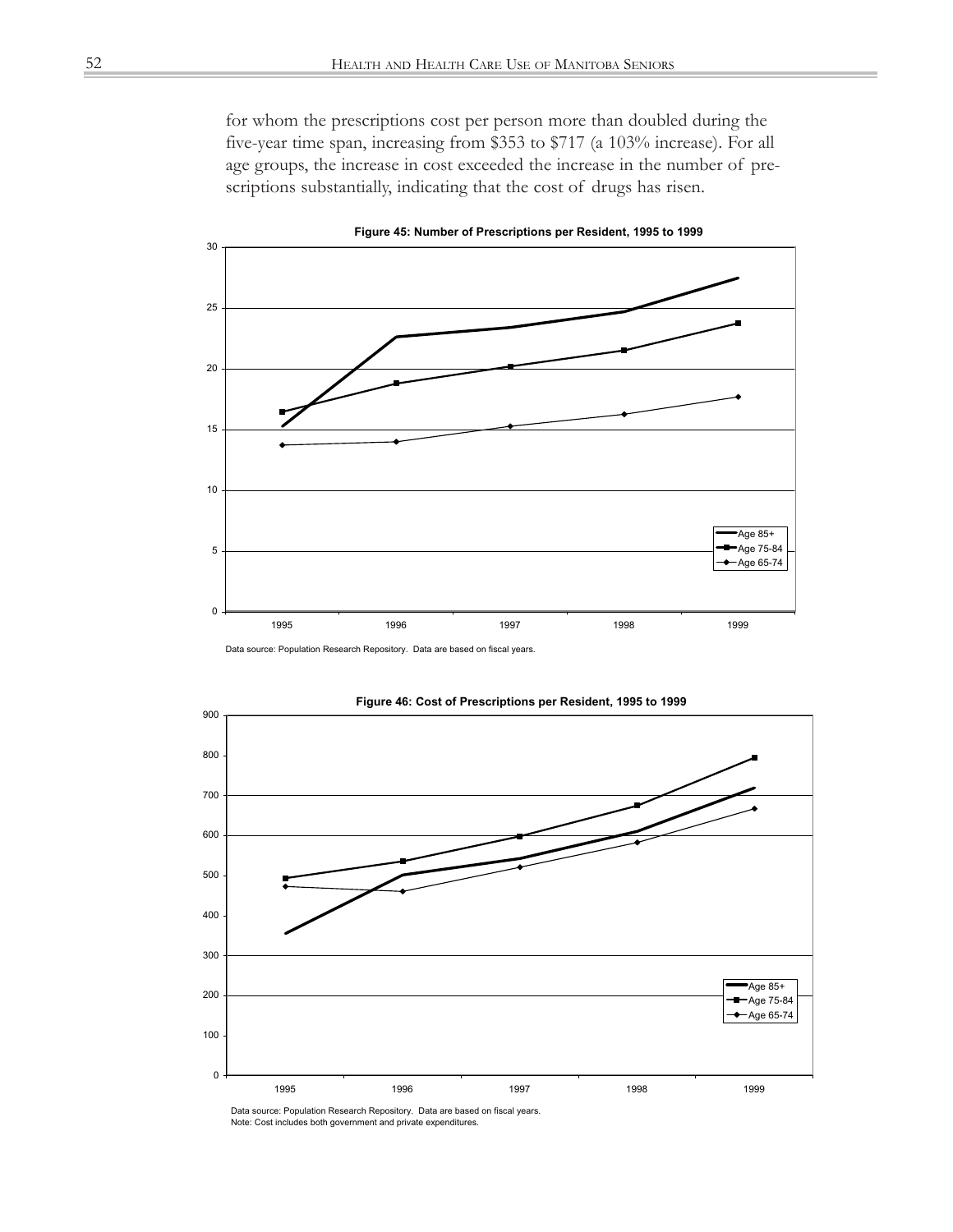for whom the prescriptions cost per person more than doubled during the five-year time span, increasing from \$353 to \$717 (a 103% increase). For all age groups, the increase in cost exceeded the increase in the number of prescriptions substantially, indicating that the cost of drugs has risen.



**Figure 45: Number of Prescriptions per Resident, 1995 to 1999**

Data source: Population Research Repository. Data are based on fiscal years.



Data source: Population Research Repository. Data are based on fiscal years. Note: Cost includes both government and private expenditures.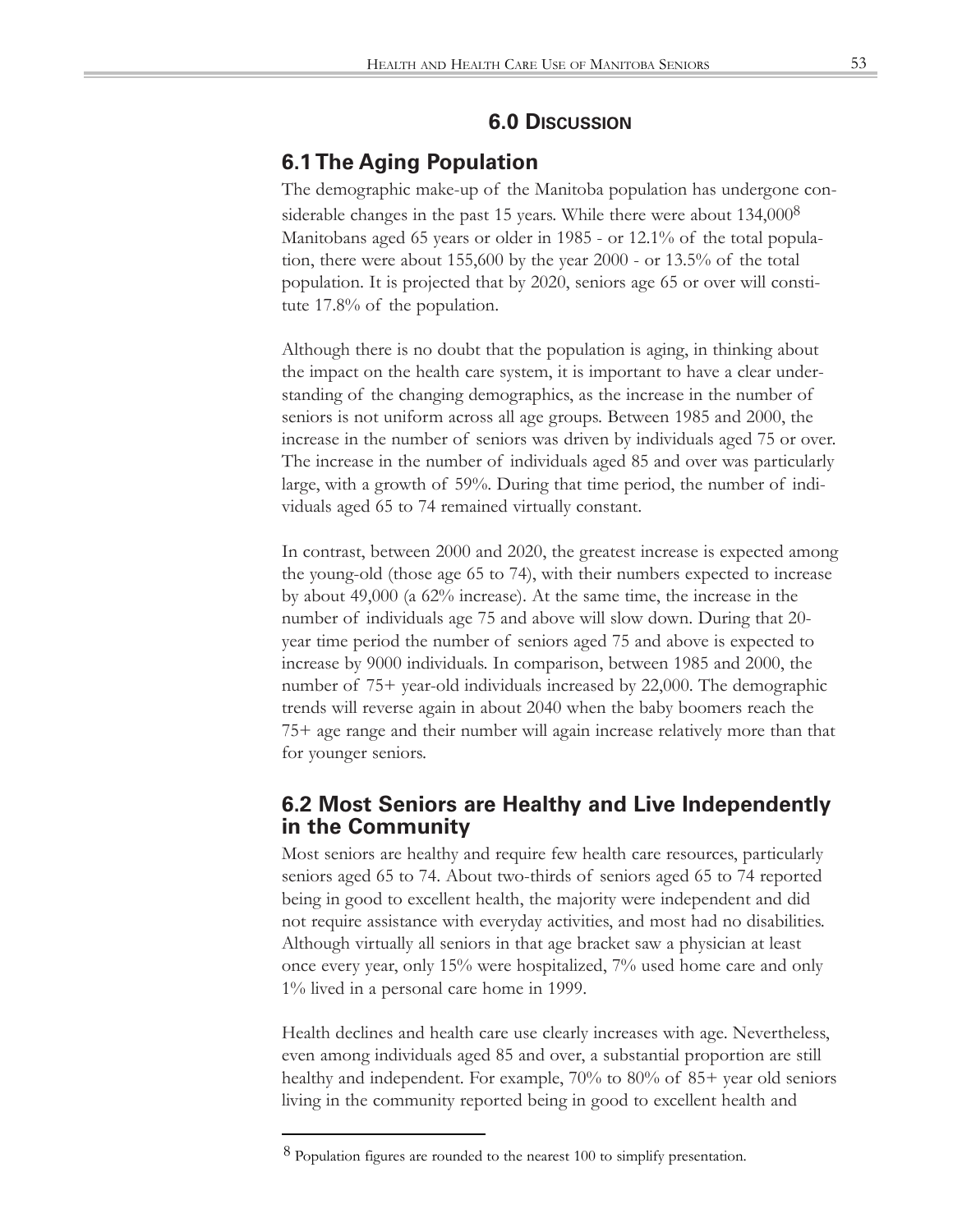# **6.1 The Aging Population**

The demographic make-up of the Manitoba population has undergone considerable changes in the past 15 years. While there were about  $134,000^8$ Manitobans aged 65 years or older in 1985 - or 12.1% of the total population, there were about 155,600 by the year 2000 - or 13.5% of the total population. It is projected that by 2020, seniors age 65 or over will constitute 17.8% of the population.

Although there is no doubt that the population is aging, in thinking about the impact on the health care system, it is important to have a clear understanding of the changing demographics, as the increase in the number of seniors is not uniform across all age groups. Between 1985 and 2000, the increase in the number of seniors was driven by individuals aged 75 or over. The increase in the number of individuals aged 85 and over was particularly large, with a growth of 59%. During that time period, the number of individuals aged 65 to 74 remained virtually constant.

In contrast, between 2000 and 2020, the greatest increase is expected among the young-old (those age 65 to 74), with their numbers expected to increase by about 49,000 (a 62% increase). At the same time, the increase in the number of individuals age 75 and above will slow down. During that 20 year time period the number of seniors aged 75 and above is expected to increase by 9000 individuals. In comparison, between 1985 and 2000, the number of 75+ year-old individuals increased by 22,000. The demographic trends will reverse again in about 2040 when the baby boomers reach the 75+ age range and their number will again increase relatively more than that for younger seniors.

# **6.2 Most Seniors are Healthy and Live Independently in the Community**

Most seniors are healthy and require few health care resources, particularly seniors aged 65 to 74. About two-thirds of seniors aged 65 to 74 reported being in good to excellent health, the majority were independent and did not require assistance with everyday activities, and most had no disabilities. Although virtually all seniors in that age bracket saw a physician at least once every year, only 15% were hospitalized, 7% used home care and only 1% lived in a personal care home in 1999.

Health declines and health care use clearly increases with age. Nevertheless, even among individuals aged 85 and over, a substantial proportion are still healthy and independent. For example, 70% to 80% of 85+ year old seniors living in the community reported being in good to excellent health and

<sup>8</sup> Population figures are rounded to the nearest 100 to simplify presentation.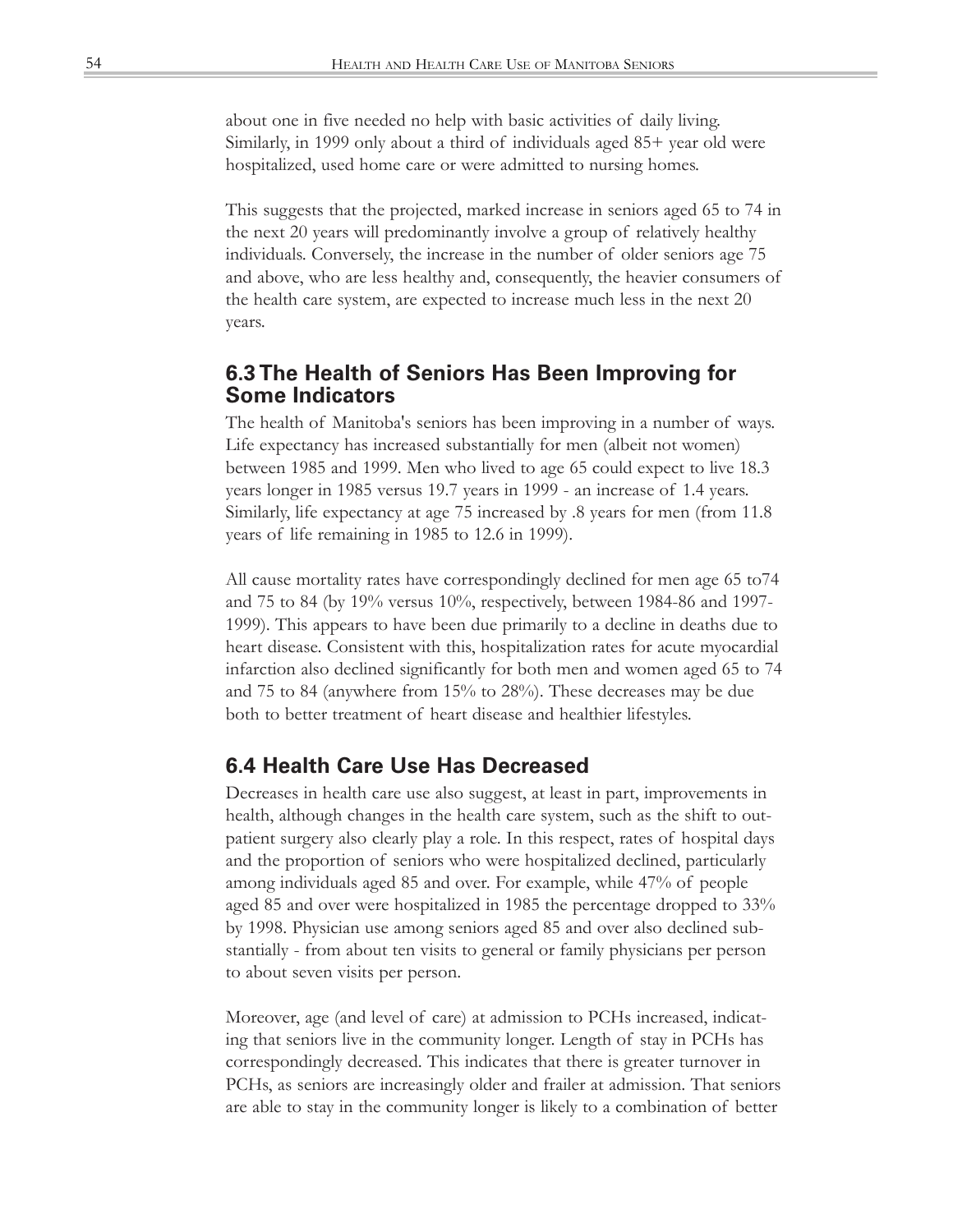about one in five needed no help with basic activities of daily living. Similarly, in 1999 only about a third of individuals aged 85+ year old were hospitalized, used home care or were admitted to nursing homes.

This suggests that the projected, marked increase in seniors aged 65 to 74 in the next 20 years will predominantly involve a group of relatively healthy individuals. Conversely, the increase in the number of older seniors age 75 and above, who are less healthy and, consequently, the heavier consumers of the health care system, are expected to increase much less in the next 20 years.

### **6.3 The Health of Seniors Has Been Improving for Some Indicators**

The health of Manitoba's seniors has been improving in a number of ways. Life expectancy has increased substantially for men (albeit not women) between 1985 and 1999. Men who lived to age 65 could expect to live 18.3 years longer in 1985 versus 19.7 years in 1999 - an increase of 1.4 years. Similarly, life expectancy at age 75 increased by .8 years for men (from 11.8 years of life remaining in 1985 to 12.6 in 1999).

All cause mortality rates have correspondingly declined for men age 65 to74 and 75 to 84 (by 19% versus 10%, respectively, between 1984-86 and 1997- 1999). This appears to have been due primarily to a decline in deaths due to heart disease. Consistent with this, hospitalization rates for acute myocardial infarction also declined significantly for both men and women aged 65 to 74 and 75 to 84 (anywhere from 15% to 28%). These decreases may be due both to better treatment of heart disease and healthier lifestyles.

### **6.4 Health Care Use Has Decreased**

Decreases in health care use also suggest, at least in part, improvements in health, although changes in the health care system, such as the shift to outpatient surgery also clearly play a role. In this respect, rates of hospital days and the proportion of seniors who were hospitalized declined, particularly among individuals aged 85 and over. For example, while 47% of people aged 85 and over were hospitalized in 1985 the percentage dropped to 33% by 1998. Physician use among seniors aged 85 and over also declined substantially - from about ten visits to general or family physicians per person to about seven visits per person.

Moreover, age (and level of care) at admission to PCHs increased, indicating that seniors live in the community longer. Length of stay in PCHs has correspondingly decreased. This indicates that there is greater turnover in PCHs, as seniors are increasingly older and frailer at admission. That seniors are able to stay in the community longer is likely to a combination of better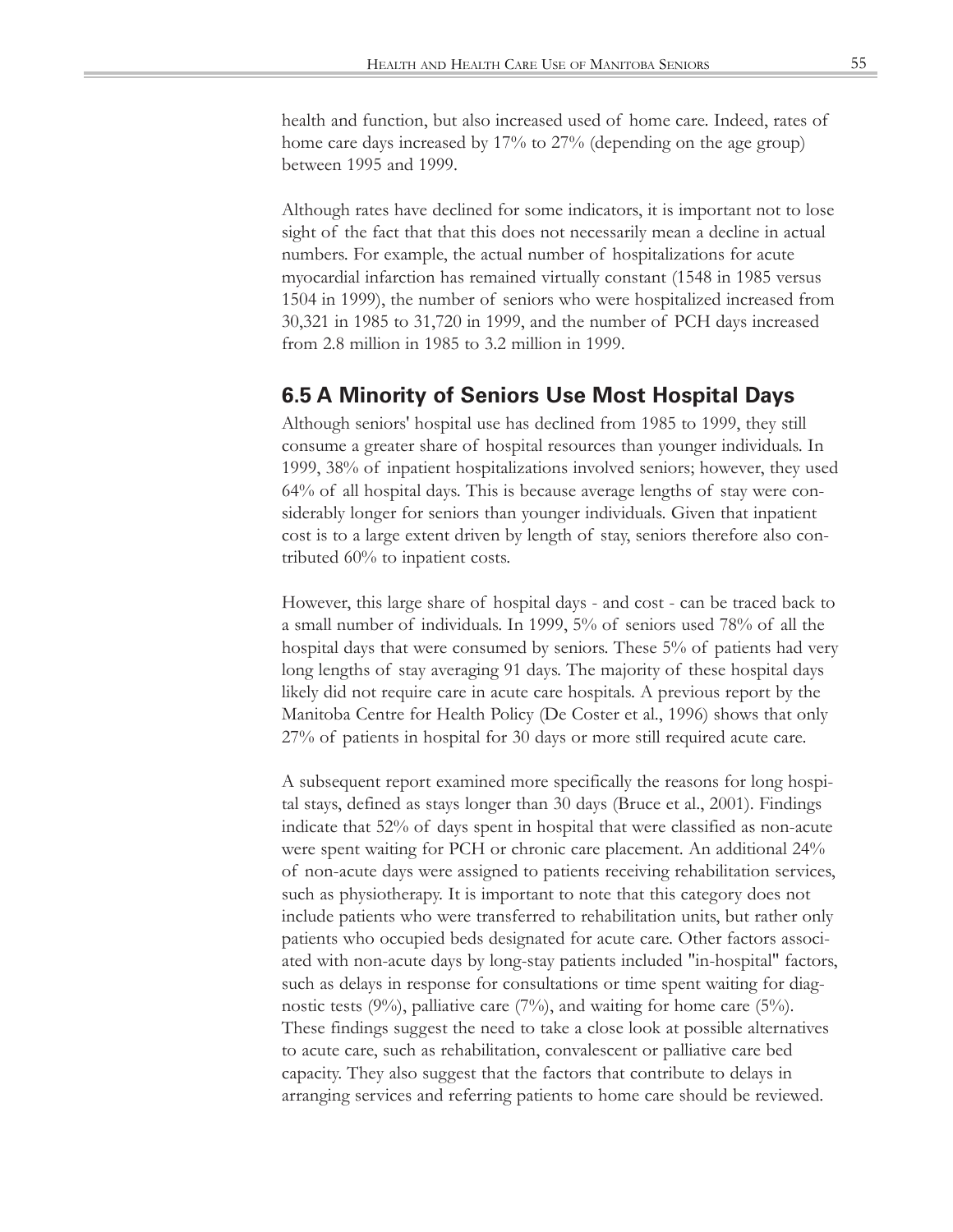health and function, but also increased used of home care. Indeed, rates of home care days increased by 17% to 27% (depending on the age group) between 1995 and 1999.

Although rates have declined for some indicators, it is important not to lose sight of the fact that that this does not necessarily mean a decline in actual numbers. For example, the actual number of hospitalizations for acute myocardial infarction has remained virtually constant (1548 in 1985 versus 1504 in 1999), the number of seniors who were hospitalized increased from 30,321 in 1985 to 31,720 in 1999, and the number of PCH days increased from 2.8 million in 1985 to 3.2 million in 1999.

## **6.5 A Minority of Seniors Use Most Hospital Days**

Although seniors' hospital use has declined from 1985 to 1999, they still consume a greater share of hospital resources than younger individuals. In 1999, 38% of inpatient hospitalizations involved seniors; however, they used 64% of all hospital days. This is because average lengths of stay were considerably longer for seniors than younger individuals. Given that inpatient cost is to a large extent driven by length of stay, seniors therefore also contributed 60% to inpatient costs.

However, this large share of hospital days - and cost - can be traced back to a small number of individuals. In 1999, 5% of seniors used 78% of all the hospital days that were consumed by seniors. These 5% of patients had very long lengths of stay averaging 91 days. The majority of these hospital days likely did not require care in acute care hospitals. A previous report by the Manitoba Centre for Health Policy (De Coster et al., 1996) shows that only 27% of patients in hospital for 30 days or more still required acute care.

A subsequent report examined more specifically the reasons for long hospital stays, defined as stays longer than 30 days (Bruce et al., 2001). Findings indicate that 52% of days spent in hospital that were classified as non-acute were spent waiting for PCH or chronic care placement. An additional 24% of non-acute days were assigned to patients receiving rehabilitation services, such as physiotherapy. It is important to note that this category does not include patients who were transferred to rehabilitation units, but rather only patients who occupied beds designated for acute care. Other factors associated with non-acute days by long-stay patients included "in-hospital" factors, such as delays in response for consultations or time spent waiting for diagnostic tests  $(9\%)$ , palliative care  $(7\%)$ , and waiting for home care  $(5\%)$ . These findings suggest the need to take a close look at possible alternatives to acute care, such as rehabilitation, convalescent or palliative care bed capacity. They also suggest that the factors that contribute to delays in arranging services and referring patients to home care should be reviewed.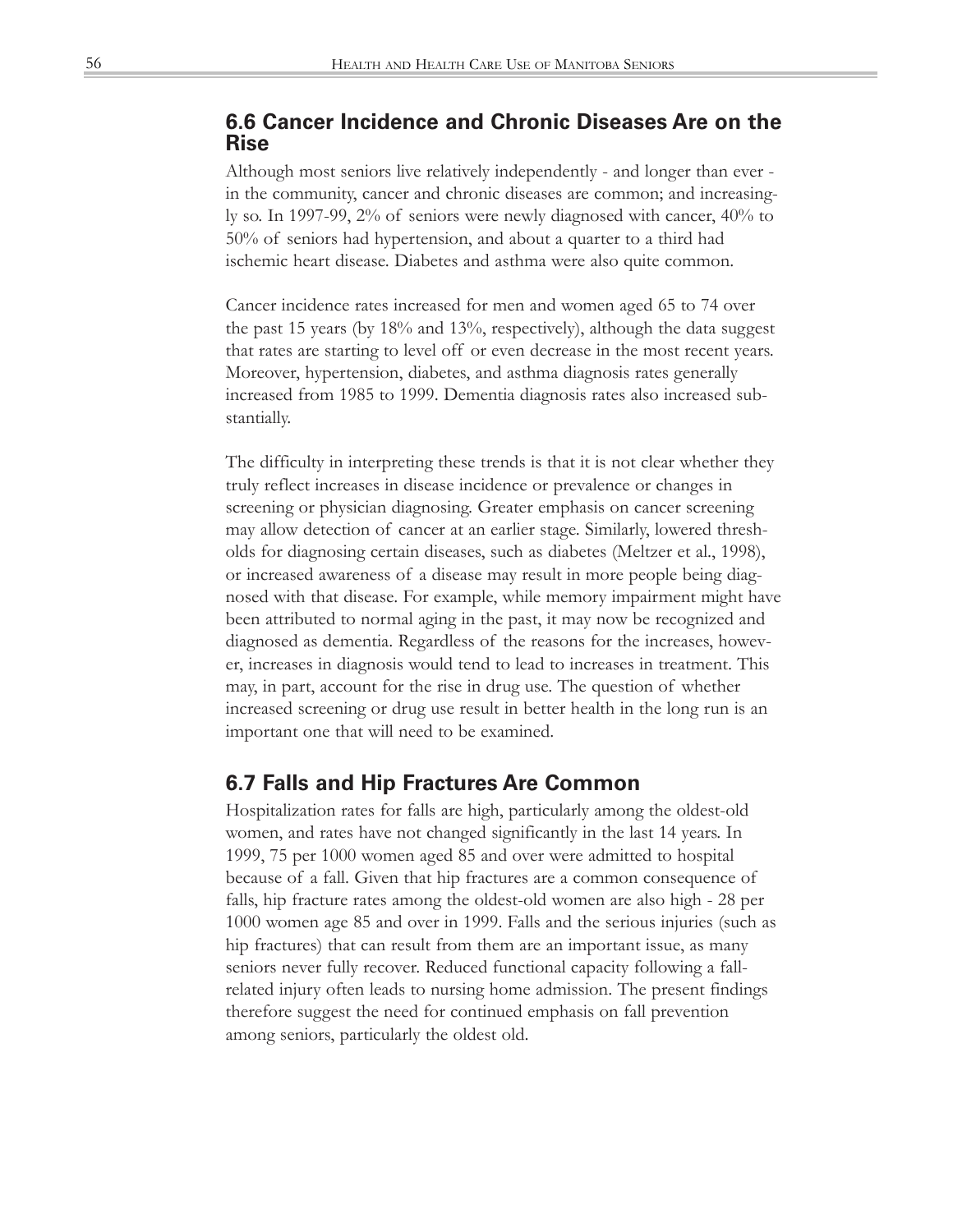### **6.6 Cancer Incidence and Chronic Diseases Are on the Rise**

Although most seniors live relatively independently - and longer than ever in the community, cancer and chronic diseases are common; and increasingly so. In 1997-99, 2% of seniors were newly diagnosed with cancer, 40% to 50% of seniors had hypertension, and about a quarter to a third had ischemic heart disease. Diabetes and asthma were also quite common.

Cancer incidence rates increased for men and women aged 65 to 74 over the past 15 years (by 18% and 13%, respectively), although the data suggest that rates are starting to level off or even decrease in the most recent years. Moreover, hypertension, diabetes, and asthma diagnosis rates generally increased from 1985 to 1999. Dementia diagnosis rates also increased substantially.

The difficulty in interpreting these trends is that it is not clear whether they truly reflect increases in disease incidence or prevalence or changes in screening or physician diagnosing. Greater emphasis on cancer screening may allow detection of cancer at an earlier stage. Similarly, lowered thresholds for diagnosing certain diseases, such as diabetes (Meltzer et al., 1998), or increased awareness of a disease may result in more people being diagnosed with that disease. For example, while memory impairment might have been attributed to normal aging in the past, it may now be recognized and diagnosed as dementia. Regardless of the reasons for the increases, however, increases in diagnosis would tend to lead to increases in treatment. This may, in part, account for the rise in drug use. The question of whether increased screening or drug use result in better health in the long run is an important one that will need to be examined.

## **6.7 Falls and Hip Fractures Are Common**

Hospitalization rates for falls are high, particularly among the oldest-old women, and rates have not changed significantly in the last 14 years. In 1999, 75 per 1000 women aged 85 and over were admitted to hospital because of a fall. Given that hip fractures are a common consequence of falls, hip fracture rates among the oldest-old women are also high - 28 per 1000 women age 85 and over in 1999. Falls and the serious injuries (such as hip fractures) that can result from them are an important issue, as many seniors never fully recover. Reduced functional capacity following a fallrelated injury often leads to nursing home admission. The present findings therefore suggest the need for continued emphasis on fall prevention among seniors, particularly the oldest old.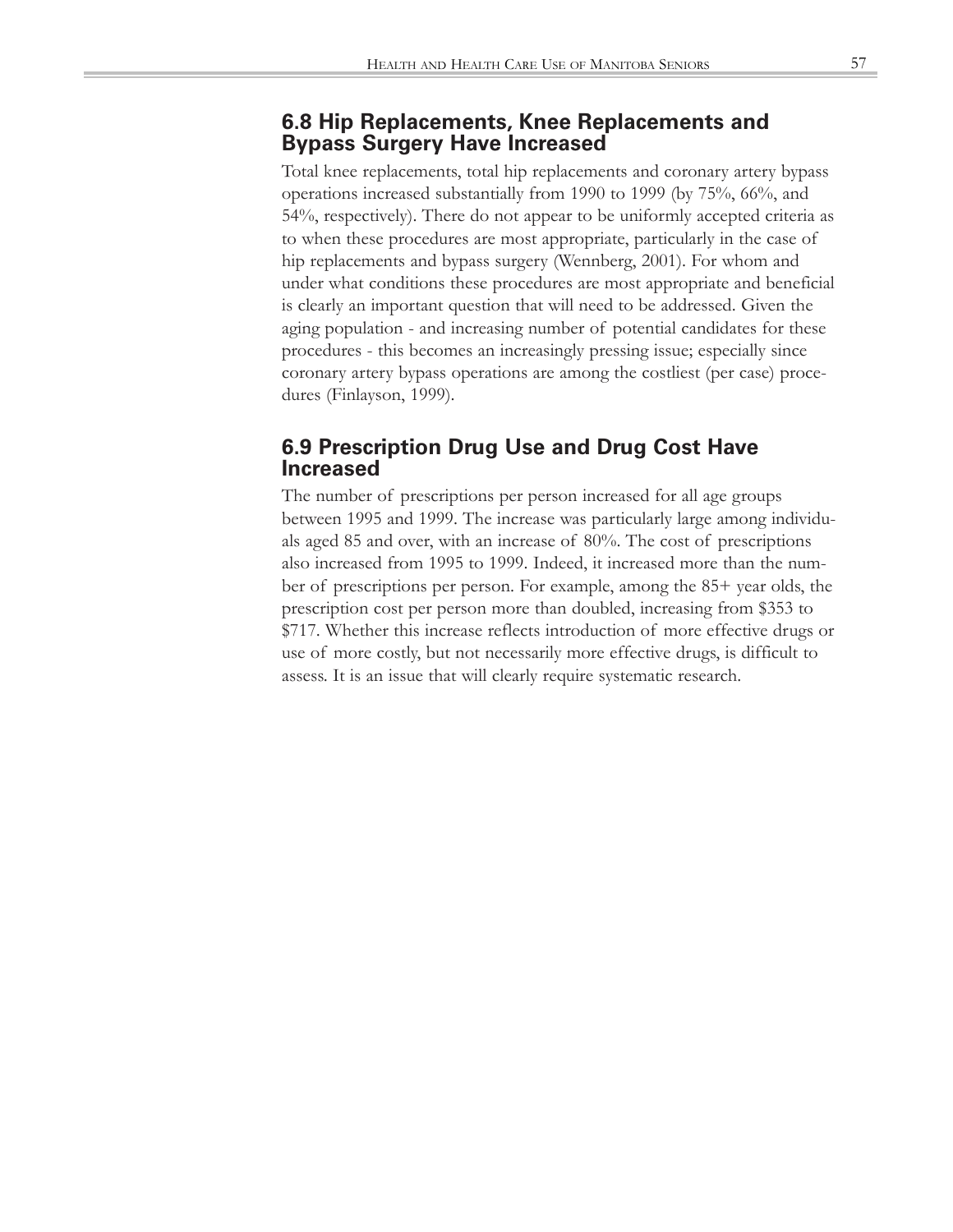# **6.8 Hip Replacements, Knee Replacements and Bypass Surgery Have Increased**

Total knee replacements, total hip replacements and coronary artery bypass operations increased substantially from 1990 to 1999 (by 75%, 66%, and 54%, respectively). There do not appear to be uniformly accepted criteria as to when these procedures are most appropriate, particularly in the case of hip replacements and bypass surgery (Wennberg, 2001). For whom and under what conditions these procedures are most appropriate and beneficial is clearly an important question that will need to be addressed. Given the aging population - and increasing number of potential candidates for these procedures - this becomes an increasingly pressing issue; especially since coronary artery bypass operations are among the costliest (per case) procedures (Finlayson, 1999).

# **6.9 Prescription Drug Use and Drug Cost Have Increased**

The number of prescriptions per person increased for all age groups between 1995 and 1999. The increase was particularly large among individuals aged 85 and over, with an increase of 80%. The cost of prescriptions also increased from 1995 to 1999. Indeed, it increased more than the number of prescriptions per person. For example, among the 85+ year olds, the prescription cost per person more than doubled, increasing from \$353 to \$717. Whether this increase reflects introduction of more effective drugs or use of more costly, but not necessarily more effective drugs, is difficult to assess. It is an issue that will clearly require systematic research.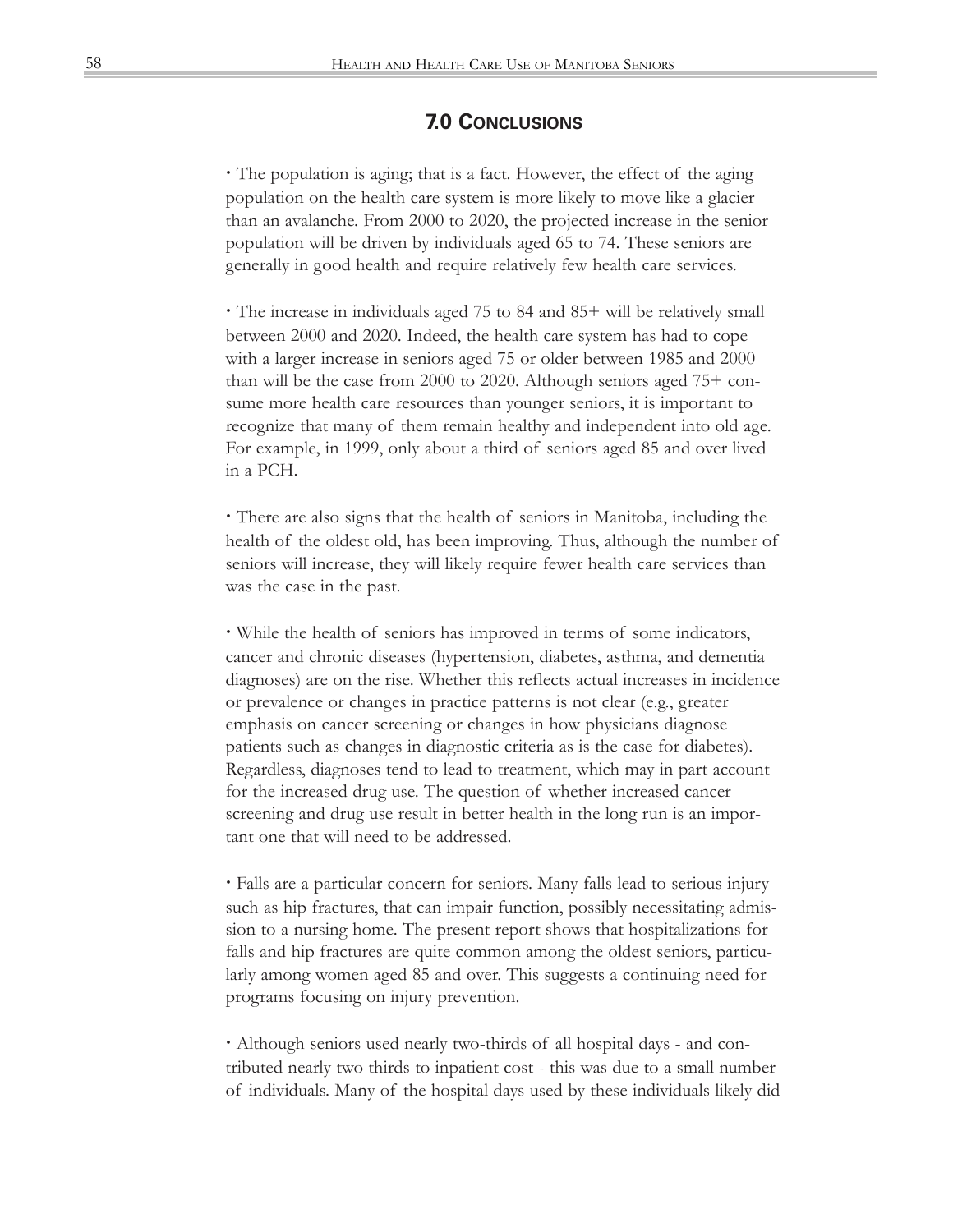# **7.0 CONCLUSIONS**

**·** The population is aging; that is a fact. However, the effect of the aging population on the health care system is more likely to move like a glacier than an avalanche. From 2000 to 2020, the projected increase in the senior population will be driven by individuals aged 65 to 74. These seniors are generally in good health and require relatively few health care services.

**·** The increase in individuals aged 75 to 84 and 85+ will be relatively small between 2000 and 2020. Indeed, the health care system has had to cope with a larger increase in seniors aged 75 or older between 1985 and 2000 than will be the case from 2000 to 2020. Although seniors aged 75+ consume more health care resources than younger seniors, it is important to recognize that many of them remain healthy and independent into old age. For example, in 1999, only about a third of seniors aged 85 and over lived in a PCH.

**·** There are also signs that the health of seniors in Manitoba, including the health of the oldest old, has been improving. Thus, although the number of seniors will increase, they will likely require fewer health care services than was the case in the past.

**·** While the health of seniors has improved in terms of some indicators, cancer and chronic diseases (hypertension, diabetes, asthma, and dementia diagnoses) are on the rise. Whether this reflects actual increases in incidence or prevalence or changes in practice patterns is not clear (e.g., greater emphasis on cancer screening or changes in how physicians diagnose patients such as changes in diagnostic criteria as is the case for diabetes). Regardless, diagnoses tend to lead to treatment, which may in part account for the increased drug use. The question of whether increased cancer screening and drug use result in better health in the long run is an important one that will need to be addressed.

**·** Falls are a particular concern for seniors. Many falls lead to serious injury such as hip fractures, that can impair function, possibly necessitating admission to a nursing home. The present report shows that hospitalizations for falls and hip fractures are quite common among the oldest seniors, particularly among women aged 85 and over. This suggests a continuing need for programs focusing on injury prevention.

**·** Although seniors used nearly two-thirds of all hospital days - and contributed nearly two thirds to inpatient cost - this was due to a small number of individuals. Many of the hospital days used by these individuals likely did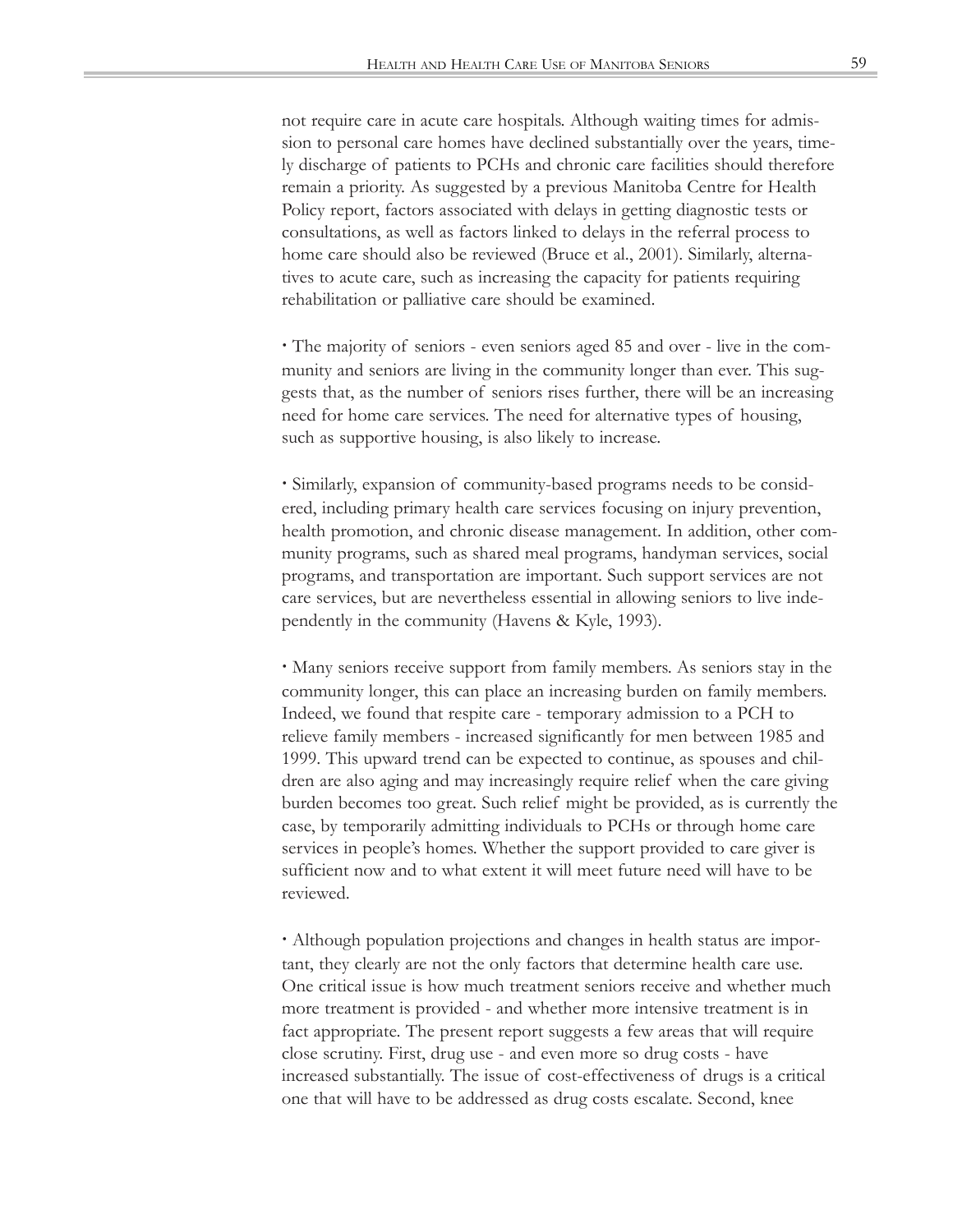not require care in acute care hospitals. Although waiting times for admission to personal care homes have declined substantially over the years, timely discharge of patients to PCHs and chronic care facilities should therefore remain a priority. As suggested by a previous Manitoba Centre for Health Policy report, factors associated with delays in getting diagnostic tests or consultations, as well as factors linked to delays in the referral process to home care should also be reviewed (Bruce et al., 2001). Similarly, alternatives to acute care, such as increasing the capacity for patients requiring rehabilitation or palliative care should be examined.

**·** The majority of seniors - even seniors aged 85 and over - live in the community and seniors are living in the community longer than ever. This suggests that, as the number of seniors rises further, there will be an increasing need for home care services. The need for alternative types of housing, such as supportive housing, is also likely to increase.

**·** Similarly, expansion of community-based programs needs to be considered, including primary health care services focusing on injury prevention, health promotion, and chronic disease management. In addition, other community programs, such as shared meal programs, handyman services, social programs, and transportation are important. Such support services are not care services, but are nevertheless essential in allowing seniors to live independently in the community (Havens & Kyle, 1993).

**·** Many seniors receive support from family members. As seniors stay in the community longer, this can place an increasing burden on family members. Indeed, we found that respite care - temporary admission to a PCH to relieve family members - increased significantly for men between 1985 and 1999. This upward trend can be expected to continue, as spouses and children are also aging and may increasingly require relief when the care giving burden becomes too great. Such relief might be provided, as is currently the case, by temporarily admitting individuals to PCHs or through home care services in people's homes. Whether the support provided to care giver is sufficient now and to what extent it will meet future need will have to be reviewed.

**·** Although population projections and changes in health status are important, they clearly are not the only factors that determine health care use. One critical issue is how much treatment seniors receive and whether much more treatment is provided - and whether more intensive treatment is in fact appropriate. The present report suggests a few areas that will require close scrutiny. First, drug use - and even more so drug costs - have increased substantially. The issue of cost-effectiveness of drugs is a critical one that will have to be addressed as drug costs escalate. Second, knee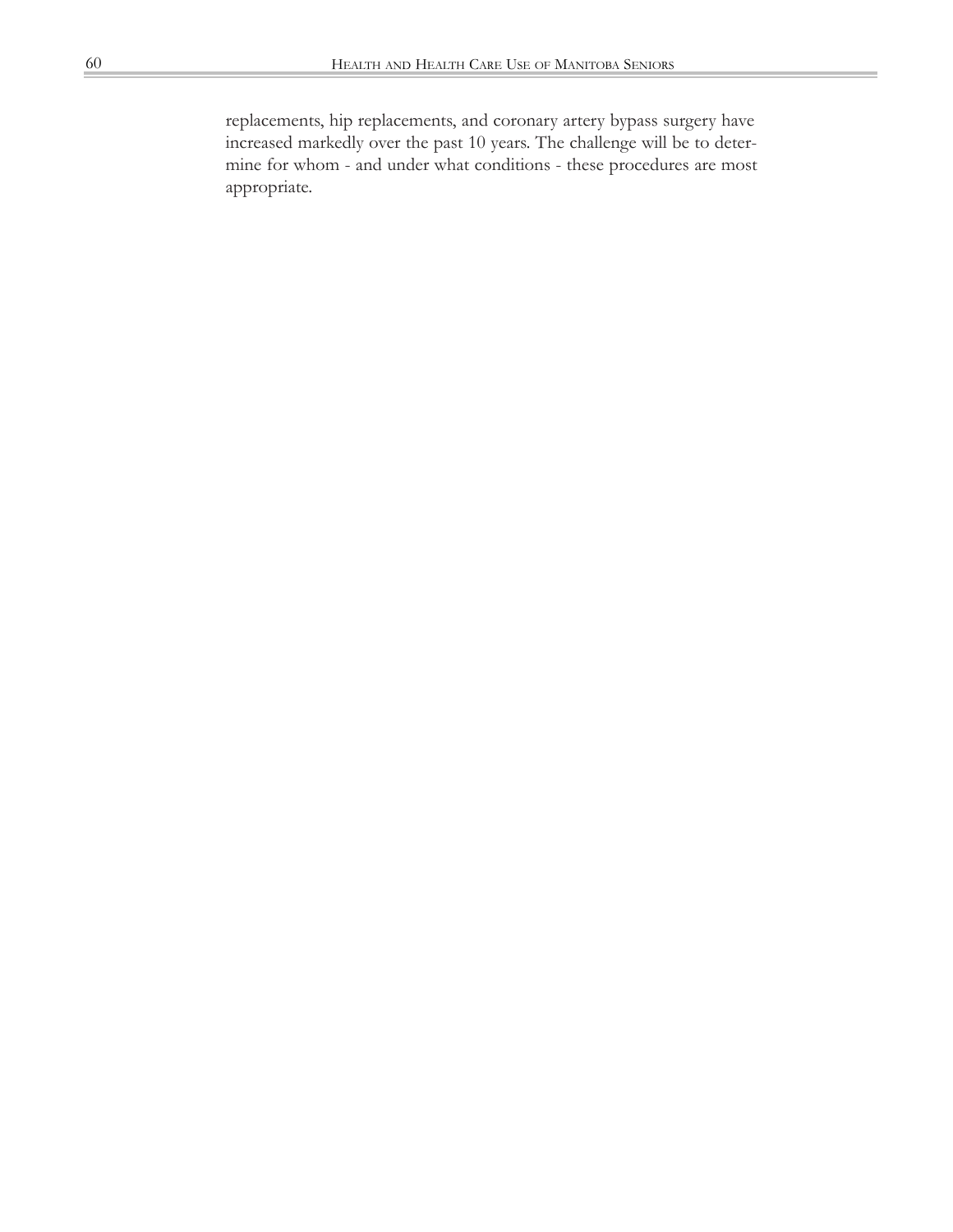replacements, hip replacements, and coronary artery bypass surgery have increased markedly over the past 10 years. The challenge will be to determine for whom - and under what conditions - these procedures are most appropriate.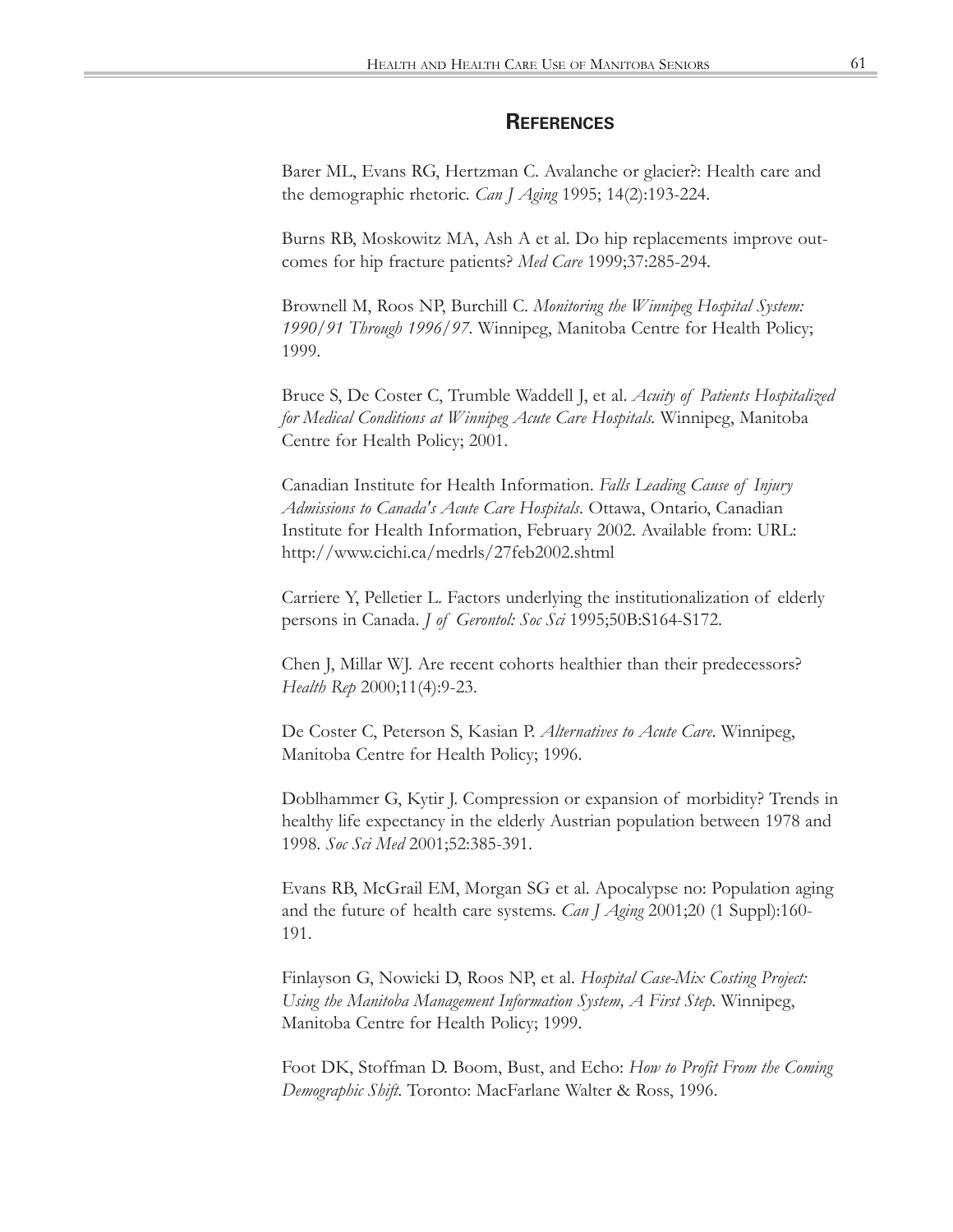# **REFERENCES**

Barer ML, Evans RG, Hertzman C. Avalanche or glacier?: Health care and the demographic rhetoric. *Can J Aging* 1995; 14(2):193-224.

Burns RB, Moskowitz MA, Ash A et al. Do hip replacements improve outcomes for hip fracture patients? *Med Care* 1999;37:285-294.

Brownell M, Roos NP, Burchill C. *Monitoring the Winnipeg Hospital System: 1990/91 Through 1996/97*. Winnipeg, Manitoba Centre for Health Policy; 1999.

Bruce S, De Coster C, Trumble Waddell J, et al. *Acuity of Patients Hospitalized for Medical Conditions at Winnipeg Acute Care Hospitals.* Winnipeg, Manitoba Centre for Health Policy; 2001.

Canadian Institute for Health Information. *Falls Leading Cause of Injury Admissions to Canada's Acute Care Hospitals*. Ottawa, Ontario, Canadian Institute for Health Information, February 2002. Available from: URL: http://www.cichi.ca/medrls/27feb2002.shtml

Carriere Y, Pelletier L. Factors underlying the institutionalization of elderly persons in Canada. *J of Gerontol: Soc Sci* 1995;50B:S164-S172.

Chen J, Millar WJ. Are recent cohorts healthier than their predecessors? *Health Rep* 2000;11(4):9-23.

De Coster C, Peterson S, Kasian P. *Alternatives to Acute Care*. Winnipeg, Manitoba Centre for Health Policy; 1996.

Doblhammer G, Kytir J. Compression or expansion of morbidity? Trends in healthy life expectancy in the elderly Austrian population between 1978 and 1998. *Soc Sci Med* 2001;52:385-391.

Evans RB, McGrail EM, Morgan SG et al. Apocalypse no: Population aging and the future of health care systems. *Can J Aging* 2001;20 (1 Suppl):160- 191.

Finlayson G, Nowicki D, Roos NP, et al. *Hospital Case-Mix Costing Project: Using the Manitoba Management Information System, A First Step*. Winnipeg, Manitoba Centre for Health Policy; 1999.

Foot DK, Stoffman D. Boom, Bust, and Echo: *How to Profit From the Coming Demographic Shift*. Toronto: MacFarlane Walter & Ross, 1996.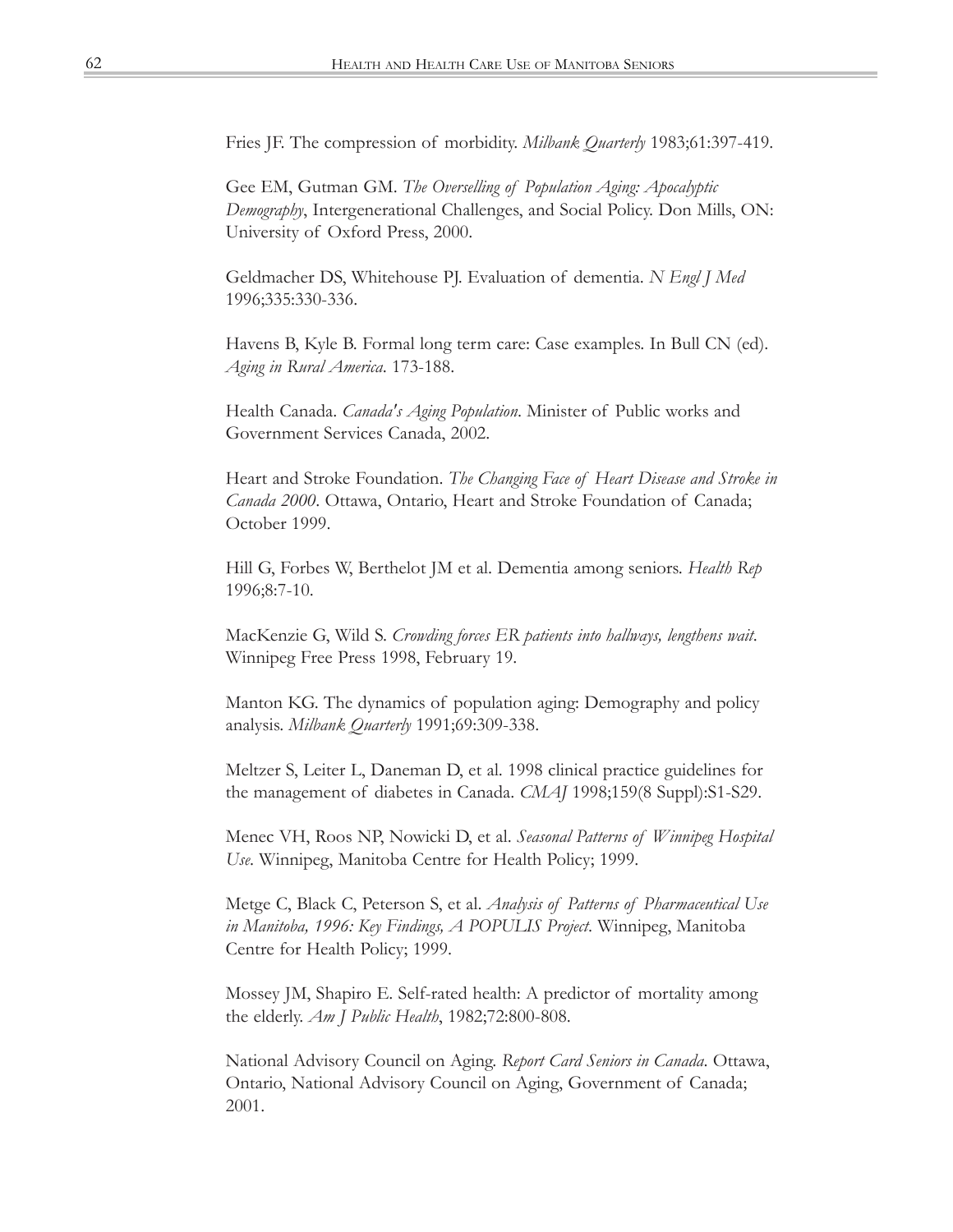Fries JF. The compression of morbidity. *Milbank Quarterly* 1983;61:397-419.

Gee EM, Gutman GM. *The Overselling of Population Aging: Apocalyptic Demography*, Intergenerational Challenges, and Social Policy. Don Mills, ON: University of Oxford Press, 2000.

Geldmacher DS, Whitehouse PJ. Evaluation of dementia. *N Engl J Med* 1996;335:330-336.

Havens B, Kyle B. Formal long term care: Case examples. In Bull CN (ed). *Aging in Rural America*. 173-188.

Health Canada. *Canada's Aging Population*. Minister of Public works and Government Services Canada, 2002.

Heart and Stroke Foundation. *The Changing Face of Heart Disease and Stroke in Canada 2000*. Ottawa, Ontario, Heart and Stroke Foundation of Canada; October 1999.

Hill G, Forbes W, Berthelot JM et al. Dementia among seniors. *Health Rep* 1996;8:7-10.

MacKenzie G, Wild S. *Crowding forces ER patients into hallways, lengthens wait*. Winnipeg Free Press 1998, February 19.

Manton KG. The dynamics of population aging: Demography and policy analysis. *Milbank Quarterly* 1991;69:309-338.

Meltzer S, Leiter L, Daneman D, et al. 1998 clinical practice guidelines for the management of diabetes in Canada. *CMAJ* 1998;159(8 Suppl):S1-S29.

Menec VH, Roos NP, Nowicki D, et al. *Seasonal Patterns of Winnipeg Hospital Use*. Winnipeg, Manitoba Centre for Health Policy; 1999.

Metge C, Black C, Peterson S, et al. *Analysis of Patterns of Pharmaceutical Use in Manitoba, 1996: Key Findings, A POPULIS Project*. Winnipeg, Manitoba Centre for Health Policy; 1999.

Mossey JM, Shapiro E. Self-rated health: A predictor of mortality among the elderly. *Am J Public Health*, 1982;72:800-808.

National Advisory Council on Aging. *Report Card Seniors in Canada*. Ottawa, Ontario, National Advisory Council on Aging, Government of Canada; 2001.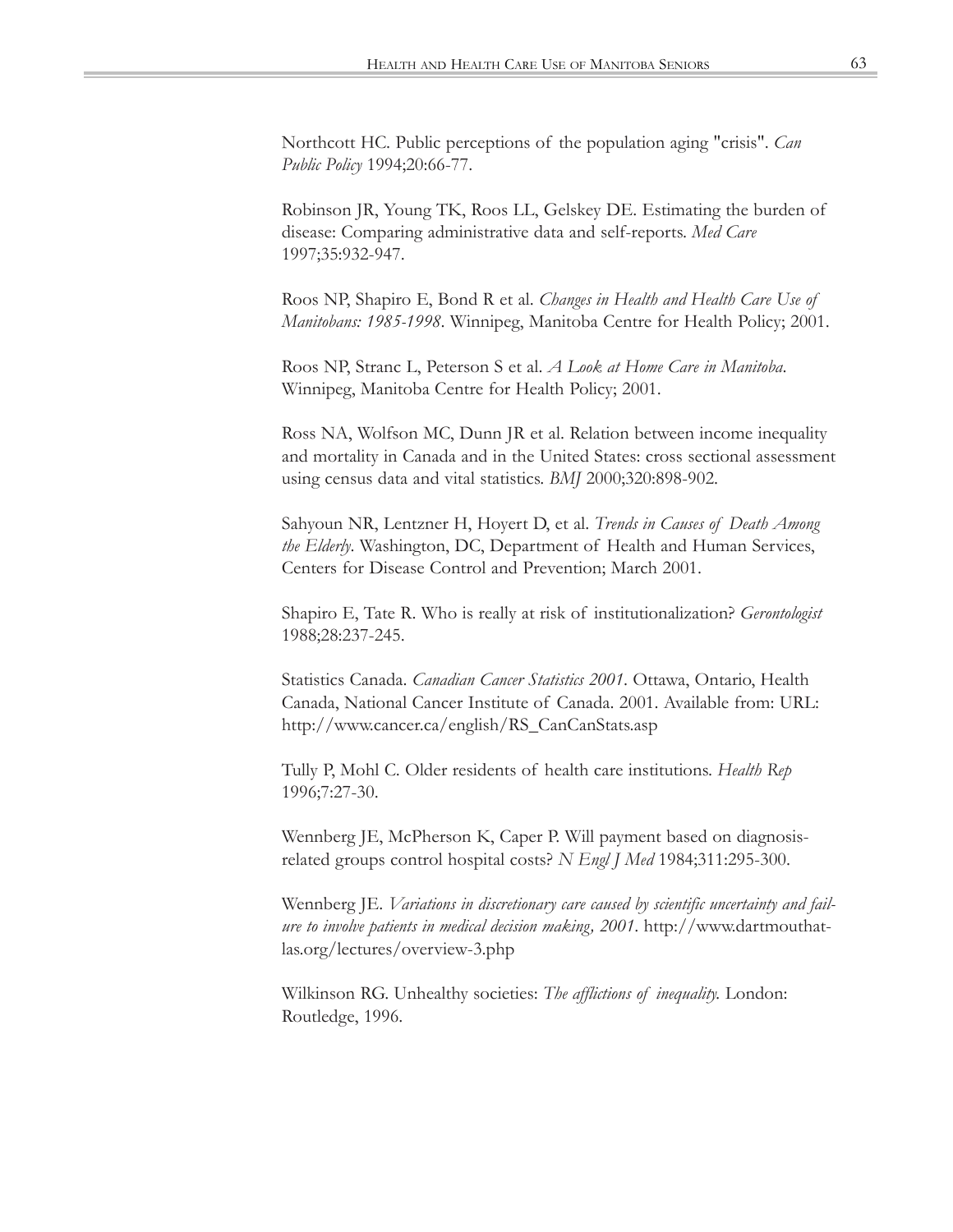Northcott HC. Public perceptions of the population aging "crisis". *Can Public Policy* 1994;20:66-77.

Robinson JR, Young TK, Roos LL, Gelskey DE. Estimating the burden of disease: Comparing administrative data and self-reports. *Med Care* 1997;35:932-947.

Roos NP, Shapiro E, Bond R et al. *Changes in Health and Health Care Use of Manitobans: 1985-1998*. Winnipeg, Manitoba Centre for Health Policy; 2001.

Roos NP, Stranc L, Peterson S et al. *A Look at Home Care in Manitoba*. Winnipeg, Manitoba Centre for Health Policy; 2001.

Ross NA, Wolfson MC, Dunn JR et al. Relation between income inequality and mortality in Canada and in the United States: cross sectional assessment using census data and vital statistics. *BMJ* 2000;320:898-902.

Sahyoun NR, Lentzner H, Hoyert D, et al. *Trends in Causes of Death Among the Elderly*. Washington, DC, Department of Health and Human Services, Centers for Disease Control and Prevention; March 2001.

Shapiro E, Tate R. Who is really at risk of institutionalization? *Gerontologist* 1988;28:237-245.

Statistics Canada. *Canadian Cancer Statistics 2001*. Ottawa, Ontario, Health Canada, National Cancer Institute of Canada. 2001. Available from: URL: http://www.cancer.ca/english/RS\_CanCanStats.asp

Tully P, Mohl C. Older residents of health care institutions. *Health Rep* 1996;7:27-30.

Wennberg JE, McPherson K, Caper P. Will payment based on diagnosisrelated groups control hospital costs? *N Engl J Med* 1984;311:295-300.

Wennberg JE. *Variations in discretionary care caused by scientific uncertainty and failure to involve patients in medical decision making, 2001*. http://www.dartmouthatlas.org/lectures/overview-3.php

Wilkinson RG. Unhealthy societies: *The afflictions of inequality.* London: Routledge, 1996.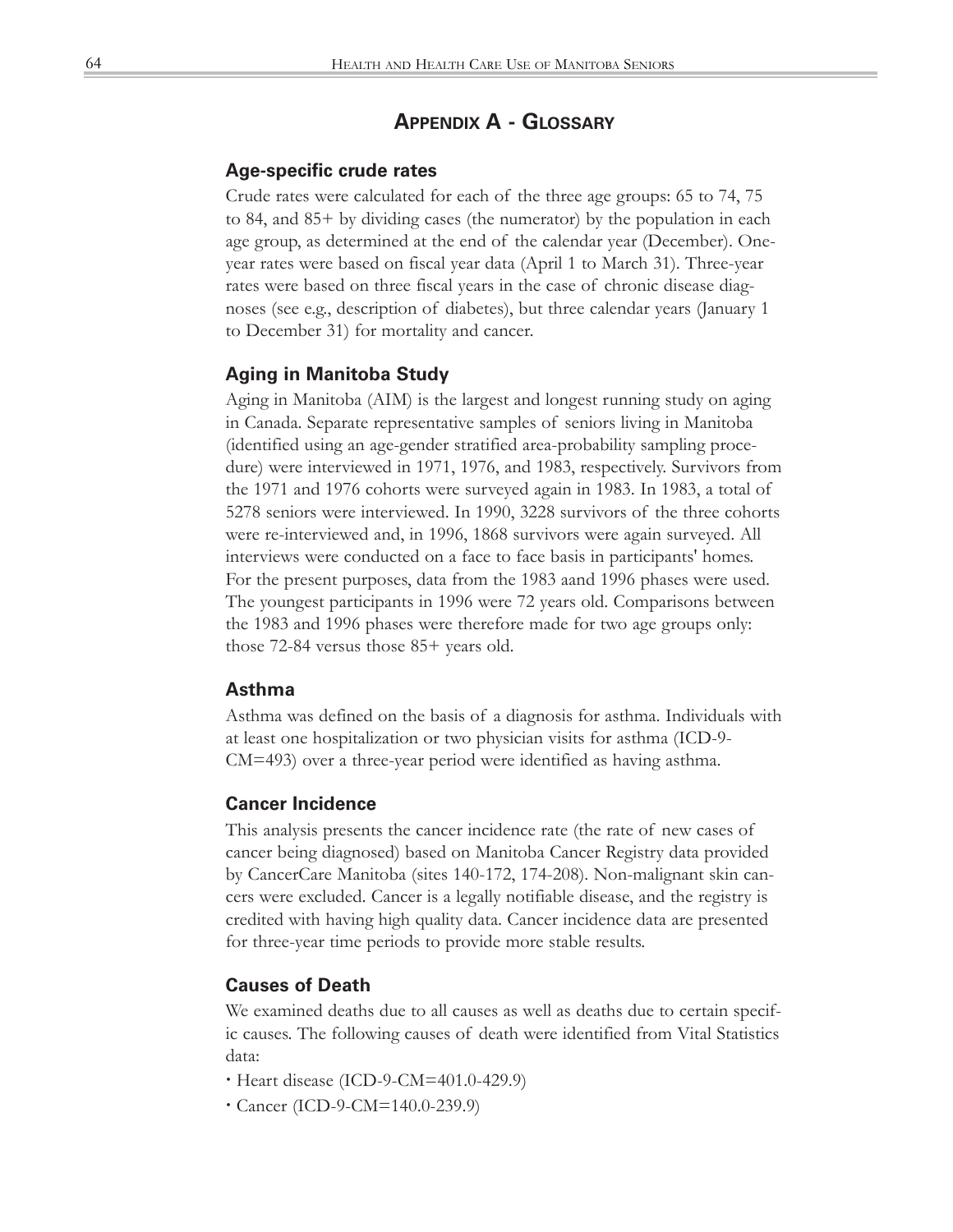# **APPENDIX A - GLOSSARY**

#### **Age-specific crude rates**

Crude rates were calculated for each of the three age groups: 65 to 74, 75 to 84, and 85+ by dividing cases (the numerator) by the population in each age group, as determined at the end of the calendar year (December). Oneyear rates were based on fiscal year data (April 1 to March 31). Three-year rates were based on three fiscal years in the case of chronic disease diagnoses (see e.g., description of diabetes), but three calendar years (January 1 to December 31) for mortality and cancer.

## **Aging in Manitoba Study**

Aging in Manitoba (AIM) is the largest and longest running study on aging in Canada. Separate representative samples of seniors living in Manitoba (identified using an age-gender stratified area-probability sampling procedure) were interviewed in 1971, 1976, and 1983, respectively. Survivors from the 1971 and 1976 cohorts were surveyed again in 1983. In 1983, a total of 5278 seniors were interviewed. In 1990, 3228 survivors of the three cohorts were re-interviewed and, in 1996, 1868 survivors were again surveyed. All interviews were conducted on a face to face basis in participants' homes. For the present purposes, data from the 1983 aand 1996 phases were used. The youngest participants in 1996 were 72 years old. Comparisons between the 1983 and 1996 phases were therefore made for two age groups only: those 72-84 versus those 85+ years old.

#### **Asthma**

Asthma was defined on the basis of a diagnosis for asthma. Individuals with at least one hospitalization or two physician visits for asthma (ICD-9- CM=493) over a three-year period were identified as having asthma.

#### **Cancer Incidence**

This analysis presents the cancer incidence rate (the rate of new cases of cancer being diagnosed) based on Manitoba Cancer Registry data provided by CancerCare Manitoba (sites 140-172, 174-208). Non-malignant skin cancers were excluded. Cancer is a legally notifiable disease, and the registry is credited with having high quality data. Cancer incidence data are presented for three-year time periods to provide more stable results.

#### **Causes of Death**

We examined deaths due to all causes as well as deaths due to certain specific causes. The following causes of death were identified from Vital Statistics data:

- **·** Heart disease (ICD-9-CM=401.0-429.9)
- **·** Cancer (ICD-9-CM=140.0-239.9)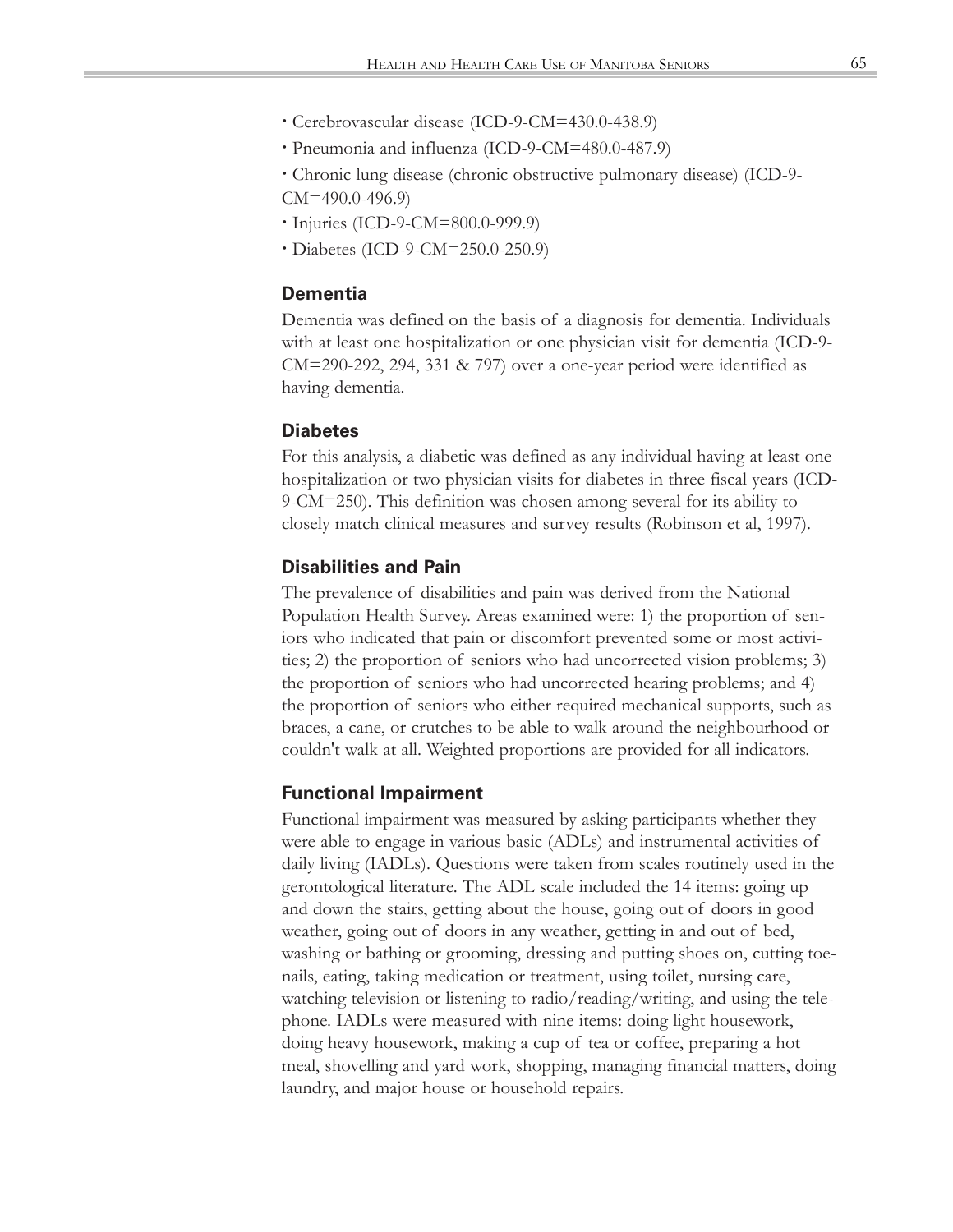- **·** Cerebrovascular disease (ICD-9-CM=430.0-438.9)
- **·** Pneumonia and influenza (ICD-9-CM=480.0-487.9)
- **·** Chronic lung disease (chronic obstructive pulmonary disease) (ICD-9- CM=490.0-496.9)
- **·** Injuries (ICD-9-CM=800.0-999.9)
- **·** Diabetes (ICD-9-CM=250.0-250.9)

#### **Dementia**

Dementia was defined on the basis of a diagnosis for dementia. Individuals with at least one hospitalization or one physician visit for dementia (ICD-9- CM=290-292, 294, 331 & 797) over a one-year period were identified as having dementia.

#### **Diabetes**

For this analysis, a diabetic was defined as any individual having at least one hospitalization or two physician visits for diabetes in three fiscal years (ICD-9-CM=250). This definition was chosen among several for its ability to closely match clinical measures and survey results (Robinson et al, 1997).

## **Disabilities and Pain**

The prevalence of disabilities and pain was derived from the National Population Health Survey. Areas examined were: 1) the proportion of seniors who indicated that pain or discomfort prevented some or most activities; 2) the proportion of seniors who had uncorrected vision problems; 3) the proportion of seniors who had uncorrected hearing problems; and 4) the proportion of seniors who either required mechanical supports, such as braces, a cane, or crutches to be able to walk around the neighbourhood or couldn't walk at all. Weighted proportions are provided for all indicators.

#### **Functional Impairment**

Functional impairment was measured by asking participants whether they were able to engage in various basic (ADLs) and instrumental activities of daily living (IADLs). Questions were taken from scales routinely used in the gerontological literature. The ADL scale included the 14 items: going up and down the stairs, getting about the house, going out of doors in good weather, going out of doors in any weather, getting in and out of bed, washing or bathing or grooming, dressing and putting shoes on, cutting toenails, eating, taking medication or treatment, using toilet, nursing care, watching television or listening to radio/reading/writing, and using the telephone. IADLs were measured with nine items: doing light housework, doing heavy housework, making a cup of tea or coffee, preparing a hot meal, shovelling and yard work, shopping, managing financial matters, doing laundry, and major house or household repairs.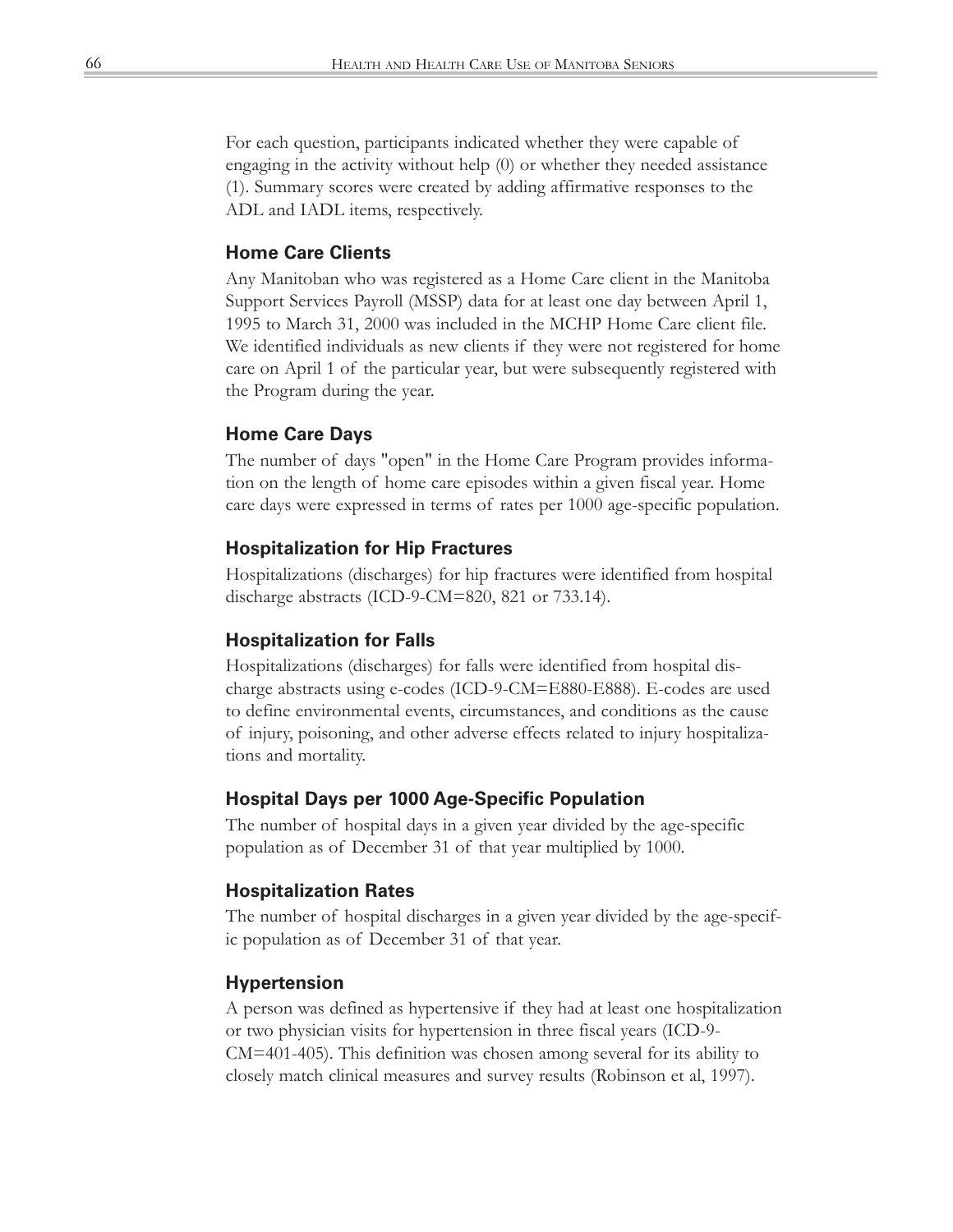For each question, participants indicated whether they were capable of engaging in the activity without help (0) or whether they needed assistance (1). Summary scores were created by adding affirmative responses to the ADL and IADL items, respectively.

# **Home Care Clients**

Any Manitoban who was registered as a Home Care client in the Manitoba Support Services Payroll (MSSP) data for at least one day between April 1, 1995 to March 31, 2000 was included in the MCHP Home Care client file. We identified individuals as new clients if they were not registered for home care on April 1 of the particular year, but were subsequently registered with the Program during the year.

# **Home Care Days**

The number of days "open" in the Home Care Program provides information on the length of home care episodes within a given fiscal year. Home care days were expressed in terms of rates per 1000 age-specific population.

# **Hospitalization for Hip Fractures**

Hospitalizations (discharges) for hip fractures were identified from hospital discharge abstracts (ICD-9-CM=820, 821 or 733.14).

# **Hospitalization for Falls**

Hospitalizations (discharges) for falls were identified from hospital discharge abstracts using e-codes (ICD-9-CM=E880-E888). E-codes are used to define environmental events, circumstances, and conditions as the cause of injury, poisoning, and other adverse effects related to injury hospitalizations and mortality.

## **Hospital Days per 1000 Age-Specific Population**

The number of hospital days in a given year divided by the age-specific population as of December 31 of that year multiplied by 1000.

## **Hospitalization Rates**

The number of hospital discharges in a given year divided by the age-specific population as of December 31 of that year.

## **Hypertension**

A person was defined as hypertensive if they had at least one hospitalization or two physician visits for hypertension in three fiscal years (ICD-9- CM=401-405). This definition was chosen among several for its ability to closely match clinical measures and survey results (Robinson et al, 1997).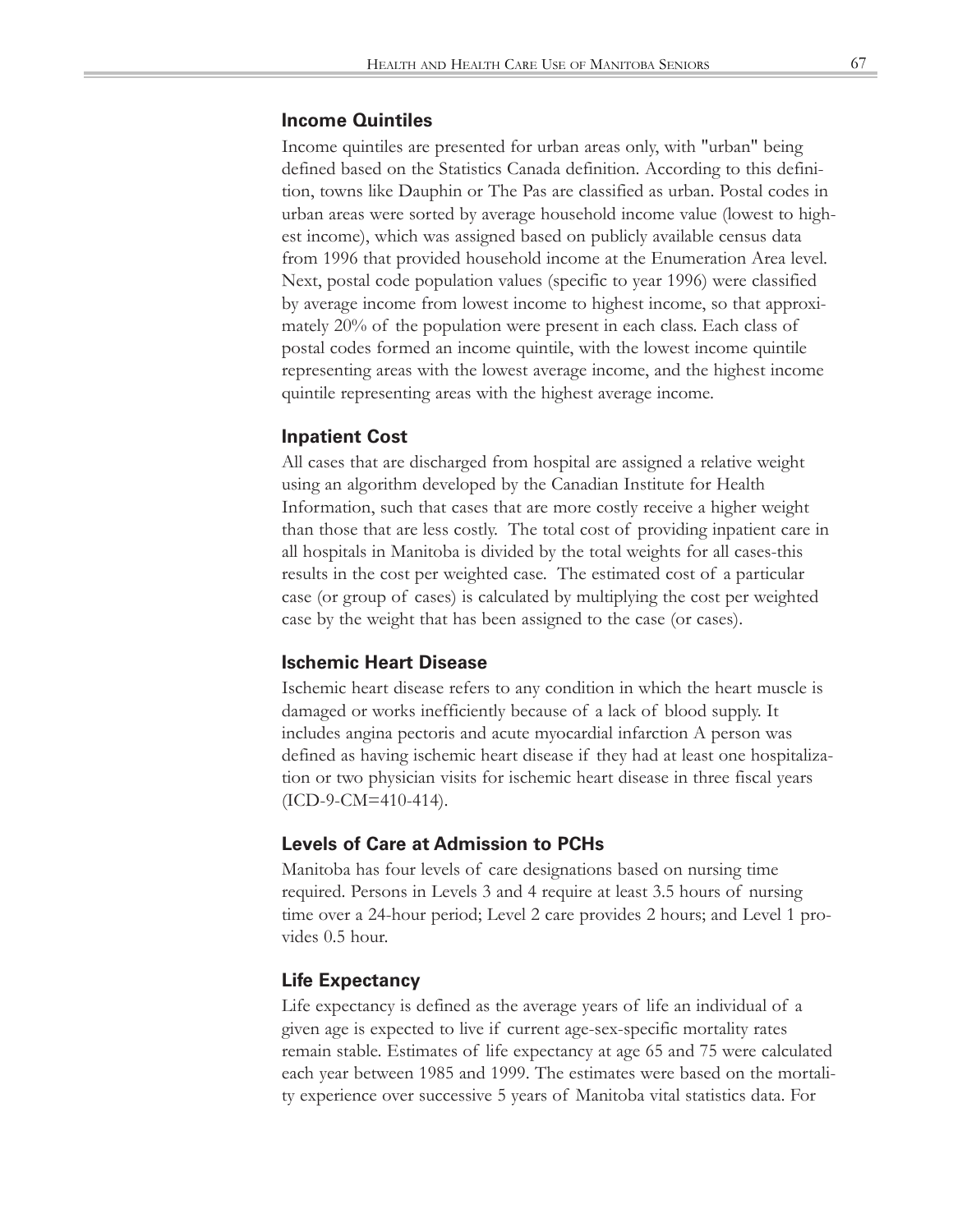#### **Income Quintiles**

Income quintiles are presented for urban areas only, with "urban" being defined based on the Statistics Canada definition. According to this definition, towns like Dauphin or The Pas are classified as urban. Postal codes in urban areas were sorted by average household income value (lowest to highest income), which was assigned based on publicly available census data from 1996 that provided household income at the Enumeration Area level. Next, postal code population values (specific to year 1996) were classified by average income from lowest income to highest income, so that approximately 20% of the population were present in each class. Each class of postal codes formed an income quintile, with the lowest income quintile representing areas with the lowest average income, and the highest income quintile representing areas with the highest average income.

#### **Inpatient Cost**

All cases that are discharged from hospital are assigned a relative weight using an algorithm developed by the Canadian Institute for Health Information, such that cases that are more costly receive a higher weight than those that are less costly. The total cost of providing inpatient care in all hospitals in Manitoba is divided by the total weights for all cases-this results in the cost per weighted case. The estimated cost of a particular case (or group of cases) is calculated by multiplying the cost per weighted case by the weight that has been assigned to the case (or cases).

## **Ischemic Heart Disease**

Ischemic heart disease refers to any condition in which the heart muscle is damaged or works inefficiently because of a lack of blood supply. It includes angina pectoris and acute myocardial infarction A person was defined as having ischemic heart disease if they had at least one hospitalization or two physician visits for ischemic heart disease in three fiscal years (ICD-9-CM=410-414).

#### **Levels of Care at Admission to PCHs**

Manitoba has four levels of care designations based on nursing time required. Persons in Levels 3 and 4 require at least 3.5 hours of nursing time over a 24-hour period; Level 2 care provides 2 hours; and Level 1 provides 0.5 hour.

## **Life Expectancy**

Life expectancy is defined as the average years of life an individual of a given age is expected to live if current age-sex-specific mortality rates remain stable. Estimates of life expectancy at age 65 and 75 were calculated each year between 1985 and 1999. The estimates were based on the mortality experience over successive 5 years of Manitoba vital statistics data. For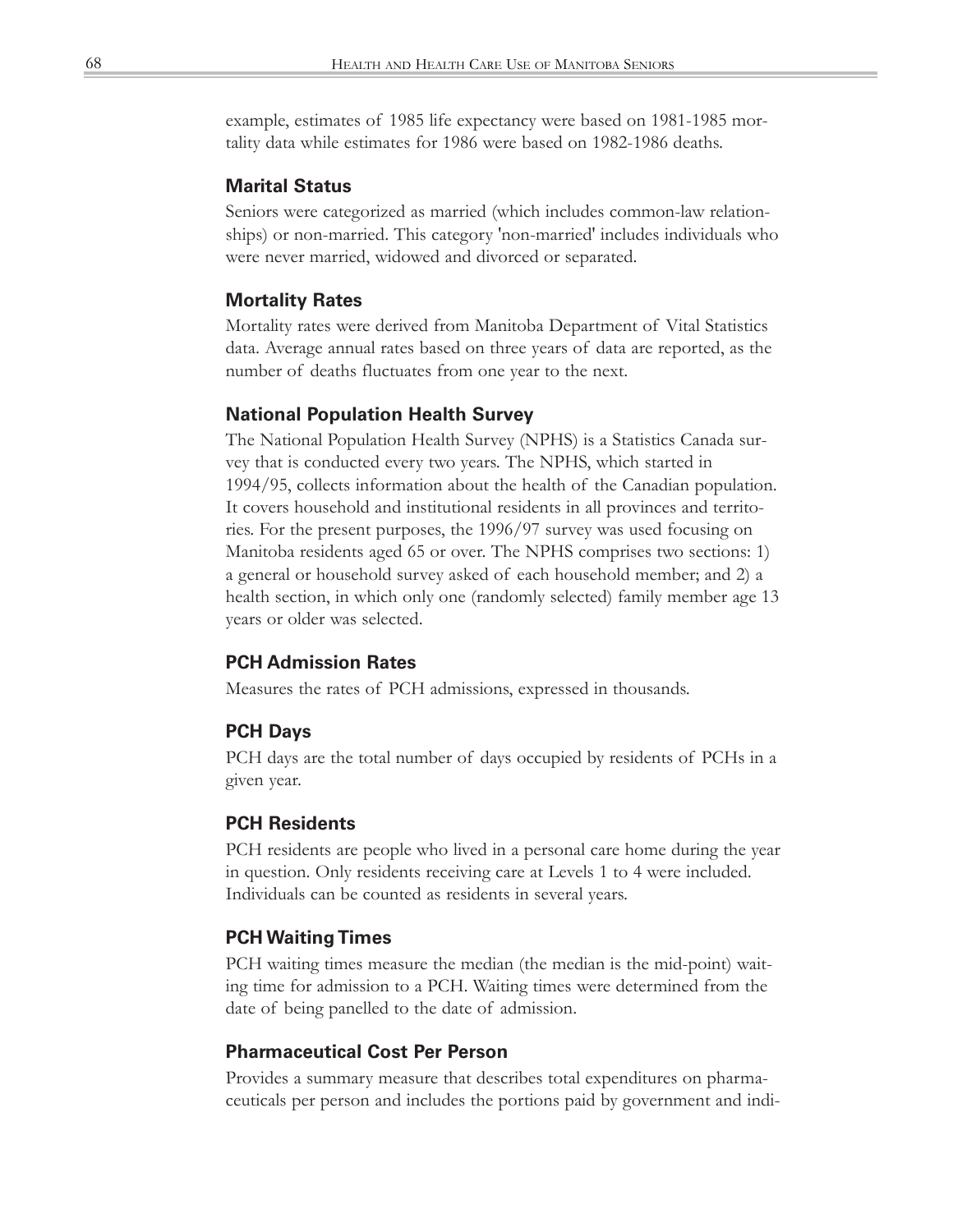example, estimates of 1985 life expectancy were based on 1981-1985 mortality data while estimates for 1986 were based on 1982-1986 deaths.

#### **Marital Status**

Seniors were categorized as married (which includes common-law relationships) or non-married. This category 'non-married' includes individuals who were never married, widowed and divorced or separated.

#### **Mortality Rates**

Mortality rates were derived from Manitoba Department of Vital Statistics data. Average annual rates based on three years of data are reported, as the number of deaths fluctuates from one year to the next.

#### **National Population Health Survey**

The National Population Health Survey (NPHS) is a Statistics Canada survey that is conducted every two years. The NPHS, which started in 1994/95, collects information about the health of the Canadian population. It covers household and institutional residents in all provinces and territories. For the present purposes, the 1996/97 survey was used focusing on Manitoba residents aged 65 or over. The NPHS comprises two sections: 1) a general or household survey asked of each household member; and 2) a health section, in which only one (randomly selected) family member age 13 years or older was selected.

## **PCH Admission Rates**

Measures the rates of PCH admissions, expressed in thousands.

## **PCH Days**

PCH days are the total number of days occupied by residents of PCHs in a given year.

#### **PCH Residents**

PCH residents are people who lived in a personal care home during the year in question. Only residents receiving care at Levels 1 to 4 were included. Individuals can be counted as residents in several years.

## **PCH Waiting Times**

PCH waiting times measure the median (the median is the mid-point) waiting time for admission to a PCH. Waiting times were determined from the date of being panelled to the date of admission.

## **Pharmaceutical Cost Per Person**

Provides a summary measure that describes total expenditures on pharmaceuticals per person and includes the portions paid by government and indi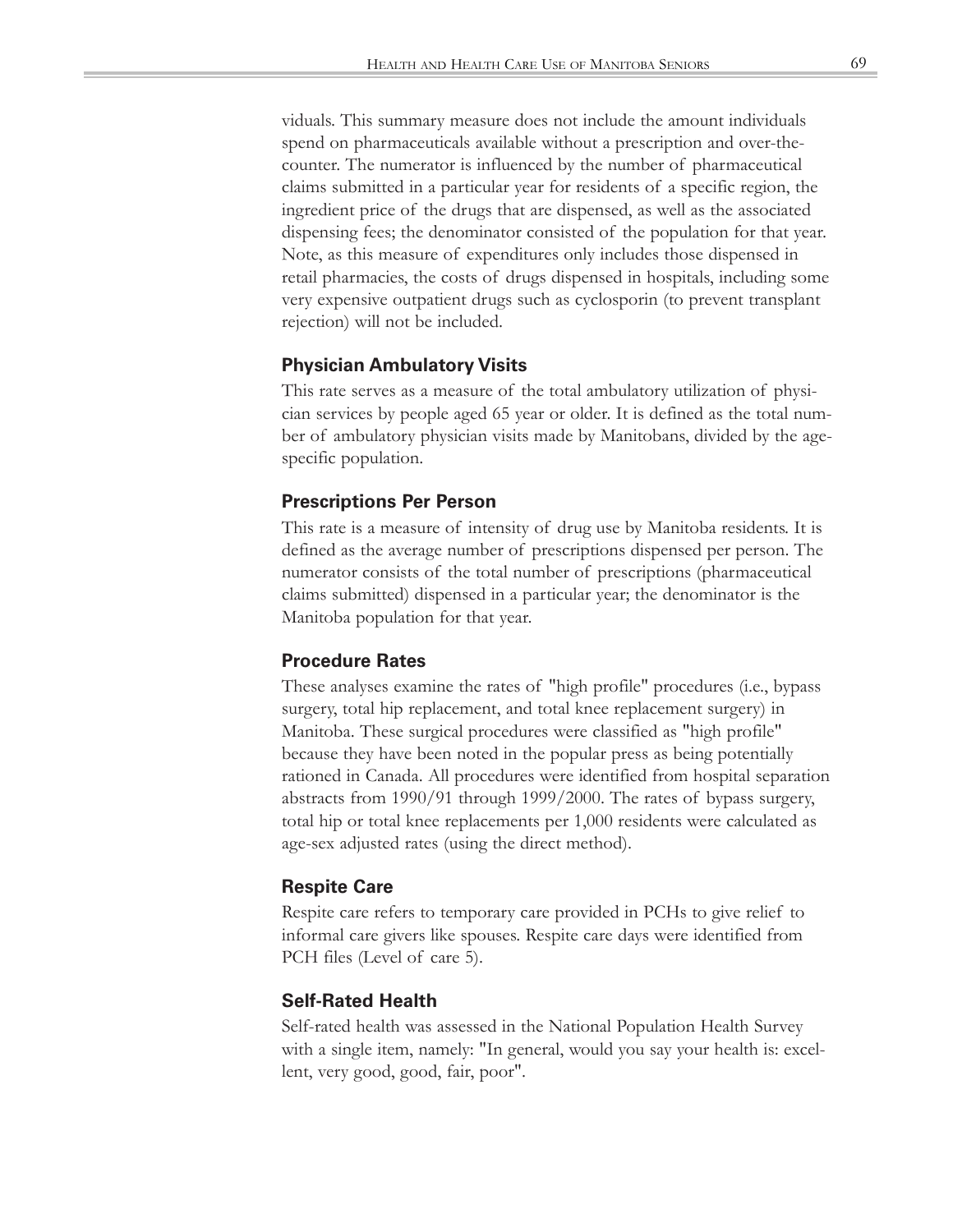viduals. This summary measure does not include the amount individuals spend on pharmaceuticals available without a prescription and over-thecounter. The numerator is influenced by the number of pharmaceutical claims submitted in a particular year for residents of a specific region, the ingredient price of the drugs that are dispensed, as well as the associated dispensing fees; the denominator consisted of the population for that year. Note, as this measure of expenditures only includes those dispensed in retail pharmacies, the costs of drugs dispensed in hospitals, including some very expensive outpatient drugs such as cyclosporin (to prevent transplant rejection) will not be included.

## **Physician Ambulatory Visits**

This rate serves as a measure of the total ambulatory utilization of physician services by people aged 65 year or older. It is defined as the total number of ambulatory physician visits made by Manitobans, divided by the agespecific population.

# **Prescriptions Per Person**

This rate is a measure of intensity of drug use by Manitoba residents. It is defined as the average number of prescriptions dispensed per person. The numerator consists of the total number of prescriptions (pharmaceutical claims submitted) dispensed in a particular year; the denominator is the Manitoba population for that year.

## **Procedure Rates**

These analyses examine the rates of "high profile" procedures (i.e., bypass surgery, total hip replacement, and total knee replacement surgery) in Manitoba. These surgical procedures were classified as "high profile" because they have been noted in the popular press as being potentially rationed in Canada. All procedures were identified from hospital separation abstracts from 1990/91 through 1999/2000. The rates of bypass surgery, total hip or total knee replacements per 1,000 residents were calculated as age-sex adjusted rates (using the direct method).

## **Respite Care**

Respite care refers to temporary care provided in PCHs to give relief to informal care givers like spouses. Respite care days were identified from PCH files (Level of care 5).

# **Self-Rated Health**

Self-rated health was assessed in the National Population Health Survey with a single item, namely: "In general, would you say your health is: excellent, very good, good, fair, poor".